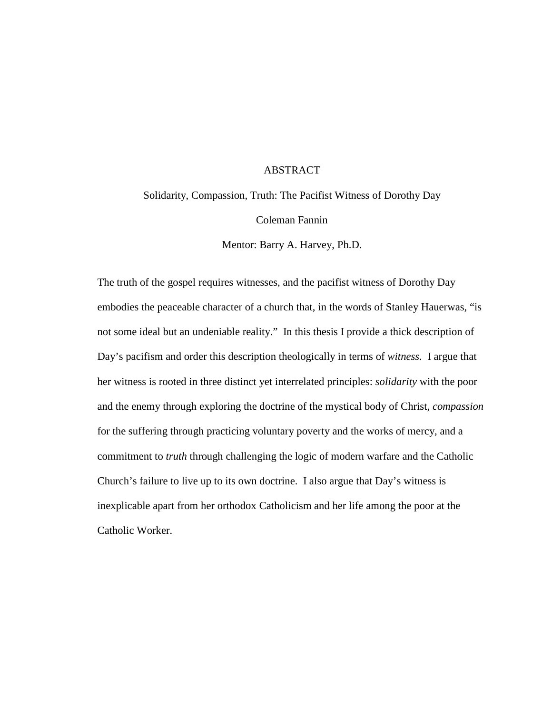## ABSTRACT

Solidarity, Compassion, Truth: The Pacifist Witness of Dorothy Day

Coleman Fannin

Mentor: Barry A. Harvey, Ph.D.

The truth of the gospel requires witnesses, and the pacifist witness of Dorothy Day embodies the peaceable character of a church that, in the words of Stanley Hauerwas, "is not some ideal but an undeniable reality." In this thesis I provide a thick description of Day's pacifism and order this description theologically in terms of *witness.* I argue that her witness is rooted in three distinct yet interrelated principles: *solidarity* with the poor and the enemy through exploring the doctrine of the mystical body of Christ, *compassion* for the suffering through practicing voluntary poverty and the works of mercy, and a commitment to *truth* through challenging the logic of modern warfare and the Catholic Church's failure to live up to its own doctrine. I also argue that Day's witness is inexplicable apart from her orthodox Catholicism and her life among the poor at the Catholic Worker.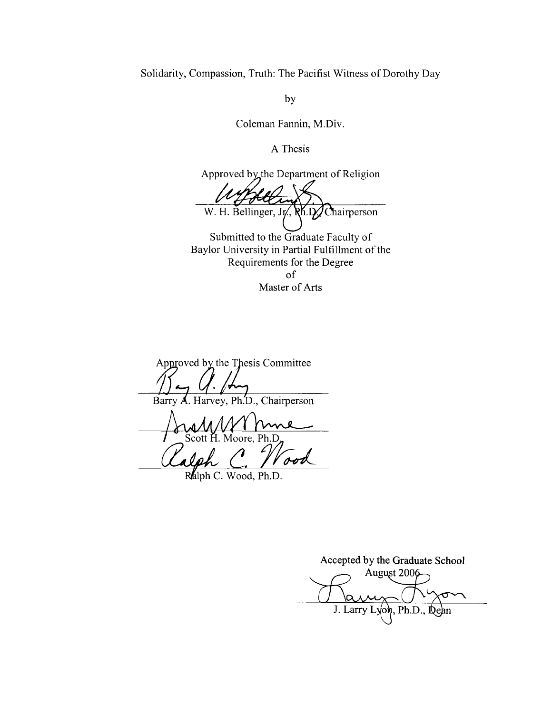Solidarity, Compassion, Truth: The Pacifist Witness of Dorothy Day

by

Coleman Fannin, M.Div.

A Thesis

Approved by the Department of Religion W. H. Bellinger, Jy., RK.D. Chairperson

Submitted to the Graduate Faculty of Baylor University in Partial Fulfillment of the Requirements for the Degree of Master of Arts

Approved by the Thesis Committee A. Harvey, Ph.D., Chairperson Barry

Scott H. Moore, Ph.D

Ralph C. Wood, Ph.D.

Accepted by the Graduate School August 2006 J. Larry Lyon, Ph.D., Dean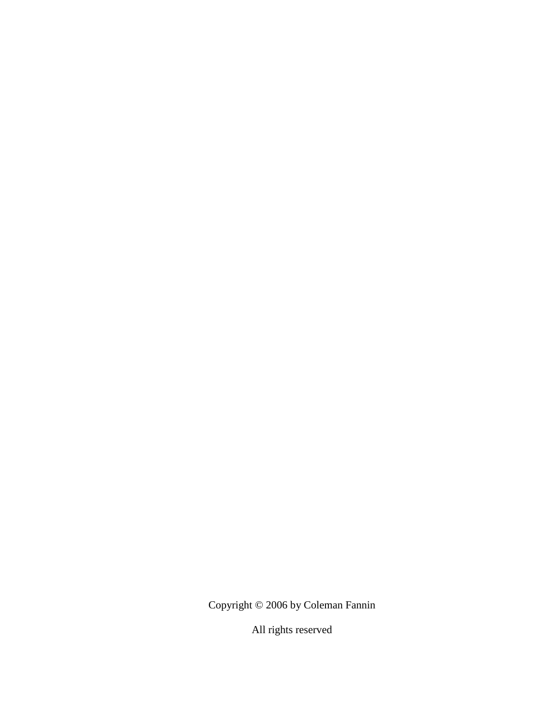Copyright © 2006 by Coleman Fannin

All rights reserved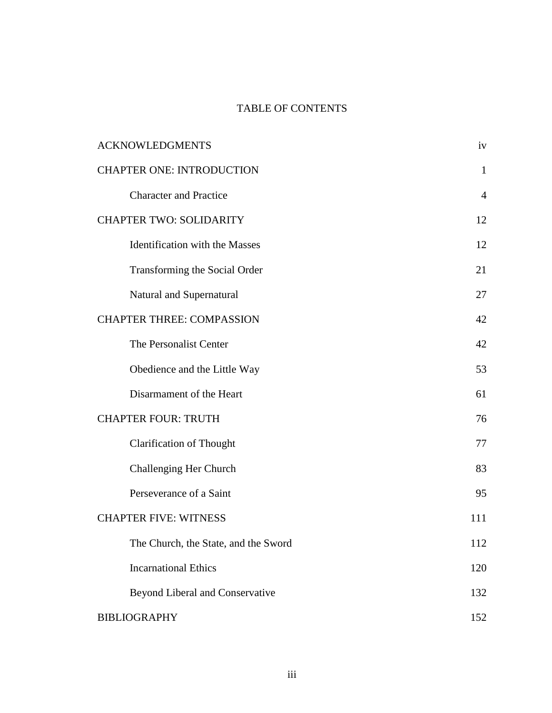# TABLE OF CONTENTS

| <b>ACKNOWLEDGMENTS</b>               | iv             |
|--------------------------------------|----------------|
| <b>CHAPTER ONE: INTRODUCTION</b>     | $\mathbf{1}$   |
| <b>Character and Practice</b>        | $\overline{4}$ |
| <b>CHAPTER TWO: SOLIDARITY</b>       | 12             |
| Identification with the Masses       | 12             |
| Transforming the Social Order        | 21             |
| Natural and Supernatural             | 27             |
| <b>CHAPTER THREE: COMPASSION</b>     | 42             |
| The Personalist Center               | 42             |
| Obedience and the Little Way         | 53             |
| Disarmament of the Heart             | 61             |
| <b>CHAPTER FOUR: TRUTH</b>           | 76             |
| <b>Clarification of Thought</b>      | 77             |
| Challenging Her Church               | 83             |
| Perseverance of a Saint              | 95             |
| <b>CHAPTER FIVE: WITNESS</b>         | 111            |
| The Church, the State, and the Sword | 112            |
| <b>Incarnational Ethics</b>          | 120            |
| Beyond Liberal and Conservative      | 132            |
| <b>BIBLIOGRAPHY</b>                  | 152            |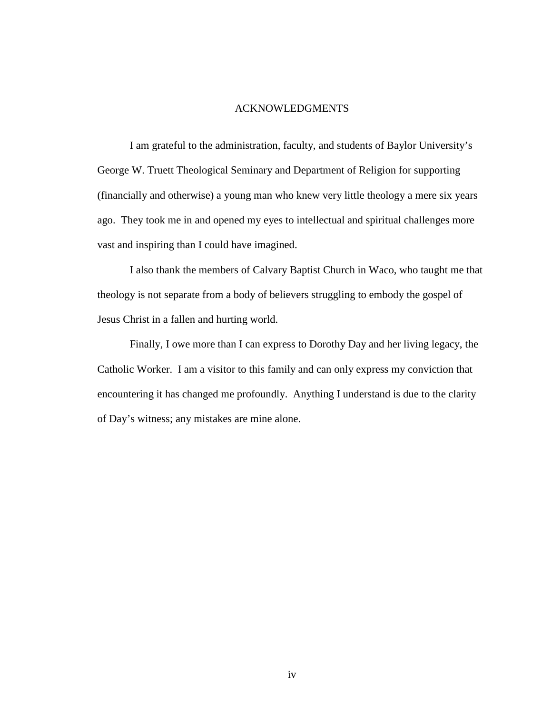#### ACKNOWLEDGMENTS

I am grateful to the administration, faculty, and students of Baylor University's George W. Truett Theological Seminary and Department of Religion for supporting (financially and otherwise) a young man who knew very little theology a mere six years ago. They took me in and opened my eyes to intellectual and spiritual challenges more vast and inspiring than I could have imagined.

I also thank the members of Calvary Baptist Church in Waco, who taught me that theology is not separate from a body of believers struggling to embody the gospel of Jesus Christ in a fallen and hurting world.

Finally, I owe more than I can express to Dorothy Day and her living legacy, the Catholic Worker. I am a visitor to this family and can only express my conviction that encountering it has changed me profoundly. Anything I understand is due to the clarity of Day's witness; any mistakes are mine alone.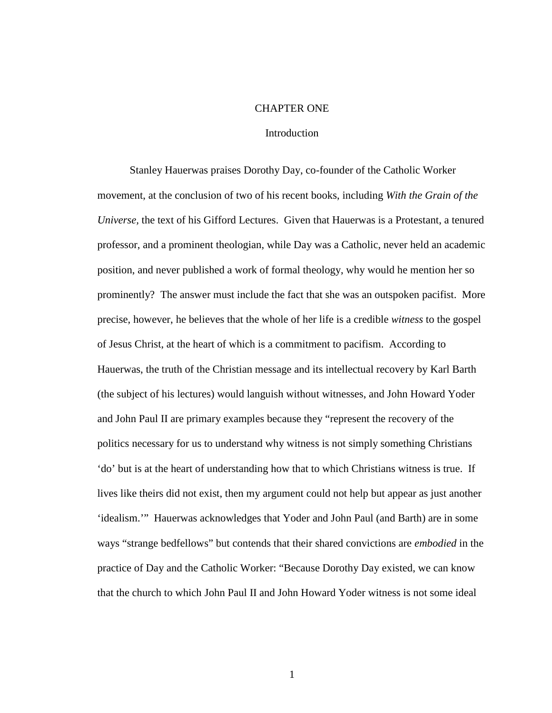#### CHAPTER ONE

#### Introduction

Stanley Hauerwas praises Dorothy Day, co-founder of the Catholic Worker movement, at the conclusion of two of his recent books, including *With the Grain of the Universe,* the text of his Gifford Lectures. Given that Hauerwas is a Protestant, a tenured professor, and a prominent theologian, while Day was a Catholic, never held an academic position, and never published a work of formal theology, why would he mention her so prominently? The answer must include the fact that she was an outspoken pacifist. More precise, however, he believes that the whole of her life is a credible *witness* to the gospel of Jesus Christ, at the heart of which is a commitment to pacifism. According to Hauerwas, the truth of the Christian message and its intellectual recovery by Karl Barth (the subject of his lectures) would languish without witnesses, and John Howard Yoder and John Paul II are primary examples because they "represent the recovery of the politics necessary for us to understand why witness is not simply something Christians 'do' but is at the heart of understanding how that to which Christians witness is true. If lives like theirs did not exist, then my argument could not help but appear as just another 'idealism.'" Hauerwas acknowledges that Yoder and John Paul (and Barth) are in some ways "strange bedfellows" but contends that their shared convictions are *embodied* in the practice of Day and the Catholic Worker: "Because Dorothy Day existed, we can know that the church to which John Paul II and John Howard Yoder witness is not some ideal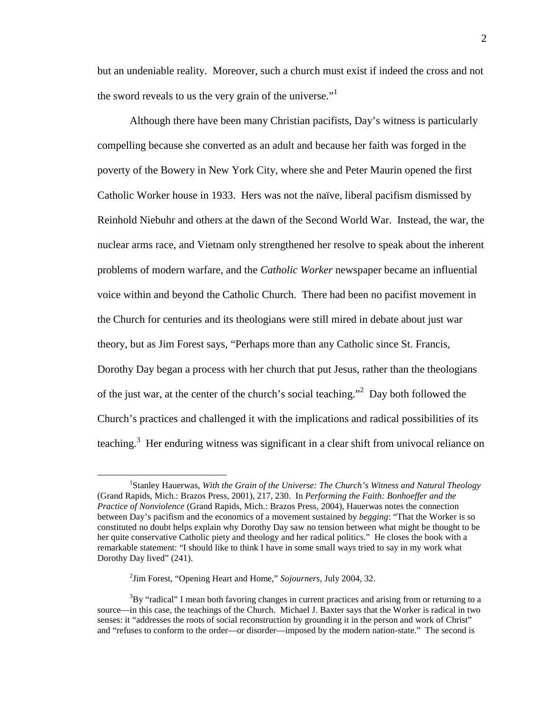but an undeniable reality. Moreover, such a church must exist if indeed the cross and not the sword reveals to us the very grain of the universe."<sup>1</sup>

Although there have been many Christian pacifists, Day's witness is particularly compelling because she converted as an adult and because her faith was forged in the poverty of the Bowery in New York City, where she and Peter Maurin opened the first Catholic Worker house in 1933. Hers was not the naïve, liberal pacifism dismissed by Reinhold Niebuhr and others at the dawn of the Second World War. Instead, the war, the nuclear arms race, and Vietnam only strengthened her resolve to speak about the inherent problems of modern warfare, and the *Catholic Worker* newspaper became an influential voice within and beyond the Catholic Church. There had been no pacifist movement in the Church for centuries and its theologians were still mired in debate about just war theory, but as Jim Forest says, "Perhaps more than any Catholic since St. Francis, Dorothy Day began a process with her church that put Jesus, rather than the theologians of the just war, at the center of the church's social teaching."<sup>2</sup> Day both followed the Church's practices and challenged it with the implications and radical possibilities of its teaching.<sup>3</sup> Her enduring witness was significant in a clear shift from univocal reliance on

<sup>&</sup>lt;sup>1</sup>Stanley Hauerwas, With the Grain of the Universe: The Church's Witness and Natural Theology (Grand Rapids, Mich.: Brazos Press, 2001), 217, 230. In *Performing the Faith: Bonhoeffer and the Practice of Nonviolence* (Grand Rapids, Mich.: Brazos Press, 2004), Hauerwas notes the connection between Day's pacifism and the economics of a movement sustained by *begging*: "That the Worker is so constituted no doubt helps explain why Dorothy Day saw no tension between what might be thought to be her quite conservative Catholic piety and theology and her radical politics." He closes the book with a remarkable statement: "I should like to think I have in some small ways tried to say in my work what Dorothy Day lived" (241).

<sup>2</sup> Jim Forest, "Opening Heart and Home," *Sojourners,* July 2004, 32.

 $3By$  "radical" I mean both favoring changes in current practices and arising from or returning to a source—in this case, the teachings of the Church. Michael J. Baxter says that the Worker is radical in two senses: it "addresses the roots of social reconstruction by grounding it in the person and work of Christ" and "refuses to conform to the order—or disorder—imposed by the modern nation-state." The second is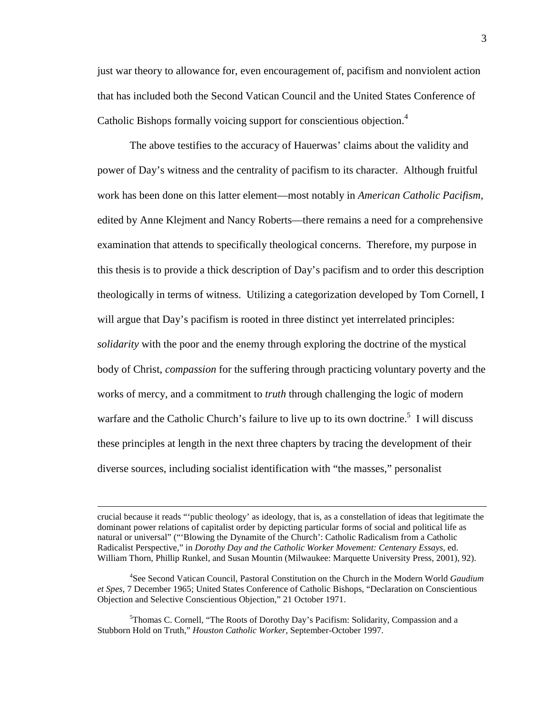just war theory to allowance for, even encouragement of, pacifism and nonviolent action that has included both the Second Vatican Council and the United States Conference of Catholic Bishops formally voicing support for conscientious objection.<sup>4</sup>

The above testifies to the accuracy of Hauerwas' claims about the validity and power of Day's witness and the centrality of pacifism to its character. Although fruitful work has been done on this latter element—most notably in *American Catholic Pacifism,* edited by Anne Klejment and Nancy Roberts—there remains a need for a comprehensive examination that attends to specifically theological concerns. Therefore, my purpose in this thesis is to provide a thick description of Day's pacifism and to order this description theologically in terms of witness. Utilizing a categorization developed by Tom Cornell, I will argue that Day's pacifism is rooted in three distinct yet interrelated principles: *solidarity* with the poor and the enemy through exploring the doctrine of the mystical body of Christ, *compassion* for the suffering through practicing voluntary poverty and the works of mercy, and a commitment to *truth* through challenging the logic of modern warfare and the Catholic Church's failure to live up to its own doctrine.<sup>5</sup> I will discuss these principles at length in the next three chapters by tracing the development of their diverse sources, including socialist identification with "the masses," personalist

crucial because it reads "'public theology' as ideology, that is, as a constellation of ideas that legitimate the dominant power relations of capitalist order by depicting particular forms of social and political life as natural or universal" ("'Blowing the Dynamite of the Church': Catholic Radicalism from a Catholic Radicalist Perspective," in *Dorothy Day and the Catholic Worker Movement: Centenary Essays,* ed. William Thorn, Phillip Runkel, and Susan Mountin (Milwaukee: Marquette University Press, 2001), 92).

<sup>4</sup> See Second Vatican Council, Pastoral Constitution on the Church in the Modern World *Gaudium et Spes,* 7 December 1965; United States Conference of Catholic Bishops, "Declaration on Conscientious Objection and Selective Conscientious Objection," 21 October 1971.

<sup>5</sup>Thomas C. Cornell, "The Roots of Dorothy Day's Pacifism: Solidarity, Compassion and a Stubborn Hold on Truth," *Houston Catholic Worker,* September-October 1997.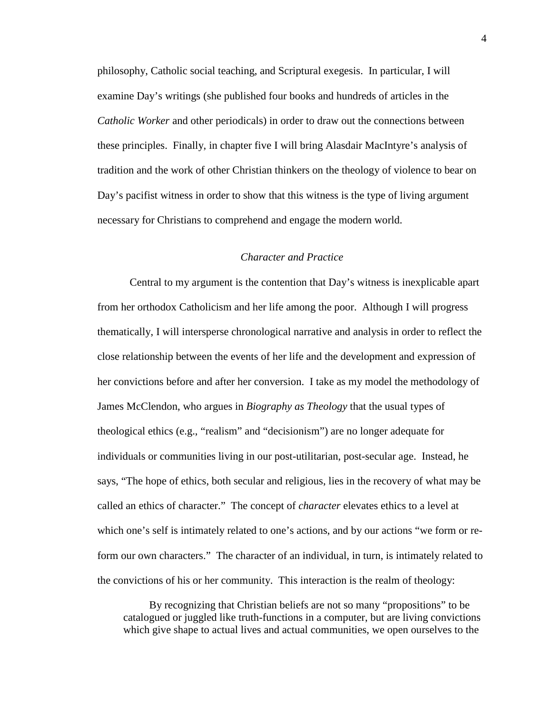philosophy, Catholic social teaching, and Scriptural exegesis. In particular, I will examine Day's writings (she published four books and hundreds of articles in the *Catholic Worker* and other periodicals) in order to draw out the connections between these principles. Finally, in chapter five I will bring Alasdair MacIntyre's analysis of tradition and the work of other Christian thinkers on the theology of violence to bear on Day's pacifist witness in order to show that this witness is the type of living argument necessary for Christians to comprehend and engage the modern world.

#### *Character and Practice*

Central to my argument is the contention that Day's witness is inexplicable apart from her orthodox Catholicism and her life among the poor. Although I will progress thematically, I will intersperse chronological narrative and analysis in order to reflect the close relationship between the events of her life and the development and expression of her convictions before and after her conversion. I take as my model the methodology of James McClendon, who argues in *Biography as Theology* that the usual types of theological ethics (e.g., "realism" and "decisionism") are no longer adequate for individuals or communities living in our post-utilitarian, post-secular age. Instead, he says, "The hope of ethics, both secular and religious, lies in the recovery of what may be called an ethics of character." The concept of *character* elevates ethics to a level at which one's self is intimately related to one's actions, and by our actions "we form or reform our own characters." The character of an individual, in turn, is intimately related to the convictions of his or her community. This interaction is the realm of theology:

By recognizing that Christian beliefs are not so many "propositions" to be catalogued or juggled like truth-functions in a computer, but are living convictions which give shape to actual lives and actual communities, we open ourselves to the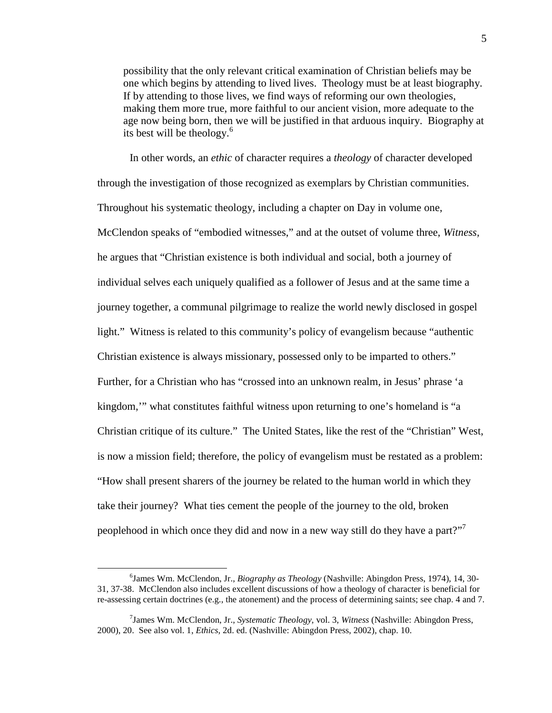possibility that the only relevant critical examination of Christian beliefs may be one which begins by attending to lived lives. Theology must be at least biography. If by attending to those lives, we find ways of reforming our own theologies, making them more true, more faithful to our ancient vision, more adequate to the age now being born, then we will be justified in that arduous inquiry. Biography at its best will be theology.<sup>6</sup>

In other words, an *ethic* of character requires a *theology* of character developed through the investigation of those recognized as exemplars by Christian communities. Throughout his systematic theology, including a chapter on Day in volume one, McClendon speaks of "embodied witnesses," and at the outset of volume three, *Witness,* he argues that "Christian existence is both individual and social, both a journey of individual selves each uniquely qualified as a follower of Jesus and at the same time a journey together, a communal pilgrimage to realize the world newly disclosed in gospel light." Witness is related to this community's policy of evangelism because "authentic Christian existence is always missionary, possessed only to be imparted to others." Further, for a Christian who has "crossed into an unknown realm, in Jesus' phrase 'a kingdom,'" what constitutes faithful witness upon returning to one's homeland is "a Christian critique of its culture." The United States, like the rest of the "Christian" West, is now a mission field; therefore, the policy of evangelism must be restated as a problem: "How shall present sharers of the journey be related to the human world in which they take their journey? What ties cement the people of the journey to the old, broken peoplehood in which once they did and now in a new way still do they have a part?"<sup>7</sup>

<sup>6</sup> James Wm. McClendon, Jr., *Biography as Theology* (Nashville: Abingdon Press, 1974), 14, 30- 31, 37-38. McClendon also includes excellent discussions of how a theology of character is beneficial for re-assessing certain doctrines (e.g., the atonement) and the process of determining saints; see chap. 4 and 7.

<sup>7</sup> James Wm. McClendon, Jr., *Systematic Theology,* vol. 3, *Witness* (Nashville: Abingdon Press, 2000), 20. See also vol. 1, *Ethics,* 2d. ed. (Nashville: Abingdon Press, 2002), chap. 10.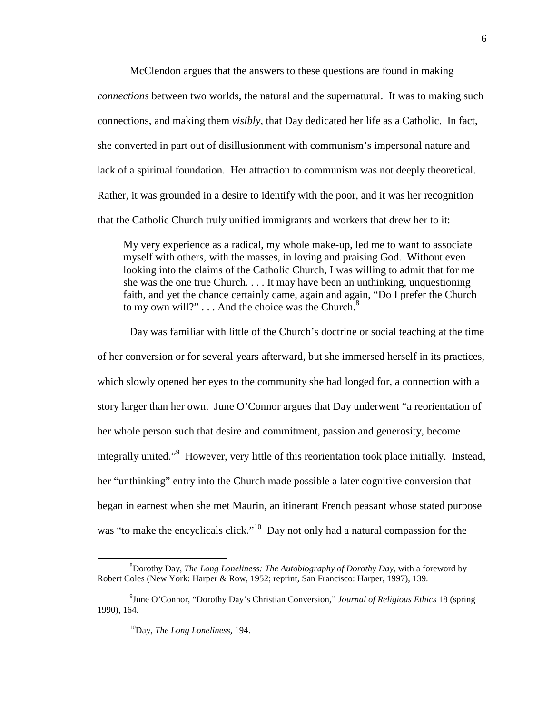McClendon argues that the answers to these questions are found in making *connections* between two worlds, the natural and the supernatural. It was to making such connections, and making them *visibly,* that Day dedicated her life as a Catholic. In fact, she converted in part out of disillusionment with communism's impersonal nature and lack of a spiritual foundation. Her attraction to communism was not deeply theoretical. Rather, it was grounded in a desire to identify with the poor, and it was her recognition that the Catholic Church truly unified immigrants and workers that drew her to it:

My very experience as a radical, my whole make-up, led me to want to associate myself with others, with the masses, in loving and praising God. Without even looking into the claims of the Catholic Church, I was willing to admit that for me she was the one true Church. . . . It may have been an unthinking, unquestioning faith, and yet the chance certainly came, again and again, "Do I prefer the Church to my own will?"  $\dots$  And the choice was the Church. $8$ 

Day was familiar with little of the Church's doctrine or social teaching at the time of her conversion or for several years afterward, but she immersed herself in its practices, which slowly opened her eyes to the community she had longed for, a connection with a story larger than her own. June O'Connor argues that Day underwent "a reorientation of her whole person such that desire and commitment, passion and generosity, become integrally united."<sup>9</sup> However, very little of this reorientation took place initially. Instead, her "unthinking" entry into the Church made possible a later cognitive conversion that began in earnest when she met Maurin, an itinerant French peasant whose stated purpose was "to make the encyclicals click."<sup>10</sup> Day not only had a natural compassion for the

<sup>8</sup>Dorothy Day, *The Long Loneliness: The Autobiography of Dorothy Day,* with a foreword by Robert Coles (New York: Harper & Row, 1952; reprint, San Francisco: Harper, 1997), 139.

<sup>9</sup> June O'Connor, "Dorothy Day's Christian Conversion," *Journal of Religious Ethics* 18 (spring 1990), 164.

<sup>10</sup>Day, *The Long Loneliness,* 194.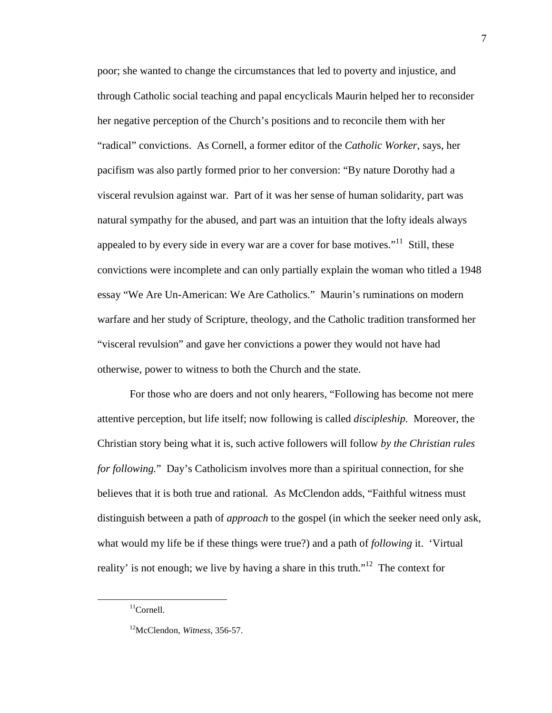poor; she wanted to change the circumstances that led to poverty and injustice, and through Catholic social teaching and papal encyclicals Maurin helped her to reconsider her negative perception of the Church's positions and to reconcile them with her "radical" convictions. As Cornell, a former editor of the *Catholic Worker,* says, her pacifism was also partly formed prior to her conversion: "By nature Dorothy had a visceral revulsion against war. Part of it was her sense of human solidarity, part was natural sympathy for the abused, and part was an intuition that the lofty ideals always appealed to by every side in every war are a cover for base motives."<sup>11</sup> Still, these convictions were incomplete and can only partially explain the woman who titled a 1948 essay "We Are Un-American: We Are Catholics." Maurin's ruminations on modern warfare and her study of Scripture, theology, and the Catholic tradition transformed her "visceral revulsion" and gave her convictions a power they would not have had otherwise, power to witness to both the Church and the state.

For those who are doers and not only hearers, "Following has become not mere attentive perception, but life itself; now following is called *discipleship.* Moreover, the Christian story being what it is, such active followers will follow *by the Christian rules for following.*" Day's Catholicism involves more than a spiritual connection, for she believes that it is both true and rational*.* As McClendon adds, "Faithful witness must distinguish between a path of *approach* to the gospel (in which the seeker need only ask, what would my life be if these things were true?) and a path of *following* it. 'Virtual reality' is not enough; we live by having a share in this truth."<sup>12</sup> The context for

 $11$ Cornell.

<sup>12</sup>McClendon, *Witness,* 356-57.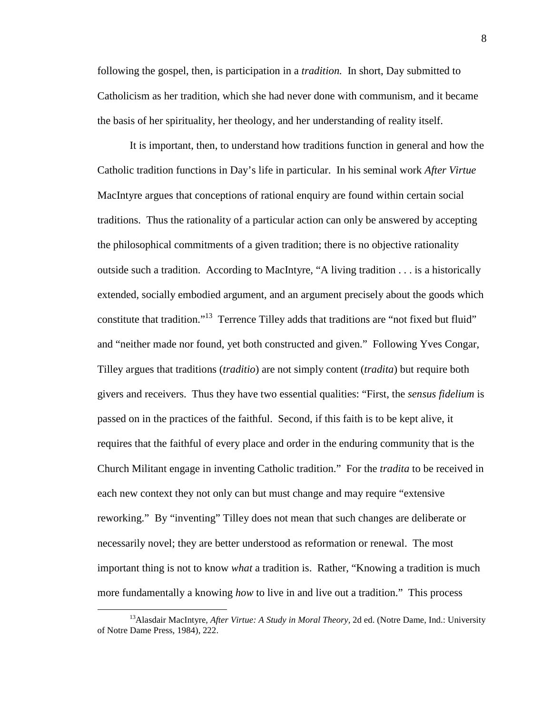following the gospel, then, is participation in a *tradition.* In short, Day submitted to Catholicism as her tradition, which she had never done with communism, and it became the basis of her spirituality, her theology, and her understanding of reality itself.

It is important, then, to understand how traditions function in general and how the Catholic tradition functions in Day's life in particular. In his seminal work *After Virtue* MacIntyre argues that conceptions of rational enquiry are found within certain social traditions. Thus the rationality of a particular action can only be answered by accepting the philosophical commitments of a given tradition; there is no objective rationality outside such a tradition. According to MacIntyre, "A living tradition . . . is a historically extended, socially embodied argument, and an argument precisely about the goods which constitute that tradition."<sup>13</sup> Terrence Tilley adds that traditions are "not fixed but fluid" and "neither made nor found, yet both constructed and given." Following Yves Congar, Tilley argues that traditions (*traditio*) are not simply content (*tradita*) but require both givers and receivers. Thus they have two essential qualities: "First, the *sensus fidelium* is passed on in the practices of the faithful. Second, if this faith is to be kept alive, it requires that the faithful of every place and order in the enduring community that is the Church Militant engage in inventing Catholic tradition." For the *tradita* to be received in each new context they not only can but must change and may require "extensive reworking." By "inventing" Tilley does not mean that such changes are deliberate or necessarily novel; they are better understood as reformation or renewal. The most important thing is not to know *what* a tradition is. Rather, "Knowing a tradition is much more fundamentally a knowing *how* to live in and live out a tradition." This process

<sup>13</sup>Alasdair MacIntyre, *After Virtue: A Study in Moral Theory,* 2d ed. (Notre Dame, Ind.: University of Notre Dame Press, 1984), 222.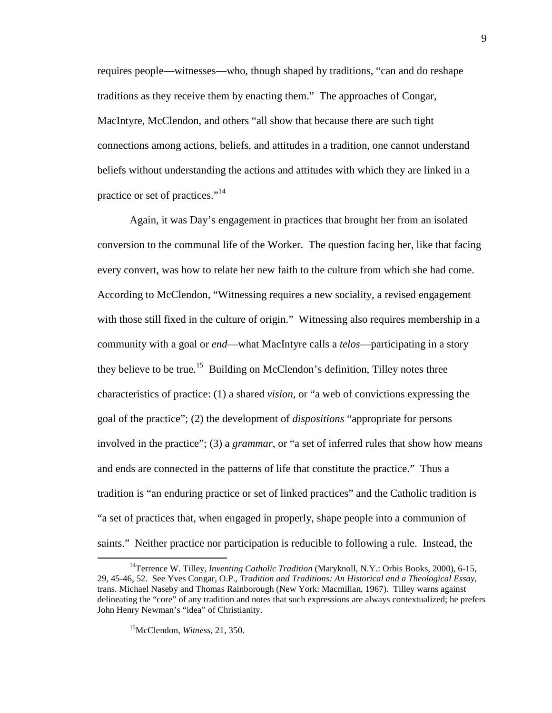requires people—witnesses—who, though shaped by traditions, "can and do reshape traditions as they receive them by enacting them." The approaches of Congar, MacIntyre, McClendon, and others "all show that because there are such tight connections among actions, beliefs, and attitudes in a tradition, one cannot understand beliefs without understanding the actions and attitudes with which they are linked in a practice or set of practices."<sup>14</sup>

Again, it was Day's engagement in practices that brought her from an isolated conversion to the communal life of the Worker. The question facing her, like that facing every convert, was how to relate her new faith to the culture from which she had come. According to McClendon, "Witnessing requires a new sociality, a revised engagement with those still fixed in the culture of origin." Witnessing also requires membership in a community with a goal or *end*—what MacIntyre calls a *telos*—participating in a story they believe to be true.<sup>15</sup> Building on McClendon's definition, Tilley notes three characteristics of practice: (1) a shared *vision*, or "a web of convictions expressing the goal of the practice"; (2) the development of *dispositions* "appropriate for persons involved in the practice"; (3) a *grammar*, or "a set of inferred rules that show how means and ends are connected in the patterns of life that constitute the practice." Thus a tradition is "an enduring practice or set of linked practices" and the Catholic tradition is "a set of practices that, when engaged in properly, shape people into a communion of saints." Neither practice nor participation is reducible to following a rule. Instead, the

<sup>&</sup>lt;sup>14</sup>Terrence W. Tilley, *Inventing Catholic Tradition* (Maryknoll, N.Y.: Orbis Books, 2000), 6-15, 29, 45-46, 52. See Yves Congar, O.P., *Tradition and Traditions: An Historical and a Theological Essay,* trans. Michael Naseby and Thomas Rainborough (New York: Macmillan, 1967). Tilley warns against delineating the "core" of any tradition and notes that such expressions are always contextualized; he prefers John Henry Newman's "idea" of Christianity.

<sup>15</sup>McClendon, *Witness,* 21, 350.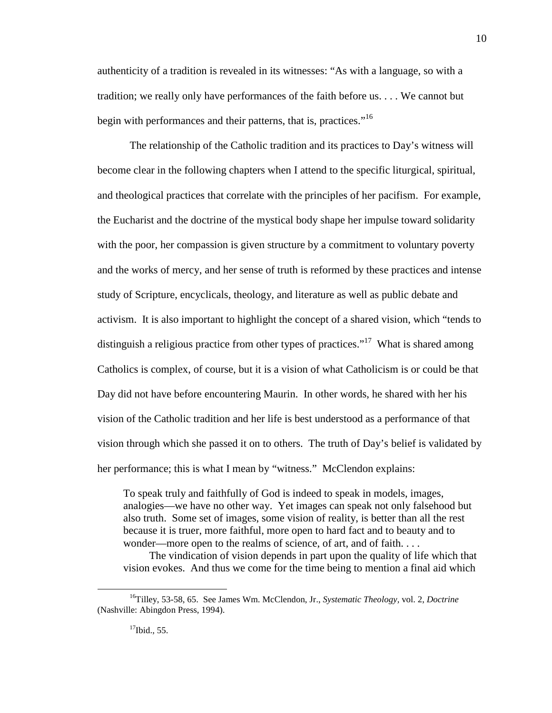authenticity of a tradition is revealed in its witnesses: "As with a language, so with a tradition; we really only have performances of the faith before us. . . . We cannot but begin with performances and their patterns, that is, practices."<sup>16</sup>

The relationship of the Catholic tradition and its practices to Day's witness will become clear in the following chapters when I attend to the specific liturgical, spiritual, and theological practices that correlate with the principles of her pacifism. For example, the Eucharist and the doctrine of the mystical body shape her impulse toward solidarity with the poor, her compassion is given structure by a commitment to voluntary poverty and the works of mercy, and her sense of truth is reformed by these practices and intense study of Scripture, encyclicals, theology, and literature as well as public debate and activism. It is also important to highlight the concept of a shared vision, which "tends to distinguish a religious practice from other types of practices."<sup>17</sup> What is shared among Catholics is complex, of course, but it is a vision of what Catholicism is or could be that Day did not have before encountering Maurin. In other words, he shared with her his vision of the Catholic tradition and her life is best understood as a performance of that vision through which she passed it on to others. The truth of Day's belief is validated by her performance; this is what I mean by "witness." McClendon explains:

To speak truly and faithfully of God is indeed to speak in models, images, analogies—we have no other way. Yet images can speak not only falsehood but also truth. Some set of images, some vision of reality, is better than all the rest because it is truer, more faithful, more open to hard fact and to beauty and to wonder—more open to the realms of science, of art, and of faith. . . .

The vindication of vision depends in part upon the quality of life which that vision evokes. And thus we come for the time being to mention a final aid which

<sup>16</sup>Tilley, 53-58, 65. See James Wm. McClendon, Jr., *Systematic Theology,* vol. 2, *Doctrine* (Nashville: Abingdon Press, 1994).

 $17$ Ibid., 55.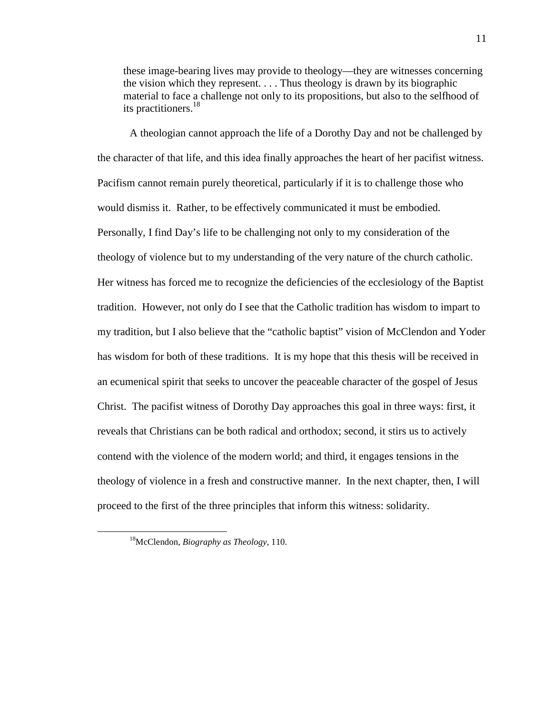these image-bearing lives may provide to theology—they are witnesses concerning the vision which they represent. . . . Thus theology is drawn by its biographic material to face a challenge not only to its propositions, but also to the selfhood of its practitioners.<sup>18</sup>

A theologian cannot approach the life of a Dorothy Day and not be challenged by the character of that life, and this idea finally approaches the heart of her pacifist witness. Pacifism cannot remain purely theoretical, particularly if it is to challenge those who would dismiss it. Rather, to be effectively communicated it must be embodied. Personally, I find Day's life to be challenging not only to my consideration of the theology of violence but to my understanding of the very nature of the church catholic. Her witness has forced me to recognize the deficiencies of the ecclesiology of the Baptist tradition. However, not only do I see that the Catholic tradition has wisdom to impart to my tradition, but I also believe that the "catholic baptist" vision of McClendon and Yoder has wisdom for both of these traditions. It is my hope that this thesis will be received in an ecumenical spirit that seeks to uncover the peaceable character of the gospel of Jesus Christ. The pacifist witness of Dorothy Day approaches this goal in three ways: first, it reveals that Christians can be both radical and orthodox; second, it stirs us to actively contend with the violence of the modern world; and third, it engages tensions in the theology of violence in a fresh and constructive manner. In the next chapter, then, I will proceed to the first of the three principles that inform this witness: solidarity.

<sup>18</sup>McClendon, *Biography as Theology,* 110.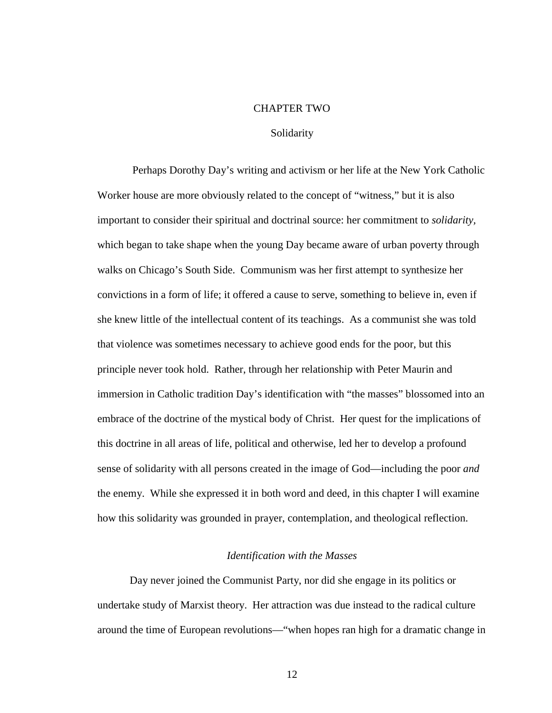#### CHAPTER TWO

## Solidarity

 Perhaps Dorothy Day's writing and activism or her life at the New York Catholic Worker house are more obviously related to the concept of "witness," but it is also important to consider their spiritual and doctrinal source: her commitment to *solidarity,* which began to take shape when the young Day became aware of urban poverty through walks on Chicago's South Side. Communism was her first attempt to synthesize her convictions in a form of life; it offered a cause to serve, something to believe in, even if she knew little of the intellectual content of its teachings. As a communist she was told that violence was sometimes necessary to achieve good ends for the poor, but this principle never took hold. Rather, through her relationship with Peter Maurin and immersion in Catholic tradition Day's identification with "the masses" blossomed into an embrace of the doctrine of the mystical body of Christ. Her quest for the implications of this doctrine in all areas of life, political and otherwise, led her to develop a profound sense of solidarity with all persons created in the image of God—including the poor *and* the enemy. While she expressed it in both word and deed, in this chapter I will examine how this solidarity was grounded in prayer, contemplation, and theological reflection.

## *Identification with the Masses*

Day never joined the Communist Party, nor did she engage in its politics or undertake study of Marxist theory. Her attraction was due instead to the radical culture around the time of European revolutions—"when hopes ran high for a dramatic change in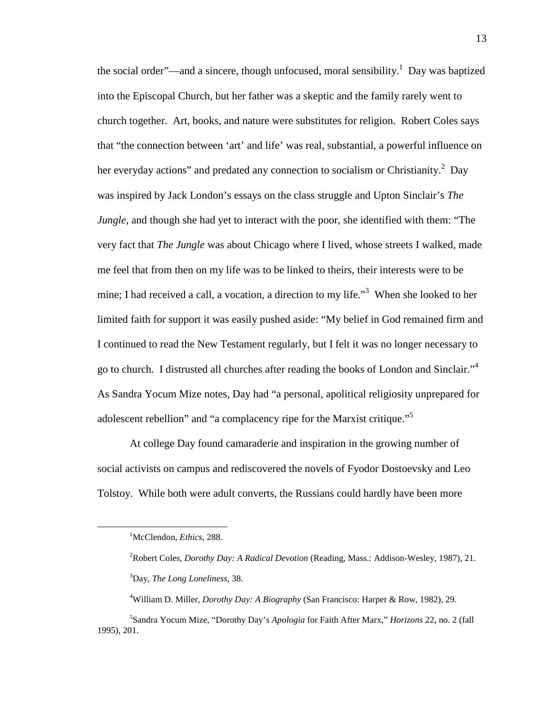the social order"—and a sincere, though unfocused, moral sensibility.<sup>1</sup> Day was baptized into the Episcopal Church, but her father was a skeptic and the family rarely went to church together. Art, books, and nature were substitutes for religion. Robert Coles says that "the connection between 'art' and life' was real, substantial, a powerful influence on her everyday actions" and predated any connection to socialism or Christianity.<sup>2</sup> Day was inspired by Jack London's essays on the class struggle and Upton Sinclair's *The Jungle,* and though she had yet to interact with the poor, she identified with them: "The very fact that *The Jungle* was about Chicago where I lived, whose streets I walked, made me feel that from then on my life was to be linked to theirs, their interests were to be mine; I had received a call, a vocation, a direction to my life."<sup>3</sup> When she looked to her limited faith for support it was easily pushed aside: "My belief in God remained firm and I continued to read the New Testament regularly, but I felt it was no longer necessary to go to church. I distrusted all churches after reading the books of London and Sinclair."<sup>4</sup> As Sandra Yocum Mize notes, Day had "a personal, apolitical religiosity unprepared for adolescent rebellion" and "a complacency ripe for the Marxist critique."<sup>5</sup>

At college Day found camaraderie and inspiration in the growing number of social activists on campus and rediscovered the novels of Fyodor Dostoevsky and Leo Tolstoy. While both were adult converts, the Russians could hardly have been more

<sup>1</sup>McClendon, *Ethics,* 288.

<sup>2</sup>Robert Coles, *Dorothy Day: A Radical Devotion* (Reading, Mass.: Addison-Wesley, 1987), 21.

<sup>3</sup>Day, *The Long Loneliness,* 38.

<sup>4</sup>William D. Miller, *Dorothy Day: A Biography* (San Francisco: Harper & Row, 1982), 29.

<sup>5</sup> Sandra Yocum Mize, "Dorothy Day's *Apologia* for Faith After Marx," *Horizons* 22, no. 2 (fall 1995), 201.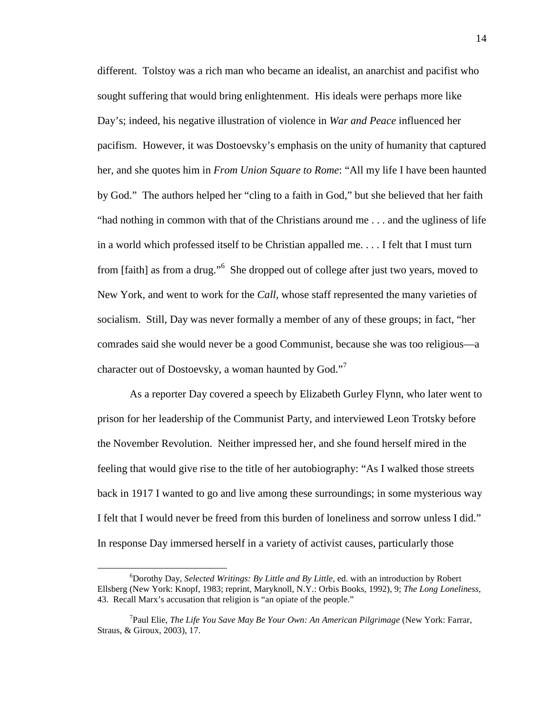different. Tolstoy was a rich man who became an idealist, an anarchist and pacifist who sought suffering that would bring enlightenment. His ideals were perhaps more like Day's; indeed, his negative illustration of violence in *War and Peace* influenced her pacifism. However, it was Dostoevsky's emphasis on the unity of humanity that captured her, and she quotes him in *From Union Square to Rome*: "All my life I have been haunted by God." The authors helped her "cling to a faith in God," but she believed that her faith "had nothing in common with that of the Christians around me . . . and the ugliness of life in a world which professed itself to be Christian appalled me. . . . I felt that I must turn from [faith] as from a drug."<sup>6</sup> She dropped out of college after just two years, moved to New York, and went to work for the *Call,* whose staff represented the many varieties of socialism. Still, Day was never formally a member of any of these groups; in fact, "her comrades said she would never be a good Communist, because she was too religious—a character out of Dostoevsky, a woman haunted by God."<sup>7</sup>

As a reporter Day covered a speech by Elizabeth Gurley Flynn, who later went to prison for her leadership of the Communist Party, and interviewed Leon Trotsky before the November Revolution. Neither impressed her, and she found herself mired in the feeling that would give rise to the title of her autobiography: "As I walked those streets back in 1917 I wanted to go and live among these surroundings; in some mysterious way I felt that I would never be freed from this burden of loneliness and sorrow unless I did." In response Day immersed herself in a variety of activist causes, particularly those

<sup>6</sup>Dorothy Day, *Selected Writings: By Little and By Little,* ed. with an introduction by Robert Ellsberg (New York: Knopf, 1983; reprint, Maryknoll, N.Y.: Orbis Books, 1992), 9; *The Long Loneliness,* 43. Recall Marx's accusation that religion is "an opiate of the people."

<sup>7</sup> Paul Elie, *The Life You Save May Be Your Own: An American Pilgrimage* (New York: Farrar, Straus, & Giroux, 2003), 17.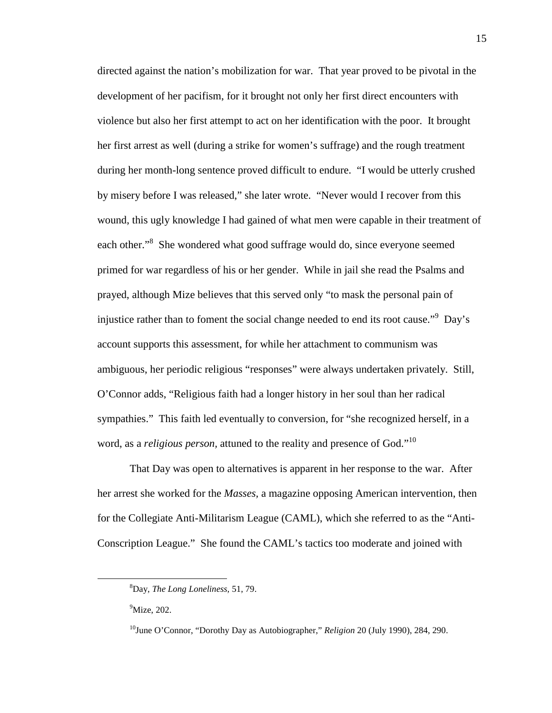directed against the nation's mobilization for war. That year proved to be pivotal in the development of her pacifism, for it brought not only her first direct encounters with violence but also her first attempt to act on her identification with the poor. It brought her first arrest as well (during a strike for women's suffrage) and the rough treatment during her month-long sentence proved difficult to endure. "I would be utterly crushed by misery before I was released," she later wrote. "Never would I recover from this wound, this ugly knowledge I had gained of what men were capable in their treatment of each other."<sup>8</sup> She wondered what good suffrage would do, since everyone seemed primed for war regardless of his or her gender. While in jail she read the Psalms and prayed, although Mize believes that this served only "to mask the personal pain of injustice rather than to foment the social change needed to end its root cause."<sup>9</sup> Day's account supports this assessment, for while her attachment to communism was ambiguous, her periodic religious "responses" were always undertaken privately. Still, O'Connor adds, "Religious faith had a longer history in her soul than her radical sympathies." This faith led eventually to conversion, for "she recognized herself, in a word, as a *religious person*, attuned to the reality and presence of God."<sup>10</sup>

That Day was open to alternatives is apparent in her response to the war. After her arrest she worked for the *Masses,* a magazine opposing American intervention, then for the Collegiate Anti-Militarism League (CAML), which she referred to as the "Anti-Conscription League." She found the CAML's tactics too moderate and joined with

-

<sup>8</sup>Day, *The Long Loneliness,* 51, 79.

 $9$ Mize, 202.

<sup>10</sup>June O'Connor, "Dorothy Day as Autobiographer," *Religion* 20 (July 1990), 284, 290.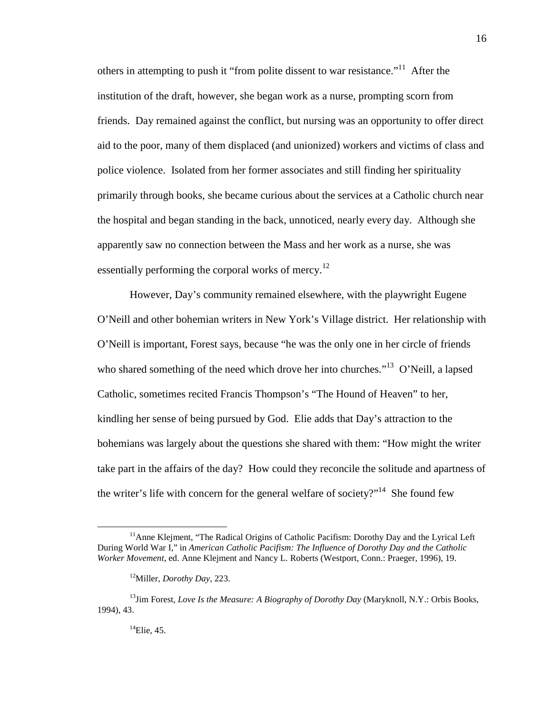others in attempting to push it "from polite dissent to war resistance."<sup>11</sup> After the institution of the draft, however, she began work as a nurse, prompting scorn from friends. Day remained against the conflict, but nursing was an opportunity to offer direct aid to the poor, many of them displaced (and unionized) workers and victims of class and police violence. Isolated from her former associates and still finding her spirituality primarily through books, she became curious about the services at a Catholic church near the hospital and began standing in the back, unnoticed, nearly every day. Although she apparently saw no connection between the Mass and her work as a nurse, she was essentially performing the corporal works of mercy.<sup>12</sup>

However, Day's community remained elsewhere, with the playwright Eugene O'Neill and other bohemian writers in New York's Village district. Her relationship with O'Neill is important, Forest says, because "he was the only one in her circle of friends who shared something of the need which drove her into churches."<sup>13</sup> O'Neill, a lapsed Catholic, sometimes recited Francis Thompson's "The Hound of Heaven" to her, kindling her sense of being pursued by God. Elie adds that Day's attraction to the bohemians was largely about the questions she shared with them: "How might the writer take part in the affairs of the day? How could they reconcile the solitude and apartness of the writer's life with concern for the general welfare of society?"<sup>14</sup> She found few

 $11$ Anne Kleiment, "The Radical Origins of Catholic Pacifism: Dorothy Day and the Lyrical Left During World War I," in *American Catholic Pacifism: The Influence of Dorothy Day and the Catholic Worker Movement,* ed. Anne Klejment and Nancy L. Roberts (Westport, Conn.: Praeger, 1996), 19.

<sup>12</sup>Miller, *Dorothy Day,* 223.

<sup>&</sup>lt;sup>13</sup>Jim Forest, *Love Is the Measure: A Biography of Dorothy Day* (Maryknoll, N.Y.: Orbis Books, 1994), 43.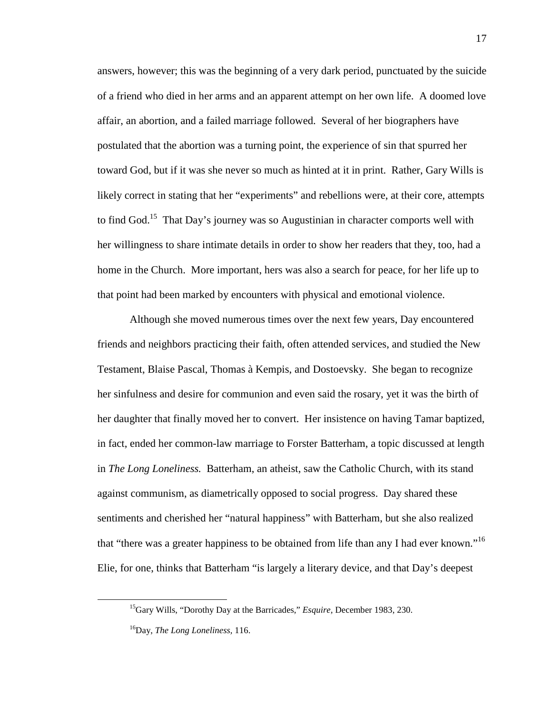answers, however; this was the beginning of a very dark period, punctuated by the suicide of a friend who died in her arms and an apparent attempt on her own life. A doomed love affair, an abortion, and a failed marriage followed. Several of her biographers have postulated that the abortion was a turning point, the experience of sin that spurred her toward God, but if it was she never so much as hinted at it in print. Rather, Gary Wills is likely correct in stating that her "experiments" and rebellions were, at their core, attempts to find God.<sup>15</sup> That Day's journey was so Augustinian in character comports well with her willingness to share intimate details in order to show her readers that they, too, had a home in the Church. More important, hers was also a search for peace, for her life up to that point had been marked by encounters with physical and emotional violence.

Although she moved numerous times over the next few years, Day encountered friends and neighbors practicing their faith, often attended services, and studied the New Testament, Blaise Pascal, Thomas à Kempis, and Dostoevsky. She began to recognize her sinfulness and desire for communion and even said the rosary, yet it was the birth of her daughter that finally moved her to convert. Her insistence on having Tamar baptized, in fact, ended her common-law marriage to Forster Batterham, a topic discussed at length in *The Long Loneliness.* Batterham, an atheist, saw the Catholic Church, with its stand against communism, as diametrically opposed to social progress. Day shared these sentiments and cherished her "natural happiness" with Batterham, but she also realized that "there was a greater happiness to be obtained from life than any I had ever known."<sup>16</sup> Elie, for one, thinks that Batterham "is largely a literary device, and that Day's deepest

<sup>15</sup>Gary Wills, "Dorothy Day at the Barricades," *Esquire,* December 1983, 230.

<sup>16</sup>Day, *The Long Loneliness,* 116.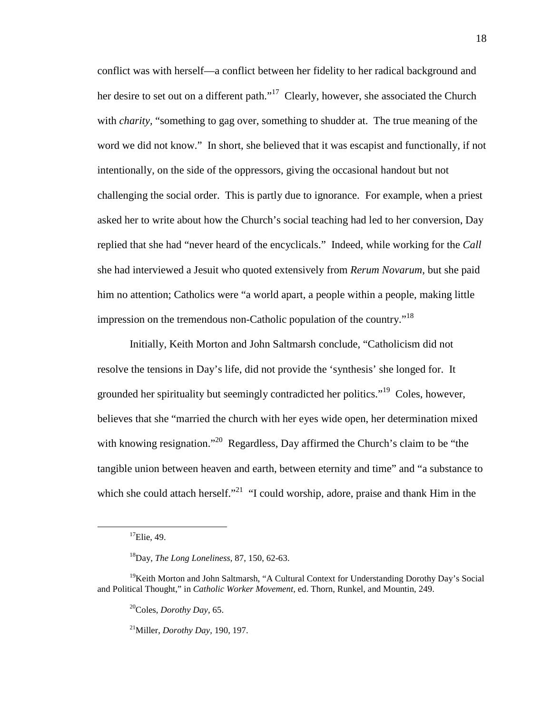conflict was with herself—a conflict between her fidelity to her radical background and her desire to set out on a different path."<sup>17</sup> Clearly, however, she associated the Church with *charity,* "something to gag over, something to shudder at. The true meaning of the word we did not know." In short, she believed that it was escapist and functionally, if not intentionally, on the side of the oppressors, giving the occasional handout but not challenging the social order. This is partly due to ignorance. For example, when a priest asked her to write about how the Church's social teaching had led to her conversion, Day replied that she had "never heard of the encyclicals." Indeed, while working for the *Call* she had interviewed a Jesuit who quoted extensively from *Rerum Novarum,* but she paid him no attention; Catholics were "a world apart, a people within a people, making little impression on the tremendous non-Catholic population of the country.<sup>"18</sup>

Initially, Keith Morton and John Saltmarsh conclude, "Catholicism did not resolve the tensions in Day's life, did not provide the 'synthesis' she longed for. It grounded her spirituality but seemingly contradicted her politics."<sup>19</sup> Coles, however, believes that she "married the church with her eyes wide open, her determination mixed with knowing resignation."<sup>20</sup> Regardless, Day affirmed the Church's claim to be "the tangible union between heaven and earth, between eternity and time" and "a substance to which she could attach herself."<sup>21</sup> "I could worship, adore, praise and thank Him in the

<u>.</u>

<sup>21</sup>Miller, *Dorothy Day,* 190, 197.

 $^{17}$ Elie, 49.

<sup>18</sup>Day, *The Long Loneliness,* 87, 150, 62-63.

<sup>&</sup>lt;sup>19</sup>Keith Morton and John Saltmarsh, "A Cultural Context for Understanding Dorothy Day's Social and Political Thought," in *Catholic Worker Movement,* ed. Thorn, Runkel, and Mountin, 249.

<sup>20</sup>Coles, *Dorothy Day,* 65.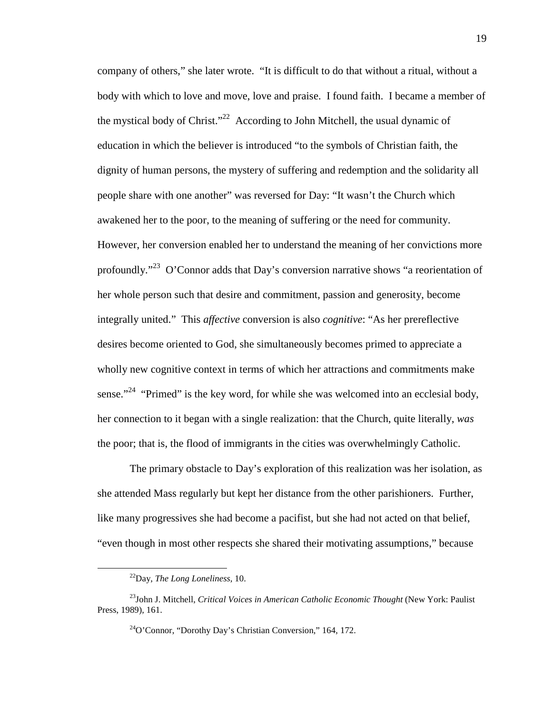company of others," she later wrote. "It is difficult to do that without a ritual, without a body with which to love and move, love and praise. I found faith. I became a member of the mystical body of Christ."<sup>22</sup> According to John Mitchell, the usual dynamic of education in which the believer is introduced "to the symbols of Christian faith, the dignity of human persons, the mystery of suffering and redemption and the solidarity all people share with one another" was reversed for Day: "It wasn't the Church which awakened her to the poor, to the meaning of suffering or the need for community. However, her conversion enabled her to understand the meaning of her convictions more profoundly."<sup>23</sup> O'Connor adds that Day's conversion narrative shows "a reorientation of her whole person such that desire and commitment, passion and generosity, become integrally united." This *affective* conversion is also *cognitive*: "As her prereflective desires become oriented to God, she simultaneously becomes primed to appreciate a wholly new cognitive context in terms of which her attractions and commitments make sense."<sup>24</sup> "Primed" is the key word, for while she was welcomed into an ecclesial body, her connection to it began with a single realization: that the Church, quite literally, *was* the poor; that is, the flood of immigrants in the cities was overwhelmingly Catholic.

The primary obstacle to Day's exploration of this realization was her isolation, as she attended Mass regularly but kept her distance from the other parishioners. Further, like many progressives she had become a pacifist, but she had not acted on that belief, "even though in most other respects she shared their motivating assumptions," because

<sup>22</sup>Day, *The Long Loneliness,* 10.

<sup>23</sup>John J. Mitchell, *Critical Voices in American Catholic Economic Thought* (New York: Paulist Press, 1989), 161.

 $^{24}$ O'Connor, "Dorothy Day's Christian Conversion," 164, 172.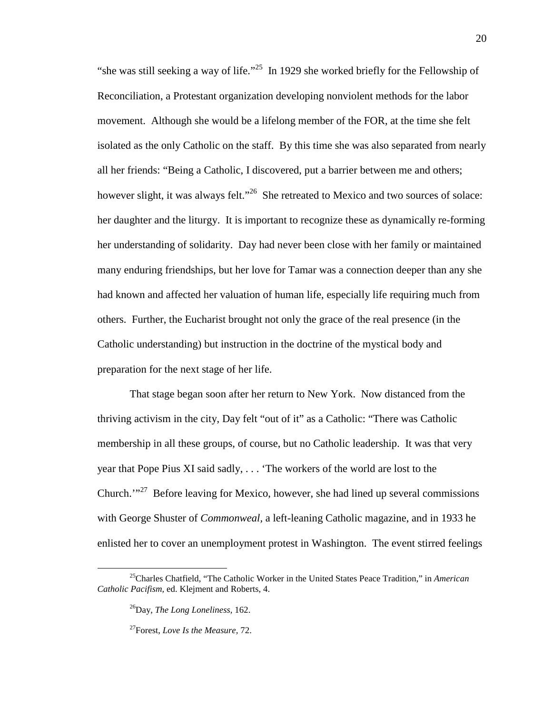"she was still seeking a way of life."<sup>25</sup> In 1929 she worked briefly for the Fellowship of Reconciliation, a Protestant organization developing nonviolent methods for the labor movement. Although she would be a lifelong member of the FOR, at the time she felt isolated as the only Catholic on the staff. By this time she was also separated from nearly all her friends: "Being a Catholic, I discovered, put a barrier between me and others; however slight, it was always felt."<sup>26</sup> She retreated to Mexico and two sources of solace: her daughter and the liturgy. It is important to recognize these as dynamically re-forming her understanding of solidarity. Day had never been close with her family or maintained many enduring friendships, but her love for Tamar was a connection deeper than any she had known and affected her valuation of human life, especially life requiring much from others. Further, the Eucharist brought not only the grace of the real presence (in the Catholic understanding) but instruction in the doctrine of the mystical body and preparation for the next stage of her life.

That stage began soon after her return to New York. Now distanced from the thriving activism in the city, Day felt "out of it" as a Catholic: "There was Catholic membership in all these groups, of course, but no Catholic leadership. It was that very year that Pope Pius XI said sadly, . . . 'The workers of the world are lost to the Church. $1^{327}$  Before leaving for Mexico, however, she had lined up several commissions with George Shuster of *Commonweal,* a left-leaning Catholic magazine, and in 1933 he enlisted her to cover an unemployment protest in Washington. The event stirred feelings

<sup>25</sup>Charles Chatfield, "The Catholic Worker in the United States Peace Tradition," in *American Catholic Pacifism,* ed. Klejment and Roberts, 4.

<sup>26</sup>Day, *The Long Loneliness,* 162.

<sup>27</sup>Forest, *Love Is the Measure,* 72.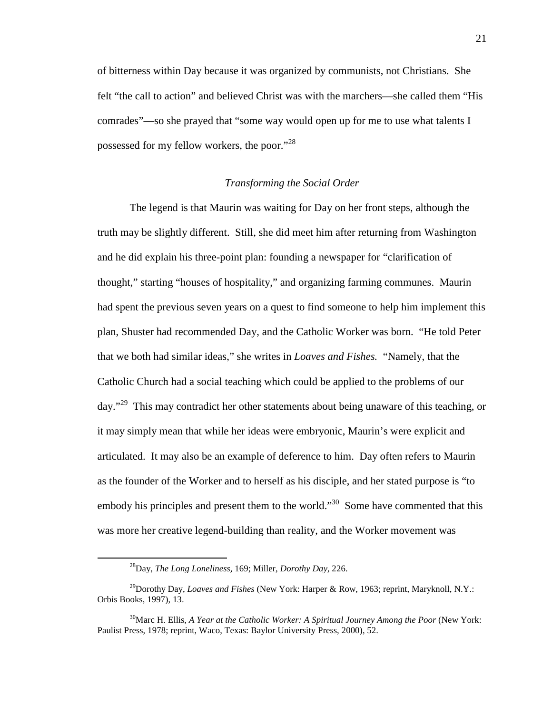of bitterness within Day because it was organized by communists, not Christians. She felt "the call to action" and believed Christ was with the marchers—she called them "His comrades"—so she prayed that "some way would open up for me to use what talents I possessed for my fellow workers, the poor."<sup>28</sup>

## *Transforming the Social Order*

The legend is that Maurin was waiting for Day on her front steps, although the truth may be slightly different. Still, she did meet him after returning from Washington and he did explain his three-point plan: founding a newspaper for "clarification of thought," starting "houses of hospitality," and organizing farming communes. Maurin had spent the previous seven years on a quest to find someone to help him implement this plan, Shuster had recommended Day, and the Catholic Worker was born. "He told Peter that we both had similar ideas," she writes in *Loaves and Fishes.* "Namely, that the Catholic Church had a social teaching which could be applied to the problems of our day."<sup>29</sup> This may contradict her other statements about being unaware of this teaching, or it may simply mean that while her ideas were embryonic, Maurin's were explicit and articulated. It may also be an example of deference to him. Day often refers to Maurin as the founder of the Worker and to herself as his disciple, and her stated purpose is "to embody his principles and present them to the world."<sup>30</sup> Some have commented that this was more her creative legend-building than reality, and the Worker movement was

<sup>28</sup>Day, *The Long Loneliness,* 169; Miller, *Dorothy Day,* 226.

<sup>&</sup>lt;sup>29</sup>Dorothy Day, *Loaves and Fishes* (New York: Harper & Row, 1963; reprint, Maryknoll, N.Y.: Orbis Books, 1997), 13.

<sup>30</sup>Marc H. Ellis, *A Year at the Catholic Worker: A Spiritual Journey Among the Poor* (New York: Paulist Press, 1978; reprint, Waco, Texas: Baylor University Press, 2000), 52.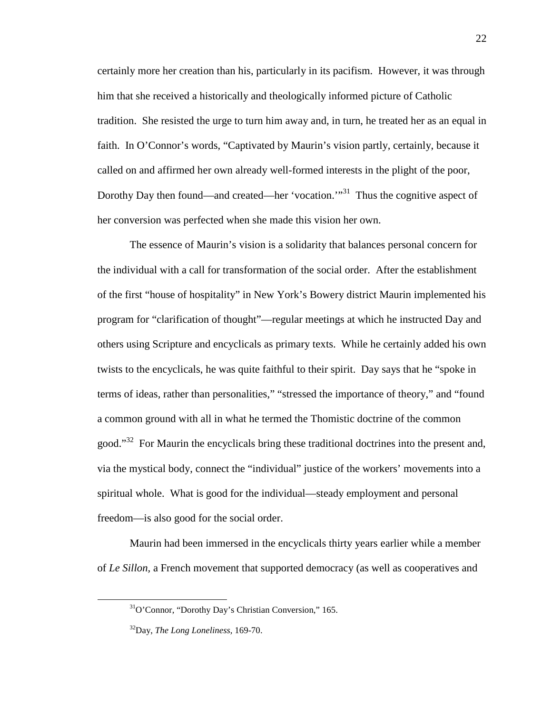certainly more her creation than his, particularly in its pacifism. However, it was through him that she received a historically and theologically informed picture of Catholic tradition. She resisted the urge to turn him away and, in turn, he treated her as an equal in faith. In O'Connor's words, "Captivated by Maurin's vision partly, certainly, because it called on and affirmed her own already well-formed interests in the plight of the poor, Dorothy Day then found—and created—her 'vocation.'"<sup>31</sup> Thus the cognitive aspect of her conversion was perfected when she made this vision her own.

The essence of Maurin's vision is a solidarity that balances personal concern for the individual with a call for transformation of the social order. After the establishment of the first "house of hospitality" in New York's Bowery district Maurin implemented his program for "clarification of thought"—regular meetings at which he instructed Day and others using Scripture and encyclicals as primary texts. While he certainly added his own twists to the encyclicals, he was quite faithful to their spirit. Day says that he "spoke in terms of ideas, rather than personalities," "stressed the importance of theory," and "found a common ground with all in what he termed the Thomistic doctrine of the common good."<sup>32</sup> For Maurin the encyclicals bring these traditional doctrines into the present and, via the mystical body, connect the "individual" justice of the workers' movements into a spiritual whole. What is good for the individual—steady employment and personal freedom—is also good for the social order.

Maurin had been immersed in the encyclicals thirty years earlier while a member of *Le Sillon,* a French movement that supported democracy (as well as cooperatives and

<sup>31</sup>O'Connor, "Dorothy Day's Christian Conversion," 165.

<sup>32</sup>Day, *The Long Loneliness,* 169-70.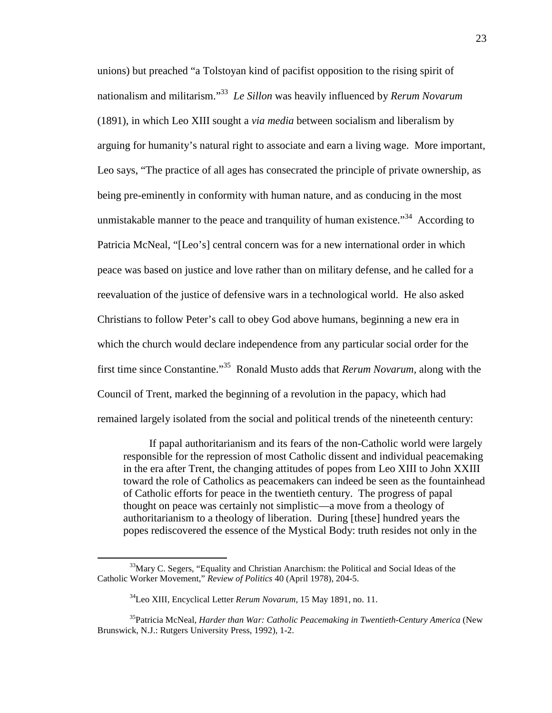unions) but preached "a Tolstoyan kind of pacifist opposition to the rising spirit of nationalism and militarism."<sup>33</sup> *Le Sillon* was heavily influenced by *Rerum Novarum* (1891), in which Leo XIII sought a *via media* between socialism and liberalism by arguing for humanity's natural right to associate and earn a living wage. More important, Leo says, "The practice of all ages has consecrated the principle of private ownership, as being pre-eminently in conformity with human nature, and as conducing in the most unmistakable manner to the peace and tranquility of human existence."<sup>34</sup> According to Patricia McNeal, "[Leo's] central concern was for a new international order in which peace was based on justice and love rather than on military defense, and he called for a reevaluation of the justice of defensive wars in a technological world. He also asked Christians to follow Peter's call to obey God above humans, beginning a new era in which the church would declare independence from any particular social order for the first time since Constantine."<sup>35</sup> Ronald Musto adds that *Rerum Novarum,* along with the Council of Trent, marked the beginning of a revolution in the papacy, which had remained largely isolated from the social and political trends of the nineteenth century:

If papal authoritarianism and its fears of the non-Catholic world were largely responsible for the repression of most Catholic dissent and individual peacemaking in the era after Trent, the changing attitudes of popes from Leo XIII to John XXIII toward the role of Catholics as peacemakers can indeed be seen as the fountainhead of Catholic efforts for peace in the twentieth century. The progress of papal thought on peace was certainly not simplistic—a move from a theology of authoritarianism to a theology of liberation. During [these] hundred years the popes rediscovered the essence of the Mystical Body: truth resides not only in the

<sup>&</sup>lt;sup>33</sup>Mary C. Segers, "Equality and Christian Anarchism: the Political and Social Ideas of the Catholic Worker Movement," *Review of Politics* 40 (April 1978), 204-5.

<sup>34</sup>Leo XIII, Encyclical Letter *Rerum Novarum,* 15 May 1891, no. 11.

<sup>35</sup>Patricia McNeal, *Harder than War: Catholic Peacemaking in Twentieth-Century America* (New Brunswick, N.J.: Rutgers University Press, 1992), 1-2.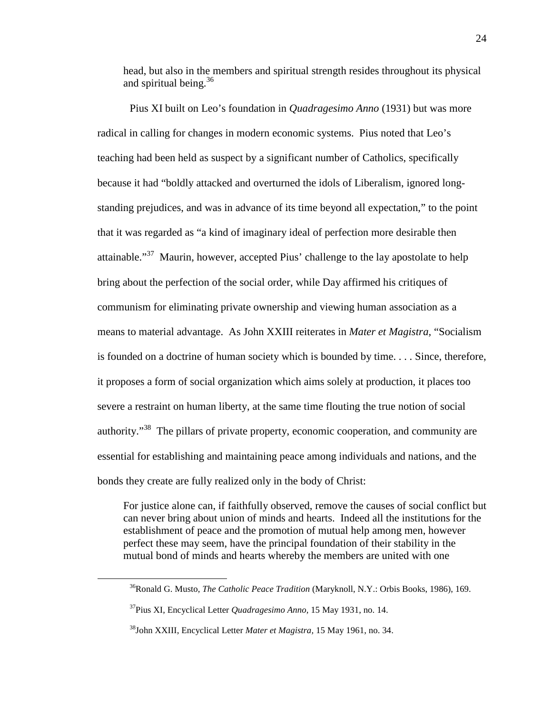head, but also in the members and spiritual strength resides throughout its physical and spiritual being.<sup>36</sup>

Pius XI built on Leo's foundation in *Quadragesimo Anno* (1931) but was more radical in calling for changes in modern economic systems. Pius noted that Leo's teaching had been held as suspect by a significant number of Catholics, specifically because it had "boldly attacked and overturned the idols of Liberalism, ignored longstanding prejudices, and was in advance of its time beyond all expectation," to the point that it was regarded as "a kind of imaginary ideal of perfection more desirable then attainable."<sup>37</sup> Maurin, however, accepted Pius' challenge to the lay apostolate to help bring about the perfection of the social order, while Day affirmed his critiques of communism for eliminating private ownership and viewing human association as a means to material advantage. As John XXIII reiterates in *Mater et Magistra,* "Socialism is founded on a doctrine of human society which is bounded by time. . . . Since, therefore, it proposes a form of social organization which aims solely at production, it places too severe a restraint on human liberty, at the same time flouting the true notion of social authority.<sup>38</sup> The pillars of private property, economic cooperation, and community are essential for establishing and maintaining peace among individuals and nations, and the bonds they create are fully realized only in the body of Christ:

For justice alone can, if faithfully observed, remove the causes of social conflict but can never bring about union of minds and hearts. Indeed all the institutions for the establishment of peace and the promotion of mutual help among men, however perfect these may seem, have the principal foundation of their stability in the mutual bond of minds and hearts whereby the members are united with one

l

<sup>&</sup>lt;sup>36</sup>Ronald G. Musto, *The Catholic Peace Tradition* (Maryknoll, N.Y.: Orbis Books, 1986), 169.

<sup>37</sup>Pius XI, Encyclical Letter *Quadragesimo Anno,* 15 May 1931, no. 14.

<sup>38</sup>John XXIII, Encyclical Letter *Mater et Magistra,* 15 May 1961, no. 34.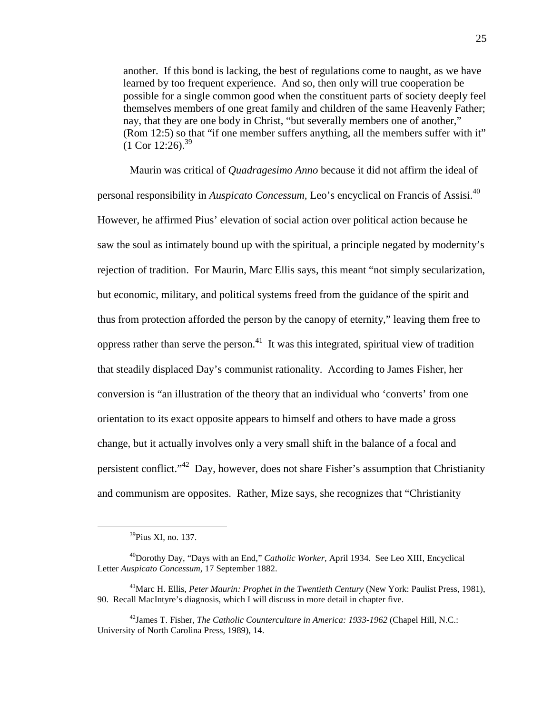another. If this bond is lacking, the best of regulations come to naught, as we have learned by too frequent experience. And so, then only will true cooperation be possible for a single common good when the constituent parts of society deeply feel themselves members of one great family and children of the same Heavenly Father; nay, that they are one body in Christ, "but severally members one of another," (Rom 12:5) so that "if one member suffers anything, all the members suffer with it"  $(1$  Cor 12:26).<sup>39</sup>

Maurin was critical of *Quadragesimo Anno* because it did not affirm the ideal of personal responsibility in *Auspicato Concessum,* Leo's encyclical on Francis of Assisi.<sup>40</sup> However, he affirmed Pius' elevation of social action over political action because he saw the soul as intimately bound up with the spiritual, a principle negated by modernity's rejection of tradition. For Maurin, Marc Ellis says, this meant "not simply secularization, but economic, military, and political systems freed from the guidance of the spirit and thus from protection afforded the person by the canopy of eternity," leaving them free to oppress rather than serve the person.<sup>41</sup> It was this integrated, spiritual view of tradition that steadily displaced Day's communist rationality. According to James Fisher, her conversion is "an illustration of the theory that an individual who 'converts' from one orientation to its exact opposite appears to himself and others to have made a gross change, but it actually involves only a very small shift in the balance of a focal and persistent conflict."<sup>42</sup> Day, however, does not share Fisher's assumption that Christianity and communism are opposites. Rather, Mize says, she recognizes that "Christianity

<sup>&</sup>lt;sup>39</sup>Pius XI, no. 137.

<sup>40</sup>Dorothy Day, "Days with an End," *Catholic Worker,* April 1934. See Leo XIII, Encyclical Letter *Auspicato Concessum,* 17 September 1882.

<sup>41</sup>Marc H. Ellis, *Peter Maurin: Prophet in the Twentieth Century* (New York: Paulist Press, 1981), 90. Recall MacIntyre's diagnosis, which I will discuss in more detail in chapter five.

<sup>42</sup>James T. Fisher, *The Catholic Counterculture in America: 1933-1962* (Chapel Hill, N.C.: University of North Carolina Press, 1989), 14.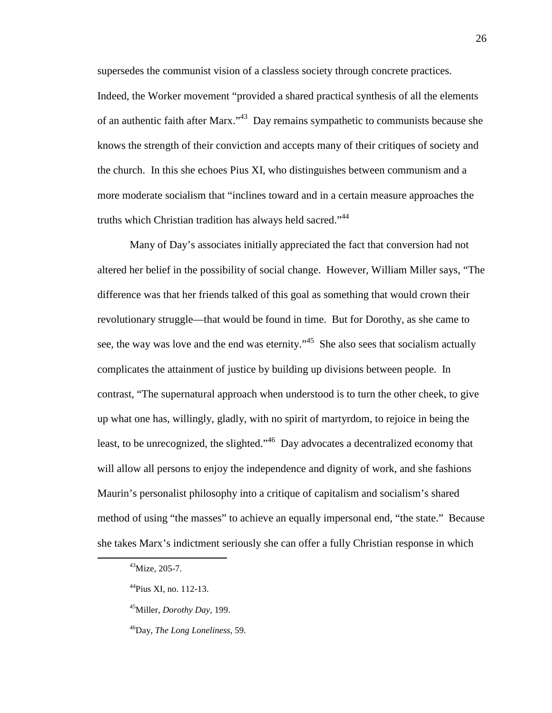supersedes the communist vision of a classless society through concrete practices.

Indeed, the Worker movement "provided a shared practical synthesis of all the elements of an authentic faith after Marx."<sup>43</sup> Day remains sympathetic to communists because she knows the strength of their conviction and accepts many of their critiques of society and the church. In this she echoes Pius XI, who distinguishes between communism and a more moderate socialism that "inclines toward and in a certain measure approaches the truths which Christian tradition has always held sacred."<sup>44</sup>

Many of Day's associates initially appreciated the fact that conversion had not altered her belief in the possibility of social change. However, William Miller says, "The difference was that her friends talked of this goal as something that would crown their revolutionary struggle—that would be found in time. But for Dorothy, as she came to see, the way was love and the end was eternity."<sup>45</sup> She also sees that socialism actually complicates the attainment of justice by building up divisions between people. In contrast, "The supernatural approach when understood is to turn the other cheek, to give up what one has, willingly, gladly, with no spirit of martyrdom, to rejoice in being the least, to be unrecognized, the slighted."<sup>46</sup> Day advocates a decentralized economy that will allow all persons to enjoy the independence and dignity of work, and she fashions Maurin's personalist philosophy into a critique of capitalism and socialism's shared method of using "the masses" to achieve an equally impersonal end, "the state." Because she takes Marx's indictment seriously she can offer a fully Christian response in which

<sup>43</sup>Mize, 205-7.

<sup>44</sup>Pius XI, no. 112-13.

<sup>45</sup>Miller, *Dorothy Day,* 199.

<sup>46</sup>Day, *The Long Loneliness,* 59.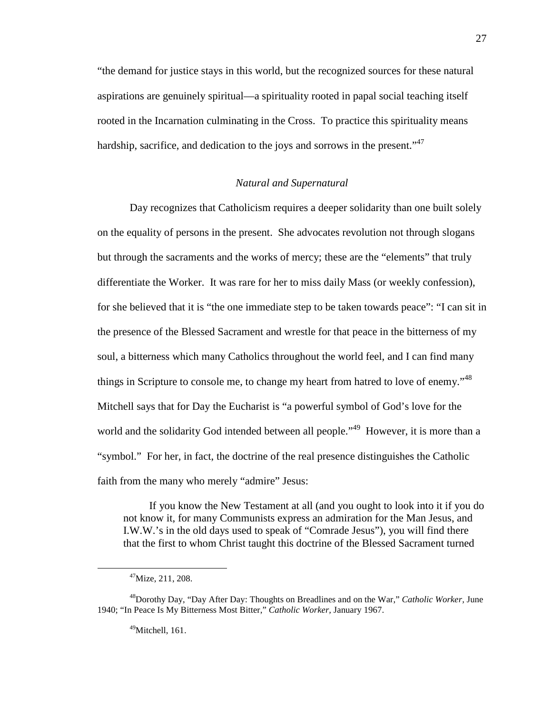"the demand for justice stays in this world, but the recognized sources for these natural aspirations are genuinely spiritual—a spirituality rooted in papal social teaching itself rooted in the Incarnation culminating in the Cross. To practice this spirituality means hardship, sacrifice, and dedication to the joys and sorrows in the present."<sup>47</sup>

## *Natural and Supernatural*

Day recognizes that Catholicism requires a deeper solidarity than one built solely on the equality of persons in the present. She advocates revolution not through slogans but through the sacraments and the works of mercy; these are the "elements" that truly differentiate the Worker. It was rare for her to miss daily Mass (or weekly confession), for she believed that it is "the one immediate step to be taken towards peace": "I can sit in the presence of the Blessed Sacrament and wrestle for that peace in the bitterness of my soul, a bitterness which many Catholics throughout the world feel, and I can find many things in Scripture to console me, to change my heart from hatred to love of enemy."<sup>48</sup> Mitchell says that for Day the Eucharist is "a powerful symbol of God's love for the world and the solidarity God intended between all people."<sup>49</sup> However, it is more than a "symbol." For her, in fact, the doctrine of the real presence distinguishes the Catholic faith from the many who merely "admire" Jesus:

If you know the New Testament at all (and you ought to look into it if you do not know it, for many Communists express an admiration for the Man Jesus, and I.W.W.'s in the old days used to speak of "Comrade Jesus"), you will find there that the first to whom Christ taught this doctrine of the Blessed Sacrament turned

 $47$ Mize, 211, 208.

<sup>48</sup>Dorothy Day, "Day After Day: Thoughts on Breadlines and on the War," *Catholic Worker,* June 1940; "In Peace Is My Bitterness Most Bitter," *Catholic Worker,* January 1967.

<sup>&</sup>lt;sup>49</sup>Mitchell, 161.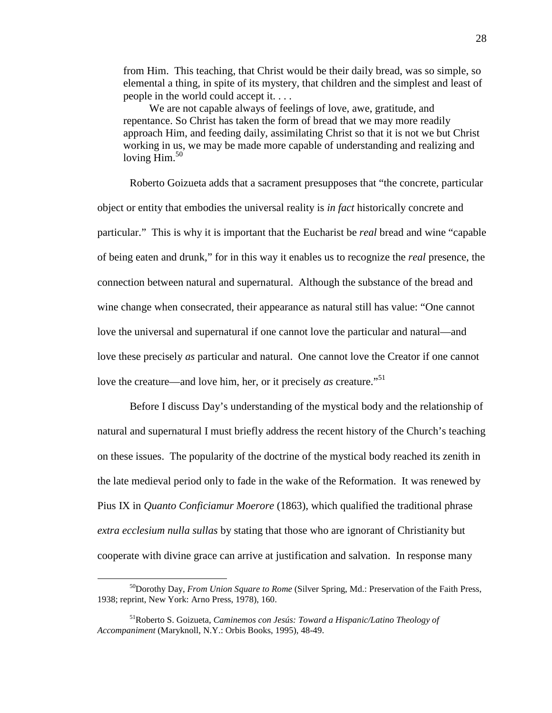from Him. This teaching, that Christ would be their daily bread, was so simple, so elemental a thing, in spite of its mystery, that children and the simplest and least of people in the world could accept it. . . .

We are not capable always of feelings of love, awe, gratitude, and repentance. So Christ has taken the form of bread that we may more readily approach Him, and feeding daily, assimilating Christ so that it is not we but Christ working in us, we may be made more capable of understanding and realizing and loving  $\text{Him.}^{50}$ 

Roberto Goizueta adds that a sacrament presupposes that "the concrete, particular object or entity that embodies the universal reality is *in fact* historically concrete and particular." This is why it is important that the Eucharist be *real* bread and wine "capable of being eaten and drunk," for in this way it enables us to recognize the *real* presence, the connection between natural and supernatural. Although the substance of the bread and wine change when consecrated, their appearance as natural still has value: "One cannot love the universal and supernatural if one cannot love the particular and natural—and love these precisely *as* particular and natural. One cannot love the Creator if one cannot love the creature—and love him, her, or it precisely *as* creature.<sup>"51</sup>

Before I discuss Day's understanding of the mystical body and the relationship of natural and supernatural I must briefly address the recent history of the Church's teaching on these issues. The popularity of the doctrine of the mystical body reached its zenith in the late medieval period only to fade in the wake of the Reformation. It was renewed by Pius IX in *Quanto Conficiamur Moerore* (1863), which qualified the traditional phrase *extra ecclesium nulla sullas* by stating that those who are ignorant of Christianity but cooperate with divine grace can arrive at justification and salvation. In response many

l

<sup>50</sup>Dorothy Day, *From Union Square to Rome* (Silver Spring, Md.: Preservation of the Faith Press, 1938; reprint, New York: Arno Press, 1978), 160.

<sup>51</sup>Roberto S. Goizueta, *Caminemos con Jesús: Toward a Hispanic/Latino Theology of Accompaniment* (Maryknoll, N.Y.: Orbis Books, 1995), 48-49.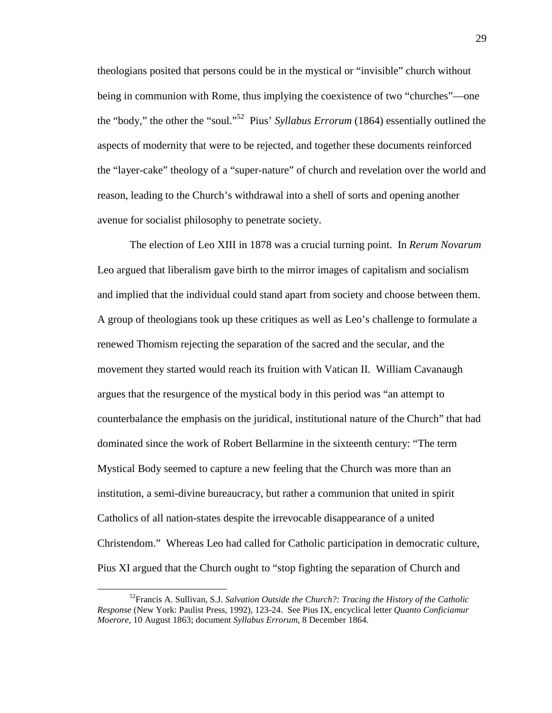theologians posited that persons could be in the mystical or "invisible" church without being in communion with Rome, thus implying the coexistence of two "churches"—one the "body," the other the "soul."<sup>52</sup> Pius' *Syllabus Errorum* (1864) essentially outlined the aspects of modernity that were to be rejected, and together these documents reinforced the "layer-cake" theology of a "super-nature" of church and revelation over the world and reason, leading to the Church's withdrawal into a shell of sorts and opening another avenue for socialist philosophy to penetrate society.

The election of Leo XIII in 1878 was a crucial turning point. In *Rerum Novarum* Leo argued that liberalism gave birth to the mirror images of capitalism and socialism and implied that the individual could stand apart from society and choose between them. A group of theologians took up these critiques as well as Leo's challenge to formulate a renewed Thomism rejecting the separation of the sacred and the secular, and the movement they started would reach its fruition with Vatican II. William Cavanaugh argues that the resurgence of the mystical body in this period was "an attempt to counterbalance the emphasis on the juridical, institutional nature of the Church" that had dominated since the work of Robert Bellarmine in the sixteenth century: "The term Mystical Body seemed to capture a new feeling that the Church was more than an institution, a semi-divine bureaucracy, but rather a communion that united in spirit Catholics of all nation-states despite the irrevocable disappearance of a united Christendom." Whereas Leo had called for Catholic participation in democratic culture, Pius XI argued that the Church ought to "stop fighting the separation of Church and

<sup>52</sup>Francis A. Sullivan, S.J. *Salvation Outside the Church?: Tracing the History of the Catholic Response* (New York: Paulist Press, 1992), 123-24. See Pius IX, encyclical letter *Quanto Conficiamur Moerore,* 10 August 1863; document *Syllabus Errorum,* 8 December 1864.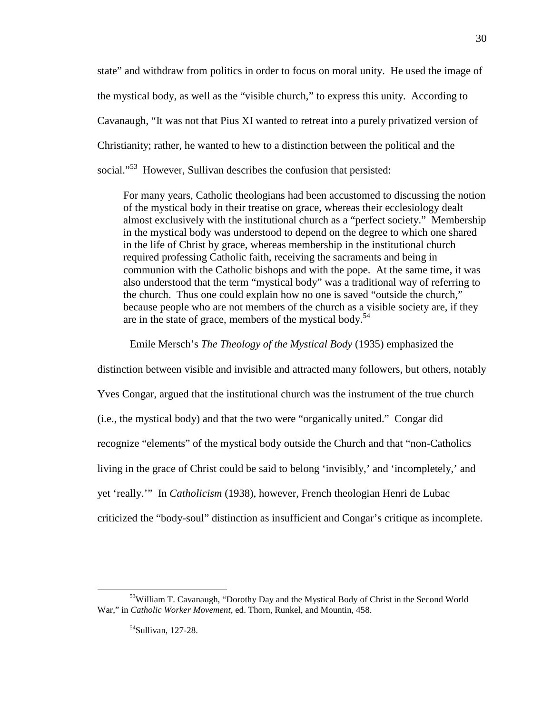state" and withdraw from politics in order to focus on moral unity. He used the image of the mystical body, as well as the "visible church," to express this unity. According to Cavanaugh, "It was not that Pius XI wanted to retreat into a purely privatized version of Christianity; rather, he wanted to hew to a distinction between the political and the social."<sup>53</sup> However, Sullivan describes the confusion that persisted:

For many years, Catholic theologians had been accustomed to discussing the notion of the mystical body in their treatise on grace, whereas their ecclesiology dealt almost exclusively with the institutional church as a "perfect society." Membership in the mystical body was understood to depend on the degree to which one shared in the life of Christ by grace, whereas membership in the institutional church required professing Catholic faith, receiving the sacraments and being in communion with the Catholic bishops and with the pope. At the same time, it was also understood that the term "mystical body" was a traditional way of referring to the church. Thus one could explain how no one is saved "outside the church," because people who are not members of the church as a visible society are, if they are in the state of grace, members of the mystical body.<sup>54</sup>

Emile Mersch's *The Theology of the Mystical Body* (1935) emphasized the

distinction between visible and invisible and attracted many followers, but others, notably Yves Congar, argued that the institutional church was the instrument of the true church (i.e., the mystical body) and that the two were "organically united." Congar did recognize "elements" of the mystical body outside the Church and that "non-Catholics living in the grace of Christ could be said to belong 'invisibly,' and 'incompletely,' and yet 'really.'" In *Catholicism* (1938), however, French theologian Henri de Lubac criticized the "body-soul" distinction as insufficient and Congar's critique as incomplete.

<sup>&</sup>lt;sup>53</sup>William T. Cavanaugh, "Dorothy Day and the Mystical Body of Christ in the Second World War," in *Catholic Worker Movement,* ed. Thorn, Runkel, and Mountin, 458.

<sup>&</sup>lt;sup>54</sup>Sullivan, 127-28.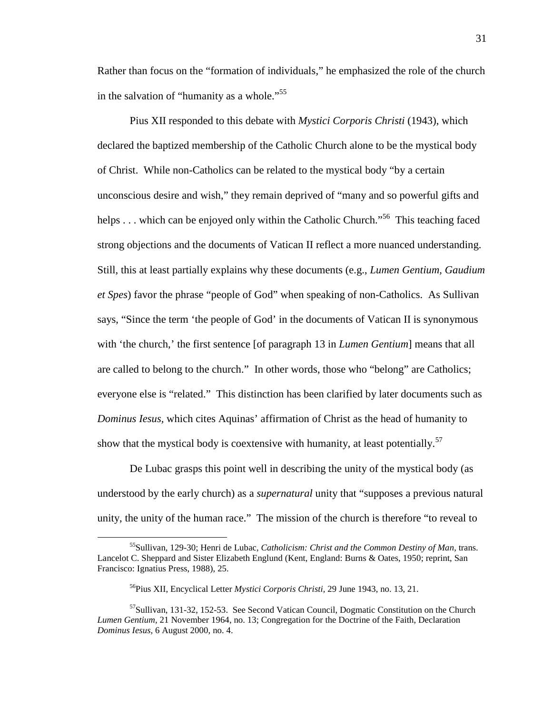Rather than focus on the "formation of individuals," he emphasized the role of the church in the salvation of "humanity as a whole."<sup>55</sup>

Pius XII responded to this debate with *Mystici Corporis Christi* (1943), which declared the baptized membership of the Catholic Church alone to be the mystical body of Christ. While non-Catholics can be related to the mystical body "by a certain unconscious desire and wish," they remain deprived of "many and so powerful gifts and helps . . . which can be enjoyed only within the Catholic Church."<sup>56</sup> This teaching faced strong objections and the documents of Vatican II reflect a more nuanced understanding. Still, this at least partially explains why these documents (e.g., *Lumen Gentium, Gaudium et Spes*) favor the phrase "people of God" when speaking of non-Catholics. As Sullivan says, "Since the term 'the people of God' in the documents of Vatican II is synonymous with 'the church,' the first sentence [of paragraph 13 in *Lumen Gentium*] means that all are called to belong to the church." In other words, those who "belong" are Catholics; everyone else is "related." This distinction has been clarified by later documents such as *Dominus Iesus,* which cites Aquinas' affirmation of Christ as the head of humanity to show that the mystical body is coextensive with humanity, at least potentially.<sup>57</sup>

De Lubac grasps this point well in describing the unity of the mystical body (as understood by the early church) as a *supernatural* unity that "supposes a previous natural unity, the unity of the human race." The mission of the church is therefore "to reveal to

<sup>55</sup>Sullivan, 129-30; Henri de Lubac, *Catholicism: Christ and the Common Destiny of Man,* trans. Lancelot C. Sheppard and Sister Elizabeth Englund (Kent, England: Burns & Oates, 1950; reprint, San Francisco: Ignatius Press, 1988), 25.

<sup>56</sup>Pius XII, Encyclical Letter *Mystici Corporis Christi,* 29 June 1943, no. 13, 21.

<sup>57</sup>Sullivan, 131-32, 152-53. See Second Vatican Council, Dogmatic Constitution on the Church *Lumen Gentium,* 21 November 1964, no. 13; Congregation for the Doctrine of the Faith, Declaration *Dominus Iesus,* 6 August 2000, no. 4.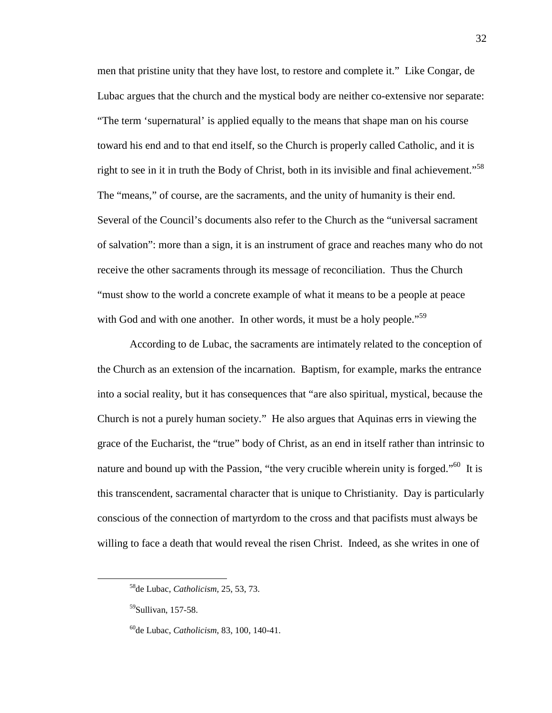men that pristine unity that they have lost, to restore and complete it." Like Congar, de Lubac argues that the church and the mystical body are neither co-extensive nor separate: "The term 'supernatural' is applied equally to the means that shape man on his course toward his end and to that end itself, so the Church is properly called Catholic, and it is right to see in it in truth the Body of Christ, both in its invisible and final achievement."<sup>58</sup> The "means," of course, are the sacraments, and the unity of humanity is their end. Several of the Council's documents also refer to the Church as the "universal sacrament of salvation": more than a sign, it is an instrument of grace and reaches many who do not receive the other sacraments through its message of reconciliation. Thus the Church "must show to the world a concrete example of what it means to be a people at peace with God and with one another. In other words, it must be a holy people."<sup>59</sup>

According to de Lubac, the sacraments are intimately related to the conception of the Church as an extension of the incarnation. Baptism, for example, marks the entrance into a social reality, but it has consequences that "are also spiritual, mystical, because the Church is not a purely human society." He also argues that Aquinas errs in viewing the grace of the Eucharist, the "true" body of Christ, as an end in itself rather than intrinsic to nature and bound up with the Passion, "the very crucible wherein unity is forged."<sup>60</sup> It is this transcendent, sacramental character that is unique to Christianity. Day is particularly conscious of the connection of martyrdom to the cross and that pacifists must always be willing to face a death that would reveal the risen Christ. Indeed, as she writes in one of

l

<sup>58</sup>de Lubac, *Catholicism,* 25, 53, 73.

<sup>59</sup>Sullivan, 157-58.

<sup>60</sup>de Lubac, *Catholicism*, 83, 100, 140-41.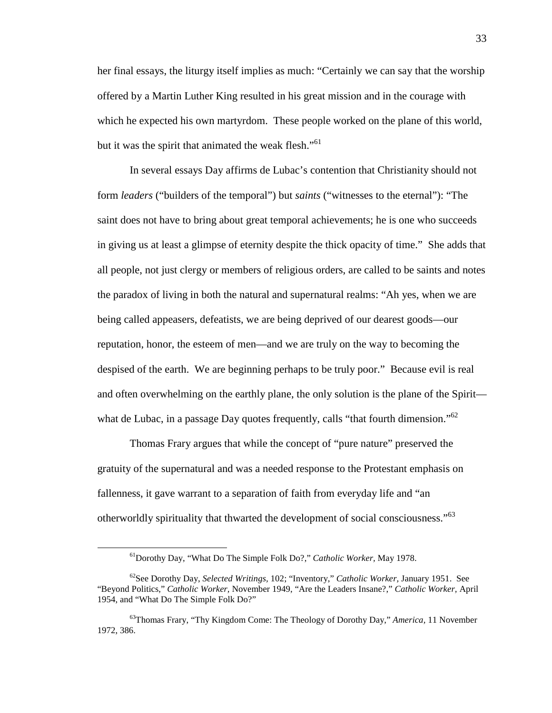her final essays, the liturgy itself implies as much: "Certainly we can say that the worship offered by a Martin Luther King resulted in his great mission and in the courage with which he expected his own martyrdom. These people worked on the plane of this world, but it was the spirit that animated the weak flesh."<sup>61</sup>

In several essays Day affirms de Lubac's contention that Christianity should not form *leaders* ("builders of the temporal") but *saints* ("witnesses to the eternal"): "The saint does not have to bring about great temporal achievements; he is one who succeeds in giving us at least a glimpse of eternity despite the thick opacity of time." She adds that all people, not just clergy or members of religious orders, are called to be saints and notes the paradox of living in both the natural and supernatural realms: "Ah yes, when we are being called appeasers, defeatists, we are being deprived of our dearest goods—our reputation, honor, the esteem of men—and we are truly on the way to becoming the despised of the earth. We are beginning perhaps to be truly poor." Because evil is real and often overwhelming on the earthly plane, the only solution is the plane of the Spirit what de Lubac, in a passage Day quotes frequently, calls "that fourth dimension."<sup>62</sup>

Thomas Frary argues that while the concept of "pure nature" preserved the gratuity of the supernatural and was a needed response to the Protestant emphasis on fallenness, it gave warrant to a separation of faith from everyday life and "an otherworldly spirituality that thwarted the development of social consciousness."<sup>63</sup>

<sup>61</sup>Dorothy Day, "What Do The Simple Folk Do?," *Catholic Worker,* May 1978.

<sup>62</sup>See Dorothy Day, *Selected Writings,* 102; "Inventory," *Catholic Worker,* January 1951. See "Beyond Politics," *Catholic Worker,* November 1949, "Are the Leaders Insane?," *Catholic Worker,* April 1954, and "What Do The Simple Folk Do?"

<sup>63</sup>Thomas Frary, "Thy Kingdom Come: The Theology of Dorothy Day," *America,* 11 November 1972, 386.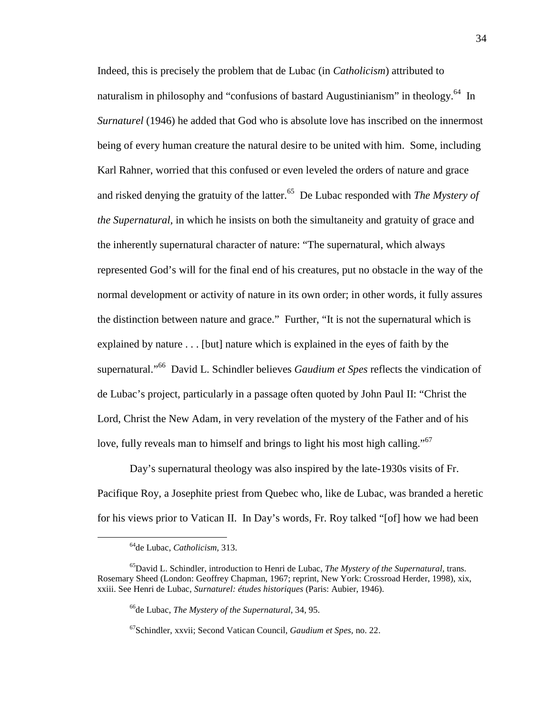Indeed, this is precisely the problem that de Lubac (in *Catholicism*) attributed to naturalism in philosophy and "confusions of bastard Augustinianism" in theology.<sup>64</sup> In *Surnaturel* (1946) he added that God who is absolute love has inscribed on the innermost being of every human creature the natural desire to be united with him. Some, including Karl Rahner, worried that this confused or even leveled the orders of nature and grace and risked denying the gratuity of the latter.<sup>65</sup> De Lubac responded with *The Mystery of the Supernatural,* in which he insists on both the simultaneity and gratuity of grace and the inherently supernatural character of nature: "The supernatural, which always represented God's will for the final end of his creatures, put no obstacle in the way of the normal development or activity of nature in its own order; in other words, it fully assures the distinction between nature and grace." Further, "It is not the supernatural which is explained by nature . . . [but] nature which is explained in the eyes of faith by the supernatural."<sup>66</sup> David L. Schindler believes *Gaudium et Spes* reflects the vindication of de Lubac's project, particularly in a passage often quoted by John Paul II: "Christ the Lord, Christ the New Adam, in very revelation of the mystery of the Father and of his love, fully reveals man to himself and brings to light his most high calling."<sup>67</sup>

Day's supernatural theology was also inspired by the late-1930s visits of Fr. Pacifique Roy, a Josephite priest from Quebec who, like de Lubac, was branded a heretic for his views prior to Vatican II. In Day's words, Fr. Roy talked "[of] how we had been

<sup>64</sup>de Lubac, *Catholicism,* 313.

<sup>65</sup>David L. Schindler, introduction to Henri de Lubac, *The Mystery of the Supernatural,* trans. Rosemary Sheed (London: Geoffrey Chapman, 1967; reprint, New York: Crossroad Herder, 1998), xix, xxiii. See Henri de Lubac, *Surnaturel: études historiques* (Paris: Aubier, 1946).

<sup>66</sup>de Lubac, *The Mystery of the Supernatural,* 34, 95.

<sup>67</sup>Schindler, xxvii; Second Vatican Council, *Gaudium et Spes,* no. 22.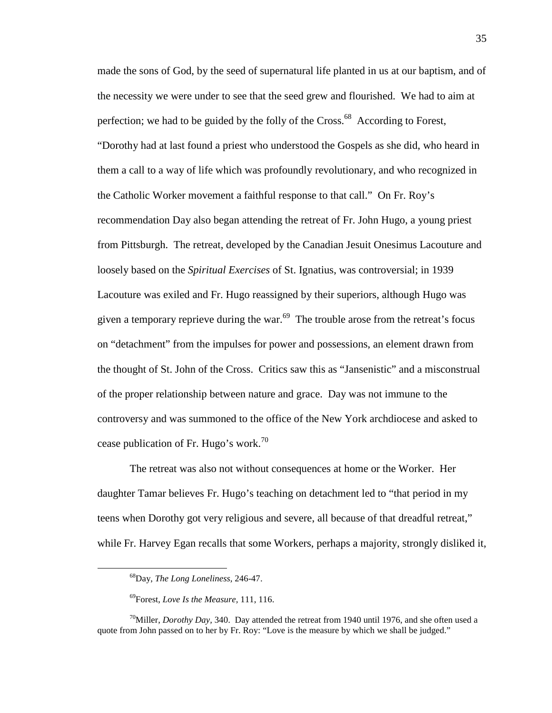made the sons of God, by the seed of supernatural life planted in us at our baptism, and of the necessity we were under to see that the seed grew and flourished. We had to aim at perfection; we had to be guided by the folly of the  $Cross^{68}$  According to Forest, "Dorothy had at last found a priest who understood the Gospels as she did, who heard in them a call to a way of life which was profoundly revolutionary, and who recognized in the Catholic Worker movement a faithful response to that call." On Fr. Roy's recommendation Day also began attending the retreat of Fr. John Hugo, a young priest from Pittsburgh. The retreat, developed by the Canadian Jesuit Onesimus Lacouture and loosely based on the *Spiritual Exercises* of St. Ignatius, was controversial; in 1939 Lacouture was exiled and Fr. Hugo reassigned by their superiors, although Hugo was given a temporary reprieve during the war.<sup>69</sup> The trouble arose from the retreat's focus on "detachment" from the impulses for power and possessions, an element drawn from the thought of St. John of the Cross. Critics saw this as "Jansenistic" and a misconstrual of the proper relationship between nature and grace. Day was not immune to the controversy and was summoned to the office of the New York archdiocese and asked to cease publication of Fr. Hugo's work.<sup>70</sup>

The retreat was also not without consequences at home or the Worker. Her daughter Tamar believes Fr. Hugo's teaching on detachment led to "that period in my teens when Dorothy got very religious and severe, all because of that dreadful retreat," while Fr. Harvey Egan recalls that some Workers, perhaps a majority, strongly disliked it,

<sup>68</sup>Day, *The Long Loneliness,* 246-47.

<sup>69</sup>Forest, *Love Is the Measure,* 111, 116.

<sup>&</sup>lt;sup>70</sup>Miller, *Dorothy Day*, 340. Day attended the retreat from 1940 until 1976, and she often used a quote from John passed on to her by Fr. Roy: "Love is the measure by which we shall be judged."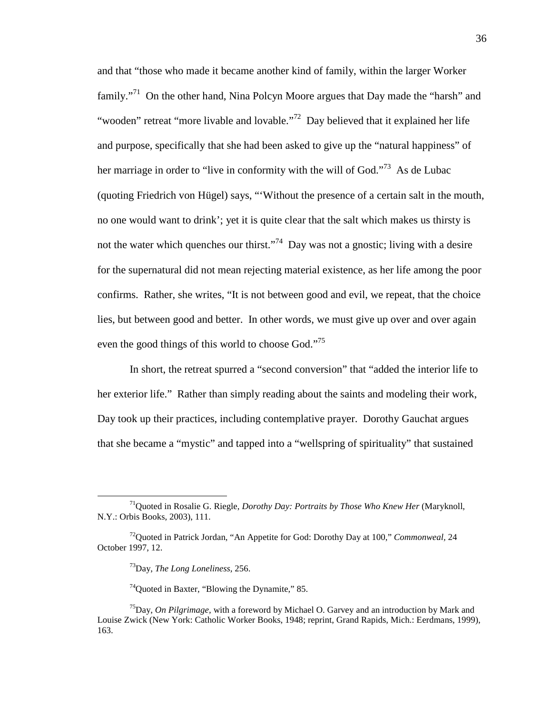and that "those who made it became another kind of family, within the larger Worker family."<sup>71</sup> On the other hand, Nina Polcyn Moore argues that Day made the "harsh" and "wooden" retreat "more livable and lovable."<sup>72</sup> Day believed that it explained her life and purpose, specifically that she had been asked to give up the "natural happiness" of her marriage in order to "live in conformity with the will of God."<sup>73</sup> As de Lubac (quoting Friedrich von Hügel) says, "'Without the presence of a certain salt in the mouth, no one would want to drink'; yet it is quite clear that the salt which makes us thirsty is not the water which quenches our thirst."<sup>74</sup> Day was not a gnostic; living with a desire for the supernatural did not mean rejecting material existence, as her life among the poor confirms. Rather, she writes, "It is not between good and evil, we repeat, that the choice lies, but between good and better. In other words, we must give up over and over again even the good things of this world to choose God."<sup>75</sup>

In short, the retreat spurred a "second conversion" that "added the interior life to her exterior life." Rather than simply reading about the saints and modeling their work, Day took up their practices, including contemplative prayer. Dorothy Gauchat argues that she became a "mystic" and tapped into a "wellspring of spirituality" that sustained

 $\overline{a}$ 

<sup>74</sup>Quoted in Baxter, "Blowing the Dynamite," 85.

<sup>71</sup>Quoted in Rosalie G. Riegle, *Dorothy Day: Portraits by Those Who Knew Her* (Maryknoll, N.Y.: Orbis Books, 2003), 111.

<sup>72</sup>Quoted in Patrick Jordan, "An Appetite for God: Dorothy Day at 100," *Commonweal,* 24 October 1997, 12.

<sup>73</sup>Day, *The Long Loneliness,* 256.

<sup>75</sup>Day, *On Pilgrimage,* with a foreword by Michael O. Garvey and an introduction by Mark and Louise Zwick (New York: Catholic Worker Books, 1948; reprint, Grand Rapids, Mich.: Eerdmans, 1999), 163.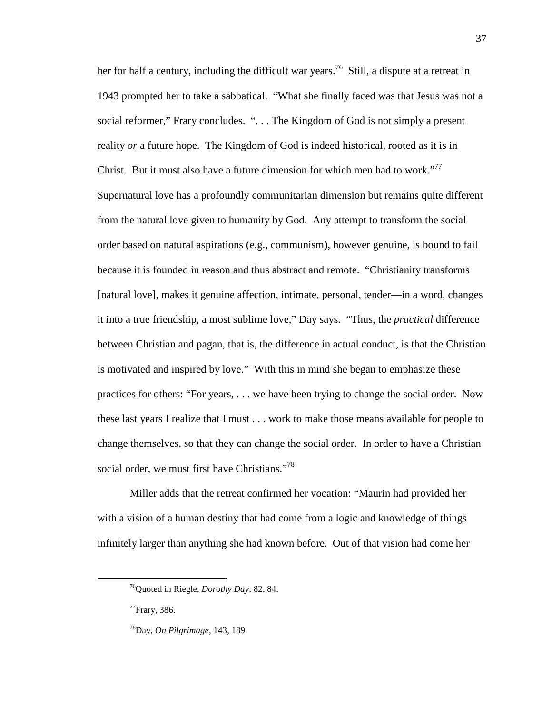her for half a century, including the difficult war years.<sup>76</sup> Still, a dispute at a retreat in 1943 prompted her to take a sabbatical. "What she finally faced was that Jesus was not a social reformer," Frary concludes. ". . . The Kingdom of God is not simply a present reality *or* a future hope. The Kingdom of God is indeed historical, rooted as it is in Christ. But it must also have a future dimension for which men had to work."<sup>77</sup> Supernatural love has a profoundly communitarian dimension but remains quite different from the natural love given to humanity by God. Any attempt to transform the social order based on natural aspirations (e.g., communism), however genuine, is bound to fail because it is founded in reason and thus abstract and remote. "Christianity transforms [natural love], makes it genuine affection, intimate, personal, tender—in a word, changes it into a true friendship, a most sublime love," Day says. "Thus, the *practical* difference between Christian and pagan, that is, the difference in actual conduct, is that the Christian is motivated and inspired by love." With this in mind she began to emphasize these practices for others: "For years, . . . we have been trying to change the social order. Now these last years I realize that I must . . . work to make those means available for people to change themselves, so that they can change the social order. In order to have a Christian social order, we must first have Christians."<sup>78</sup>

Miller adds that the retreat confirmed her vocation: "Maurin had provided her with a vision of a human destiny that had come from a logic and knowledge of things infinitely larger than anything she had known before. Out of that vision had come her

-

<sup>76</sup>Quoted in Riegle, *Dorothy Day,* 82, 84.

<sup>77</sup>Frary, 386.

<sup>78</sup>Day, *On Pilgrimage,* 143, 189.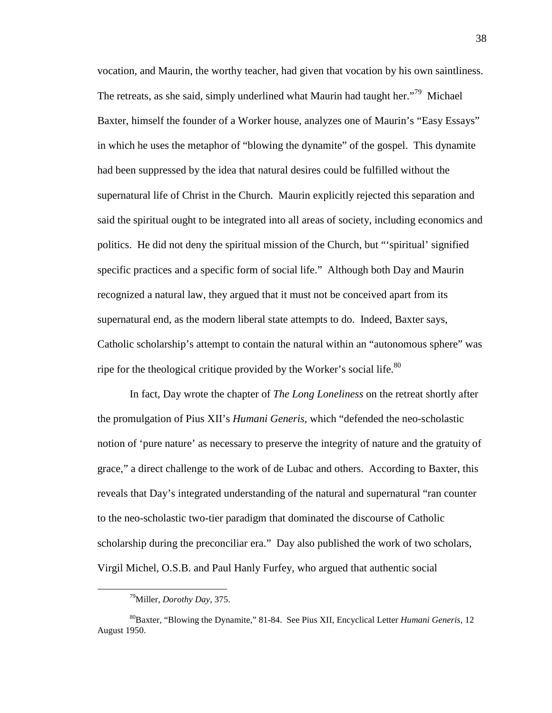vocation, and Maurin, the worthy teacher, had given that vocation by his own saintliness. The retreats, as she said, simply underlined what Maurin had taught her."<sup>79</sup> Michael Baxter, himself the founder of a Worker house, analyzes one of Maurin's "Easy Essays" in which he uses the metaphor of "blowing the dynamite" of the gospel. This dynamite had been suppressed by the idea that natural desires could be fulfilled without the supernatural life of Christ in the Church. Maurin explicitly rejected this separation and said the spiritual ought to be integrated into all areas of society, including economics and politics. He did not deny the spiritual mission of the Church, but "'spiritual' signified specific practices and a specific form of social life." Although both Day and Maurin recognized a natural law, they argued that it must not be conceived apart from its supernatural end, as the modern liberal state attempts to do. Indeed, Baxter says, Catholic scholarship's attempt to contain the natural within an "autonomous sphere" was ripe for the theological critique provided by the Worker's social life.<sup>80</sup>

In fact, Day wrote the chapter of *The Long Loneliness* on the retreat shortly after the promulgation of Pius XII's *Humani Generis,* which "defended the neo-scholastic notion of 'pure nature' as necessary to preserve the integrity of nature and the gratuity of grace," a direct challenge to the work of de Lubac and others. According to Baxter, this reveals that Day's integrated understanding of the natural and supernatural "ran counter to the neo-scholastic two-tier paradigm that dominated the discourse of Catholic scholarship during the preconciliar era." Day also published the work of two scholars, Virgil Michel, O.S.B. and Paul Hanly Furfey, who argued that authentic social

<sup>79</sup>Miller, *Dorothy Day,* 375.

<sup>80</sup>Baxter, "Blowing the Dynamite," 81-84. See Pius XII, Encyclical Letter *Humani Generis,* 12 August 1950.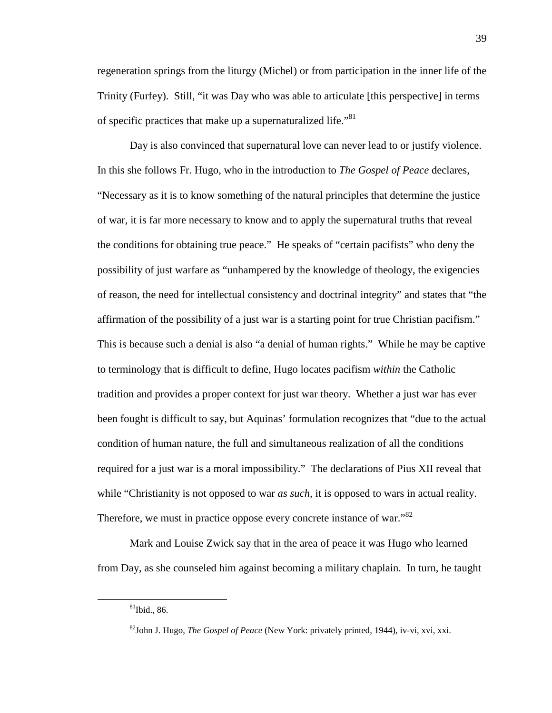regeneration springs from the liturgy (Michel) or from participation in the inner life of the Trinity (Furfey). Still, "it was Day who was able to articulate [this perspective] in terms of specific practices that make up a supernaturalized life."<sup>81</sup>

Day is also convinced that supernatural love can never lead to or justify violence. In this she follows Fr. Hugo, who in the introduction to *The Gospel of Peace* declares, "Necessary as it is to know something of the natural principles that determine the justice of war, it is far more necessary to know and to apply the supernatural truths that reveal the conditions for obtaining true peace." He speaks of "certain pacifists" who deny the possibility of just warfare as "unhampered by the knowledge of theology, the exigencies of reason, the need for intellectual consistency and doctrinal integrity" and states that "the affirmation of the possibility of a just war is a starting point for true Christian pacifism." This is because such a denial is also "a denial of human rights." While he may be captive to terminology that is difficult to define, Hugo locates pacifism *within* the Catholic tradition and provides a proper context for just war theory. Whether a just war has ever been fought is difficult to say, but Aquinas' formulation recognizes that "due to the actual condition of human nature, the full and simultaneous realization of all the conditions required for a just war is a moral impossibility." The declarations of Pius XII reveal that while "Christianity is not opposed to war *as such*, it is opposed to wars in actual reality. Therefore, we must in practice oppose every concrete instance of war."<sup>82</sup>

Mark and Louise Zwick say that in the area of peace it was Hugo who learned from Day, as she counseled him against becoming a military chaplain. In turn, he taught

 $81$ Ibid., 86.

<sup>82</sup>John J. Hugo, *The Gospel of Peace* (New York: privately printed, 1944), iv-vi, xvi, xxi.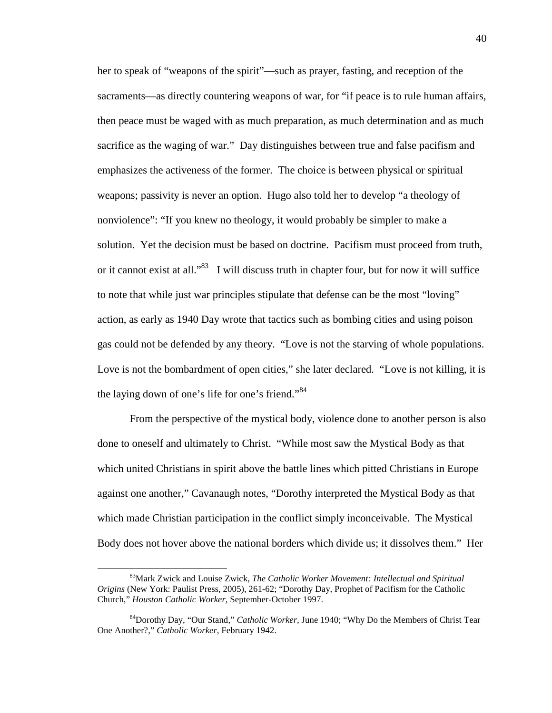her to speak of "weapons of the spirit"—such as prayer, fasting, and reception of the sacraments—as directly countering weapons of war, for "if peace is to rule human affairs, then peace must be waged with as much preparation, as much determination and as much sacrifice as the waging of war." Day distinguishes between true and false pacifism and emphasizes the activeness of the former. The choice is between physical or spiritual weapons; passivity is never an option. Hugo also told her to develop "a theology of nonviolence": "If you knew no theology, it would probably be simpler to make a solution. Yet the decision must be based on doctrine. Pacifism must proceed from truth, or it cannot exist at all."<sup>83</sup> I will discuss truth in chapter four, but for now it will suffice to note that while just war principles stipulate that defense can be the most "loving" action, as early as 1940 Day wrote that tactics such as bombing cities and using poison gas could not be defended by any theory. "Love is not the starving of whole populations. Love is not the bombardment of open cities," she later declared. "Love is not killing, it is the laying down of one's life for one's friend."<sup>84</sup>

From the perspective of the mystical body, violence done to another person is also done to oneself and ultimately to Christ. "While most saw the Mystical Body as that which united Christians in spirit above the battle lines which pitted Christians in Europe against one another," Cavanaugh notes, "Dorothy interpreted the Mystical Body as that which made Christian participation in the conflict simply inconceivable. The Mystical Body does not hover above the national borders which divide us; it dissolves them." Her

<sup>83</sup>Mark Zwick and Louise Zwick, *The Catholic Worker Movement: Intellectual and Spiritual Origins* (New York: Paulist Press, 2005), 261-62; "Dorothy Day, Prophet of Pacifism for the Catholic Church," *Houston Catholic Worker,* September-October 1997.

<sup>84</sup>Dorothy Day, "Our Stand," *Catholic Worker,* June 1940; "Why Do the Members of Christ Tear One Another?," *Catholic Worker,* February 1942.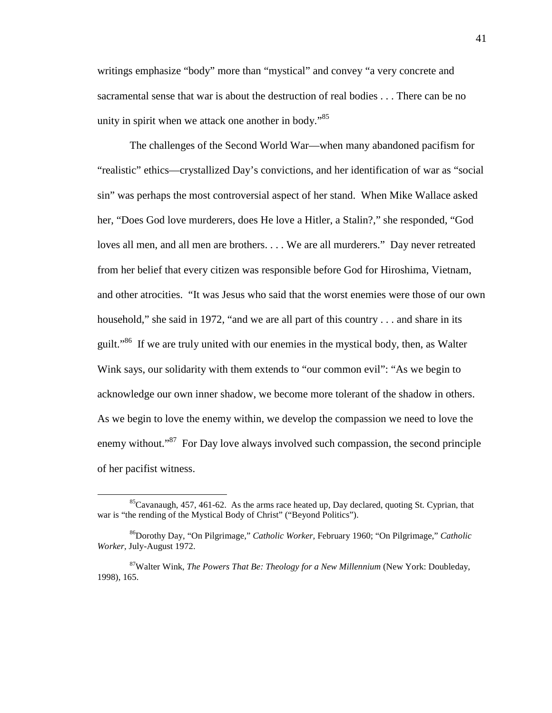writings emphasize "body" more than "mystical" and convey "a very concrete and sacramental sense that war is about the destruction of real bodies . . . There can be no unity in spirit when we attack one another in body."<sup>85</sup>

The challenges of the Second World War—when many abandoned pacifism for "realistic" ethics—crystallized Day's convictions, and her identification of war as "social sin" was perhaps the most controversial aspect of her stand. When Mike Wallace asked her, "Does God love murderers, does He love a Hitler, a Stalin?," she responded, "God loves all men, and all men are brothers. . . . We are all murderers." Day never retreated from her belief that every citizen was responsible before God for Hiroshima, Vietnam, and other atrocities. "It was Jesus who said that the worst enemies were those of our own household," she said in 1972, "and we are all part of this country . . . and share in its guilt."<sup>86</sup> If we are truly united with our enemies in the mystical body, then, as Walter Wink says, our solidarity with them extends to "our common evil": "As we begin to acknowledge our own inner shadow, we become more tolerant of the shadow in others. As we begin to love the enemy within, we develop the compassion we need to love the enemy without."<sup>87</sup> For Day love always involved such compassion, the second principle of her pacifist witness.

-

 ${}^{85}$ Cavanaugh, 457, 461-62. As the arms race heated up, Day declared, quoting St. Cyprian, that war is "the rending of the Mystical Body of Christ" ("Beyond Politics").

<sup>86</sup>Dorothy Day, "On Pilgrimage," *Catholic Worker,* February 1960; "On Pilgrimage," *Catholic Worker,* July-August 1972.

<sup>87</sup>Walter Wink, *The Powers That Be: Theology for a New Millennium* (New York: Doubleday, 1998), 165.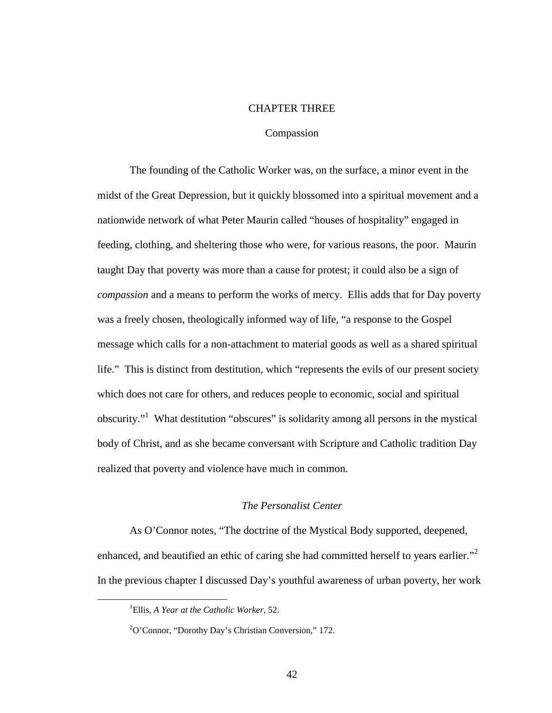# CHAPTER THREE

#### Compassion

The founding of the Catholic Worker was, on the surface, a minor event in the midst of the Great Depression, but it quickly blossomed into a spiritual movement and a nationwide network of what Peter Maurin called "houses of hospitality" engaged in feeding, clothing, and sheltering those who were, for various reasons, the poor. Maurin taught Day that poverty was more than a cause for protest; it could also be a sign of *compassion* and a means to perform the works of mercy. Ellis adds that for Day poverty was a freely chosen, theologically informed way of life, "a response to the Gospel message which calls for a non-attachment to material goods as well as a shared spiritual life." This is distinct from destitution, which "represents the evils of our present society which does not care for others, and reduces people to economic, social and spiritual obscurity."<sup>1</sup> What destitution "obscures" is solidarity among all persons in the mystical body of Christ, and as she became conversant with Scripture and Catholic tradition Day realized that poverty and violence have much in common.

# *The Personalist Center*

As O'Connor notes, "The doctrine of the Mystical Body supported, deepened, enhanced, and beautified an ethic of caring she had committed herself to years earlier." In the previous chapter I discussed Day's youthful awareness of urban poverty, her work

<sup>1</sup>Ellis, *A Year at the Catholic Worker,* 52.

<sup>2</sup>O'Connor, "Dorothy Day's Christian Conversion," 172.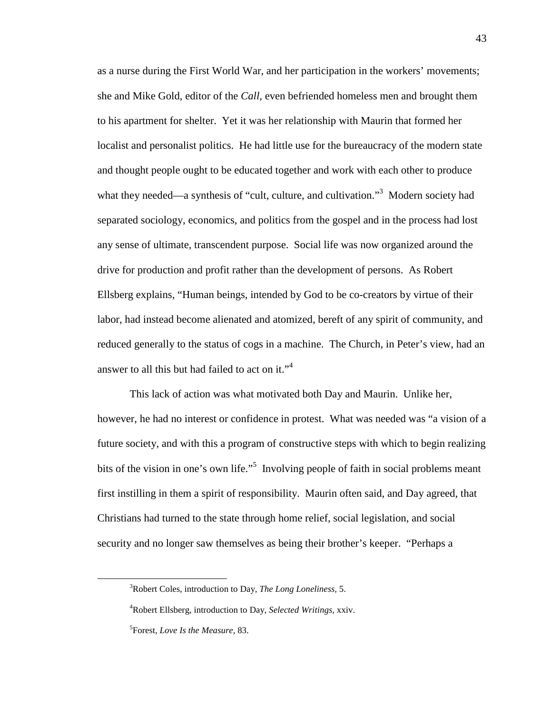as a nurse during the First World War, and her participation in the workers' movements; she and Mike Gold, editor of the *Call,* even befriended homeless men and brought them to his apartment for shelter. Yet it was her relationship with Maurin that formed her localist and personalist politics. He had little use for the bureaucracy of the modern state and thought people ought to be educated together and work with each other to produce what they needed—a synthesis of "cult, culture, and cultivation."<sup>3</sup> Modern society had separated sociology, economics, and politics from the gospel and in the process had lost any sense of ultimate, transcendent purpose. Social life was now organized around the drive for production and profit rather than the development of persons. As Robert Ellsberg explains, "Human beings, intended by God to be co-creators by virtue of their labor, had instead become alienated and atomized, bereft of any spirit of community, and reduced generally to the status of cogs in a machine. The Church, in Peter's view, had an answer to all this but had failed to act on it."<sup>4</sup>

This lack of action was what motivated both Day and Maurin. Unlike her, however, he had no interest or confidence in protest. What was needed was "a vision of a future society, and with this a program of constructive steps with which to begin realizing bits of the vision in one's own life."<sup>5</sup> Involving people of faith in social problems meant first instilling in them a spirit of responsibility. Maurin often said, and Day agreed, that Christians had turned to the state through home relief, social legislation, and social security and no longer saw themselves as being their brother's keeper. "Perhaps a

l

<sup>3</sup>Robert Coles, introduction to Day, *The Long Loneliness,* 5.

<sup>4</sup>Robert Ellsberg, introduction to Day, *Selected Writings,* xxiv. 5 Forest, *Love Is the Measure,* 83.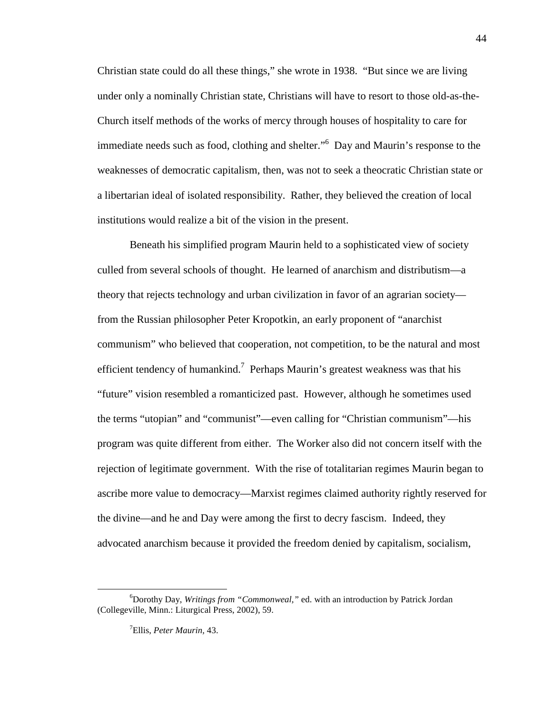Christian state could do all these things," she wrote in 1938. "But since we are living under only a nominally Christian state, Christians will have to resort to those old-as-the-Church itself methods of the works of mercy through houses of hospitality to care for immediate needs such as food, clothing and shelter."<sup>6</sup> Day and Maurin's response to the weaknesses of democratic capitalism, then, was not to seek a theocratic Christian state or a libertarian ideal of isolated responsibility. Rather, they believed the creation of local institutions would realize a bit of the vision in the present.

Beneath his simplified program Maurin held to a sophisticated view of society culled from several schools of thought. He learned of anarchism and distributism—a theory that rejects technology and urban civilization in favor of an agrarian society from the Russian philosopher Peter Kropotkin, an early proponent of "anarchist communism" who believed that cooperation, not competition, to be the natural and most efficient tendency of humankind.<sup>7</sup> Perhaps Maurin's greatest weakness was that his "future" vision resembled a romanticized past. However, although he sometimes used the terms "utopian" and "communist"—even calling for "Christian communism"—his program was quite different from either. The Worker also did not concern itself with the rejection of legitimate government. With the rise of totalitarian regimes Maurin began to ascribe more value to democracy—Marxist regimes claimed authority rightly reserved for the divine—and he and Day were among the first to decry fascism. Indeed, they advocated anarchism because it provided the freedom denied by capitalism, socialism,

<sup>6</sup>Dorothy Day, *Writings from "Commonweal,"* ed. with an introduction by Patrick Jordan (Collegeville, Minn.: Liturgical Press, 2002), 59.

<sup>7</sup>Ellis, *Peter Maurin,* 43.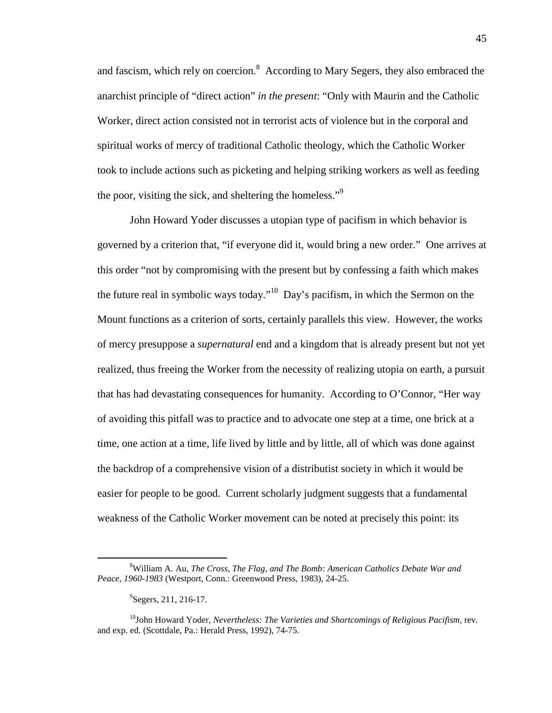and fascism, which rely on coercion. $8$  According to Mary Segers, they also embraced the anarchist principle of "direct action" *in the present*: "Only with Maurin and the Catholic Worker, direct action consisted not in terrorist acts of violence but in the corporal and spiritual works of mercy of traditional Catholic theology, which the Catholic Worker took to include actions such as picketing and helping striking workers as well as feeding the poor, visiting the sick, and sheltering the homeless."<sup>9</sup>

John Howard Yoder discusses a utopian type of pacifism in which behavior is governed by a criterion that, "if everyone did it, would bring a new order." One arrives at this order "not by compromising with the present but by confessing a faith which makes the future real in symbolic ways today."<sup>10</sup> Day's pacifism, in which the Sermon on the Mount functions as a criterion of sorts, certainly parallels this view. However, the works of mercy presuppose a *supernatural* end and a kingdom that is already present but not yet realized, thus freeing the Worker from the necessity of realizing utopia on earth, a pursuit that has had devastating consequences for humanity. According to O'Connor, "Her way of avoiding this pitfall was to practice and to advocate one step at a time, one brick at a time, one action at a time, life lived by little and by little, all of which was done against the backdrop of a comprehensive vision of a distributist society in which it would be easier for people to be good. Current scholarly judgment suggests that a fundamental weakness of the Catholic Worker movement can be noted at precisely this point: its

<sup>8</sup>William A. Au, *The Cross, The Flag, and The Bomb: American Catholics Debate War and Peace, 1960-1983* (Westport, Conn.: Greenwood Press, 1983), 24-25.

<sup>&</sup>lt;sup>9</sup>Segers, 211, 216-17.

<sup>&</sup>lt;sup>10</sup>John Howard Yoder, *Nevertheless: The Varieties and Shortcomings of Religious Pacifism*, rev. and exp. ed. (Scottdale, Pa.: Herald Press, 1992), 74-75.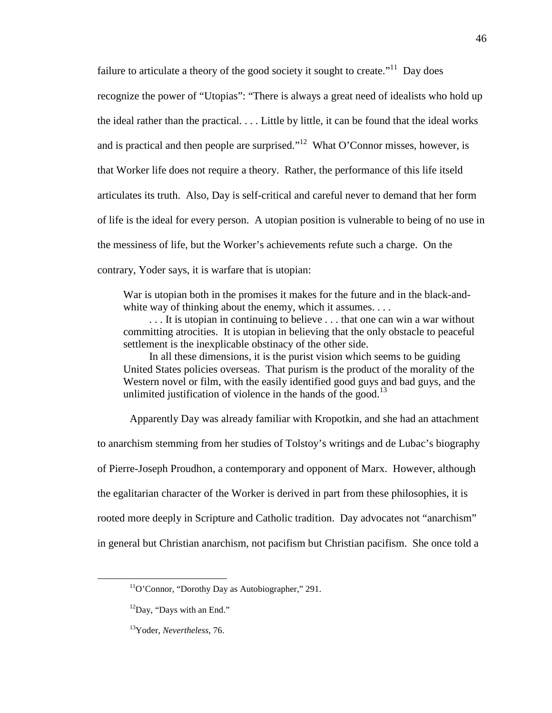failure to articulate a theory of the good society it sought to create.<sup> $11$ </sup> Day does recognize the power of "Utopias": "There is always a great need of idealists who hold up the ideal rather than the practical. . . . Little by little, it can be found that the ideal works and is practical and then people are surprised."<sup>12</sup> What O'Connor misses, however, is that Worker life does not require a theory. Rather, the performance of this life itseld articulates its truth. Also, Day is self-critical and careful never to demand that her form of life is the ideal for every person. A utopian position is vulnerable to being of no use in the messiness of life, but the Worker's achievements refute such a charge. On the contrary, Yoder says, it is warfare that is utopian:

War is utopian both in the promises it makes for the future and in the black-andwhite way of thinking about the enemy, which it assumes. . . .

. . . It is utopian in continuing to believe . . . that one can win a war without committing atrocities. It is utopian in believing that the only obstacle to peaceful settlement is the inexplicable obstinacy of the other side.

In all these dimensions, it is the purist vision which seems to be guiding United States policies overseas. That purism is the product of the morality of the Western novel or film, with the easily identified good guys and bad guys, and the unlimited justification of violence in the hands of the good.<sup>13</sup>

Apparently Day was already familiar with Kropotkin, and she had an attachment to anarchism stemming from her studies of Tolstoy's writings and de Lubac's biography of Pierre-Joseph Proudhon, a contemporary and opponent of Marx. However, although the egalitarian character of the Worker is derived in part from these philosophies, it is rooted more deeply in Scripture and Catholic tradition. Day advocates not "anarchism" in general but Christian anarchism, not pacifism but Christian pacifism. She once told a

-

 $11$ O'Connor, "Dorothy Day as Autobiographer," 291.

<sup>&</sup>lt;sup>12</sup>Day, "Days with an End."

<sup>13</sup>Yoder, *Nevertheless,* 76.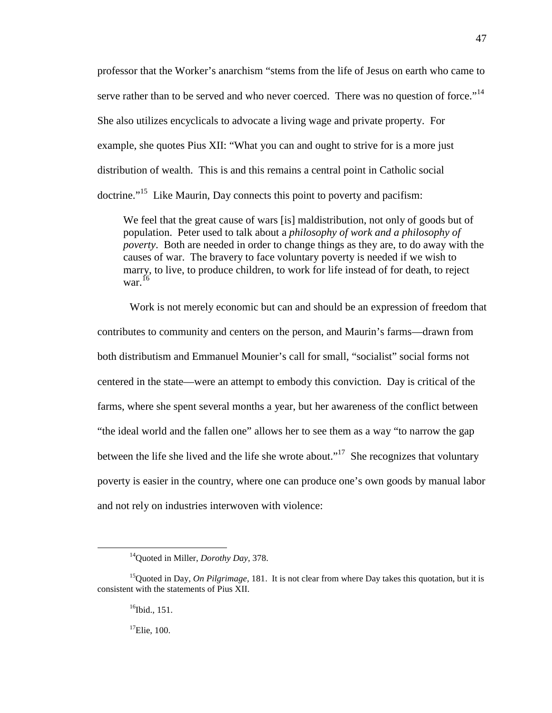professor that the Worker's anarchism "stems from the life of Jesus on earth who came to serve rather than to be served and who never coerced. There was no question of force."<sup>14</sup> She also utilizes encyclicals to advocate a living wage and private property. For example, she quotes Pius XII: "What you can and ought to strive for is a more just distribution of wealth. This is and this remains a central point in Catholic social doctrine."<sup>15</sup> Like Maurin, Day connects this point to poverty and pacifism:

We feel that the great cause of wars [is] maldistribution, not only of goods but of population. Peter used to talk about a *philosophy of work and a philosophy of poverty*. Both are needed in order to change things as they are, to do away with the causes of war. The bravery to face voluntary poverty is needed if we wish to marry, to live, to produce children, to work for life instead of for death, to reject war. $^{16}$ 

Work is not merely economic but can and should be an expression of freedom that contributes to community and centers on the person, and Maurin's farms—drawn from both distributism and Emmanuel Mounier's call for small, "socialist" social forms not centered in the state—were an attempt to embody this conviction. Day is critical of the farms, where she spent several months a year, but her awareness of the conflict between "the ideal world and the fallen one" allows her to see them as a way "to narrow the gap between the life she lived and the life she wrote about."<sup>17</sup> She recognizes that voluntary poverty is easier in the country, where one can produce one's own goods by manual labor and not rely on industries interwoven with violence:

 $16$ Ibid., 151.

 $\overline{a}$ 

 $17$ Elie, 100.

<sup>14</sup>Quoted in Miller, *Dorothy Day,* 378.

<sup>&</sup>lt;sup>15</sup>Quoted in Day, *On Pilgrimage*, 181. It is not clear from where Day takes this quotation, but it is consistent with the statements of Pius XII.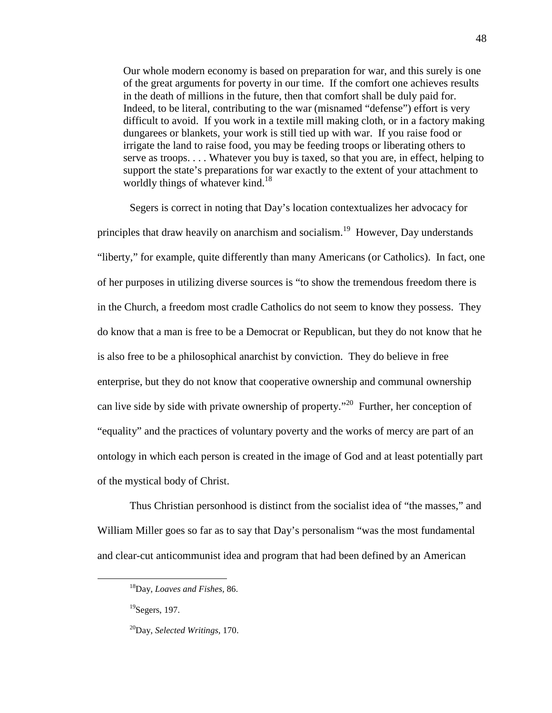Our whole modern economy is based on preparation for war, and this surely is one of the great arguments for poverty in our time. If the comfort one achieves results in the death of millions in the future, then that comfort shall be duly paid for. Indeed, to be literal, contributing to the war (misnamed "defense") effort is very difficult to avoid. If you work in a textile mill making cloth, or in a factory making dungarees or blankets, your work is still tied up with war. If you raise food or irrigate the land to raise food, you may be feeding troops or liberating others to serve as troops. . . . Whatever you buy is taxed, so that you are, in effect, helping to support the state's preparations for war exactly to the extent of your attachment to worldly things of whatever kind.<sup>18</sup>

Segers is correct in noting that Day's location contextualizes her advocacy for principles that draw heavily on anarchism and socialism.<sup>19</sup> However, Day understands "liberty," for example, quite differently than many Americans (or Catholics). In fact, one of her purposes in utilizing diverse sources is "to show the tremendous freedom there is in the Church, a freedom most cradle Catholics do not seem to know they possess. They do know that a man is free to be a Democrat or Republican, but they do not know that he is also free to be a philosophical anarchist by conviction. They do believe in free enterprise, but they do not know that cooperative ownership and communal ownership can live side by side with private ownership of property."<sup>20</sup> Further, her conception of "equality" and the practices of voluntary poverty and the works of mercy are part of an ontology in which each person is created in the image of God and at least potentially part of the mystical body of Christ.

Thus Christian personhood is distinct from the socialist idea of "the masses," and William Miller goes so far as to say that Day's personalism "was the most fundamental and clear-cut anticommunist idea and program that had been defined by an American

-

<sup>18</sup>Day, *Loaves and Fishes,* 86.

 $19$ Segers, 197.

<sup>20</sup>Day, *Selected Writings,* 170.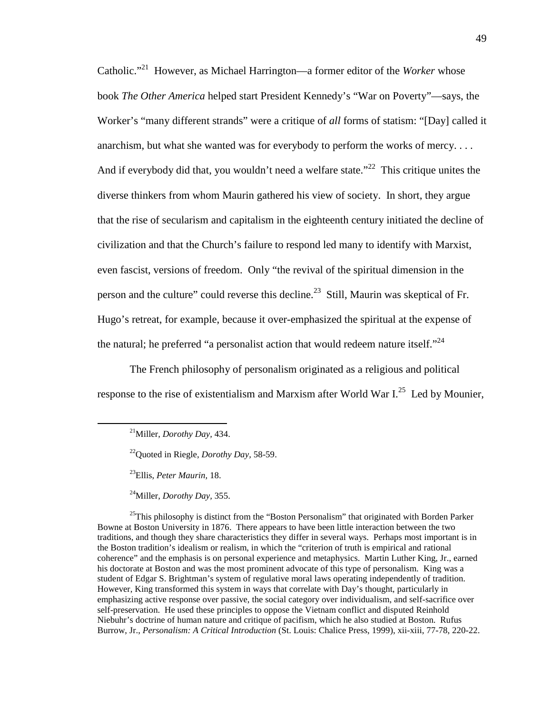Catholic."<sup>21</sup> However, as Michael Harrington—a former editor of the *Worker* whose book *The Other America* helped start President Kennedy's "War on Poverty"—says, the Worker's "many different strands" were a critique of *all* forms of statism: "[Day] called it anarchism, but what she wanted was for everybody to perform the works of mercy. . . . And if everybody did that, you wouldn't need a welfare state."<sup>22</sup> This critique unites the diverse thinkers from whom Maurin gathered his view of society. In short, they argue that the rise of secularism and capitalism in the eighteenth century initiated the decline of civilization and that the Church's failure to respond led many to identify with Marxist, even fascist, versions of freedom. Only "the revival of the spiritual dimension in the person and the culture" could reverse this decline.<sup>23</sup> Still, Maurin was skeptical of Fr. Hugo's retreat, for example, because it over-emphasized the spiritual at the expense of the natural; he preferred "a personalist action that would redeem nature itself."<sup>24</sup>

The French philosophy of personalism originated as a religious and political response to the rise of existentialism and Marxism after World War  $I^{25}$  Led by Mounier,

<u>.</u>

<sup>23</sup>Ellis, *Peter Maurin,* 18.

<sup>24</sup>Miller, *Dorothy Day,* 355.

 $25$ This philosophy is distinct from the "Boston Personalism" that originated with Borden Parker Bowne at Boston University in 1876. There appears to have been little interaction between the two traditions, and though they share characteristics they differ in several ways. Perhaps most important is in the Boston tradition's idealism or realism, in which the "criterion of truth is empirical and rational coherence" and the emphasis is on personal experience and metaphysics. Martin Luther King, Jr., earned his doctorate at Boston and was the most prominent advocate of this type of personalism. King was a student of Edgar S. Brightman's system of regulative moral laws operating independently of tradition. However, King transformed this system in ways that correlate with Day's thought, particularly in emphasizing active response over passive, the social category over individualism, and self-sacrifice over self-preservation. He used these principles to oppose the Vietnam conflict and disputed Reinhold Niebuhr's doctrine of human nature and critique of pacifism, which he also studied at Boston. Rufus Burrow, Jr., *Personalism: A Critical Introduction* (St. Louis: Chalice Press, 1999), xii-xiii, 77-78, 220-22.

<sup>21</sup>Miller, *Dorothy Day,* 434.

<sup>22</sup>Quoted in Riegle, *Dorothy Day,* 58-59.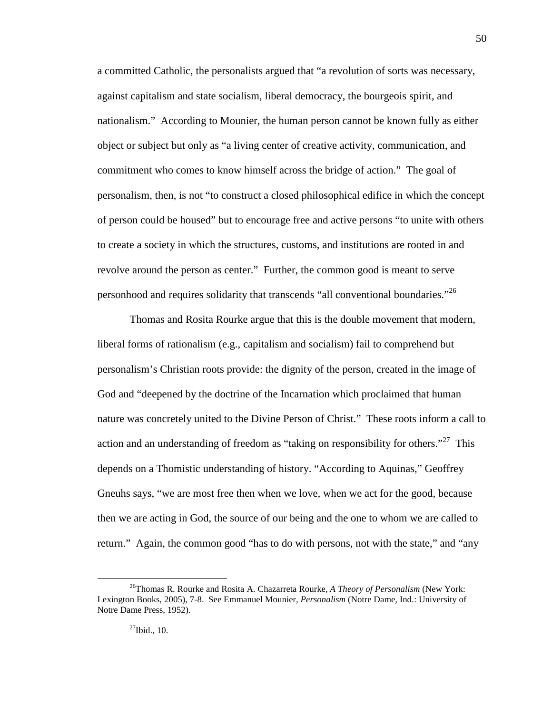a committed Catholic, the personalists argued that "a revolution of sorts was necessary, against capitalism and state socialism, liberal democracy, the bourgeois spirit, and nationalism." According to Mounier, the human person cannot be known fully as either object or subject but only as "a living center of creative activity, communication, and commitment who comes to know himself across the bridge of action." The goal of personalism, then, is not "to construct a closed philosophical edifice in which the concept of person could be housed" but to encourage free and active persons "to unite with others to create a society in which the structures, customs, and institutions are rooted in and revolve around the person as center." Further, the common good is meant to serve personhood and requires solidarity that transcends "all conventional boundaries."<sup>26</sup>

Thomas and Rosita Rourke argue that this is the double movement that modern, liberal forms of rationalism (e.g., capitalism and socialism) fail to comprehend but personalism's Christian roots provide: the dignity of the person, created in the image of God and "deepened by the doctrine of the Incarnation which proclaimed that human nature was concretely united to the Divine Person of Christ." These roots inform a call to action and an understanding of freedom as "taking on responsibility for others."<sup>27</sup> This depends on a Thomistic understanding of history. "According to Aquinas," Geoffrey Gneuhs says, "we are most free then when we love, when we act for the good, because then we are acting in God, the source of our being and the one to whom we are called to return." Again, the common good "has to do with persons, not with the state," and "any

l

<sup>26</sup>Thomas R. Rourke and Rosita A. Chazarreta Rourke, *A Theory of Personalism* (New York: Lexington Books, 2005), 7-8. See Emmanuel Mounier, *Personalism* (Notre Dame, Ind.: University of Notre Dame Press, 1952).

 $27$ Ibid., 10.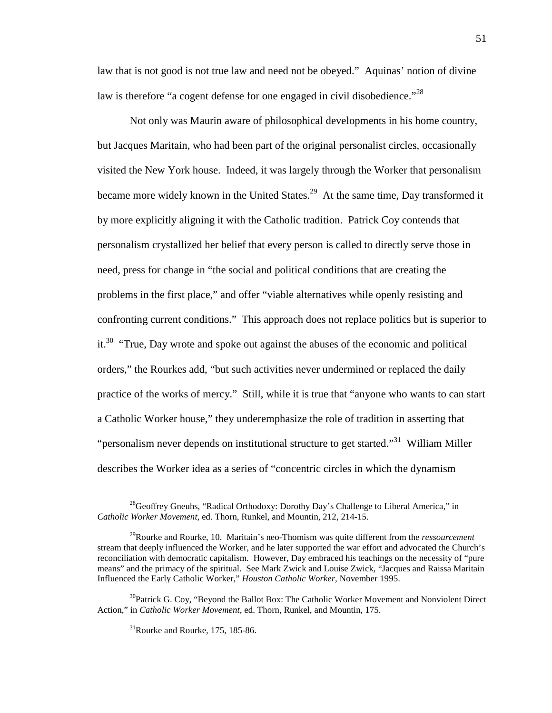law that is not good is not true law and need not be obeyed." Aquinas' notion of divine law is therefore "a cogent defense for one engaged in civil disobedience."<sup>28</sup>

Not only was Maurin aware of philosophical developments in his home country, but Jacques Maritain, who had been part of the original personalist circles, occasionally visited the New York house. Indeed, it was largely through the Worker that personalism became more widely known in the United States.<sup>29</sup> At the same time, Day transformed it by more explicitly aligning it with the Catholic tradition. Patrick Coy contends that personalism crystallized her belief that every person is called to directly serve those in need, press for change in "the social and political conditions that are creating the problems in the first place," and offer "viable alternatives while openly resisting and confronting current conditions." This approach does not replace politics but is superior to it.<sup>30</sup> "True, Day wrote and spoke out against the abuses of the economic and political orders," the Rourkes add, "but such activities never undermined or replaced the daily practice of the works of mercy." Still, while it is true that "anyone who wants to can start a Catholic Worker house," they underemphasize the role of tradition in asserting that "personalism never depends on institutional structure to get started."<sup>31</sup> William Miller describes the Worker idea as a series of "concentric circles in which the dynamism

<sup>&</sup>lt;sup>28</sup>Geoffrey Gneuhs, "Radical Orthodoxy: Dorothy Day's Challenge to Liberal America," in *Catholic Worker Movement,* ed. Thorn, Runkel, and Mountin, 212, 214-15.

<sup>29</sup>Rourke and Rourke, 10. Maritain's neo-Thomism was quite different from the *ressourcement* stream that deeply influenced the Worker, and he later supported the war effort and advocated the Church's reconciliation with democratic capitalism. However, Day embraced his teachings on the necessity of "pure means" and the primacy of the spiritual. See Mark Zwick and Louise Zwick, "Jacques and Raissa Maritain Influenced the Early Catholic Worker," *Houston Catholic Worker,* November 1995.

 $30P$ atrick G. Coy, "Beyond the Ballot Box: The Catholic Worker Movement and Nonviolent Direct Action," in *Catholic Worker Movement,* ed. Thorn, Runkel, and Mountin, 175.

 $31$ Rourke and Rourke, 175, 185-86.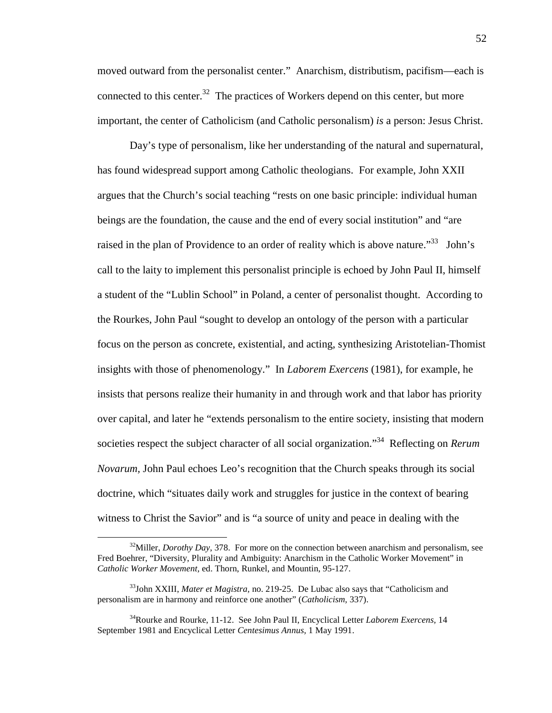moved outward from the personalist center." Anarchism, distributism, pacifism—each is connected to this center.<sup>32</sup> The practices of Workers depend on this center, but more important, the center of Catholicism (and Catholic personalism) *is* a person: Jesus Christ.

Day's type of personalism, like her understanding of the natural and supernatural, has found widespread support among Catholic theologians. For example, John XXII argues that the Church's social teaching "rests on one basic principle: individual human beings are the foundation, the cause and the end of every social institution" and "are raised in the plan of Providence to an order of reality which is above nature.<sup>33</sup> John's call to the laity to implement this personalist principle is echoed by John Paul II, himself a student of the "Lublin School" in Poland, a center of personalist thought. According to the Rourkes, John Paul "sought to develop an ontology of the person with a particular focus on the person as concrete, existential, and acting, synthesizing Aristotelian-Thomist insights with those of phenomenology." In *Laborem Exercens* (1981), for example, he insists that persons realize their humanity in and through work and that labor has priority over capital, and later he "extends personalism to the entire society, insisting that modern societies respect the subject character of all social organization."<sup>34</sup> Reflecting on *Rerum Novarum,* John Paul echoes Leo's recognition that the Church speaks through its social doctrine, which "situates daily work and struggles for justice in the context of bearing witness to Christ the Savior" and is "a source of unity and peace in dealing with the

<sup>&</sup>lt;sup>32</sup>Miller, *Dorothy Day*, 378. For more on the connection between anarchism and personalism, see Fred Boehrer, "Diversity, Plurality and Ambiguity: Anarchism in the Catholic Worker Movement" in *Catholic Worker Movement,* ed. Thorn, Runkel, and Mountin, 95-127.

<sup>33</sup>John XXIII, *Mater et Magistra,* no. 219-25. De Lubac also says that "Catholicism and personalism are in harmony and reinforce one another" (*Catholicism,* 337).

<sup>34</sup>Rourke and Rourke, 11-12. See John Paul II, Encyclical Letter *Laborem Exercens,* 14 September 1981 and Encyclical Letter *Centesimus Annus,* 1 May 1991.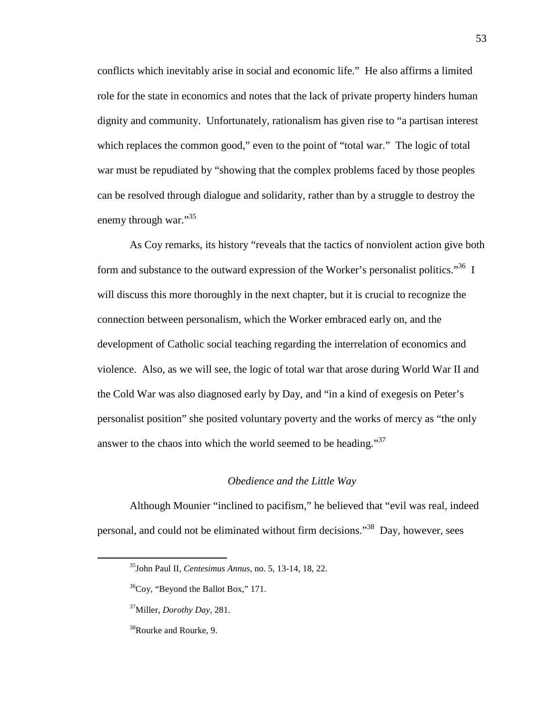conflicts which inevitably arise in social and economic life." He also affirms a limited role for the state in economics and notes that the lack of private property hinders human dignity and community. Unfortunately, rationalism has given rise to "a partisan interest which replaces the common good," even to the point of "total war." The logic of total war must be repudiated by "showing that the complex problems faced by those peoples can be resolved through dialogue and solidarity, rather than by a struggle to destroy the enemy through war."<sup>35</sup>

As Coy remarks, its history "reveals that the tactics of nonviolent action give both form and substance to the outward expression of the Worker's personalist politics.<sup>36</sup> I will discuss this more thoroughly in the next chapter, but it is crucial to recognize the connection between personalism, which the Worker embraced early on, and the development of Catholic social teaching regarding the interrelation of economics and violence. Also, as we will see, the logic of total war that arose during World War II and the Cold War was also diagnosed early by Day, and "in a kind of exegesis on Peter's personalist position" she posited voluntary poverty and the works of mercy as "the only answer to the chaos into which the world seemed to be heading."<sup>37</sup>

### *Obedience and the Little Way*

Although Mounier "inclined to pacifism," he believed that "evil was real, indeed personal, and could not be eliminated without firm decisions."<sup>38</sup> Day, however, sees

<sup>35</sup>John Paul II, *Centesimus Annus,* no. 5, 13-14, 18, 22.

 $36$ Coy, "Beyond the Ballot Box," 171.

<sup>37</sup>Miller, *Dorothy Day,* 281.

<sup>&</sup>lt;sup>38</sup>Rourke and Rourke, 9.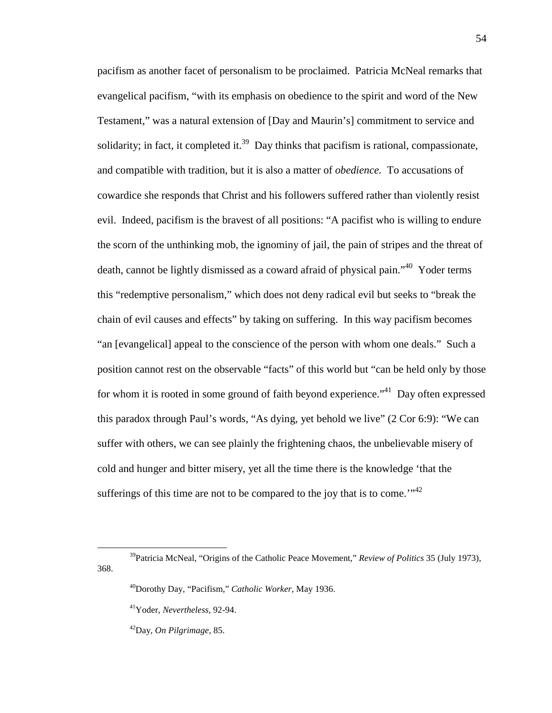pacifism as another facet of personalism to be proclaimed. Patricia McNeal remarks that evangelical pacifism, "with its emphasis on obedience to the spirit and word of the New Testament," was a natural extension of [Day and Maurin's] commitment to service and solidarity; in fact, it completed it.<sup>39</sup> Day thinks that pacifism is rational, compassionate, and compatible with tradition, but it is also a matter of *obedience.* To accusations of cowardice she responds that Christ and his followers suffered rather than violently resist evil. Indeed, pacifism is the bravest of all positions: "A pacifist who is willing to endure the scorn of the unthinking mob, the ignominy of jail, the pain of stripes and the threat of death, cannot be lightly dismissed as a coward afraid of physical pain."<sup>40</sup> Yoder terms this "redemptive personalism," which does not deny radical evil but seeks to "break the chain of evil causes and effects" by taking on suffering. In this way pacifism becomes "an [evangelical] appeal to the conscience of the person with whom one deals." Such a position cannot rest on the observable "facts" of this world but "can be held only by those for whom it is rooted in some ground of faith beyond experience.<sup>"41</sup> Day often expressed this paradox through Paul's words, "As dying, yet behold we live" (2 Cor 6:9): "We can suffer with others, we can see plainly the frightening chaos, the unbelievable misery of cold and hunger and bitter misery, yet all the time there is the knowledge 'that the sufferings of this time are not to be compared to the joy that is to come.<sup> $1/42$ </sup>

<sup>39</sup>Patricia McNeal, "Origins of the Catholic Peace Movement," *Review of Politics* 35 (July 1973), 368.

<sup>40</sup>Dorothy Day, "Pacifism," *Catholic Worker,* May 1936.

<sup>41</sup>Yoder, *Nevertheless,* 92-94.

<sup>42</sup>Day, *On Pilgrimage,* 85.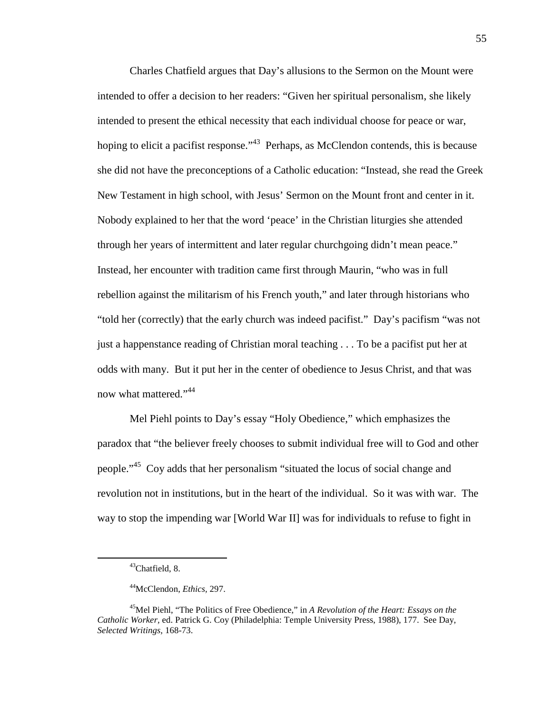Charles Chatfield argues that Day's allusions to the Sermon on the Mount were intended to offer a decision to her readers: "Given her spiritual personalism, she likely intended to present the ethical necessity that each individual choose for peace or war, hoping to elicit a pacifist response."<sup>43</sup> Perhaps, as McClendon contends, this is because she did not have the preconceptions of a Catholic education: "Instead, she read the Greek New Testament in high school, with Jesus' Sermon on the Mount front and center in it. Nobody explained to her that the word 'peace' in the Christian liturgies she attended through her years of intermittent and later regular churchgoing didn't mean peace." Instead, her encounter with tradition came first through Maurin, "who was in full rebellion against the militarism of his French youth," and later through historians who "told her (correctly) that the early church was indeed pacifist." Day's pacifism "was not just a happenstance reading of Christian moral teaching . . . To be a pacifist put her at odds with many. But it put her in the center of obedience to Jesus Christ, and that was now what mattered."<sup>44</sup>

Mel Piehl points to Day's essay "Holy Obedience," which emphasizes the paradox that "the believer freely chooses to submit individual free will to God and other people."<sup>45</sup> Coy adds that her personalism "situated the locus of social change and revolution not in institutions, but in the heart of the individual. So it was with war. The way to stop the impending war [World War II] was for individuals to refuse to fight in

<sup>43</sup>Chatfield, 8.

<sup>44</sup>McClendon, *Ethics,* 297.

<sup>&</sup>lt;sup>45</sup>Mel Piehl, "The Politics of Free Obedience," in *A Revolution of the Heart: Essays on the Catholic Worker,* ed. Patrick G. Coy (Philadelphia: Temple University Press, 1988), 177. See Day, *Selected Writings,* 168-73.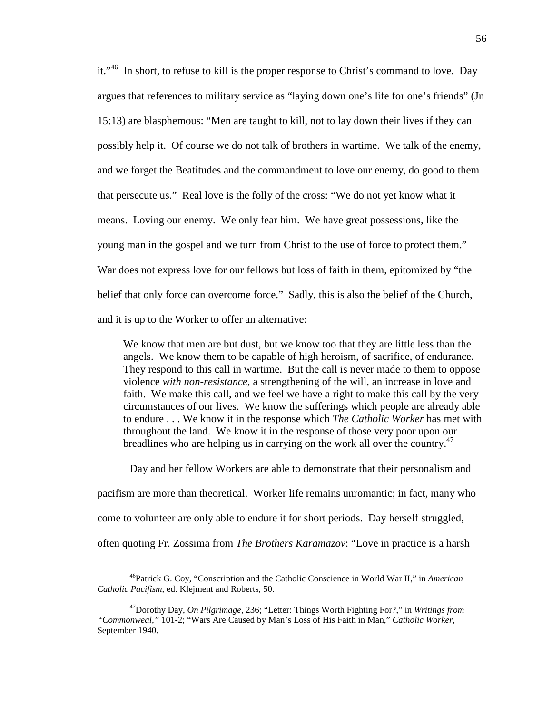it."<sup>46</sup> In short, to refuse to kill is the proper response to Christ's command to love. Day argues that references to military service as "laying down one's life for one's friends" (Jn 15:13) are blasphemous: "Men are taught to kill, not to lay down their lives if they can possibly help it. Of course we do not talk of brothers in wartime. We talk of the enemy, and we forget the Beatitudes and the commandment to love our enemy, do good to them that persecute us." Real love is the folly of the cross: "We do not yet know what it means. Loving our enemy. We only fear him. We have great possessions, like the young man in the gospel and we turn from Christ to the use of force to protect them." War does not express love for our fellows but loss of faith in them, epitomized by "the belief that only force can overcome force." Sadly, this is also the belief of the Church, and it is up to the Worker to offer an alternative:

We know that men are but dust, but we know too that they are little less than the angels. We know them to be capable of high heroism, of sacrifice, of endurance. They respond to this call in wartime. But the call is never made to them to oppose violence *with non-resistance*, a strengthening of the will, an increase in love and faith. We make this call, and we feel we have a right to make this call by the very circumstances of our lives. We know the sufferings which people are already able to endure . . . We know it in the response which *The Catholic Worker* has met with throughout the land. We know it in the response of those very poor upon our breadlines who are helping us in carrying on the work all over the country.<sup>47</sup>

Day and her fellow Workers are able to demonstrate that their personalism and

pacifism are more than theoretical. Worker life remains unromantic; in fact, many who

come to volunteer are only able to endure it for short periods. Day herself struggled,

often quoting Fr. Zossima from *The Brothers Karamazov*: "Love in practice is a harsh

<sup>46</sup>Patrick G. Coy, "Conscription and the Catholic Conscience in World War II," in *American Catholic Pacifism,* ed. Klejment and Roberts, 50.

<sup>47</sup>Dorothy Day, *On Pilgrimage,* 236; "Letter: Things Worth Fighting For?," in *Writings from "Commonweal,"* 101-2; "Wars Are Caused by Man's Loss of His Faith in Man," *Catholic Worker,* September 1940.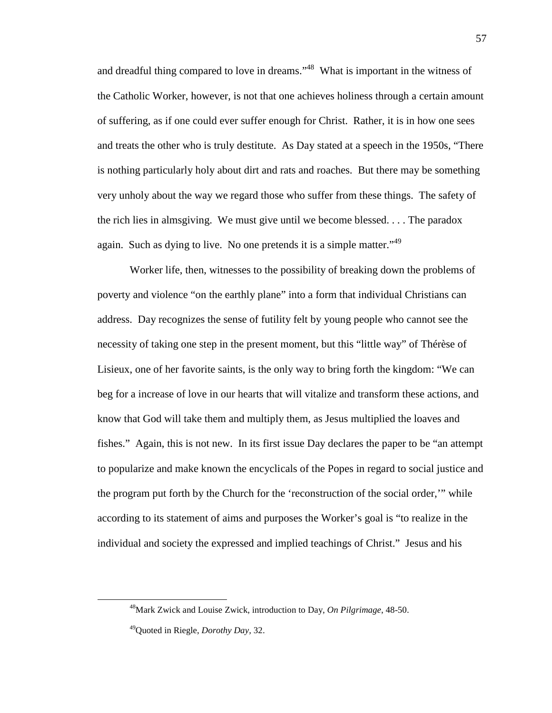and dreadful thing compared to love in dreams."<sup>48</sup> What is important in the witness of the Catholic Worker, however, is not that one achieves holiness through a certain amount of suffering, as if one could ever suffer enough for Christ. Rather, it is in how one sees and treats the other who is truly destitute. As Day stated at a speech in the 1950s, "There is nothing particularly holy about dirt and rats and roaches. But there may be something very unholy about the way we regard those who suffer from these things. The safety of the rich lies in almsgiving. We must give until we become blessed. . . . The paradox again. Such as dying to live. No one pretends it is a simple matter.<sup>149</sup>

Worker life, then, witnesses to the possibility of breaking down the problems of poverty and violence "on the earthly plane" into a form that individual Christians can address. Day recognizes the sense of futility felt by young people who cannot see the necessity of taking one step in the present moment, but this "little way" of Thérèse of Lisieux, one of her favorite saints, is the only way to bring forth the kingdom: "We can beg for a increase of love in our hearts that will vitalize and transform these actions, and know that God will take them and multiply them, as Jesus multiplied the loaves and fishes." Again, this is not new. In its first issue Day declares the paper to be "an attempt to popularize and make known the encyclicals of the Popes in regard to social justice and the program put forth by the Church for the 'reconstruction of the social order,'" while according to its statement of aims and purposes the Worker's goal is "to realize in the individual and society the expressed and implied teachings of Christ." Jesus and his

<sup>48</sup>Mark Zwick and Louise Zwick, introduction to Day, *On Pilgrimage*, 48-50.

<sup>49</sup>Quoted in Riegle, *Dorothy Day,* 32.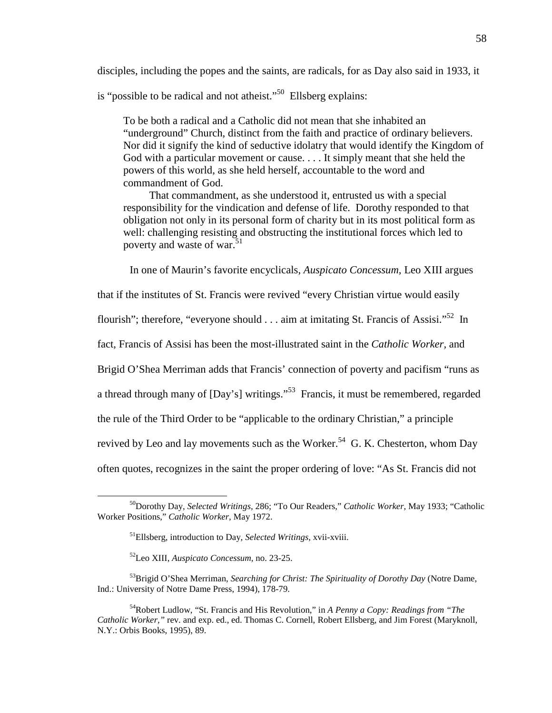disciples, including the popes and the saints, are radicals, for as Day also said in 1933, it

is "possible to be radical and not atheist."<sup>50</sup> Ellsberg explains:

To be both a radical and a Catholic did not mean that she inhabited an "underground" Church, distinct from the faith and practice of ordinary believers. Nor did it signify the kind of seductive idolatry that would identify the Kingdom of God with a particular movement or cause. . . . It simply meant that she held the powers of this world, as she held herself, accountable to the word and commandment of God.

That commandment, as she understood it, entrusted us with a special responsibility for the vindication and defense of life. Dorothy responded to that obligation not only in its personal form of charity but in its most political form as well: challenging resisting and obstructing the institutional forces which led to poverty and waste of war.<sup>51</sup>

In one of Maurin's favorite encyclicals, *Auspicato Concessum,* Leo XIII argues

that if the institutes of St. Francis were revived "every Christian virtue would easily

flourish"; therefore, "everyone should  $\ldots$  aim at imitating St. Francis of Assisi."<sup>52</sup> In

fact, Francis of Assisi has been the most-illustrated saint in the *Catholic Worker,* and

Brigid O'Shea Merriman adds that Francis' connection of poverty and pacifism "runs as

a thread through many of [Day's] writings."<sup>53</sup> Francis, it must be remembered, regarded

the rule of the Third Order to be "applicable to the ordinary Christian," a principle

revived by Leo and lay movements such as the Worker.<sup>54</sup> G. K. Chesterton, whom Day

often quotes, recognizes in the saint the proper ordering of love: "As St. Francis did not

<sup>50</sup>Dorothy Day, *Selected Writings,* 286; "To Our Readers," *Catholic Worker,* May 1933; "Catholic Worker Positions," *Catholic Worker,* May 1972.

<sup>51</sup>Ellsberg, introduction to Day, *Selected Writings,* xvii-xviii.

<sup>52</sup>Leo XIII, *Auspicato Concessum,* no. 23-25.

<sup>53</sup>Brigid O'Shea Merriman, *Searching for Christ: The Spirituality of Dorothy Day* (Notre Dame, Ind.: University of Notre Dame Press, 1994), 178-79.

<sup>54</sup>Robert Ludlow, "St. Francis and His Revolution," in *A Penny a Copy: Readings from "The Catholic Worker,"* rev. and exp. ed., ed. Thomas C. Cornell, Robert Ellsberg, and Jim Forest (Maryknoll, N.Y.: Orbis Books, 1995), 89.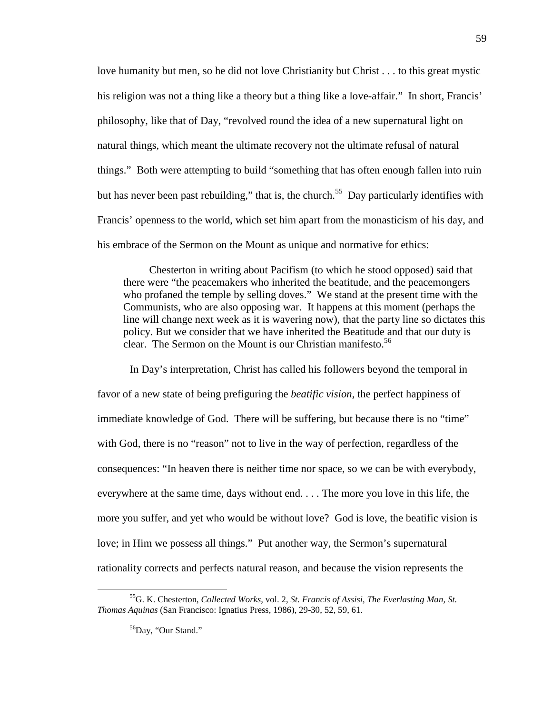love humanity but men, so he did not love Christianity but Christ . . . to this great mystic his religion was not a thing like a theory but a thing like a love-affair." In short, Francis' philosophy, like that of Day, "revolved round the idea of a new supernatural light on natural things, which meant the ultimate recovery not the ultimate refusal of natural things." Both were attempting to build "something that has often enough fallen into ruin but has never been past rebuilding," that is, the church.<sup>55</sup> Day particularly identifies with Francis' openness to the world, which set him apart from the monasticism of his day, and his embrace of the Sermon on the Mount as unique and normative for ethics:

Chesterton in writing about Pacifism (to which he stood opposed) said that there were "the peacemakers who inherited the beatitude, and the peacemongers who profaned the temple by selling doves." We stand at the present time with the Communists, who are also opposing war. It happens at this moment (perhaps the line will change next week as it is wavering now), that the party line so dictates this policy. But we consider that we have inherited the Beatitude and that our duty is clear. The Sermon on the Mount is our Christian manifesto.<sup>56</sup>

In Day's interpretation, Christ has called his followers beyond the temporal in favor of a new state of being prefiguring the *beatific vision,* the perfect happiness of immediate knowledge of God. There will be suffering, but because there is no "time" with God, there is no "reason" not to live in the way of perfection, regardless of the consequences: "In heaven there is neither time nor space, so we can be with everybody, everywhere at the same time, days without end. . . . The more you love in this life, the more you suffer, and yet who would be without love? God is love, the beatific vision is love; in Him we possess all things." Put another way, the Sermon's supernatural rationality corrects and perfects natural reason, and because the vision represents the

<sup>55</sup>G. K. Chesterton, *Collected Works,* vol. 2, *St. Francis of Assisi, The Everlasting Man, St. Thomas Aquinas* (San Francisco: Ignatius Press, 1986), 29-30, 52, 59, 61.

<sup>&</sup>lt;sup>56</sup>Day, "Our Stand."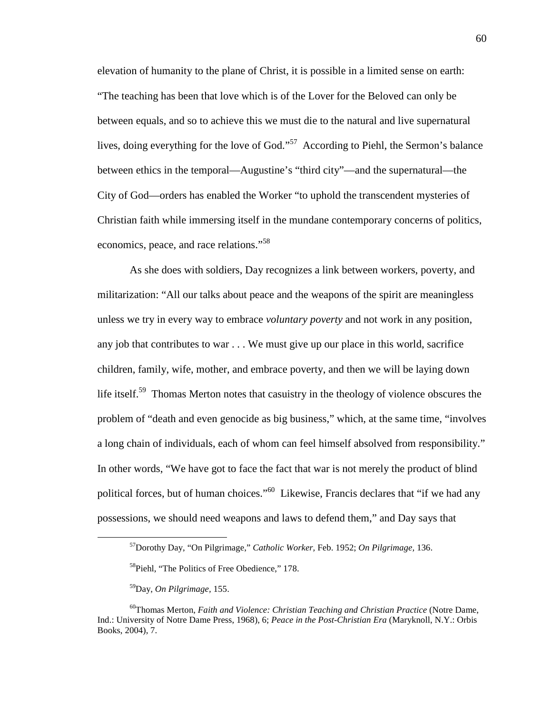elevation of humanity to the plane of Christ, it is possible in a limited sense on earth: "The teaching has been that love which is of the Lover for the Beloved can only be between equals, and so to achieve this we must die to the natural and live supernatural lives, doing everything for the love of God."<sup>57</sup> According to Piehl, the Sermon's balance between ethics in the temporal—Augustine's "third city"—and the supernatural—the City of God—orders has enabled the Worker "to uphold the transcendent mysteries of Christian faith while immersing itself in the mundane contemporary concerns of politics, economics, peace, and race relations."<sup>58</sup>

As she does with soldiers, Day recognizes a link between workers, poverty, and militarization: "All our talks about peace and the weapons of the spirit are meaningless unless we try in every way to embrace *voluntary poverty* and not work in any position, any job that contributes to war . . . We must give up our place in this world, sacrifice children, family, wife, mother, and embrace poverty, and then we will be laying down life itself.<sup>59</sup> Thomas Merton notes that casuistry in the theology of violence obscures the problem of "death and even genocide as big business," which, at the same time, "involves a long chain of individuals, each of whom can feel himself absolved from responsibility." In other words, "We have got to face the fact that war is not merely the product of blind political forces, but of human choices."<sup>60</sup> Likewise, Francis declares that "if we had any possessions, we should need weapons and laws to defend them," and Day says that

<sup>57</sup>Dorothy Day, "On Pilgrimage," *Catholic Worker,* Feb. 1952; *On Pilgrimage,* 136.

<sup>&</sup>lt;sup>58</sup>Piehl, "The Politics of Free Obedience," 178.

<sup>59</sup>Day, *On Pilgrimage,* 155.

<sup>60</sup>Thomas Merton, *Faith and Violence: Christian Teaching and Christian Practice* (Notre Dame, Ind.: University of Notre Dame Press, 1968), 6; *Peace in the Post-Christian Era* (Maryknoll, N.Y.: Orbis Books, 2004), 7.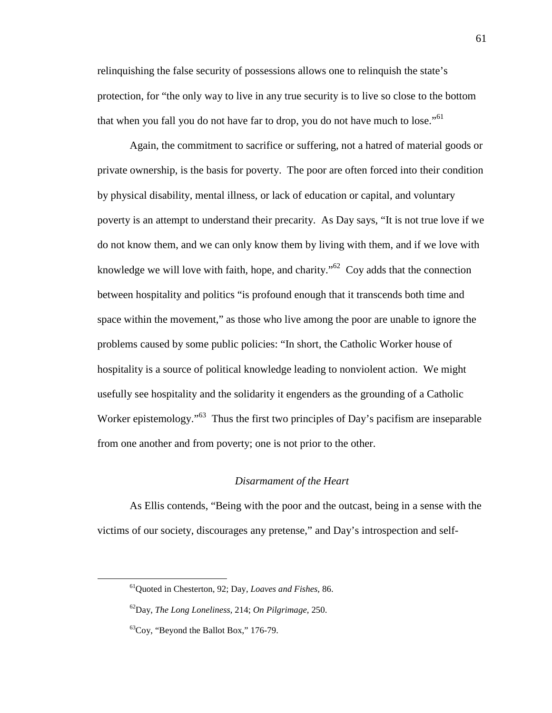relinquishing the false security of possessions allows one to relinquish the state's protection, for "the only way to live in any true security is to live so close to the bottom that when you fall you do not have far to drop, you do not have much to lose."<sup>61</sup>

Again, the commitment to sacrifice or suffering, not a hatred of material goods or private ownership, is the basis for poverty. The poor are often forced into their condition by physical disability, mental illness, or lack of education or capital, and voluntary poverty is an attempt to understand their precarity. As Day says, "It is not true love if we do not know them, and we can only know them by living with them, and if we love with knowledge we will love with faith, hope, and charity.<sup> $0.62$ </sup> Coy adds that the connection between hospitality and politics "is profound enough that it transcends both time and space within the movement," as those who live among the poor are unable to ignore the problems caused by some public policies: "In short, the Catholic Worker house of hospitality is a source of political knowledge leading to nonviolent action. We might usefully see hospitality and the solidarity it engenders as the grounding of a Catholic Worker epistemology.<sup>"63</sup> Thus the first two principles of Day's pacifism are inseparable from one another and from poverty; one is not prior to the other.

#### *Disarmament of the Heart*

As Ellis contends, "Being with the poor and the outcast, being in a sense with the victims of our society, discourages any pretense," and Day's introspection and self-

l

<sup>61</sup>Quoted in Chesterton, 92; Day, *Loaves and Fishes,* 86.

<sup>62</sup>Day, *The Long Loneliness,* 214; *On Pilgrimage,* 250.

 ${}^{63}$ Coy, "Beyond the Ballot Box," 176-79.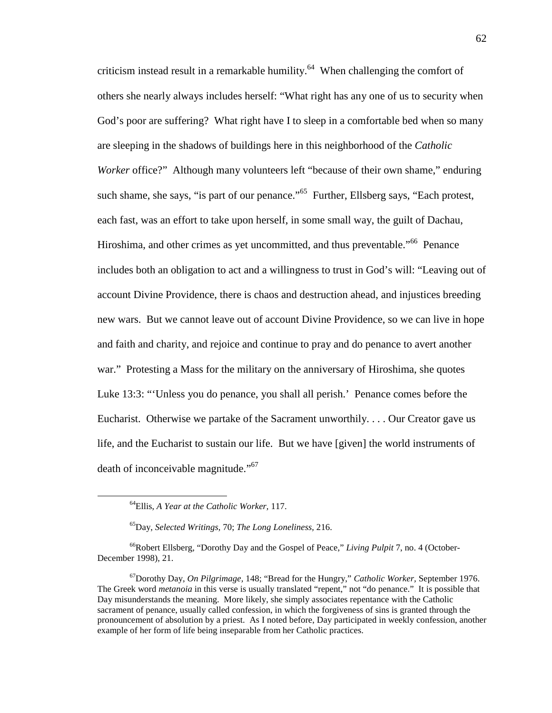criticism instead result in a remarkable humility.<sup>64</sup> When challenging the comfort of others she nearly always includes herself: "What right has any one of us to security when God's poor are suffering? What right have I to sleep in a comfortable bed when so many are sleeping in the shadows of buildings here in this neighborhood of the *Catholic Worker* office?" Although many volunteers left "because of their own shame," enduring such shame, she says, "is part of our penance."<sup>65</sup> Further, Ellsberg says, "Each protest, each fast, was an effort to take upon herself, in some small way, the guilt of Dachau, Hiroshima, and other crimes as yet uncommitted, and thus preventable."<sup>66</sup> Penance includes both an obligation to act and a willingness to trust in God's will: "Leaving out of account Divine Providence, there is chaos and destruction ahead, and injustices breeding new wars. But we cannot leave out of account Divine Providence, so we can live in hope and faith and charity, and rejoice and continue to pray and do penance to avert another war." Protesting a Mass for the military on the anniversary of Hiroshima, she quotes Luke 13:3: "'Unless you do penance, you shall all perish.' Penance comes before the Eucharist. Otherwise we partake of the Sacrament unworthily. . . . Our Creator gave us life, and the Eucharist to sustain our life. But we have [given] the world instruments of death of inconceivable magnitude."<sup>67</sup>

<sup>64</sup>Ellis, *A Year at the Catholic Worker,* 117.

<sup>65</sup>Day, *Selected Writings,* 70; *The Long Loneliness,* 216.

<sup>66</sup>Robert Ellsberg, "Dorothy Day and the Gospel of Peace," *Living Pulpit* 7, no. 4 (October-December 1998), 21.

<sup>67</sup>Dorothy Day, *On Pilgrimage,* 148; "Bread for the Hungry," *Catholic Worker,* September 1976. The Greek word *metanoia* in this verse is usually translated "repent," not "do penance." It is possible that Day misunderstands the meaning. More likely, she simply associates repentance with the Catholic sacrament of penance, usually called confession, in which the forgiveness of sins is granted through the pronouncement of absolution by a priest. As I noted before, Day participated in weekly confession, another example of her form of life being inseparable from her Catholic practices.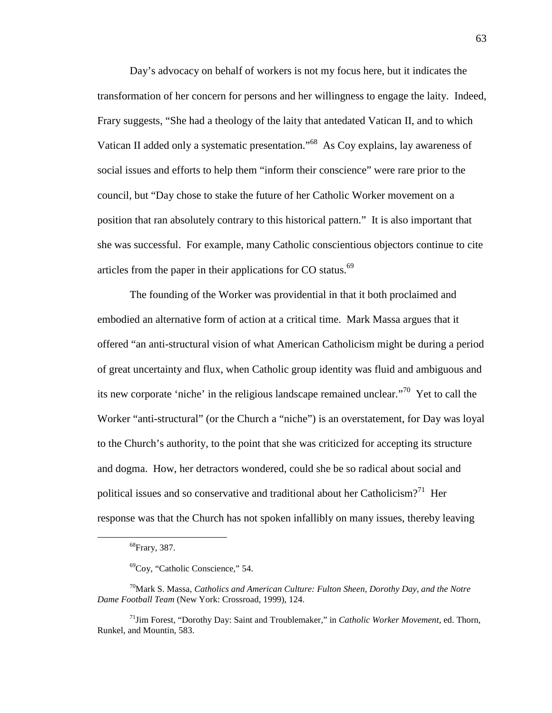Day's advocacy on behalf of workers is not my focus here, but it indicates the transformation of her concern for persons and her willingness to engage the laity. Indeed, Frary suggests, "She had a theology of the laity that antedated Vatican II, and to which Vatican II added only a systematic presentation."<sup>68</sup> As Coy explains, lay awareness of social issues and efforts to help them "inform their conscience" were rare prior to the council, but "Day chose to stake the future of her Catholic Worker movement on a position that ran absolutely contrary to this historical pattern." It is also important that she was successful. For example, many Catholic conscientious objectors continue to cite articles from the paper in their applications for CO status. $69$ 

The founding of the Worker was providential in that it both proclaimed and embodied an alternative form of action at a critical time. Mark Massa argues that it offered "an anti-structural vision of what American Catholicism might be during a period of great uncertainty and flux, when Catholic group identity was fluid and ambiguous and its new corporate 'niche' in the religious landscape remained unclear."<sup>70</sup> Yet to call the Worker "anti-structural" (or the Church a "niche") is an overstatement, for Day was loyal to the Church's authority, to the point that she was criticized for accepting its structure and dogma. How, her detractors wondered, could she be so radical about social and political issues and so conservative and traditional about her Catholicism?<sup>71</sup> Her response was that the Church has not spoken infallibly on many issues, thereby leaving

<sup>68</sup>Frary, 387.

<sup>69</sup>Coy, "Catholic Conscience," 54.

<sup>70</sup>Mark S. Massa, *Catholics and American Culture: Fulton Sheen, Dorothy Day, and the Notre Dame Football Team* (New York: Crossroad, 1999), 124.

<sup>71</sup>Jim Forest, "Dorothy Day: Saint and Troublemaker," in *Catholic Worker Movement,* ed. Thorn, Runkel, and Mountin, 583.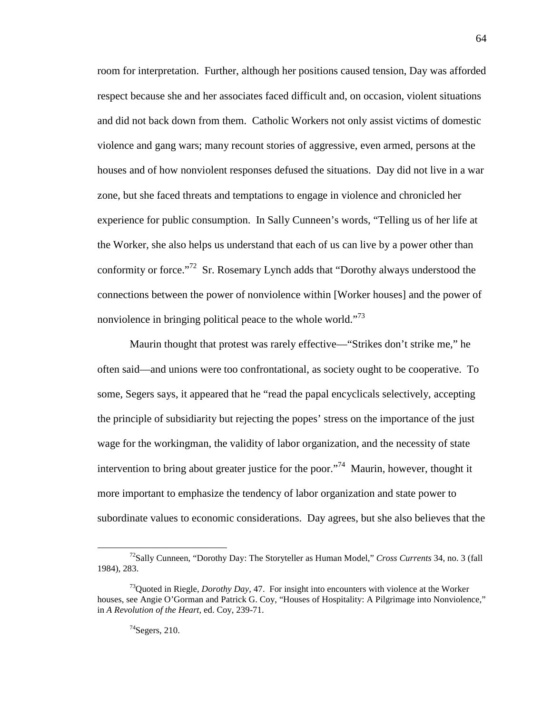room for interpretation. Further, although her positions caused tension, Day was afforded respect because she and her associates faced difficult and, on occasion, violent situations and did not back down from them. Catholic Workers not only assist victims of domestic violence and gang wars; many recount stories of aggressive, even armed, persons at the houses and of how nonviolent responses defused the situations. Day did not live in a war zone, but she faced threats and temptations to engage in violence and chronicled her experience for public consumption. In Sally Cunneen's words, "Telling us of her life at the Worker, she also helps us understand that each of us can live by a power other than conformity or force."<sup>72</sup> Sr. Rosemary Lynch adds that "Dorothy always understood the connections between the power of nonviolence within [Worker houses] and the power of nonviolence in bringing political peace to the whole world."<sup>73</sup>

Maurin thought that protest was rarely effective—"Strikes don't strike me," he often said—and unions were too confrontational, as society ought to be cooperative. To some, Segers says, it appeared that he "read the papal encyclicals selectively, accepting the principle of subsidiarity but rejecting the popes' stress on the importance of the just wage for the workingman, the validity of labor organization, and the necessity of state intervention to bring about greater justice for the poor."<sup>74</sup> Maurin, however, thought it more important to emphasize the tendency of labor organization and state power to subordinate values to economic considerations. Day agrees, but she also believes that the

<sup>72</sup>Sally Cunneen, "Dorothy Day: The Storyteller as Human Model," *Cross Currents* 34, no. 3 (fall 1984), 283.

<sup>73</sup>Quoted in Riegle, *Dorothy Day,* 47. For insight into encounters with violence at the Worker houses, see Angie O'Gorman and Patrick G. Coy, "Houses of Hospitality: A Pilgrimage into Nonviolence," in *A Revolution of the Heart,* ed. Coy, 239-71.

 $74$ Segers, 210.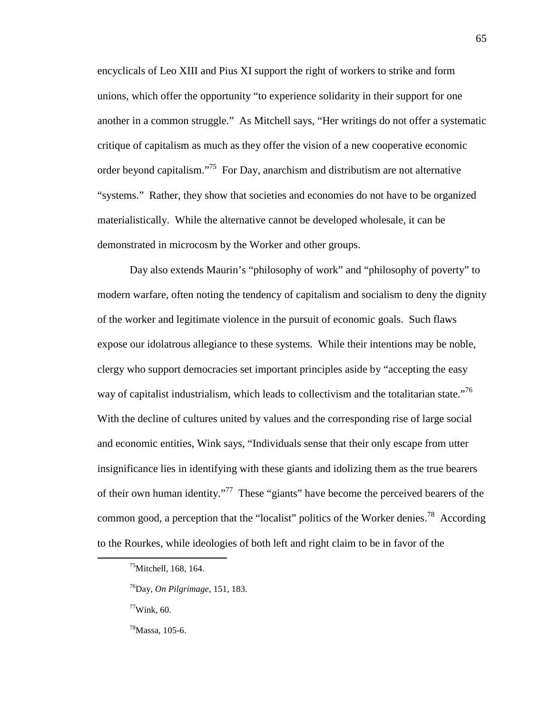encyclicals of Leo XIII and Pius XI support the right of workers to strike and form unions, which offer the opportunity "to experience solidarity in their support for one another in a common struggle." As Mitchell says, "Her writings do not offer a systematic critique of capitalism as much as they offer the vision of a new cooperative economic order beyond capitalism."<sup>75</sup> For Day, anarchism and distributism are not alternative "systems." Rather, they show that societies and economies do not have to be organized materialistically. While the alternative cannot be developed wholesale, it can be demonstrated in microcosm by the Worker and other groups.

Day also extends Maurin's "philosophy of work" and "philosophy of poverty" to modern warfare, often noting the tendency of capitalism and socialism to deny the dignity of the worker and legitimate violence in the pursuit of economic goals. Such flaws expose our idolatrous allegiance to these systems. While their intentions may be noble, clergy who support democracies set important principles aside by "accepting the easy way of capitalist industrialism, which leads to collectivism and the totalitarian state."<sup>76</sup> With the decline of cultures united by values and the corresponding rise of large social and economic entities, Wink says, "Individuals sense that their only escape from utter insignificance lies in identifying with these giants and idolizing them as the true bearers of their own human identity."<sup>77</sup> These "giants" have become the perceived bearers of the common good, a perception that the "localist" politics of the Worker denies.<sup>78</sup> According to the Rourkes, while ideologies of both left and right claim to be in favor of the

<sup>&</sup>lt;sup>75</sup>Mitchell, 168, 164.

<sup>76</sup>Day, *On Pilgrimage,* 151, 183.

 $77$ Wink, 60.

<sup>78</sup>Massa, 105-6.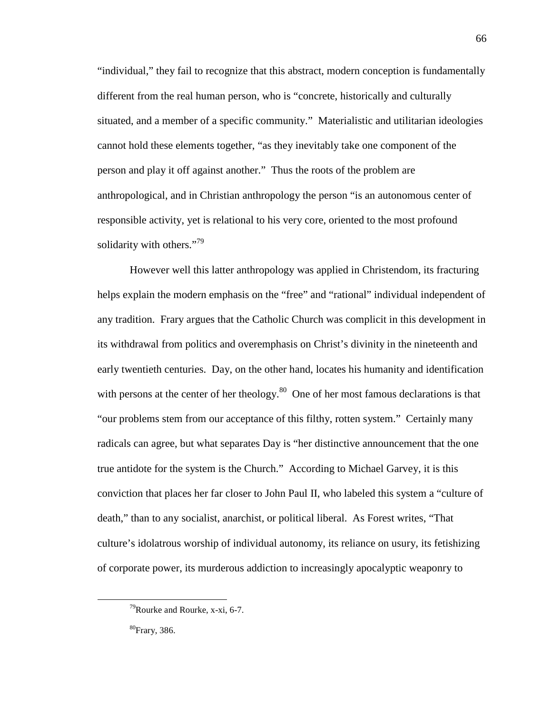"individual," they fail to recognize that this abstract, modern conception is fundamentally different from the real human person, who is "concrete, historically and culturally situated, and a member of a specific community." Materialistic and utilitarian ideologies cannot hold these elements together, "as they inevitably take one component of the person and play it off against another." Thus the roots of the problem are anthropological, and in Christian anthropology the person "is an autonomous center of responsible activity, yet is relational to his very core, oriented to the most profound solidarity with others."<sup>79</sup>

However well this latter anthropology was applied in Christendom, its fracturing helps explain the modern emphasis on the "free" and "rational" individual independent of any tradition. Frary argues that the Catholic Church was complicit in this development in its withdrawal from politics and overemphasis on Christ's divinity in the nineteenth and early twentieth centuries. Day, on the other hand, locates his humanity and identification with persons at the center of her theology. $80$  One of her most famous declarations is that "our problems stem from our acceptance of this filthy, rotten system." Certainly many radicals can agree, but what separates Day is "her distinctive announcement that the one true antidote for the system is the Church." According to Michael Garvey, it is this conviction that places her far closer to John Paul II, who labeled this system a "culture of death," than to any socialist, anarchist, or political liberal. As Forest writes, "That culture's idolatrous worship of individual autonomy, its reliance on usury, its fetishizing of corporate power, its murderous addiction to increasingly apocalyptic weaponry to

 $79$ Rourke and Rourke, x-xi, 6-7.

<sup>80</sup>Frary, 386.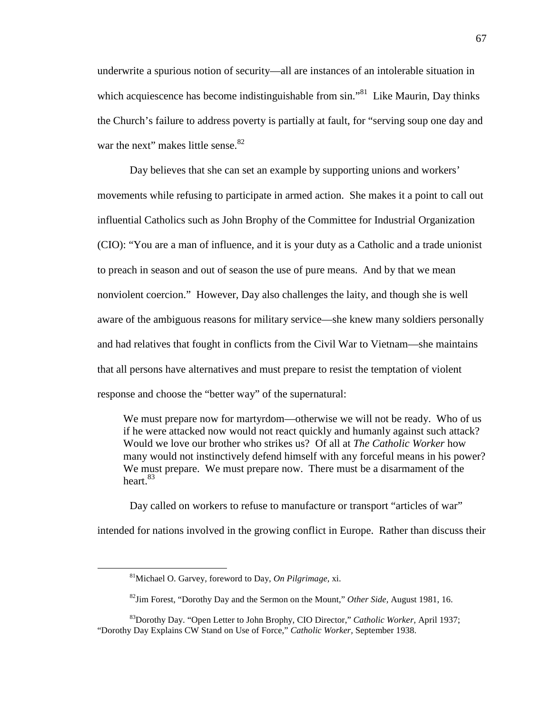underwrite a spurious notion of security—all are instances of an intolerable situation in which acquiescence has become indistinguishable from  $sin.^{81}$  Like Maurin, Day thinks the Church's failure to address poverty is partially at fault, for "serving soup one day and war the next" makes little sense. $82$ 

Day believes that she can set an example by supporting unions and workers' movements while refusing to participate in armed action. She makes it a point to call out influential Catholics such as John Brophy of the Committee for Industrial Organization (CIO): "You are a man of influence, and it is your duty as a Catholic and a trade unionist to preach in season and out of season the use of pure means. And by that we mean nonviolent coercion." However, Day also challenges the laity, and though she is well aware of the ambiguous reasons for military service—she knew many soldiers personally and had relatives that fought in conflicts from the Civil War to Vietnam—she maintains that all persons have alternatives and must prepare to resist the temptation of violent response and choose the "better way" of the supernatural:

We must prepare now for martyrdom—otherwise we will not be ready. Who of us if he were attacked now would not react quickly and humanly against such attack? Would we love our brother who strikes us? Of all at *The Catholic Worker* how many would not instinctively defend himself with any forceful means in his power? We must prepare. We must prepare now. There must be a disarmament of the heart. $83$ 

Day called on workers to refuse to manufacture or transport "articles of war" intended for nations involved in the growing conflict in Europe. Rather than discuss their

<sup>81</sup>Michael O. Garvey, foreword to Day, *On Pilgrimage,* xi.

<sup>82</sup>Jim Forest, "Dorothy Day and the Sermon on the Mount," *Other Side,* August 1981, 16.

<sup>83</sup>Dorothy Day. "Open Letter to John Brophy, CIO Director," *Catholic Worker,* April 1937; "Dorothy Day Explains CW Stand on Use of Force," *Catholic Worker,* September 1938.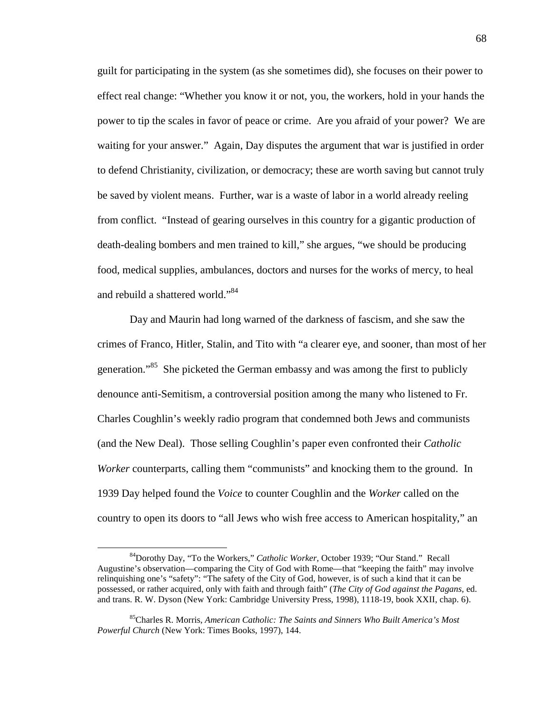guilt for participating in the system (as she sometimes did), she focuses on their power to effect real change: "Whether you know it or not, you, the workers, hold in your hands the power to tip the scales in favor of peace or crime. Are you afraid of your power? We are waiting for your answer." Again, Day disputes the argument that war is justified in order to defend Christianity, civilization, or democracy; these are worth saving but cannot truly be saved by violent means. Further, war is a waste of labor in a world already reeling from conflict. "Instead of gearing ourselves in this country for a gigantic production of death-dealing bombers and men trained to kill," she argues, "we should be producing food, medical supplies, ambulances, doctors and nurses for the works of mercy, to heal and rebuild a shattered world."<sup>84</sup>

Day and Maurin had long warned of the darkness of fascism, and she saw the crimes of Franco, Hitler, Stalin, and Tito with "a clearer eye, and sooner, than most of her generation."<sup>85</sup> She picketed the German embassy and was among the first to publicly denounce anti-Semitism, a controversial position among the many who listened to Fr. Charles Coughlin's weekly radio program that condemned both Jews and communists (and the New Deal). Those selling Coughlin's paper even confronted their *Catholic Worker* counterparts, calling them "communists" and knocking them to the ground. In 1939 Day helped found the *Voice* to counter Coughlin and the *Worker* called on the country to open its doors to "all Jews who wish free access to American hospitality," an

<sup>84</sup>Dorothy Day, "To the Workers," *Catholic Worker,* October 1939; "Our Stand." Recall Augustine's observation—comparing the City of God with Rome—that "keeping the faith" may involve relinquishing one's "safety": "The safety of the City of God, however, is of such a kind that it can be possessed, or rather acquired, only with faith and through faith" (*The City of God against the Pagans,* ed. and trans. R. W. Dyson (New York: Cambridge University Press, 1998), 1118-19, book XXII, chap. 6).

<sup>85</sup>Charles R. Morris, *American Catholic: The Saints and Sinners Who Built America's Most Powerful Church* (New York: Times Books, 1997), 144.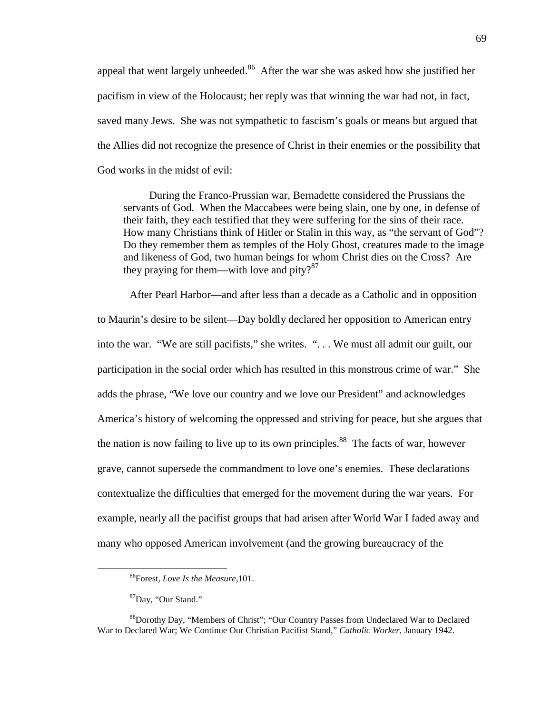appeal that went largely unheeded.<sup>86</sup> After the war she was asked how she justified her pacifism in view of the Holocaust; her reply was that winning the war had not, in fact, saved many Jews. She was not sympathetic to fascism's goals or means but argued that the Allies did not recognize the presence of Christ in their enemies or the possibility that God works in the midst of evil:

During the Franco-Prussian war, Bernadette considered the Prussians the servants of God. When the Maccabees were being slain, one by one, in defense of their faith, they each testified that they were suffering for the sins of their race. How many Christians think of Hitler or Stalin in this way, as "the servant of God"? Do they remember them as temples of the Holy Ghost, creatures made to the image and likeness of God, two human beings for whom Christ dies on the Cross? Are they praying for them—with love and pity? $87$ 

After Pearl Harbor—and after less than a decade as a Catholic and in opposition to Maurin's desire to be silent—Day boldly declared her opposition to American entry into the war. "We are still pacifists," she writes. ". . . We must all admit our guilt, our participation in the social order which has resulted in this monstrous crime of war." She adds the phrase, "We love our country and we love our President" and acknowledges America's history of welcoming the oppressed and striving for peace, but she argues that the nation is now failing to live up to its own principles.<sup>88</sup> The facts of war, however grave, cannot supersede the commandment to love one's enemies. These declarations contextualize the difficulties that emerged for the movement during the war years. For example, nearly all the pacifist groups that had arisen after World War I faded away and many who opposed American involvement (and the growing bureaucracy of the

<sup>86</sup>Forest, *Love Is the Measure,*101.

<sup>87</sup>Day, "Our Stand."

<sup>88</sup>Dorothy Day, "Members of Christ"; "Our Country Passes from Undeclared War to Declared War to Declared War; We Continue Our Christian Pacifist Stand," *Catholic Worker,* January 1942.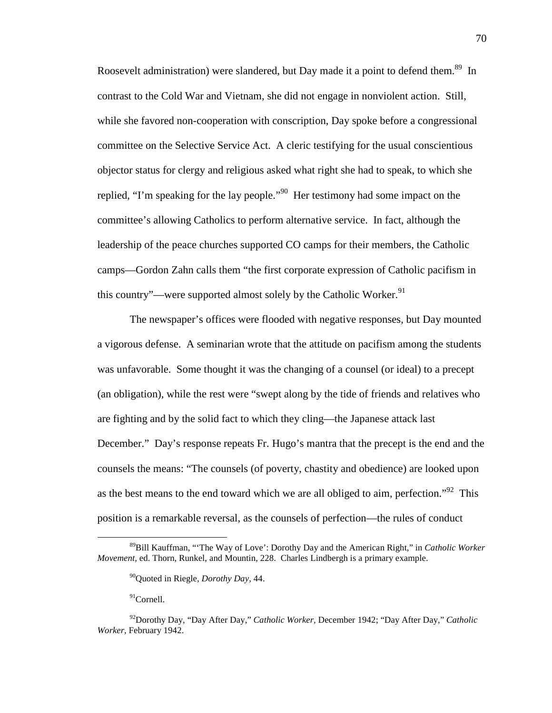Roosevelt administration) were slandered, but Day made it a point to defend them.<sup>89</sup> In contrast to the Cold War and Vietnam, she did not engage in nonviolent action. Still, while she favored non-cooperation with conscription, Day spoke before a congressional committee on the Selective Service Act. A cleric testifying for the usual conscientious objector status for clergy and religious asked what right she had to speak, to which she replied, "I'm speaking for the lay people."<sup>90</sup> Her testimony had some impact on the committee's allowing Catholics to perform alternative service. In fact, although the leadership of the peace churches supported CO camps for their members, the Catholic camps—Gordon Zahn calls them "the first corporate expression of Catholic pacifism in this country"—were supported almost solely by the Catholic Worker.<sup>91</sup>

The newspaper's offices were flooded with negative responses, but Day mounted a vigorous defense. A seminarian wrote that the attitude on pacifism among the students was unfavorable. Some thought it was the changing of a counsel (or ideal) to a precept (an obligation), while the rest were "swept along by the tide of friends and relatives who are fighting and by the solid fact to which they cling—the Japanese attack last December." Day's response repeats Fr. Hugo's mantra that the precept is the end and the counsels the means: "The counsels (of poverty, chastity and obedience) are looked upon as the best means to the end toward which we are all obliged to aim, perfection.<sup> $192$ </sup> This position is a remarkable reversal, as the counsels of perfection—the rules of conduct

<sup>91</sup>Cornell.

<sup>89</sup>Bill Kauffman, "'The Way of Love': Dorothy Day and the American Right," in *Catholic Worker Movement,* ed. Thorn, Runkel, and Mountin, 228. Charles Lindbergh is a primary example.

<sup>90</sup>Quoted in Riegle, *Dorothy Day,* 44.

<sup>92</sup>Dorothy Day, "Day After Day," *Catholic Worker,* December 1942; "Day After Day," *Catholic Worker,* February 1942.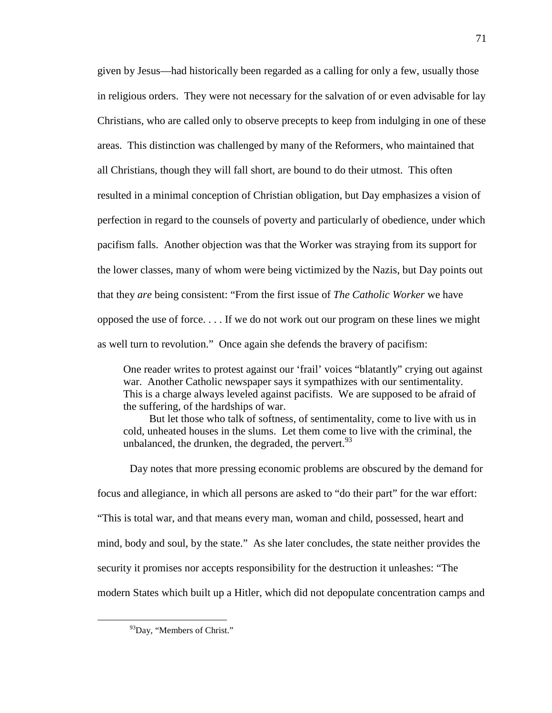given by Jesus—had historically been regarded as a calling for only a few, usually those in religious orders. They were not necessary for the salvation of or even advisable for lay Christians, who are called only to observe precepts to keep from indulging in one of these areas. This distinction was challenged by many of the Reformers, who maintained that all Christians, though they will fall short, are bound to do their utmost. This often resulted in a minimal conception of Christian obligation, but Day emphasizes a vision of perfection in regard to the counsels of poverty and particularly of obedience, under which pacifism falls. Another objection was that the Worker was straying from its support for the lower classes, many of whom were being victimized by the Nazis, but Day points out that they *are* being consistent: "From the first issue of *The Catholic Worker* we have opposed the use of force. . . . If we do not work out our program on these lines we might as well turn to revolution." Once again she defends the bravery of pacifism:

One reader writes to protest against our 'frail' voices "blatantly" crying out against war. Another Catholic newspaper says it sympathizes with our sentimentality. This is a charge always leveled against pacifists. We are supposed to be afraid of the suffering, of the hardships of war.

But let those who talk of softness, of sentimentality, come to live with us in cold, unheated houses in the slums. Let them come to live with the criminal, the unbalanced, the drunken, the degraded, the pervert.  $93$ 

Day notes that more pressing economic problems are obscured by the demand for focus and allegiance, in which all persons are asked to "do their part" for the war effort: "This is total war, and that means every man, woman and child, possessed, heart and mind, body and soul, by the state." As she later concludes, the state neither provides the security it promises nor accepts responsibility for the destruction it unleashes: "The modern States which built up a Hitler, which did not depopulate concentration camps and

<sup>&</sup>lt;sup>93</sup>Day, "Members of Christ."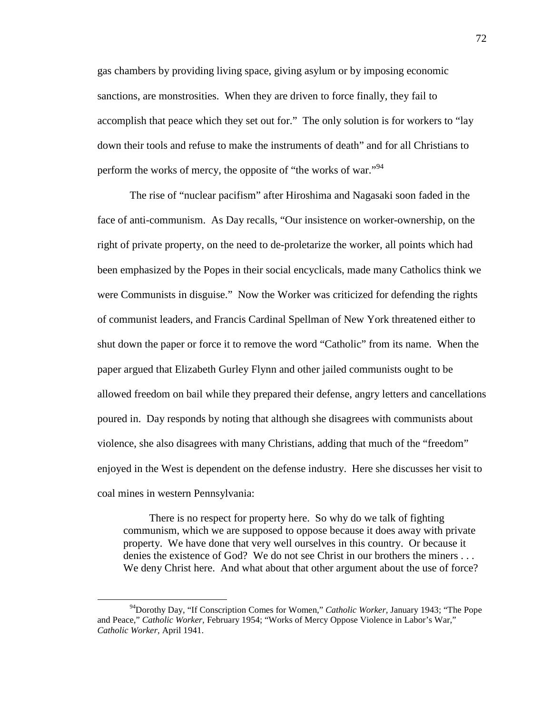gas chambers by providing living space, giving asylum or by imposing economic sanctions, are monstrosities. When they are driven to force finally, they fail to accomplish that peace which they set out for." The only solution is for workers to "lay down their tools and refuse to make the instruments of death" and for all Christians to perform the works of mercy, the opposite of "the works of war."<sup>94</sup>

The rise of "nuclear pacifism" after Hiroshima and Nagasaki soon faded in the face of anti-communism. As Day recalls, "Our insistence on worker-ownership, on the right of private property, on the need to de-proletarize the worker, all points which had been emphasized by the Popes in their social encyclicals, made many Catholics think we were Communists in disguise." Now the Worker was criticized for defending the rights of communist leaders, and Francis Cardinal Spellman of New York threatened either to shut down the paper or force it to remove the word "Catholic" from its name. When the paper argued that Elizabeth Gurley Flynn and other jailed communists ought to be allowed freedom on bail while they prepared their defense, angry letters and cancellations poured in. Day responds by noting that although she disagrees with communists about violence, she also disagrees with many Christians, adding that much of the "freedom" enjoyed in the West is dependent on the defense industry. Here she discusses her visit to coal mines in western Pennsylvania:

There is no respect for property here. So why do we talk of fighting communism, which we are supposed to oppose because it does away with private property. We have done that very well ourselves in this country. Or because it denies the existence of God? We do not see Christ in our brothers the miners . . . We deny Christ here. And what about that other argument about the use of force?

<sup>94</sup>Dorothy Day, "If Conscription Comes for Women," *Catholic Worker,* January 1943; "The Pope and Peace," *Catholic Worker,* February 1954; "Works of Mercy Oppose Violence in Labor's War," *Catholic Worker,* April 1941.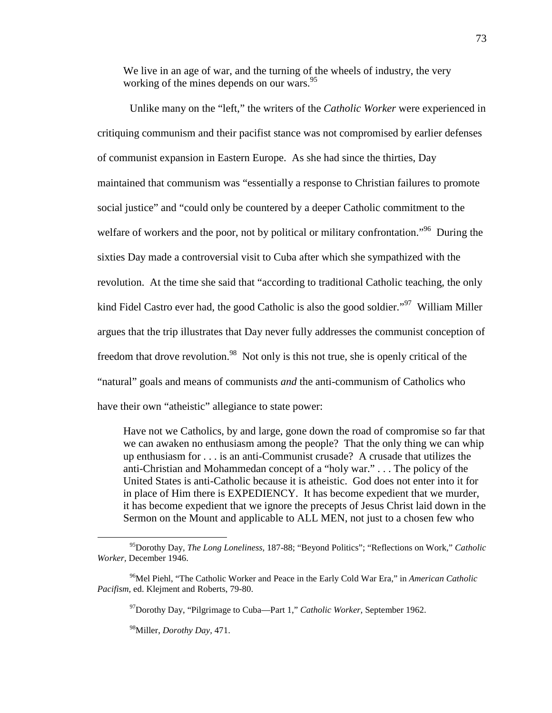We live in an age of war, and the turning of the wheels of industry, the very working of the mines depends on our wars.<sup>95</sup>

Unlike many on the "left," the writers of the *Catholic Worker* were experienced in critiquing communism and their pacifist stance was not compromised by earlier defenses of communist expansion in Eastern Europe. As she had since the thirties, Day maintained that communism was "essentially a response to Christian failures to promote social justice" and "could only be countered by a deeper Catholic commitment to the welfare of workers and the poor, not by political or military confrontation."<sup>96</sup> During the sixties Day made a controversial visit to Cuba after which she sympathized with the revolution. At the time she said that "according to traditional Catholic teaching, the only kind Fidel Castro ever had, the good Catholic is also the good soldier."<sup>97</sup> William Miller argues that the trip illustrates that Day never fully addresses the communist conception of freedom that drove revolution.<sup>98</sup> Not only is this not true, she is openly critical of the "natural" goals and means of communists *and* the anti-communism of Catholics who have their own "atheistic" allegiance to state power:

Have not we Catholics, by and large, gone down the road of compromise so far that we can awaken no enthusiasm among the people? That the only thing we can whip up enthusiasm for . . . is an anti-Communist crusade? A crusade that utilizes the anti-Christian and Mohammedan concept of a "holy war." . . . The policy of the United States is anti-Catholic because it is atheistic. God does not enter into it for in place of Him there is EXPEDIENCY. It has become expedient that we murder, it has become expedient that we ignore the precepts of Jesus Christ laid down in the Sermon on the Mount and applicable to ALL MEN, not just to a chosen few who

<sup>97</sup>Dorothy Day, "Pilgrimage to Cuba—Part 1," *Catholic Worker,* September 1962.

<sup>98</sup>Miller, *Dorothy Day,* 471.

<sup>95</sup>Dorothy Day, *The Long Loneliness,* 187-88; "Beyond Politics"; "Reflections on Work," *Catholic Worker,* December 1946.

<sup>96</sup>Mel Piehl, "The Catholic Worker and Peace in the Early Cold War Era," in *American Catholic Pacifism,* ed. Klejment and Roberts, 79-80.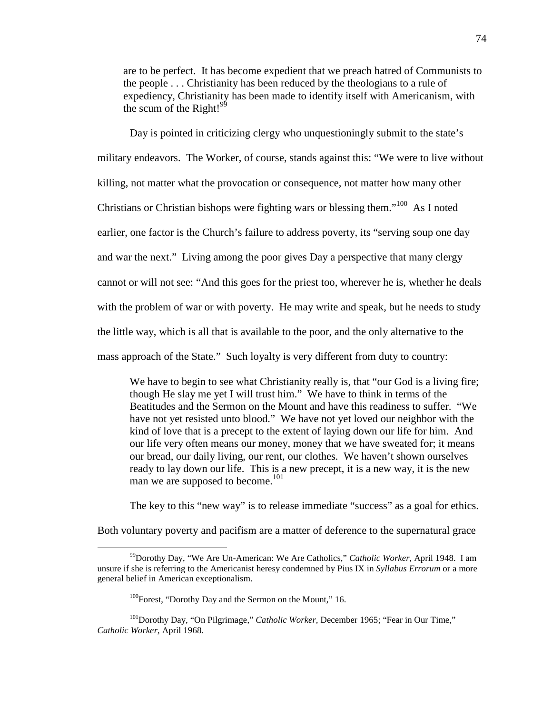are to be perfect. It has become expedient that we preach hatred of Communists to the people . . . Christianity has been reduced by the theologians to a rule of expediency, Christianity has been made to identify itself with Americanism, with the scum of the Right! $99$ 

Day is pointed in criticizing clergy who unquestioningly submit to the state's military endeavors. The Worker, of course, stands against this: "We were to live without killing, not matter what the provocation or consequence, not matter how many other Christians or Christian bishops were fighting wars or blessing them."<sup>100</sup> As I noted earlier, one factor is the Church's failure to address poverty, its "serving soup one day and war the next." Living among the poor gives Day a perspective that many clergy cannot or will not see: "And this goes for the priest too, wherever he is, whether he deals with the problem of war or with poverty. He may write and speak, but he needs to study the little way, which is all that is available to the poor, and the only alternative to the mass approach of the State." Such loyalty is very different from duty to country:

We have to begin to see what Christianity really is, that "our God is a living fire; though He slay me yet I will trust him." We have to think in terms of the Beatitudes and the Sermon on the Mount and have this readiness to suffer. "We have not yet resisted unto blood." We have not yet loved our neighbor with the kind of love that is a precept to the extent of laying down our life for him. And our life very often means our money, money that we have sweated for; it means our bread, our daily living, our rent, our clothes. We haven't shown ourselves ready to lay down our life. This is a new precept, it is a new way, it is the new man we are supposed to become.<sup>101</sup>

The key to this "new way" is to release immediate "success" as a goal for ethics.

Both voluntary poverty and pacifism are a matter of deference to the supernatural grace

<sup>99</sup>Dorothy Day, "We Are Un-American: We Are Catholics," *Catholic Worker,* April 1948. I am unsure if she is referring to the Americanist heresy condemned by Pius IX in *Syllabus Errorum* or a more general belief in American exceptionalism.

<sup>&</sup>lt;sup>100</sup>Forest, "Dorothy Day and the Sermon on the Mount," 16.

<sup>101</sup>Dorothy Day, "On Pilgrimage," *Catholic Worker,* December 1965; "Fear in Our Time," *Catholic Worker,* April 1968.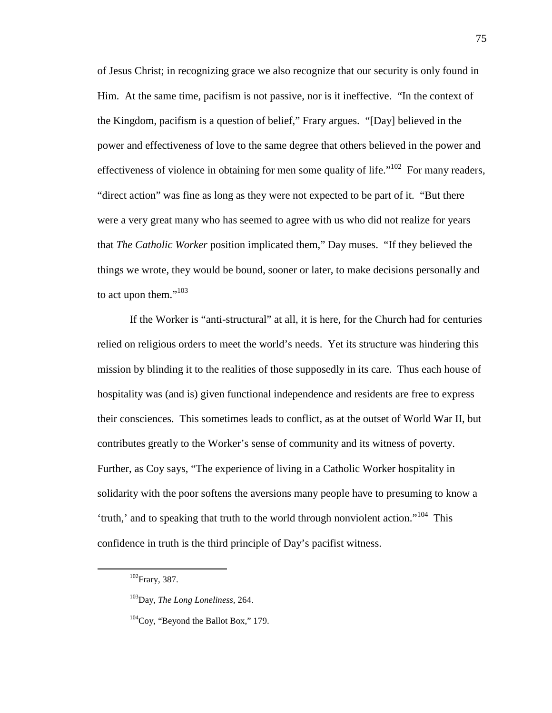of Jesus Christ; in recognizing grace we also recognize that our security is only found in Him. At the same time, pacifism is not passive, nor is it ineffective. "In the context of the Kingdom, pacifism is a question of belief," Frary argues. "[Day] believed in the power and effectiveness of love to the same degree that others believed in the power and effectiveness of violence in obtaining for men some quality of life."<sup>102</sup> For many readers, "direct action" was fine as long as they were not expected to be part of it. "But there were a very great many who has seemed to agree with us who did not realize for years that *The Catholic Worker* position implicated them," Day muses. "If they believed the things we wrote, they would be bound, sooner or later, to make decisions personally and to act upon them."<sup>103</sup>

If the Worker is "anti-structural" at all, it is here, for the Church had for centuries relied on religious orders to meet the world's needs. Yet its structure was hindering this mission by blinding it to the realities of those supposedly in its care. Thus each house of hospitality was (and is) given functional independence and residents are free to express their consciences. This sometimes leads to conflict, as at the outset of World War II, but contributes greatly to the Worker's sense of community and its witness of poverty. Further, as Coy says, "The experience of living in a Catholic Worker hospitality in solidarity with the poor softens the aversions many people have to presuming to know a 'truth,' and to speaking that truth to the world through nonviolent action."<sup>104</sup> This confidence in truth is the third principle of Day's pacifist witness.

<sup>102</sup>Frary, 387.

<sup>103</sup>Day, *The Long Loneliness,* 264.

 $104$ Coy, "Beyond the Ballot Box," 179.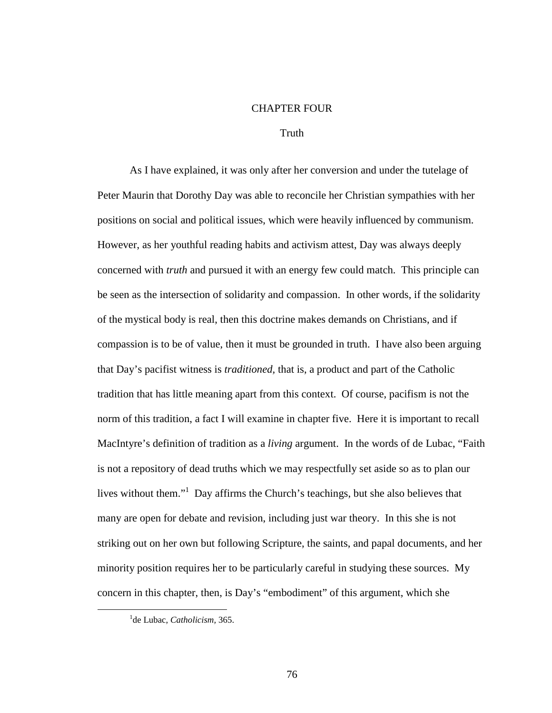# CHAPTER FOUR

## Truth

As I have explained, it was only after her conversion and under the tutelage of Peter Maurin that Dorothy Day was able to reconcile her Christian sympathies with her positions on social and political issues, which were heavily influenced by communism. However, as her youthful reading habits and activism attest, Day was always deeply concerned with *truth* and pursued it with an energy few could match. This principle can be seen as the intersection of solidarity and compassion. In other words, if the solidarity of the mystical body is real, then this doctrine makes demands on Christians, and if compassion is to be of value, then it must be grounded in truth. I have also been arguing that Day's pacifist witness is *traditioned,* that is, a product and part of the Catholic tradition that has little meaning apart from this context. Of course, pacifism is not the norm of this tradition, a fact I will examine in chapter five. Here it is important to recall MacIntyre's definition of tradition as a *living* argument. In the words of de Lubac, "Faith is not a repository of dead truths which we may respectfully set aside so as to plan our lives without them."<sup>1</sup> Day affirms the Church's teachings, but she also believes that many are open for debate and revision, including just war theory. In this she is not striking out on her own but following Scripture, the saints, and papal documents, and her minority position requires her to be particularly careful in studying these sources. My concern in this chapter, then, is Day's "embodiment" of this argument, which she

<sup>&</sup>lt;sup>1</sup>de Lubac, *Catholicism*, 365.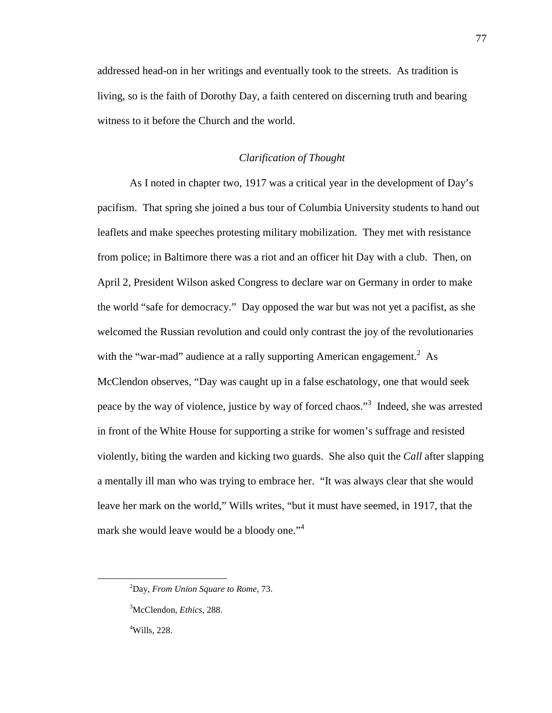addressed head-on in her writings and eventually took to the streets. As tradition is living, so is the faith of Dorothy Day, a faith centered on discerning truth and bearing witness to it before the Church and the world.

## *Clarification of Thought*

As I noted in chapter two, 1917 was a critical year in the development of Day's pacifism. That spring she joined a bus tour of Columbia University students to hand out leaflets and make speeches protesting military mobilization. They met with resistance from police; in Baltimore there was a riot and an officer hit Day with a club. Then, on April 2, President Wilson asked Congress to declare war on Germany in order to make the world "safe for democracy." Day opposed the war but was not yet a pacifist, as she welcomed the Russian revolution and could only contrast the joy of the revolutionaries with the "war-mad" audience at a rally supporting American engagement.<sup>2</sup> As McClendon observes, "Day was caught up in a false eschatology, one that would seek peace by the way of violence, justice by way of forced chaos."<sup>3</sup> Indeed, she was arrested in front of the White House for supporting a strike for women's suffrage and resisted violently, biting the warden and kicking two guards. She also quit the *Call* after slapping a mentally ill man who was trying to embrace her. "It was always clear that she would leave her mark on the world," Wills writes, "but it must have seemed, in 1917, that the mark she would leave would be a bloody one."<sup>4</sup>

-

<sup>2</sup>Day, *From Union Square to Rome,* 73.

<sup>3</sup>McClendon, *Ethics,* 288. <sup>4</sup>Wills, 228.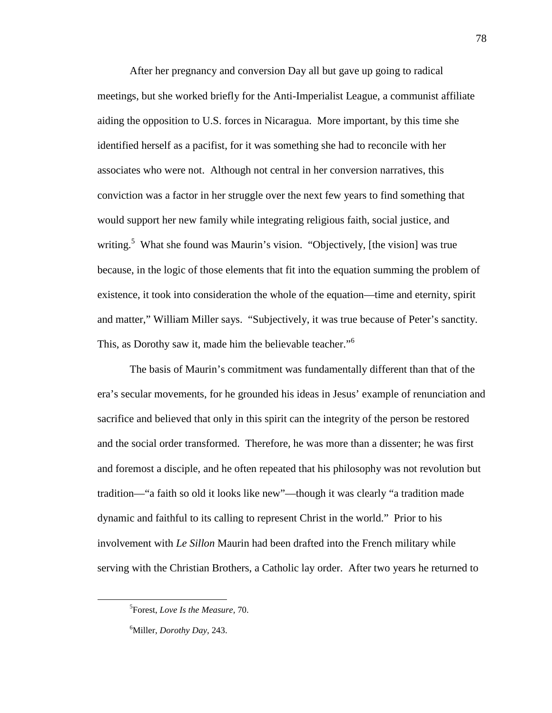After her pregnancy and conversion Day all but gave up going to radical meetings, but she worked briefly for the Anti-Imperialist League, a communist affiliate aiding the opposition to U.S. forces in Nicaragua. More important, by this time she identified herself as a pacifist, for it was something she had to reconcile with her associates who were not. Although not central in her conversion narratives, this conviction was a factor in her struggle over the next few years to find something that would support her new family while integrating religious faith, social justice, and writing.<sup>5</sup> What she found was Maurin's vision. "Objectively, [the vision] was true because, in the logic of those elements that fit into the equation summing the problem of existence, it took into consideration the whole of the equation—time and eternity, spirit and matter," William Miller says. "Subjectively, it was true because of Peter's sanctity. This, as Dorothy saw it, made him the believable teacher."<sup>6</sup>

The basis of Maurin's commitment was fundamentally different than that of the era's secular movements, for he grounded his ideas in Jesus' example of renunciation and sacrifice and believed that only in this spirit can the integrity of the person be restored and the social order transformed. Therefore, he was more than a dissenter; he was first and foremost a disciple, and he often repeated that his philosophy was not revolution but tradition—"a faith so old it looks like new"—though it was clearly "a tradition made dynamic and faithful to its calling to represent Christ in the world." Prior to his involvement with *Le Sillon* Maurin had been drafted into the French military while serving with the Christian Brothers, a Catholic lay order. After two years he returned to

<sup>5</sup> Forest, *Love Is the Measure,* 70.

<sup>6</sup>Miller, *Dorothy Day,* 243.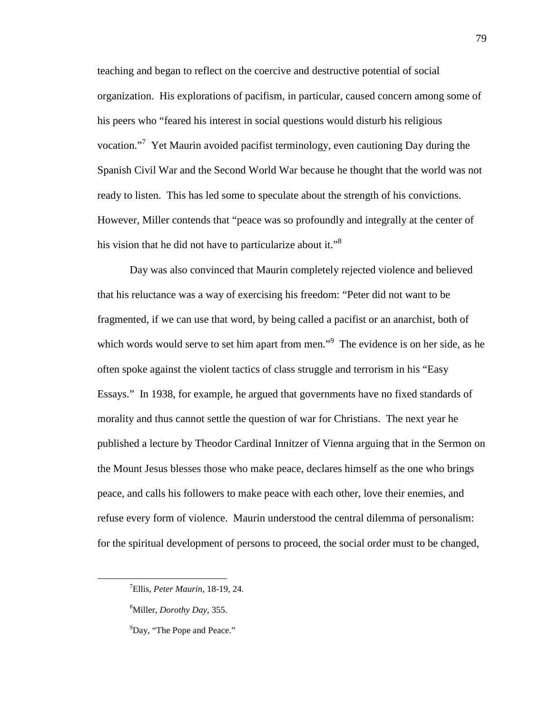teaching and began to reflect on the coercive and destructive potential of social organization. His explorations of pacifism, in particular, caused concern among some of his peers who "feared his interest in social questions would disturb his religious vocation."<sup>7</sup> Yet Maurin avoided pacifist terminology, even cautioning Day during the Spanish Civil War and the Second World War because he thought that the world was not ready to listen. This has led some to speculate about the strength of his convictions. However, Miller contends that "peace was so profoundly and integrally at the center of his vision that he did not have to particularize about it."<sup>8</sup>

Day was also convinced that Maurin completely rejected violence and believed that his reluctance was a way of exercising his freedom: "Peter did not want to be fragmented, if we can use that word, by being called a pacifist or an anarchist, both of which words would serve to set him apart from men."<sup>9</sup> The evidence is on her side, as he often spoke against the violent tactics of class struggle and terrorism in his "Easy Essays." In 1938, for example, he argued that governments have no fixed standards of morality and thus cannot settle the question of war for Christians. The next year he published a lecture by Theodor Cardinal Innitzer of Vienna arguing that in the Sermon on the Mount Jesus blesses those who make peace, declares himself as the one who brings peace, and calls his followers to make peace with each other, love their enemies, and refuse every form of violence. Maurin understood the central dilemma of personalism: for the spiritual development of persons to proceed, the social order must to be changed,

-

<sup>7</sup>Ellis, *Peter Maurin,* 18-19, 24.

<sup>8</sup>Miller, *Dorothy Day,* 355.

<sup>&</sup>lt;sup>9</sup>Day, "The Pope and Peace."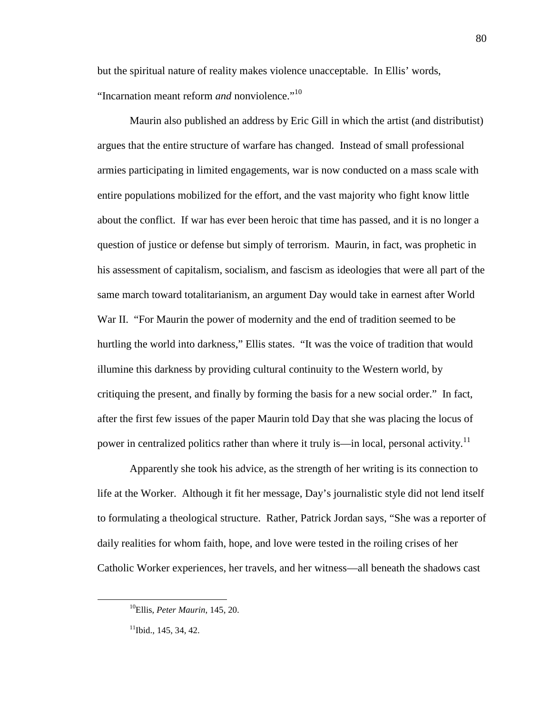but the spiritual nature of reality makes violence unacceptable. In Ellis' words, "Incarnation meant reform *and* nonviolence."<sup>10</sup>

Maurin also published an address by Eric Gill in which the artist (and distributist) argues that the entire structure of warfare has changed. Instead of small professional armies participating in limited engagements, war is now conducted on a mass scale with entire populations mobilized for the effort, and the vast majority who fight know little about the conflict. If war has ever been heroic that time has passed, and it is no longer a question of justice or defense but simply of terrorism. Maurin, in fact, was prophetic in his assessment of capitalism, socialism, and fascism as ideologies that were all part of the same march toward totalitarianism, an argument Day would take in earnest after World War II. "For Maurin the power of modernity and the end of tradition seemed to be hurtling the world into darkness," Ellis states. "It was the voice of tradition that would illumine this darkness by providing cultural continuity to the Western world, by critiquing the present, and finally by forming the basis for a new social order." In fact, after the first few issues of the paper Maurin told Day that she was placing the locus of power in centralized politics rather than where it truly is—in local, personal activity.<sup>11</sup>

Apparently she took his advice, as the strength of her writing is its connection to life at the Worker. Although it fit her message, Day's journalistic style did not lend itself to formulating a theological structure. Rather, Patrick Jordan says, "She was a reporter of daily realities for whom faith, hope, and love were tested in the roiling crises of her Catholic Worker experiences, her travels, and her witness—all beneath the shadows cast

<sup>10</sup>Ellis, *Peter Maurin*, 145, 20.

 $11$ Ibid., 145, 34, 42.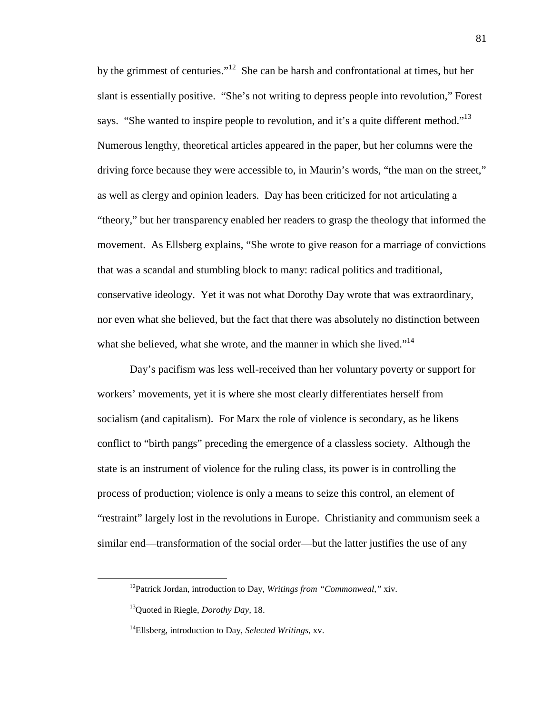by the grimmest of centuries."<sup>12</sup> She can be harsh and confrontational at times, but her slant is essentially positive. "She's not writing to depress people into revolution," Forest says. "She wanted to inspire people to revolution, and it's a quite different method."<sup>13</sup> Numerous lengthy, theoretical articles appeared in the paper, but her columns were the driving force because they were accessible to, in Maurin's words, "the man on the street," as well as clergy and opinion leaders. Day has been criticized for not articulating a "theory," but her transparency enabled her readers to grasp the theology that informed the movement. As Ellsberg explains, "She wrote to give reason for a marriage of convictions that was a scandal and stumbling block to many: radical politics and traditional, conservative ideology. Yet it was not what Dorothy Day wrote that was extraordinary, nor even what she believed, but the fact that there was absolutely no distinction between what she believed, what she wrote, and the manner in which she lived."<sup>14</sup>

Day's pacifism was less well-received than her voluntary poverty or support for workers' movements, yet it is where she most clearly differentiates herself from socialism (and capitalism). For Marx the role of violence is secondary, as he likens conflict to "birth pangs" preceding the emergence of a classless society. Although the state is an instrument of violence for the ruling class, its power is in controlling the process of production; violence is only a means to seize this control, an element of "restraint" largely lost in the revolutions in Europe. Christianity and communism seek a similar end—transformation of the social order—but the latter justifies the use of any

l

<sup>12</sup>Patrick Jordan, introduction to Day, *Writings from "Commonweal,"* xiv.

<sup>13</sup>Quoted in Riegle, *Dorothy Day,* 18.

<sup>14</sup>Ellsberg, introduction to Day, *Selected Writings,* xv.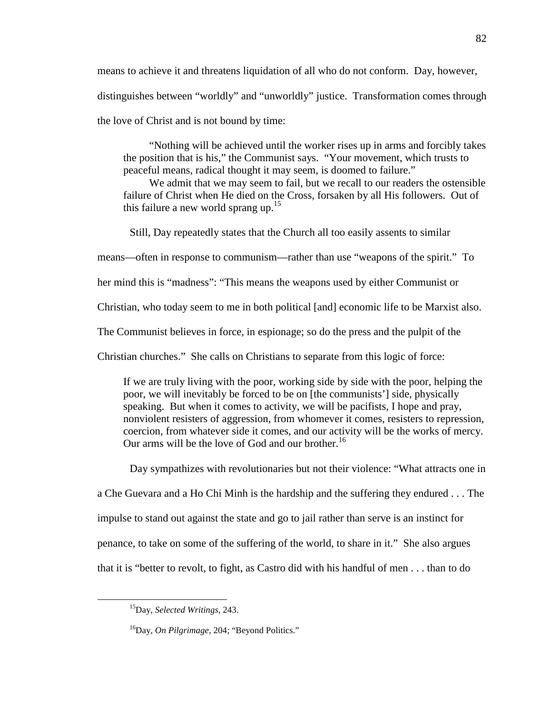means to achieve it and threatens liquidation of all who do not conform. Day, however, distinguishes between "worldly" and "unworldly" justice. Transformation comes through the love of Christ and is not bound by time:

"Nothing will be achieved until the worker rises up in arms and forcibly takes the position that is his," the Communist says. "Your movement, which trusts to peaceful means, radical thought it may seem, is doomed to failure."

We admit that we may seem to fail, but we recall to our readers the ostensible failure of Christ when He died on the Cross, forsaken by all His followers. Out of this failure a new world sprang up. $15$ 

Still, Day repeatedly states that the Church all too easily assents to similar

means—often in response to communism—rather than use "weapons of the spirit." To

her mind this is "madness": "This means the weapons used by either Communist or

Christian, who today seem to me in both political [and] economic life to be Marxist also.

The Communist believes in force, in espionage; so do the press and the pulpit of the

Christian churches." She calls on Christians to separate from this logic of force:

If we are truly living with the poor, working side by side with the poor, helping the poor, we will inevitably be forced to be on [the communists'] side, physically speaking. But when it comes to activity, we will be pacifists, I hope and pray, nonviolent resisters of aggression, from whomever it comes, resisters to repression, coercion, from whatever side it comes, and our activity will be the works of mercy. Our arms will be the love of God and our brother.<sup>16</sup>

Day sympathizes with revolutionaries but not their violence: "What attracts one in

a Che Guevara and a Ho Chi Minh is the hardship and the suffering they endured . . . The

impulse to stand out against the state and go to jail rather than serve is an instinct for

penance, to take on some of the suffering of the world, to share in it." She also argues

that it is "better to revolt, to fight, as Castro did with his handful of men . . . than to do

<sup>15</sup>Day, *Selected Writings,* 243.

<sup>16</sup>Day, *On Pilgrimage,* 204; "Beyond Politics."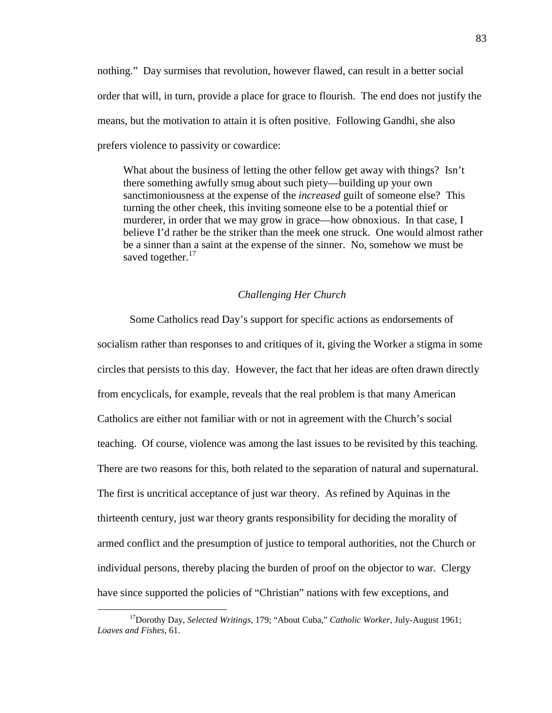nothing." Day surmises that revolution, however flawed, can result in a better social order that will, in turn, provide a place for grace to flourish. The end does not justify the means, but the motivation to attain it is often positive. Following Gandhi, she also prefers violence to passivity or cowardice:

What about the business of letting the other fellow get away with things? Isn't there something awfully smug about such piety—building up your own sanctimoniousness at the expense of the *increased* guilt of someone else? This turning the other cheek, this inviting someone else to be a potential thief or murderer, in order that we may grow in grace—how obnoxious. In that case, I believe I'd rather be the striker than the meek one struck. One would almost rather be a sinner than a saint at the expense of the sinner. No, somehow we must be saved together. $17$ 

#### *Challenging Her Church*

Some Catholics read Day's support for specific actions as endorsements of socialism rather than responses to and critiques of it, giving the Worker a stigma in some circles that persists to this day. However, the fact that her ideas are often drawn directly from encyclicals, for example, reveals that the real problem is that many American Catholics are either not familiar with or not in agreement with the Church's social teaching. Of course, violence was among the last issues to be revisited by this teaching. There are two reasons for this, both related to the separation of natural and supernatural. The first is uncritical acceptance of just war theory. As refined by Aquinas in the thirteenth century, just war theory grants responsibility for deciding the morality of armed conflict and the presumption of justice to temporal authorities, not the Church or individual persons, thereby placing the burden of proof on the objector to war. Clergy have since supported the policies of "Christian" nations with few exceptions, and

<sup>17</sup>Dorothy Day, *Selected Writings,* 179; "About Cuba," *Catholic Worker,* July-August 1961; *Loaves and Fishes,* 61.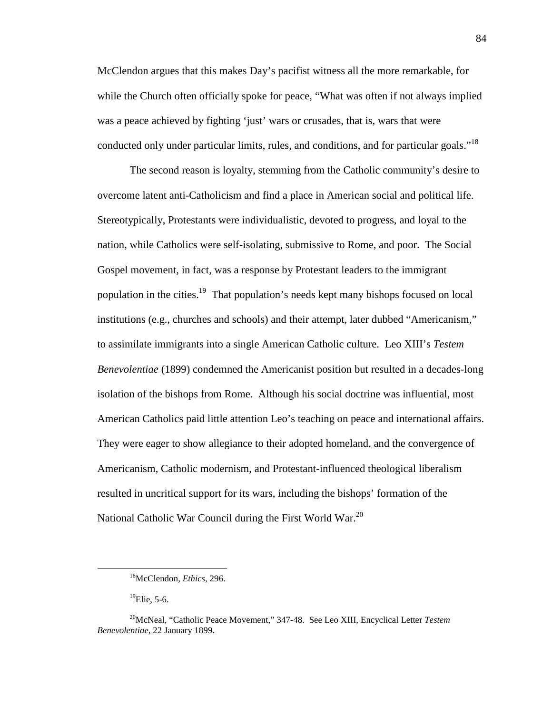McClendon argues that this makes Day's pacifist witness all the more remarkable, for while the Church often officially spoke for peace, "What was often if not always implied was a peace achieved by fighting 'just' wars or crusades, that is, wars that were conducted only under particular limits, rules, and conditions, and for particular goals."<sup>18</sup>

The second reason is loyalty, stemming from the Catholic community's desire to overcome latent anti-Catholicism and find a place in American social and political life. Stereotypically, Protestants were individualistic, devoted to progress, and loyal to the nation, while Catholics were self-isolating, submissive to Rome, and poor. The Social Gospel movement, in fact, was a response by Protestant leaders to the immigrant population in the cities.<sup>19</sup> That population's needs kept many bishops focused on local institutions (e.g., churches and schools) and their attempt, later dubbed "Americanism," to assimilate immigrants into a single American Catholic culture. Leo XIII's *Testem Benevolentiae* (1899) condemned the Americanist position but resulted in a decades-long isolation of the bishops from Rome. Although his social doctrine was influential, most American Catholics paid little attention Leo's teaching on peace and international affairs. They were eager to show allegiance to their adopted homeland, and the convergence of Americanism, Catholic modernism, and Protestant-influenced theological liberalism resulted in uncritical support for its wars, including the bishops' formation of the National Catholic War Council during the First World War.<sup>20</sup>

 $^{19}$ Elie, 5-6.

<sup>18</sup>McClendon, *Ethics,* 296.

<sup>20</sup>McNeal, "Catholic Peace Movement," 347-48. See Leo XIII, Encyclical Letter *Testem Benevolentiae,* 22 January 1899.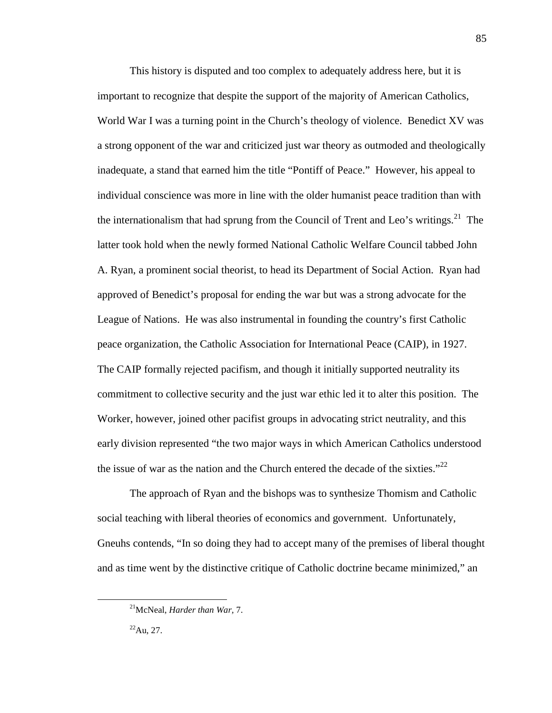This history is disputed and too complex to adequately address here, but it is important to recognize that despite the support of the majority of American Catholics, World War I was a turning point in the Church's theology of violence. Benedict XV was a strong opponent of the war and criticized just war theory as outmoded and theologically inadequate, a stand that earned him the title "Pontiff of Peace." However, his appeal to individual conscience was more in line with the older humanist peace tradition than with the internationalism that had sprung from the Council of Trent and Leo's writings.<sup>21</sup> The latter took hold when the newly formed National Catholic Welfare Council tabbed John A. Ryan, a prominent social theorist, to head its Department of Social Action. Ryan had approved of Benedict's proposal for ending the war but was a strong advocate for the League of Nations. He was also instrumental in founding the country's first Catholic peace organization, the Catholic Association for International Peace (CAIP), in 1927. The CAIP formally rejected pacifism, and though it initially supported neutrality its commitment to collective security and the just war ethic led it to alter this position. The Worker, however, joined other pacifist groups in advocating strict neutrality, and this early division represented "the two major ways in which American Catholics understood the issue of war as the nation and the Church entered the decade of the sixties."<sup>22</sup>

The approach of Ryan and the bishops was to synthesize Thomism and Catholic social teaching with liberal theories of economics and government. Unfortunately, Gneuhs contends, "In so doing they had to accept many of the premises of liberal thought and as time went by the distinctive critique of Catholic doctrine became minimized," an

<sup>21</sup>McNeal, *Harder than War,* 7.

 $^{22}$ Au, 27.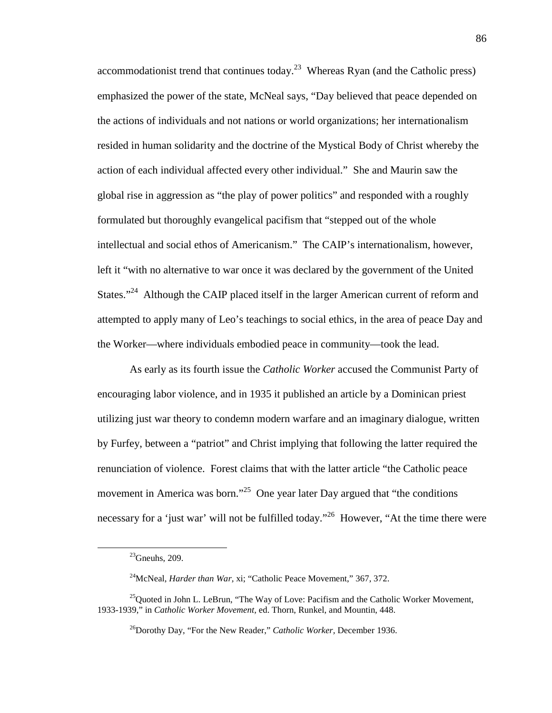accommodationist trend that continues today.<sup>23</sup> Whereas Ryan (and the Catholic press) emphasized the power of the state, McNeal says, "Day believed that peace depended on the actions of individuals and not nations or world organizations; her internationalism resided in human solidarity and the doctrine of the Mystical Body of Christ whereby the action of each individual affected every other individual." She and Maurin saw the global rise in aggression as "the play of power politics" and responded with a roughly formulated but thoroughly evangelical pacifism that "stepped out of the whole intellectual and social ethos of Americanism." The CAIP's internationalism, however, left it "with no alternative to war once it was declared by the government of the United States."<sup>24</sup> Although the CAIP placed itself in the larger American current of reform and attempted to apply many of Leo's teachings to social ethics, in the area of peace Day and the Worker—where individuals embodied peace in community—took the lead.

As early as its fourth issue the *Catholic Worker* accused the Communist Party of encouraging labor violence, and in 1935 it published an article by a Dominican priest utilizing just war theory to condemn modern warfare and an imaginary dialogue, written by Furfey, between a "patriot" and Christ implying that following the latter required the renunciation of violence. Forest claims that with the latter article "the Catholic peace movement in America was born."<sup>25</sup> One year later Day argued that "the conditions" necessary for a 'just war' will not be fulfilled today."<sup>26</sup> However, "At the time there were

 $^{23}$ Gneuhs, 209.

<sup>&</sup>lt;sup>24</sup>McNeal, *Harder than War*, xi; "Catholic Peace Movement," 367, 372.

 $^{25}$ Quoted in John L. LeBrun, "The Way of Love: Pacifism and the Catholic Worker Movement, 1933-1939," in *Catholic Worker Movement,* ed. Thorn, Runkel, and Mountin, 448.

<sup>26</sup>Dorothy Day, "For the New Reader," *Catholic Worker,* December 1936.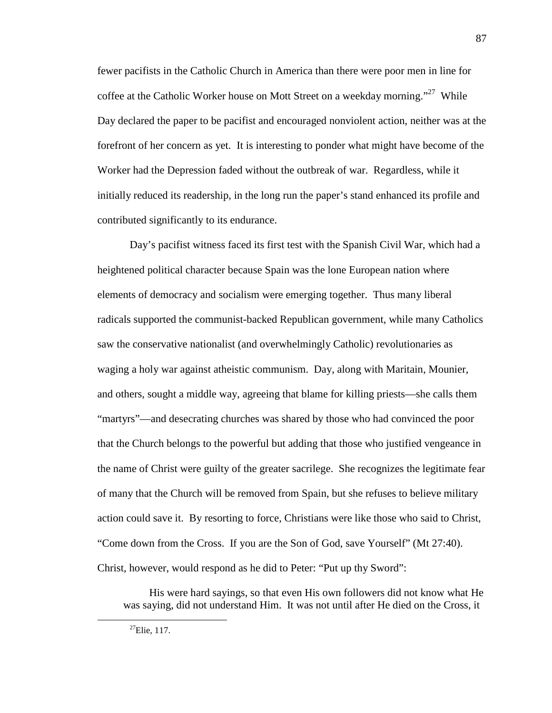fewer pacifists in the Catholic Church in America than there were poor men in line for coffee at the Catholic Worker house on Mott Street on a weekday morning."<sup>27</sup> While Day declared the paper to be pacifist and encouraged nonviolent action, neither was at the forefront of her concern as yet. It is interesting to ponder what might have become of the Worker had the Depression faded without the outbreak of war. Regardless, while it initially reduced its readership, in the long run the paper's stand enhanced its profile and contributed significantly to its endurance.

Day's pacifist witness faced its first test with the Spanish Civil War, which had a heightened political character because Spain was the lone European nation where elements of democracy and socialism were emerging together. Thus many liberal radicals supported the communist-backed Republican government, while many Catholics saw the conservative nationalist (and overwhelmingly Catholic) revolutionaries as waging a holy war against atheistic communism. Day, along with Maritain, Mounier, and others, sought a middle way, agreeing that blame for killing priests—she calls them "martyrs"—and desecrating churches was shared by those who had convinced the poor that the Church belongs to the powerful but adding that those who justified vengeance in the name of Christ were guilty of the greater sacrilege. She recognizes the legitimate fear of many that the Church will be removed from Spain, but she refuses to believe military action could save it. By resorting to force, Christians were like those who said to Christ, "Come down from the Cross. If you are the Son of God, save Yourself" (Mt 27:40). Christ, however, would respond as he did to Peter: "Put up thy Sword":

His were hard sayings, so that even His own followers did not know what He was saying, did not understand Him. It was not until after He died on the Cross, it

 $^{27}$ Elie, 117.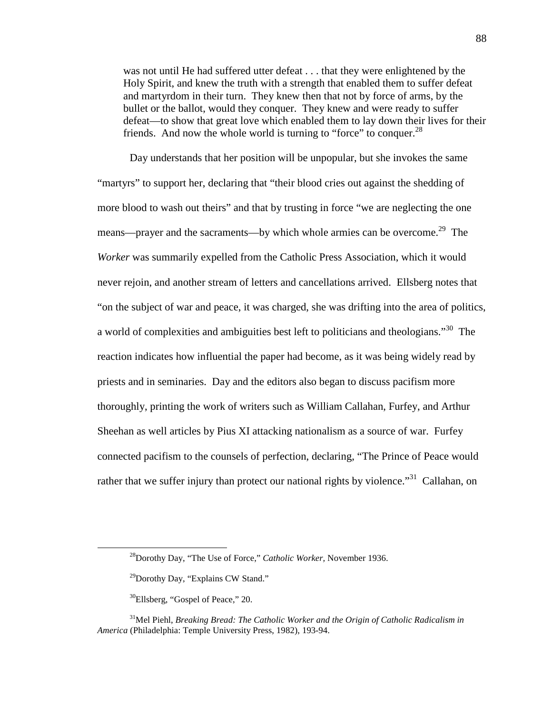was not until He had suffered utter defeat . . . that they were enlightened by the Holy Spirit, and knew the truth with a strength that enabled them to suffer defeat and martyrdom in their turn. They knew then that not by force of arms, by the bullet or the ballot, would they conquer. They knew and were ready to suffer defeat—to show that great love which enabled them to lay down their lives for their friends. And now the whole world is turning to "force" to conquer.<sup>28</sup>

Day understands that her position will be unpopular, but she invokes the same "martyrs" to support her, declaring that "their blood cries out against the shedding of more blood to wash out theirs" and that by trusting in force "we are neglecting the one means—prayer and the sacraments—by which whole armies can be overcome.<sup>29</sup> The *Worker* was summarily expelled from the Catholic Press Association, which it would never rejoin, and another stream of letters and cancellations arrived. Ellsberg notes that "on the subject of war and peace, it was charged, she was drifting into the area of politics, a world of complexities and ambiguities best left to politicians and theologians."<sup>30</sup> The reaction indicates how influential the paper had become, as it was being widely read by priests and in seminaries. Day and the editors also began to discuss pacifism more thoroughly, printing the work of writers such as William Callahan, Furfey, and Arthur Sheehan as well articles by Pius XI attacking nationalism as a source of war. Furfey connected pacifism to the counsels of perfection, declaring, "The Prince of Peace would rather that we suffer injury than protect our national rights by violence.<sup> $31$ </sup> Callahan, on

<sup>28</sup>Dorothy Day, "The Use of Force," *Catholic Worker,* November 1936.

<sup>&</sup>lt;sup>29</sup>Dorothy Day, "Explains CW Stand."

<sup>&</sup>lt;sup>30</sup>Ellsberg, "Gospel of Peace," 20.

<sup>&</sup>lt;sup>31</sup>Mel Piehl, *Breaking Bread: The Catholic Worker and the Origin of Catholic Radicalism in America* (Philadelphia: Temple University Press, 1982), 193-94.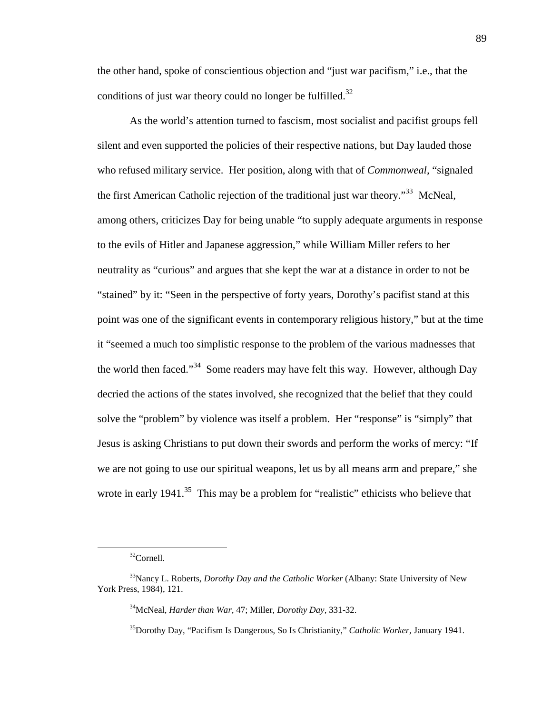the other hand, spoke of conscientious objection and "just war pacifism," i.e., that the conditions of just war theory could no longer be fulfilled.<sup>32</sup>

As the world's attention turned to fascism, most socialist and pacifist groups fell silent and even supported the policies of their respective nations, but Day lauded those who refused military service. Her position, along with that of *Commonweal,* "signaled the first American Catholic rejection of the traditional just war theory.<sup>33</sup> McNeal, among others, criticizes Day for being unable "to supply adequate arguments in response to the evils of Hitler and Japanese aggression," while William Miller refers to her neutrality as "curious" and argues that she kept the war at a distance in order to not be "stained" by it: "Seen in the perspective of forty years, Dorothy's pacifist stand at this point was one of the significant events in contemporary religious history," but at the time it "seemed a much too simplistic response to the problem of the various madnesses that the world then faced."<sup>34</sup> Some readers may have felt this way. However, although Day decried the actions of the states involved, she recognized that the belief that they could solve the "problem" by violence was itself a problem. Her "response" is "simply" that Jesus is asking Christians to put down their swords and perform the works of mercy: "If we are not going to use our spiritual weapons, let us by all means arm and prepare," she wrote in early  $1941$ <sup>35</sup>. This may be a problem for "realistic" ethicists who believe that

<sup>32</sup>Cornell.

<sup>&</sup>lt;sup>33</sup>Nancy L. Roberts, *Dorothy Day and the Catholic Worker* (Albany: State University of New York Press, 1984), 121.

<sup>34</sup>McNeal, *Harder than War,* 47; Miller, *Dorothy Day,* 331-32.

<sup>35</sup>Dorothy Day, "Pacifism Is Dangerous, So Is Christianity," *Catholic Worker,* January 1941.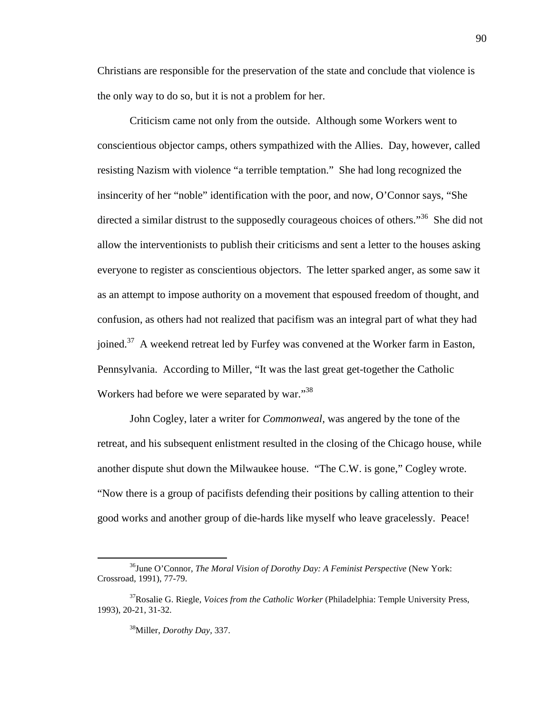Christians are responsible for the preservation of the state and conclude that violence is the only way to do so, but it is not a problem for her.

Criticism came not only from the outside. Although some Workers went to conscientious objector camps, others sympathized with the Allies. Day, however, called resisting Nazism with violence "a terrible temptation." She had long recognized the insincerity of her "noble" identification with the poor, and now, O'Connor says, "She directed a similar distrust to the supposedly courageous choices of others.<sup>36</sup> She did not allow the interventionists to publish their criticisms and sent a letter to the houses asking everyone to register as conscientious objectors. The letter sparked anger, as some saw it as an attempt to impose authority on a movement that espoused freedom of thought, and confusion, as others had not realized that pacifism was an integral part of what they had joined.<sup>37</sup> A weekend retreat led by Furfey was convened at the Worker farm in Easton, Pennsylvania. According to Miller, "It was the last great get-together the Catholic Workers had before we were separated by war."<sup>38</sup>

John Cogley, later a writer for *Commonweal,* was angered by the tone of the retreat, and his subsequent enlistment resulted in the closing of the Chicago house, while another dispute shut down the Milwaukee house. "The C.W. is gone," Cogley wrote. "Now there is a group of pacifists defending their positions by calling attention to their good works and another group of die-hards like myself who leave gracelessly. Peace!

<sup>36</sup>June O'Connor, *The Moral Vision of Dorothy Day: A Feminist Perspective* (New York: Crossroad, 1991), 77-79.

<sup>37</sup>Rosalie G. Riegle, *Voices from the Catholic Worker* (Philadelphia: Temple University Press, 1993), 20-21, 31-32.

<sup>38</sup>Miller, *Dorothy Day,* 337.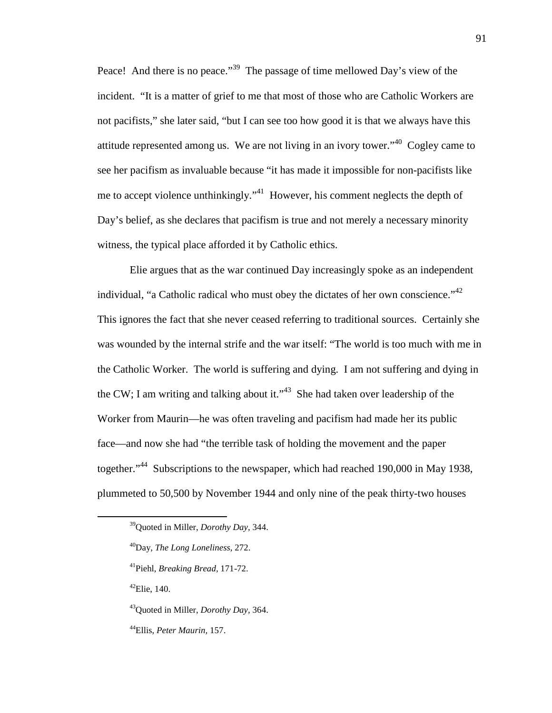Peace! And there is no peace."<sup>39</sup> The passage of time mellowed Day's view of the incident. "It is a matter of grief to me that most of those who are Catholic Workers are not pacifists," she later said, "but I can see too how good it is that we always have this attitude represented among us. We are not living in an ivory tower."<sup>40</sup> Cogley came to see her pacifism as invaluable because "it has made it impossible for non-pacifists like me to accept violence unthinkingly."<sup>41</sup> However, his comment neglects the depth of Day's belief, as she declares that pacifism is true and not merely a necessary minority witness, the typical place afforded it by Catholic ethics.

Elie argues that as the war continued Day increasingly spoke as an independent individual, "a Catholic radical who must obey the dictates of her own conscience."  $42$ This ignores the fact that she never ceased referring to traditional sources. Certainly she was wounded by the internal strife and the war itself: "The world is too much with me in the Catholic Worker. The world is suffering and dying. I am not suffering and dying in the CW; I am writing and talking about it."<sup>43</sup> She had taken over leadership of the Worker from Maurin—he was often traveling and pacifism had made her its public face—and now she had "the terrible task of holding the movement and the paper together."<sup>44</sup> Subscriptions to the newspaper, which had reached 190,000 in May 1938, plummeted to 50,500 by November 1944 and only nine of the peak thirty-two houses

 $42$ Elie, 140.

-

<sup>43</sup>Quoted in Miller, *Dorothy Day,* 364.

<sup>44</sup>Ellis, *Peter Maurin,* 157.

<sup>39</sup>Quoted in Miller, *Dorothy Day,* 344.

<sup>40</sup>Day, *The Long Loneliness,* 272.

<sup>41</sup>Piehl, *Breaking Bread,* 171-72.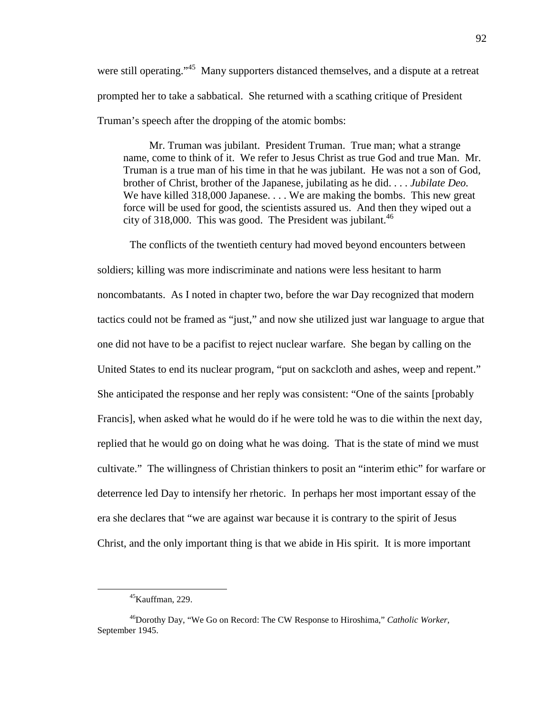were still operating."<sup>45</sup> Many supporters distanced themselves, and a dispute at a retreat prompted her to take a sabbatical. She returned with a scathing critique of President Truman's speech after the dropping of the atomic bombs:

Mr. Truman was jubilant. President Truman. True man; what a strange name, come to think of it. We refer to Jesus Christ as true God and true Man. Mr. Truman is a true man of his time in that he was jubilant. He was not a son of God, brother of Christ, brother of the Japanese, jubilating as he did. . . . *Jubilate Deo.* We have killed 318,000 Japanese.... We are making the bombs. This new great force will be used for good, the scientists assured us. And then they wiped out a city of 318,000. This was good. The President was jubilant.<sup>46</sup>

The conflicts of the twentieth century had moved beyond encounters between soldiers; killing was more indiscriminate and nations were less hesitant to harm noncombatants. As I noted in chapter two, before the war Day recognized that modern tactics could not be framed as "just," and now she utilized just war language to argue that one did not have to be a pacifist to reject nuclear warfare. She began by calling on the United States to end its nuclear program, "put on sackcloth and ashes, weep and repent." She anticipated the response and her reply was consistent: "One of the saints [probably Francis], when asked what he would do if he were told he was to die within the next day, replied that he would go on doing what he was doing. That is the state of mind we must cultivate." The willingness of Christian thinkers to posit an "interim ethic" for warfare or deterrence led Day to intensify her rhetoric. In perhaps her most important essay of the era she declares that "we are against war because it is contrary to the spirit of Jesus Christ, and the only important thing is that we abide in His spirit. It is more important

 $45$ Kauffman, 229.

<sup>46</sup>Dorothy Day, "We Go on Record: The CW Response to Hiroshima," *Catholic Worker,* September 1945.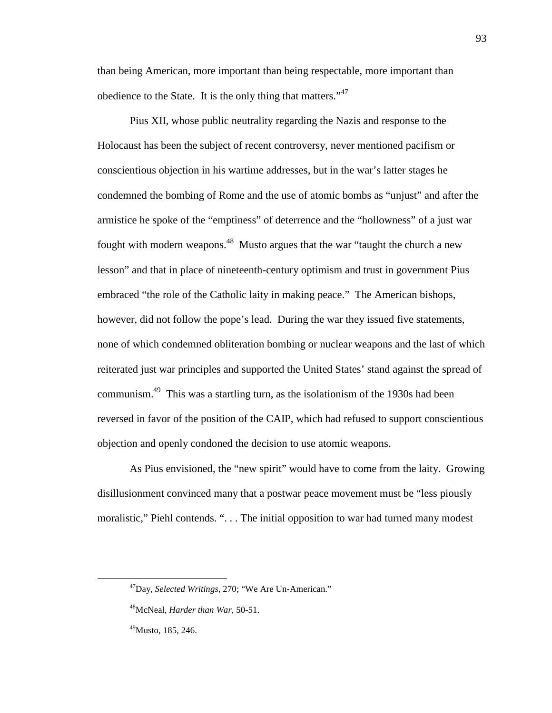than being American, more important than being respectable, more important than obedience to the State. It is the only thing that matters."<sup>47</sup>

Pius XII, whose public neutrality regarding the Nazis and response to the Holocaust has been the subject of recent controversy, never mentioned pacifism or conscientious objection in his wartime addresses, but in the war's latter stages he condemned the bombing of Rome and the use of atomic bombs as "unjust" and after the armistice he spoke of the "emptiness" of deterrence and the "hollowness" of a just war fought with modern weapons.<sup>48</sup> Musto argues that the war "taught the church a new lesson" and that in place of nineteenth-century optimism and trust in government Pius embraced "the role of the Catholic laity in making peace." The American bishops, however, did not follow the pope's lead. During the war they issued five statements, none of which condemned obliteration bombing or nuclear weapons and the last of which reiterated just war principles and supported the United States' stand against the spread of communism.<sup>49</sup> This was a startling turn, as the isolationism of the 1930s had been reversed in favor of the position of the CAIP, which had refused to support conscientious objection and openly condoned the decision to use atomic weapons.

As Pius envisioned, the "new spirit" would have to come from the laity. Growing disillusionment convinced many that a postwar peace movement must be "less piously moralistic," Piehl contends. ". . . The initial opposition to war had turned many modest

-

<sup>47</sup>Day, *Selected Writings,* 270; "We Are Un-American."

<sup>48</sup>McNeal, *Harder than War,* 50-51.

<sup>49</sup>Musto, 185, 246.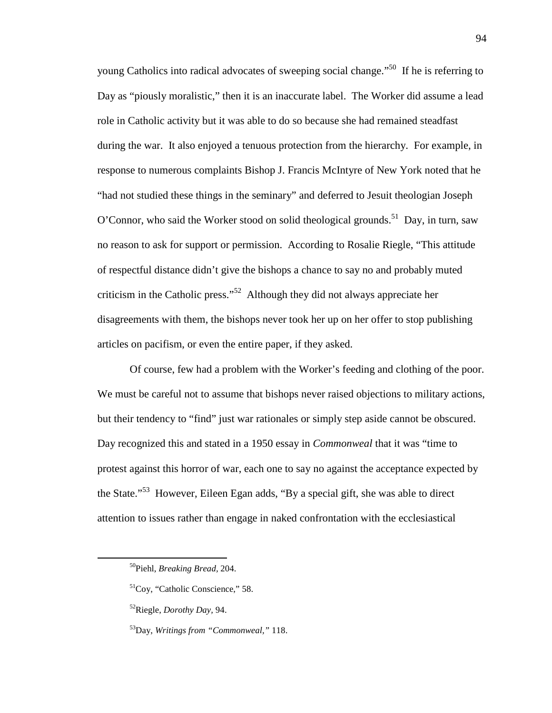young Catholics into radical advocates of sweeping social change."<sup>50</sup> If he is referring to Day as "piously moralistic," then it is an inaccurate label. The Worker did assume a lead role in Catholic activity but it was able to do so because she had remained steadfast during the war. It also enjoyed a tenuous protection from the hierarchy. For example, in response to numerous complaints Bishop J. Francis McIntyre of New York noted that he "had not studied these things in the seminary" and deferred to Jesuit theologian Joseph O'Connor, who said the Worker stood on solid theological grounds.<sup>51</sup> Day, in turn, saw no reason to ask for support or permission. According to Rosalie Riegle, "This attitude of respectful distance didn't give the bishops a chance to say no and probably muted criticism in the Catholic press."<sup>52</sup> Although they did not always appreciate her disagreements with them, the bishops never took her up on her offer to stop publishing articles on pacifism, or even the entire paper, if they asked.

Of course, few had a problem with the Worker's feeding and clothing of the poor. We must be careful not to assume that bishops never raised objections to military actions, but their tendency to "find" just war rationales or simply step aside cannot be obscured. Day recognized this and stated in a 1950 essay in *Commonweal* that it was "time to protest against this horror of war, each one to say no against the acceptance expected by the State."<sup>53</sup> However, Eileen Egan adds, "By a special gift, she was able to direct attention to issues rather than engage in naked confrontation with the ecclesiastical

<sup>50</sup>Piehl, *Breaking Bread,* 204.

<sup>51</sup>Coy, "Catholic Conscience," 58.

<sup>52</sup>Riegle, *Dorothy Day,* 94.

<sup>53</sup>Day, *Writings from "Commonweal,"* 118.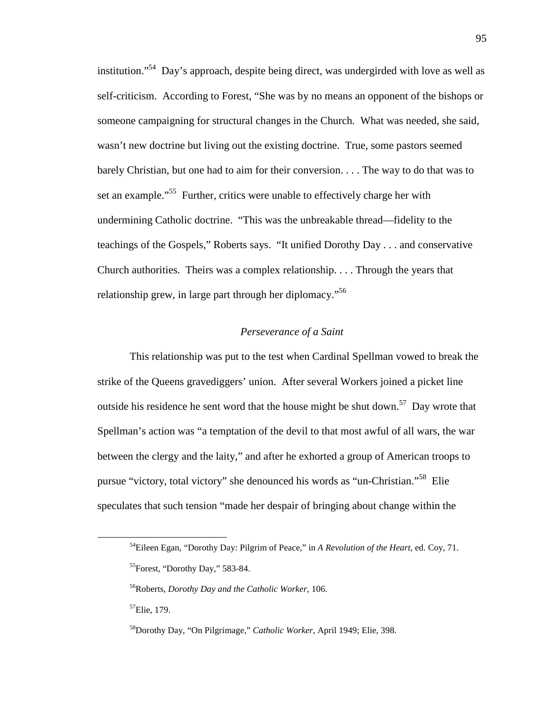institution."<sup>54</sup> Day's approach, despite being direct, was undergirded with love as well as self-criticism. According to Forest, "She was by no means an opponent of the bishops or someone campaigning for structural changes in the Church. What was needed, she said, wasn't new doctrine but living out the existing doctrine. True, some pastors seemed barely Christian, but one had to aim for their conversion. . . . The way to do that was to set an example."<sup>55</sup> Further, critics were unable to effectively charge her with undermining Catholic doctrine. "This was the unbreakable thread—fidelity to the teachings of the Gospels," Roberts says. "It unified Dorothy Day . . . and conservative Church authorities. Theirs was a complex relationship. . . . Through the years that relationship grew, in large part through her diplomacy."<sup>56</sup>

#### *Perseverance of a Saint*

This relationship was put to the test when Cardinal Spellman vowed to break the strike of the Queens gravediggers' union. After several Workers joined a picket line outside his residence he sent word that the house might be shut down.<sup>57</sup> Day wrote that Spellman's action was "a temptation of the devil to that most awful of all wars, the war between the clergy and the laity," and after he exhorted a group of American troops to pursue "victory, total victory" she denounced his words as "un-Christian."<sup>58</sup> Elie speculates that such tension "made her despair of bringing about change within the

<sup>54</sup>Eileen Egan, "Dorothy Day: Pilgrim of Peace," in *A Revolution of the Heart,* ed. Coy, 71. <sup>55</sup>Forest, "Dorothy Day," 583-84.

<sup>56</sup>Roberts, *Dorothy Day and the Catholic Worker,* 106.

<sup>57</sup>Elie, 179.

<sup>58</sup>Dorothy Day, "On Pilgrimage," *Catholic Worker,* April 1949; Elie, 398.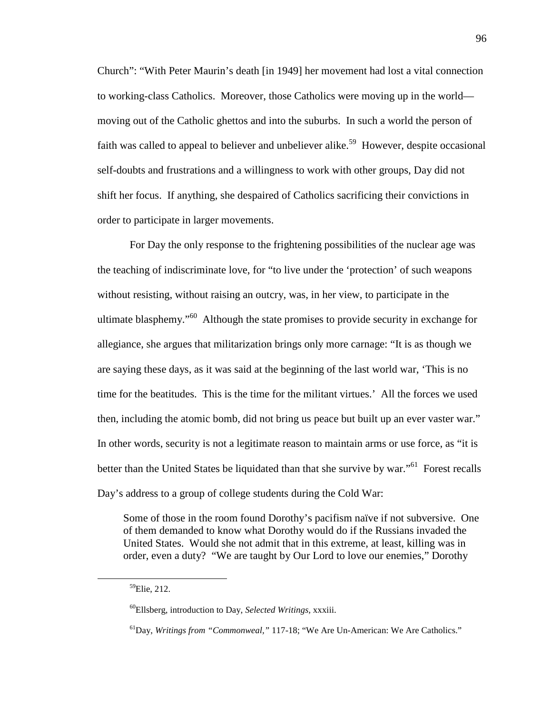Church": "With Peter Maurin's death [in 1949] her movement had lost a vital connection to working-class Catholics. Moreover, those Catholics were moving up in the world moving out of the Catholic ghettos and into the suburbs. In such a world the person of faith was called to appeal to believer and unbeliever alike.<sup>59</sup> However, despite occasional self-doubts and frustrations and a willingness to work with other groups, Day did not shift her focus. If anything, she despaired of Catholics sacrificing their convictions in order to participate in larger movements.

For Day the only response to the frightening possibilities of the nuclear age was the teaching of indiscriminate love, for "to live under the 'protection' of such weapons without resisting, without raising an outcry, was, in her view, to participate in the ultimate blasphemy."<sup>60</sup> Although the state promises to provide security in exchange for allegiance, she argues that militarization brings only more carnage: "It is as though we are saying these days, as it was said at the beginning of the last world war, 'This is no time for the beatitudes. This is the time for the militant virtues.' All the forces we used then, including the atomic bomb, did not bring us peace but built up an ever vaster war." In other words, security is not a legitimate reason to maintain arms or use force, as "it is better than the United States be liquidated than that she survive by war."<sup>61</sup> Forest recalls Day's address to a group of college students during the Cold War:

Some of those in the room found Dorothy's pacifism naïve if not subversive. One of them demanded to know what Dorothy would do if the Russians invaded the United States. Would she not admit that in this extreme, at least, killing was in order, even a duty? "We are taught by Our Lord to love our enemies," Dorothy

-

<sup>59</sup>Elie, 212.

<sup>60</sup>Ellsberg, introduction to Day, *Selected Writings,* xxxiii.

<sup>61</sup>Day, *Writings from "Commonweal,"* 117-18; "We Are Un-American: We Are Catholics."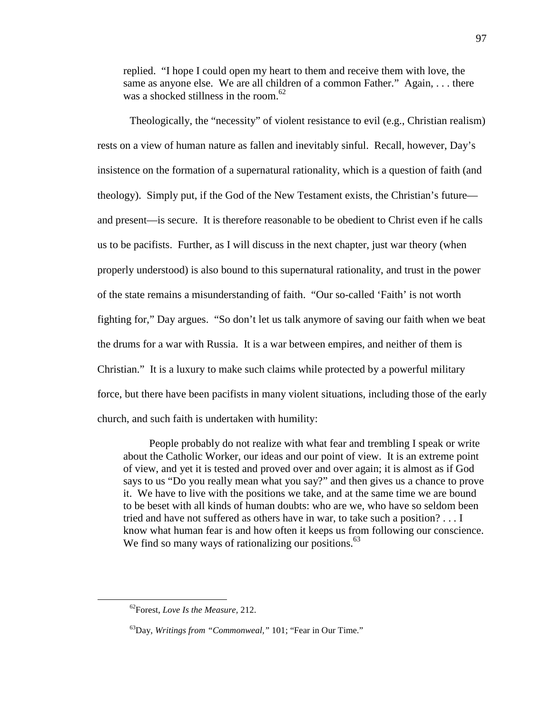replied. "I hope I could open my heart to them and receive them with love, the same as anyone else. We are all children of a common Father." Again, ... there was a shocked stillness in the room.<sup>62</sup>

Theologically, the "necessity" of violent resistance to evil (e.g., Christian realism) rests on a view of human nature as fallen and inevitably sinful. Recall, however, Day's insistence on the formation of a supernatural rationality, which is a question of faith (and theology). Simply put, if the God of the New Testament exists, the Christian's future and present—is secure. It is therefore reasonable to be obedient to Christ even if he calls us to be pacifists. Further, as I will discuss in the next chapter, just war theory (when properly understood) is also bound to this supernatural rationality, and trust in the power of the state remains a misunderstanding of faith. "Our so-called 'Faith' is not worth fighting for," Day argues. "So don't let us talk anymore of saving our faith when we beat the drums for a war with Russia. It is a war between empires, and neither of them is Christian." It is a luxury to make such claims while protected by a powerful military force, but there have been pacifists in many violent situations, including those of the early church, and such faith is undertaken with humility:

People probably do not realize with what fear and trembling I speak or write about the Catholic Worker, our ideas and our point of view. It is an extreme point of view, and yet it is tested and proved over and over again; it is almost as if God says to us "Do you really mean what you say?" and then gives us a chance to prove it. We have to live with the positions we take, and at the same time we are bound to be beset with all kinds of human doubts: who are we, who have so seldom been tried and have not suffered as others have in war, to take such a position? . . . I know what human fear is and how often it keeps us from following our conscience. We find so many ways of rationalizing our positions.<sup>63</sup>

<sup>62</sup>Forest, *Love Is the Measure,* 212.

<sup>63</sup>Day, *Writings from "Commonweal,"* 101; "Fear in Our Time."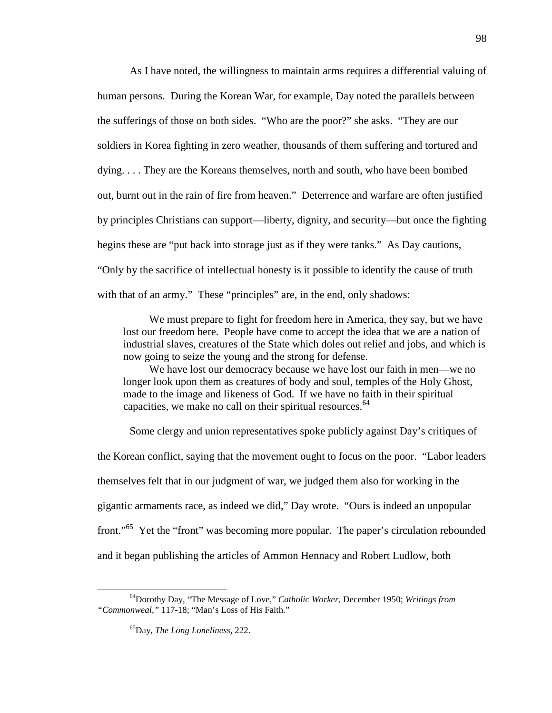As I have noted, the willingness to maintain arms requires a differential valuing of human persons. During the Korean War, for example, Day noted the parallels between the sufferings of those on both sides. "Who are the poor?" she asks. "They are our soldiers in Korea fighting in zero weather, thousands of them suffering and tortured and dying. . . . They are the Koreans themselves, north and south, who have been bombed out, burnt out in the rain of fire from heaven." Deterrence and warfare are often justified by principles Christians can support—liberty, dignity, and security—but once the fighting begins these are "put back into storage just as if they were tanks." As Day cautions, "Only by the sacrifice of intellectual honesty is it possible to identify the cause of truth with that of an army." These "principles" are, in the end, only shadows:

We must prepare to fight for freedom here in America, they say, but we have lost our freedom here. People have come to accept the idea that we are a nation of industrial slaves, creatures of the State which doles out relief and jobs, and which is now going to seize the young and the strong for defense.

We have lost our democracy because we have lost our faith in men—we no longer look upon them as creatures of body and soul, temples of the Holy Ghost, made to the image and likeness of God. If we have no faith in their spiritual capacities, we make no call on their spiritual resources. $64$ 

Some clergy and union representatives spoke publicly against Day's critiques of the Korean conflict, saying that the movement ought to focus on the poor. "Labor leaders themselves felt that in our judgment of war, we judged them also for working in the gigantic armaments race, as indeed we did," Day wrote. "Ours is indeed an unpopular front."<sup>65</sup> Yet the "front" was becoming more popular. The paper's circulation rebounded and it began publishing the articles of Ammon Hennacy and Robert Ludlow, both

<sup>64</sup>Dorothy Day, "The Message of Love," *Catholic Worker,* December 1950; *Writings from "Commonweal,"* 117-18; "Man's Loss of His Faith."

<sup>65</sup>Day, *The Long Loneliness,* 222.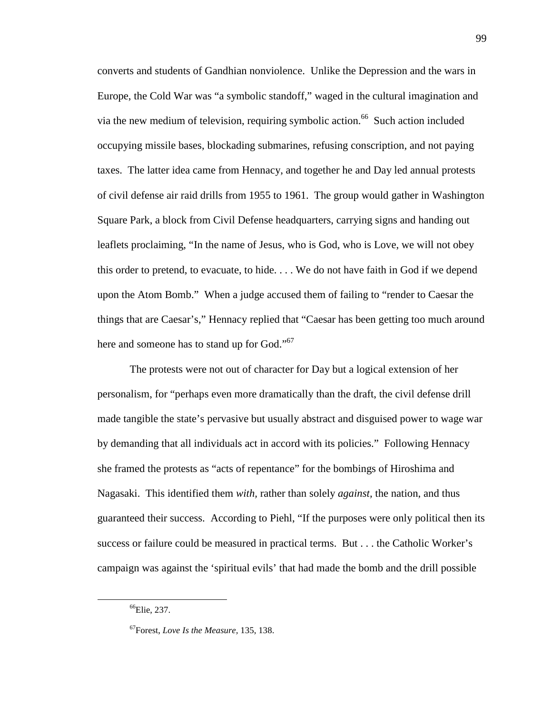converts and students of Gandhian nonviolence. Unlike the Depression and the wars in Europe, the Cold War was "a symbolic standoff," waged in the cultural imagination and via the new medium of television, requiring symbolic action.<sup>66</sup> Such action included occupying missile bases, blockading submarines, refusing conscription, and not paying taxes. The latter idea came from Hennacy, and together he and Day led annual protests of civil defense air raid drills from 1955 to 1961. The group would gather in Washington Square Park, a block from Civil Defense headquarters, carrying signs and handing out leaflets proclaiming, "In the name of Jesus, who is God, who is Love, we will not obey this order to pretend, to evacuate, to hide. . . . We do not have faith in God if we depend upon the Atom Bomb." When a judge accused them of failing to "render to Caesar the things that are Caesar's," Hennacy replied that "Caesar has been getting too much around here and someone has to stand up for God."<sup>67</sup>

The protests were not out of character for Day but a logical extension of her personalism, for "perhaps even more dramatically than the draft, the civil defense drill made tangible the state's pervasive but usually abstract and disguised power to wage war by demanding that all individuals act in accord with its policies." Following Hennacy she framed the protests as "acts of repentance" for the bombings of Hiroshima and Nagasaki. This identified them *with,* rather than solely *against,* the nation, and thus guaranteed their success. According to Piehl, "If the purposes were only political then its success or failure could be measured in practical terms. But . . . the Catholic Worker's campaign was against the 'spiritual evils' that had made the bomb and the drill possible

<sup>&</sup>lt;sup>66</sup>Elie, 237.

<sup>67</sup>Forest, *Love Is the Measure,* 135, 138.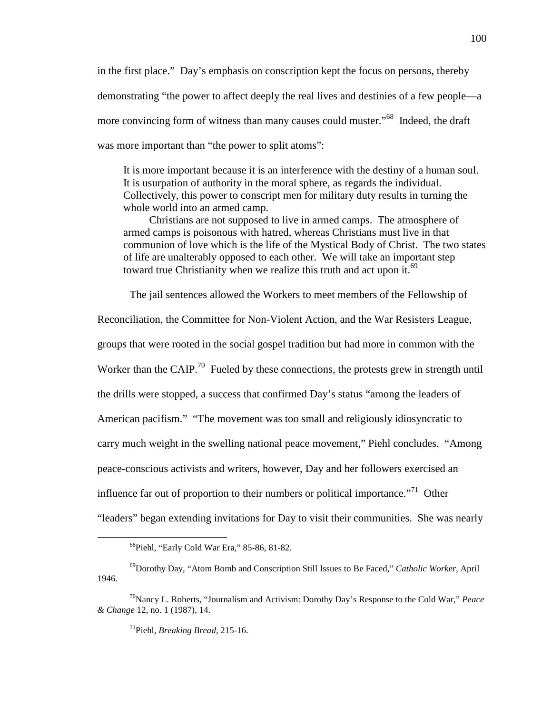in the first place." Day's emphasis on conscription kept the focus on persons, thereby demonstrating "the power to affect deeply the real lives and destinies of a few people—a more convincing form of witness than many causes could muster."<sup>68</sup> Indeed, the draft was more important than "the power to split atoms":

It is more important because it is an interference with the destiny of a human soul. It is usurpation of authority in the moral sphere, as regards the individual. Collectively, this power to conscript men for military duty results in turning the whole world into an armed camp.

Christians are not supposed to live in armed camps. The atmosphere of armed camps is poisonous with hatred, whereas Christians must live in that communion of love which is the life of the Mystical Body of Christ. The two states of life are unalterably opposed to each other. We will take an important step toward true Christianity when we realize this truth and act upon it.<sup>69</sup>

The jail sentences allowed the Workers to meet members of the Fellowship of

Reconciliation, the Committee for Non-Violent Action, and the War Resisters League, groups that were rooted in the social gospel tradition but had more in common with the Worker than the CAIP.<sup>70</sup> Fueled by these connections, the protests grew in strength until the drills were stopped, a success that confirmed Day's status "among the leaders of American pacifism." "The movement was too small and religiously idiosyncratic to carry much weight in the swelling national peace movement," Piehl concludes. "Among peace-conscious activists and writers, however, Day and her followers exercised an influence far out of proportion to their numbers or political importance.<sup>"71</sup> Other "leaders" began extending invitations for Day to visit their communities. She was nearly

<sup>68</sup>Piehl, "Early Cold War Era," 85-86, 81-82.

<sup>69</sup>Dorothy Day, "Atom Bomb and Conscription Still Issues to Be Faced," *Catholic Worker,* April 1946.

<sup>70</sup>Nancy L. Roberts, "Journalism and Activism: Dorothy Day's Response to the Cold War," *Peace & Change* 12, no. 1 (1987), 14.

<sup>71</sup>Piehl, *Breaking Bread,* 215-16.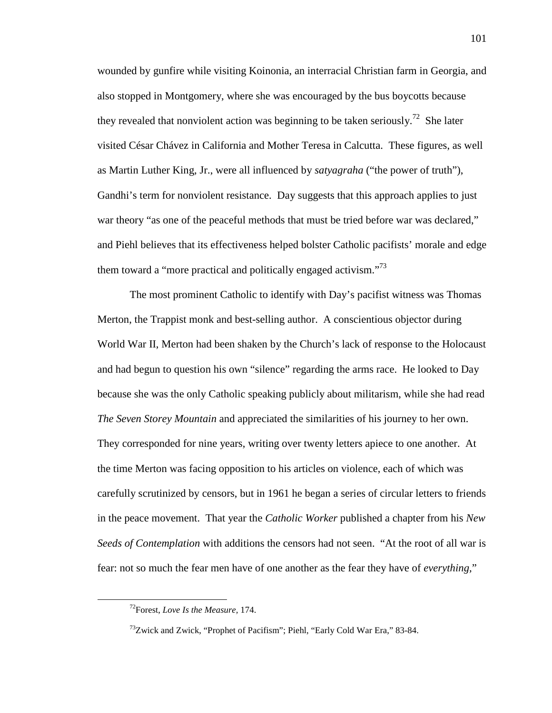wounded by gunfire while visiting Koinonia, an interracial Christian farm in Georgia, and also stopped in Montgomery, where she was encouraged by the bus boycotts because they revealed that nonviolent action was beginning to be taken seriously.<sup>72</sup> She later visited César Chávez in California and Mother Teresa in Calcutta. These figures, as well as Martin Luther King, Jr., were all influenced by *satyagraha* ("the power of truth"), Gandhi's term for nonviolent resistance. Day suggests that this approach applies to just war theory "as one of the peaceful methods that must be tried before war was declared," and Piehl believes that its effectiveness helped bolster Catholic pacifists' morale and edge them toward a "more practical and politically engaged activism."<sup>73</sup>

The most prominent Catholic to identify with Day's pacifist witness was Thomas Merton, the Trappist monk and best-selling author. A conscientious objector during World War II, Merton had been shaken by the Church's lack of response to the Holocaust and had begun to question his own "silence" regarding the arms race. He looked to Day because she was the only Catholic speaking publicly about militarism, while she had read *The Seven Storey Mountain* and appreciated the similarities of his journey to her own. They corresponded for nine years, writing over twenty letters apiece to one another. At the time Merton was facing opposition to his articles on violence, each of which was carefully scrutinized by censors, but in 1961 he began a series of circular letters to friends in the peace movement. That year the *Catholic Worker* published a chapter from his *New Seeds of Contemplation* with additions the censors had not seen. "At the root of all war is fear: not so much the fear men have of one another as the fear they have of *everything,*"

<sup>72</sup>Forest, *Love Is the Measure,* 174.

<sup>&</sup>lt;sup>73</sup>Zwick and Zwick, "Prophet of Pacifism"; Piehl, "Early Cold War Era," 83-84.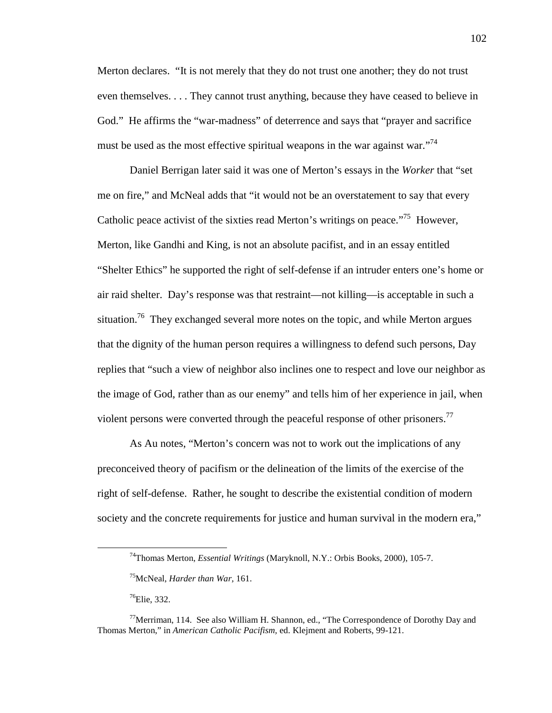Merton declares. "It is not merely that they do not trust one another; they do not trust even themselves. . . . They cannot trust anything, because they have ceased to believe in God." He affirms the "war-madness" of deterrence and says that "prayer and sacrifice must be used as the most effective spiritual weapons in the war against war.<sup>74</sup>

Daniel Berrigan later said it was one of Merton's essays in the *Worker* that "set me on fire," and McNeal adds that "it would not be an overstatement to say that every Catholic peace activist of the sixties read Merton's writings on peace.<sup>775</sup> However, Merton, like Gandhi and King, is not an absolute pacifist, and in an essay entitled "Shelter Ethics" he supported the right of self-defense if an intruder enters one's home or air raid shelter. Day's response was that restraint—not killing—is acceptable in such a situation.<sup>76</sup> They exchanged several more notes on the topic, and while Merton argues that the dignity of the human person requires a willingness to defend such persons, Day replies that "such a view of neighbor also inclines one to respect and love our neighbor as the image of God, rather than as our enemy" and tells him of her experience in jail, when violent persons were converted through the peaceful response of other prisoners.<sup>77</sup>

As Au notes, "Merton's concern was not to work out the implications of any preconceived theory of pacifism or the delineation of the limits of the exercise of the right of self-defense. Rather, he sought to describe the existential condition of modern society and the concrete requirements for justice and human survival in the modern era,"

 $^{76}$ Elie, 332.

<sup>74</sup>Thomas Merton, *Essential Writings* (Maryknoll, N.Y.: Orbis Books, 2000), 105-7.

<sup>75</sup>McNeal, *Harder than War,* 161.

 $^{77}$ Merriman, 114. See also William H. Shannon, ed., "The Correspondence of Dorothy Day and Thomas Merton," in *American Catholic Pacifism,* ed. Klejment and Roberts, 99-121.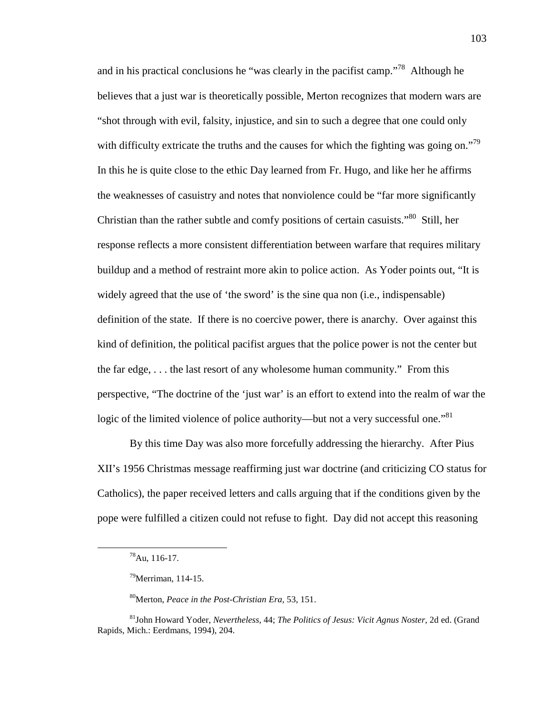and in his practical conclusions he "was clearly in the pacifist camp."<sup>78</sup> Although he believes that a just war is theoretically possible, Merton recognizes that modern wars are "shot through with evil, falsity, injustice, and sin to such a degree that one could only with difficulty extricate the truths and the causes for which the fighting was going on."<sup>79</sup> In this he is quite close to the ethic Day learned from Fr. Hugo, and like her he affirms the weaknesses of casuistry and notes that nonviolence could be "far more significantly Christian than the rather subtle and comfy positions of certain casuists."<sup>80</sup> Still, her response reflects a more consistent differentiation between warfare that requires military buildup and a method of restraint more akin to police action. As Yoder points out, "It is widely agreed that the use of 'the sword' is the sine qua non (i.e., indispensable) definition of the state. If there is no coercive power, there is anarchy. Over against this kind of definition, the political pacifist argues that the police power is not the center but the far edge, . . . the last resort of any wholesome human community." From this perspective, "The doctrine of the 'just war' is an effort to extend into the realm of war the logic of the limited violence of police authority—but not a very successful one."<sup>81</sup>

By this time Day was also more forcefully addressing the hierarchy. After Pius XII's 1956 Christmas message reaffirming just war doctrine (and criticizing CO status for Catholics), the paper received letters and calls arguing that if the conditions given by the pope were fulfilled a citizen could not refuse to fight. Day did not accept this reasoning

<sup>78</sup>Au, 116-17.

 $79$ Merriman, 114-15.

<sup>80</sup>Merton, *Peace in the Post-Christian Era,* 53, 151.

<sup>81</sup>John Howard Yoder, *Nevertheless,* 44; *The Politics of Jesus: Vicit Agnus Noster,* 2d ed. (Grand Rapids, Mich.: Eerdmans, 1994), 204.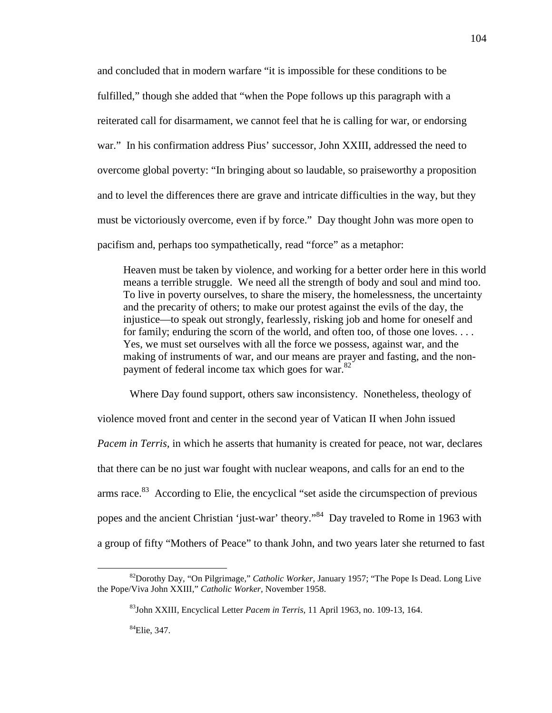and concluded that in modern warfare "it is impossible for these conditions to be fulfilled," though she added that "when the Pope follows up this paragraph with a reiterated call for disarmament, we cannot feel that he is calling for war, or endorsing war." In his confirmation address Pius' successor, John XXIII, addressed the need to overcome global poverty: "In bringing about so laudable, so praiseworthy a proposition and to level the differences there are grave and intricate difficulties in the way, but they must be victoriously overcome, even if by force." Day thought John was more open to pacifism and, perhaps too sympathetically, read "force" as a metaphor:

Heaven must be taken by violence, and working for a better order here in this world means a terrible struggle. We need all the strength of body and soul and mind too. To live in poverty ourselves, to share the misery, the homelessness, the uncertainty and the precarity of others; to make our protest against the evils of the day, the injustice—to speak out strongly, fearlessly, risking job and home for oneself and for family; enduring the scorn of the world, and often too, of those one loves. . . . Yes, we must set ourselves with all the force we possess, against war, and the making of instruments of war, and our means are prayer and fasting, and the nonpayment of federal income tax which goes for war.<sup>82</sup>

Where Day found support, others saw inconsistency. Nonetheless, theology of violence moved front and center in the second year of Vatican II when John issued *Pacem in Terris,* in which he asserts that humanity is created for peace, not war, declares that there can be no just war fought with nuclear weapons, and calls for an end to the arms race.<sup>83</sup> According to Elie, the encyclical "set aside the circumspection of previous popes and the ancient Christian 'just-war' theory."<sup>84</sup> Day traveled to Rome in 1963 with a group of fifty "Mothers of Peace" to thank John, and two years later she returned to fast

<sup>82</sup>Dorothy Day, "On Pilgrimage," *Catholic Worker,* January 1957; "The Pope Is Dead. Long Live the Pope/Viva John XXIII," *Catholic Worker,* November 1958.

<sup>83</sup>John XXIII, Encyclical Letter *Pacem in Terris,* 11 April 1963, no. 109-13, 164.

<sup>84</sup>Elie, 347.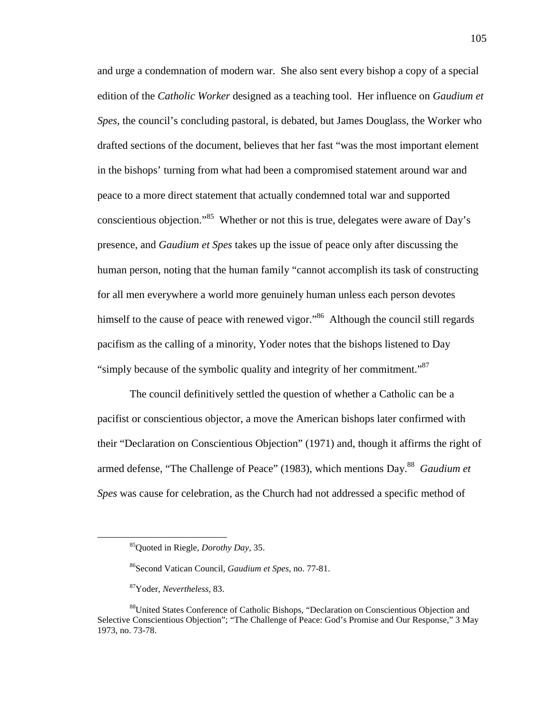and urge a condemnation of modern war. She also sent every bishop a copy of a special edition of the *Catholic Worker* designed as a teaching tool. Her influence on *Gaudium et Spes,* the council's concluding pastoral, is debated, but James Douglass, the Worker who drafted sections of the document, believes that her fast "was the most important element in the bishops' turning from what had been a compromised statement around war and peace to a more direct statement that actually condemned total war and supported conscientious objection."<sup>85</sup> Whether or not this is true, delegates were aware of Day's presence, and *Gaudium et Spes* takes up the issue of peace only after discussing the human person, noting that the human family "cannot accomplish its task of constructing for all men everywhere a world more genuinely human unless each person devotes himself to the cause of peace with renewed vigor."<sup>86</sup> Although the council still regards pacifism as the calling of a minority, Yoder notes that the bishops listened to Day "simply because of the symbolic quality and integrity of her commitment."<sup>87</sup>

The council definitively settled the question of whether a Catholic can be a pacifist or conscientious objector, a move the American bishops later confirmed with their "Declaration on Conscientious Objection" (1971) and, though it affirms the right of armed defense, "The Challenge of Peace" (1983), which mentions Day.<sup>88</sup> Gaudium et *Spes* was cause for celebration, as the Church had not addressed a specific method of

<sup>85</sup>Quoted in Riegle, *Dorothy Day,* 35.

<sup>86</sup>Second Vatican Council, *Gaudium et Spes,* no. 77-81.

<sup>87</sup>Yoder, *Nevertheless,* 83.

<sup>88</sup>United States Conference of Catholic Bishops, "Declaration on Conscientious Objection and Selective Conscientious Objection"; "The Challenge of Peace: God's Promise and Our Response," 3 May 1973, no. 73-78.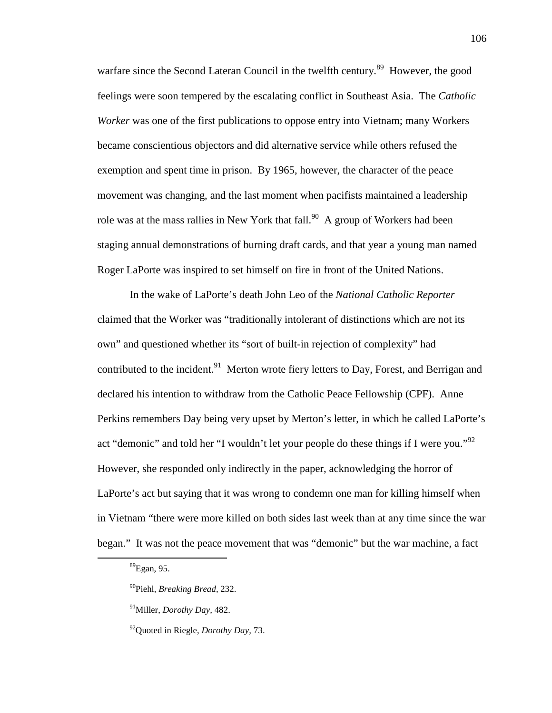warfare since the Second Lateran Council in the twelfth century.<sup>89</sup> However, the good feelings were soon tempered by the escalating conflict in Southeast Asia. The *Catholic Worker* was one of the first publications to oppose entry into Vietnam; many Workers became conscientious objectors and did alternative service while others refused the exemption and spent time in prison. By 1965, however, the character of the peace movement was changing, and the last moment when pacifists maintained a leadership role was at the mass rallies in New York that fall.<sup>90</sup> A group of Workers had been staging annual demonstrations of burning draft cards, and that year a young man named Roger LaPorte was inspired to set himself on fire in front of the United Nations.

In the wake of LaPorte's death John Leo of the *National Catholic Reporter* claimed that the Worker was "traditionally intolerant of distinctions which are not its own" and questioned whether its "sort of built-in rejection of complexity" had contributed to the incident.<sup>91</sup> Merton wrote fiery letters to Day, Forest, and Berrigan and declared his intention to withdraw from the Catholic Peace Fellowship (CPF). Anne Perkins remembers Day being very upset by Merton's letter, in which he called LaPorte's act "demonic" and told her "I wouldn't let your people do these things if I were you."<sup>92</sup> However, she responded only indirectly in the paper, acknowledging the horror of LaPorte's act but saying that it was wrong to condemn one man for killing himself when in Vietnam "there were more killed on both sides last week than at any time since the war began." It was not the peace movement that was "demonic" but the war machine, a fact

<sup>89</sup>Egan, 95.

<sup>90</sup>Piehl, *Breaking Bread,* 232.

<sup>91</sup>Miller, *Dorothy Day,* 482.

<sup>92</sup>Quoted in Riegle, *Dorothy Day,* 73.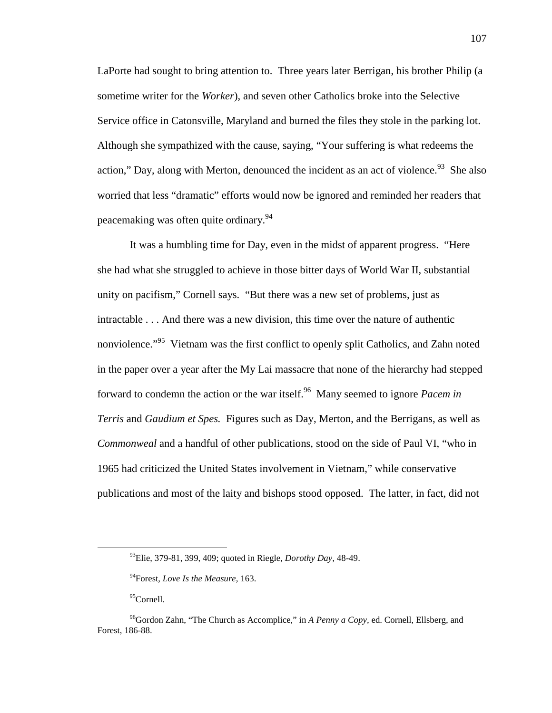LaPorte had sought to bring attention to. Three years later Berrigan, his brother Philip (a sometime writer for the *Worker*), and seven other Catholics broke into the Selective Service office in Catonsville, Maryland and burned the files they stole in the parking lot. Although she sympathized with the cause, saying, "Your suffering is what redeems the action," Day, along with Merton, denounced the incident as an act of violence. $93$  She also worried that less "dramatic" efforts would now be ignored and reminded her readers that peacemaking was often quite ordinary.<sup>94</sup>

It was a humbling time for Day, even in the midst of apparent progress. "Here she had what she struggled to achieve in those bitter days of World War II, substantial unity on pacifism," Cornell says. "But there was a new set of problems, just as intractable . . . And there was a new division, this time over the nature of authentic nonviolence."<sup>95</sup> Vietnam was the first conflict to openly split Catholics, and Zahn noted in the paper over a year after the My Lai massacre that none of the hierarchy had stepped forward to condemn the action or the war itself.<sup>96</sup> Many seemed to ignore *Pacem in Terris* and *Gaudium et Spes.* Figures such as Day, Merton, and the Berrigans, as well as *Commonweal* and a handful of other publications, stood on the side of Paul VI, "who in 1965 had criticized the United States involvement in Vietnam," while conservative publications and most of the laity and bishops stood opposed. The latter, in fact, did not

<sup>93</sup>Elie, 379-81, 399, 409; quoted in Riegle, *Dorothy Day,* 48-49.

<sup>94</sup>Forest, *Love Is the Measure,* 163.

<sup>&</sup>lt;sup>95</sup>Cornell.

<sup>96</sup>Gordon Zahn, "The Church as Accomplice," in *A Penny a Copy,* ed. Cornell, Ellsberg, and Forest, 186-88.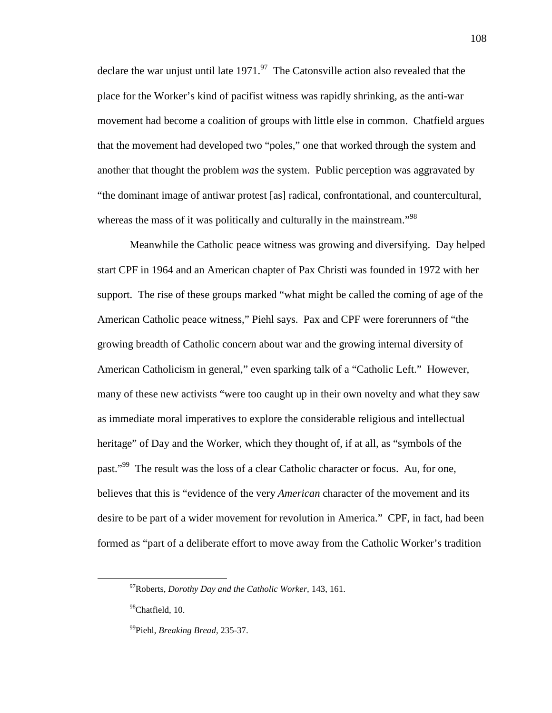declare the war unjust until late  $1971.^{97}$  The Catonsville action also revealed that the place for the Worker's kind of pacifist witness was rapidly shrinking, as the anti-war movement had become a coalition of groups with little else in common. Chatfield argues that the movement had developed two "poles," one that worked through the system and another that thought the problem *was* the system. Public perception was aggravated by "the dominant image of antiwar protest [as] radical, confrontational, and countercultural, whereas the mass of it was politically and culturally in the mainstream.<sup>"98</sup>

Meanwhile the Catholic peace witness was growing and diversifying. Day helped start CPF in 1964 and an American chapter of Pax Christi was founded in 1972 with her support. The rise of these groups marked "what might be called the coming of age of the American Catholic peace witness," Piehl says. Pax and CPF were forerunners of "the growing breadth of Catholic concern about war and the growing internal diversity of American Catholicism in general," even sparking talk of a "Catholic Left." However, many of these new activists "were too caught up in their own novelty and what they saw as immediate moral imperatives to explore the considerable religious and intellectual heritage" of Day and the Worker, which they thought of, if at all, as "symbols of the past."<sup>99</sup> The result was the loss of a clear Catholic character or focus. Au, for one, believes that this is "evidence of the very *American* character of the movement and its desire to be part of a wider movement for revolution in America." CPF, in fact, had been formed as "part of a deliberate effort to move away from the Catholic Worker's tradition

-

<sup>97</sup>Roberts, *Dorothy Day and the Catholic Worker,* 143, 161.

<sup>&</sup>lt;sup>98</sup>Chatfield, 10.

<sup>99</sup>Piehl, *Breaking Bread,* 235-37.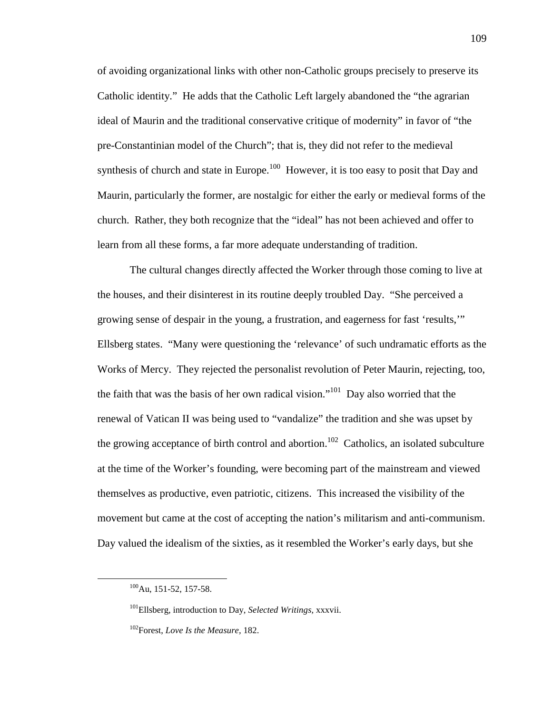of avoiding organizational links with other non-Catholic groups precisely to preserve its Catholic identity." He adds that the Catholic Left largely abandoned the "the agrarian ideal of Maurin and the traditional conservative critique of modernity" in favor of "the pre-Constantinian model of the Church"; that is, they did not refer to the medieval synthesis of church and state in Europe.<sup>100</sup> However, it is too easy to posit that Day and Maurin, particularly the former, are nostalgic for either the early or medieval forms of the church. Rather, they both recognize that the "ideal" has not been achieved and offer to learn from all these forms, a far more adequate understanding of tradition.

The cultural changes directly affected the Worker through those coming to live at the houses, and their disinterest in its routine deeply troubled Day. "She perceived a growing sense of despair in the young, a frustration, and eagerness for fast 'results,'" Ellsberg states. "Many were questioning the 'relevance' of such undramatic efforts as the Works of Mercy. They rejected the personalist revolution of Peter Maurin, rejecting, too, the faith that was the basis of her own radical vision."<sup>101</sup> Day also worried that the renewal of Vatican II was being used to "vandalize" the tradition and she was upset by the growing acceptance of birth control and abortion.<sup>102</sup> Catholics, an isolated subculture at the time of the Worker's founding, were becoming part of the mainstream and viewed themselves as productive, even patriotic, citizens. This increased the visibility of the movement but came at the cost of accepting the nation's militarism and anti-communism. Day valued the idealism of the sixties, as it resembled the Worker's early days, but she

-

<sup>100</sup>Au, 151-52, 157-58.

<sup>101</sup>Ellsberg, introduction to Day, *Selected Writings,* xxxvii.

<sup>102</sup>Forest, *Love Is the Measure,* 182.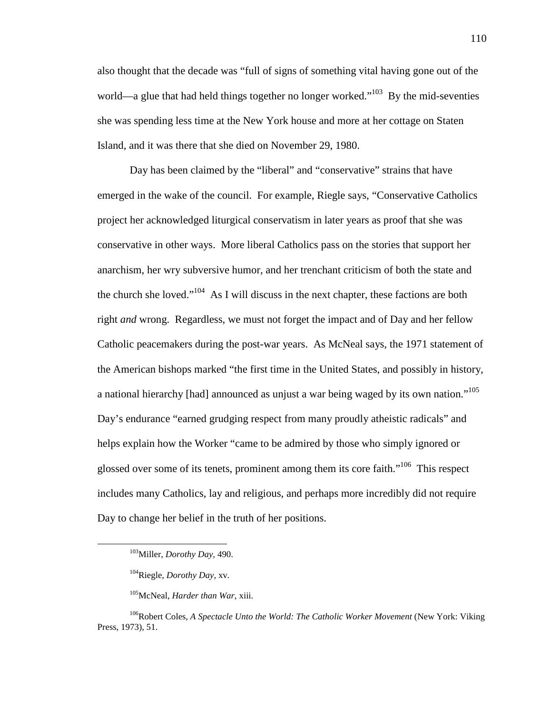also thought that the decade was "full of signs of something vital having gone out of the world—a glue that had held things together no longer worked."<sup>103</sup> By the mid-seventies she was spending less time at the New York house and more at her cottage on Staten Island, and it was there that she died on November 29, 1980.

Day has been claimed by the "liberal" and "conservative" strains that have emerged in the wake of the council. For example, Riegle says, "Conservative Catholics project her acknowledged liturgical conservatism in later years as proof that she was conservative in other ways. More liberal Catholics pass on the stories that support her anarchism, her wry subversive humor, and her trenchant criticism of both the state and the church she loved."<sup>104</sup> As I will discuss in the next chapter, these factions are both right *and* wrong. Regardless, we must not forget the impact and of Day and her fellow Catholic peacemakers during the post-war years. As McNeal says, the 1971 statement of the American bishops marked "the first time in the United States, and possibly in history, a national hierarchy [had] announced as unjust a war being waged by its own nation."<sup>105</sup> Day's endurance "earned grudging respect from many proudly atheistic radicals" and helps explain how the Worker "came to be admired by those who simply ignored or glossed over some of its tenets, prominent among them its core faith."<sup>106</sup> This respect includes many Catholics, lay and religious, and perhaps more incredibly did not require Day to change her belief in the truth of her positions.

<sup>103</sup>Miller, *Dorothy Day,* 490.

<sup>104</sup>Riegle, *Dorothy Day,* xv.

<sup>105</sup>McNeal, *Harder than War,* xiii.

<sup>&</sup>lt;sup>106</sup>Robert Coles, *A Spectacle Unto the World: The Catholic Worker Movement* (New York: Viking Press, 1973), 51.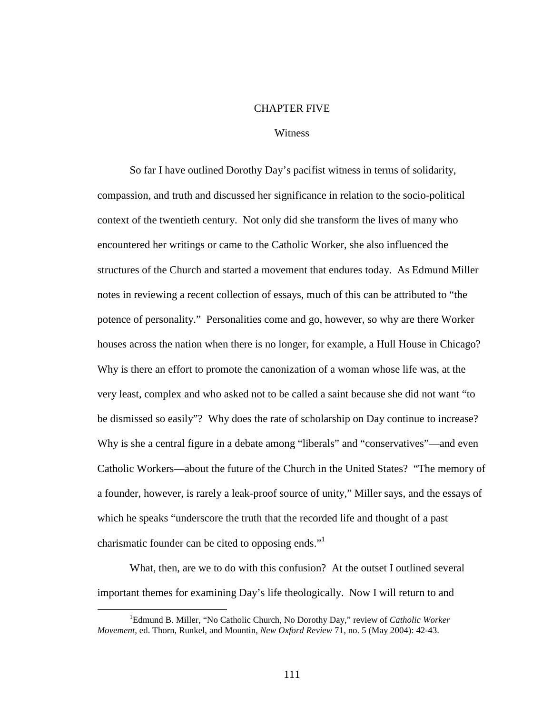#### CHAPTER FIVE

### **Witness**

So far I have outlined Dorothy Day's pacifist witness in terms of solidarity, compassion, and truth and discussed her significance in relation to the socio-political context of the twentieth century. Not only did she transform the lives of many who encountered her writings or came to the Catholic Worker, she also influenced the structures of the Church and started a movement that endures today. As Edmund Miller notes in reviewing a recent collection of essays, much of this can be attributed to "the potence of personality." Personalities come and go, however, so why are there Worker houses across the nation when there is no longer, for example, a Hull House in Chicago? Why is there an effort to promote the canonization of a woman whose life was, at the very least, complex and who asked not to be called a saint because she did not want "to be dismissed so easily"? Why does the rate of scholarship on Day continue to increase? Why is she a central figure in a debate among "liberals" and "conservatives"—and even Catholic Workers—about the future of the Church in the United States? "The memory of a founder, however, is rarely a leak-proof source of unity," Miller says, and the essays of which he speaks "underscore the truth that the recorded life and thought of a past charismatic founder can be cited to opposing ends."

What, then, are we to do with this confusion? At the outset I outlined several important themes for examining Day's life theologically. Now I will return to and

<sup>1</sup>Edmund B. Miller, "No Catholic Church, No Dorothy Day," review of *Catholic Worker Movement,* ed. Thorn, Runkel, and Mountin, *New Oxford Review* 71, no. 5 (May 2004): 42-43.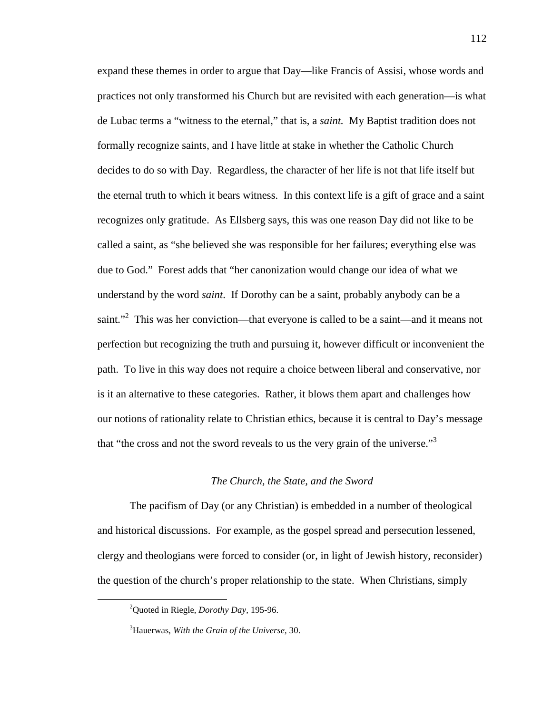expand these themes in order to argue that Day—like Francis of Assisi, whose words and practices not only transformed his Church but are revisited with each generation—is what de Lubac terms a "witness to the eternal," that is, a *saint.* My Baptist tradition does not formally recognize saints, and I have little at stake in whether the Catholic Church decides to do so with Day. Regardless, the character of her life is not that life itself but the eternal truth to which it bears witness. In this context life is a gift of grace and a saint recognizes only gratitude. As Ellsberg says, this was one reason Day did not like to be called a saint, as "she believed she was responsible for her failures; everything else was due to God." Forest adds that "her canonization would change our idea of what we understand by the word *saint*. If Dorothy can be a saint, probably anybody can be a saint."<sup>2</sup> This was her conviction—that everyone is called to be a saint—and it means not perfection but recognizing the truth and pursuing it, however difficult or inconvenient the path. To live in this way does not require a choice between liberal and conservative, nor is it an alternative to these categories. Rather, it blows them apart and challenges how our notions of rationality relate to Christian ethics, because it is central to Day's message that "the cross and not the sword reveals to us the very grain of the universe."<sup>3</sup>

# *The Church, the State, and the Sword*

The pacifism of Day (or any Christian) is embedded in a number of theological and historical discussions. For example, as the gospel spread and persecution lessened, clergy and theologians were forced to consider (or, in light of Jewish history, reconsider) the question of the church's proper relationship to the state. When Christians, simply

<sup>2</sup>Quoted in Riegle, *Dorothy Day,* 195-96.

<sup>3</sup>Hauerwas, *With the Grain of the Universe,* 30.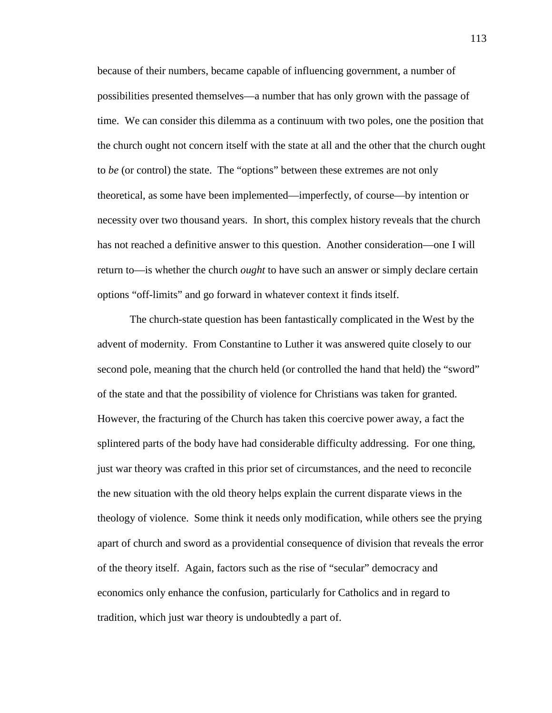because of their numbers, became capable of influencing government, a number of possibilities presented themselves—a number that has only grown with the passage of time. We can consider this dilemma as a continuum with two poles, one the position that the church ought not concern itself with the state at all and the other that the church ought to *be* (or control) the state. The "options" between these extremes are not only theoretical, as some have been implemented—imperfectly, of course—by intention or necessity over two thousand years. In short, this complex history reveals that the church has not reached a definitive answer to this question. Another consideration—one I will return to—is whether the church *ought* to have such an answer or simply declare certain options "off-limits" and go forward in whatever context it finds itself.

The church-state question has been fantastically complicated in the West by the advent of modernity. From Constantine to Luther it was answered quite closely to our second pole, meaning that the church held (or controlled the hand that held) the "sword" of the state and that the possibility of violence for Christians was taken for granted. However, the fracturing of the Church has taken this coercive power away, a fact the splintered parts of the body have had considerable difficulty addressing. For one thing, just war theory was crafted in this prior set of circumstances, and the need to reconcile the new situation with the old theory helps explain the current disparate views in the theology of violence. Some think it needs only modification, while others see the prying apart of church and sword as a providential consequence of division that reveals the error of the theory itself. Again, factors such as the rise of "secular" democracy and economics only enhance the confusion, particularly for Catholics and in regard to tradition, which just war theory is undoubtedly a part of.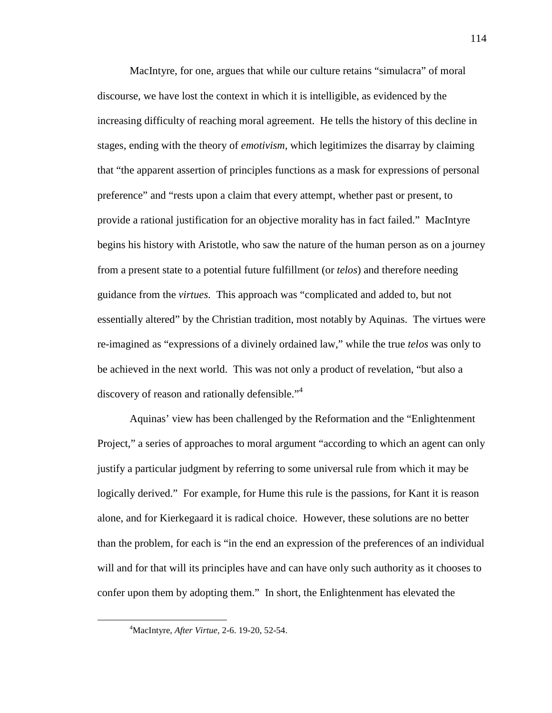MacIntyre, for one, argues that while our culture retains "simulacra" of moral discourse, we have lost the context in which it is intelligible, as evidenced by the increasing difficulty of reaching moral agreement. He tells the history of this decline in stages, ending with the theory of *emotivism,* which legitimizes the disarray by claiming that "the apparent assertion of principles functions as a mask for expressions of personal preference" and "rests upon a claim that every attempt, whether past or present, to provide a rational justification for an objective morality has in fact failed." MacIntyre begins his history with Aristotle, who saw the nature of the human person as on a journey from a present state to a potential future fulfillment (or *telos*) and therefore needing guidance from the *virtues.* This approach was "complicated and added to, but not essentially altered" by the Christian tradition, most notably by Aquinas. The virtues were re-imagined as "expressions of a divinely ordained law," while the true *telos* was only to be achieved in the next world. This was not only a product of revelation, "but also a discovery of reason and rationally defensible."<sup>4</sup>

Aquinas' view has been challenged by the Reformation and the "Enlightenment Project," a series of approaches to moral argument "according to which an agent can only justify a particular judgment by referring to some universal rule from which it may be logically derived." For example, for Hume this rule is the passions, for Kant it is reason alone, and for Kierkegaard it is radical choice. However, these solutions are no better than the problem, for each is "in the end an expression of the preferences of an individual will and for that will its principles have and can have only such authority as it chooses to confer upon them by adopting them." In short, the Enlightenment has elevated the

<sup>4</sup>MacIntyre, *After Virtue,* 2-6. 19-20, 52-54.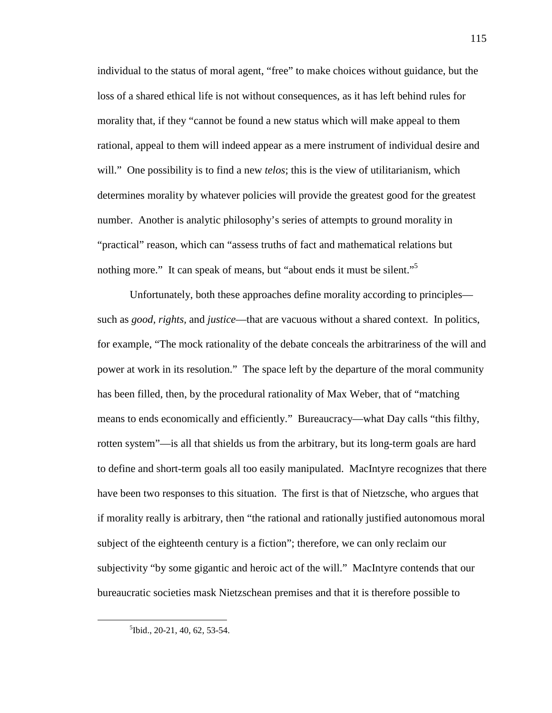individual to the status of moral agent, "free" to make choices without guidance, but the loss of a shared ethical life is not without consequences, as it has left behind rules for morality that, if they "cannot be found a new status which will make appeal to them rational, appeal to them will indeed appear as a mere instrument of individual desire and will." One possibility is to find a new *telos*; this is the view of utilitarianism, which determines morality by whatever policies will provide the greatest good for the greatest number. Another is analytic philosophy's series of attempts to ground morality in "practical" reason, which can "assess truths of fact and mathematical relations but nothing more." It can speak of means, but "about ends it must be silent."<sup>5</sup>

Unfortunately, both these approaches define morality according to principles such as *good, rights,* and *justice*—that are vacuous without a shared context. In politics, for example, "The mock rationality of the debate conceals the arbitrariness of the will and power at work in its resolution." The space left by the departure of the moral community has been filled, then, by the procedural rationality of Max Weber, that of "matching means to ends economically and efficiently." Bureaucracy—what Day calls "this filthy, rotten system"—is all that shields us from the arbitrary, but its long-term goals are hard to define and short-term goals all too easily manipulated. MacIntyre recognizes that there have been two responses to this situation. The first is that of Nietzsche, who argues that if morality really is arbitrary, then "the rational and rationally justified autonomous moral subject of the eighteenth century is a fiction"; therefore, we can only reclaim our subjectivity "by some gigantic and heroic act of the will." MacIntyre contends that our bureaucratic societies mask Nietzschean premises and that it is therefore possible to

<sup>5</sup> Ibid., 20-21, 40, 62, 53-54.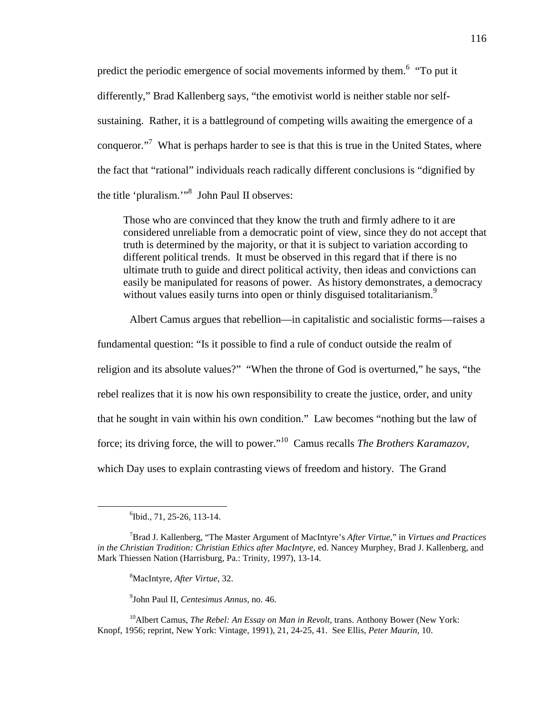predict the periodic emergence of social movements informed by them.<sup>6</sup> "To put it differently," Brad Kallenberg says, "the emotivist world is neither stable nor selfsustaining. Rather, it is a battleground of competing wills awaiting the emergence of a conqueror."<sup>7</sup> What is perhaps harder to see is that this is true in the United States, where the fact that "rational" individuals reach radically different conclusions is "dignified by the title 'pluralism.'"<sup>8</sup> John Paul II observes:

Those who are convinced that they know the truth and firmly adhere to it are considered unreliable from a democratic point of view, since they do not accept that truth is determined by the majority, or that it is subject to variation according to different political trends. It must be observed in this regard that if there is no ultimate truth to guide and direct political activity, then ideas and convictions can easily be manipulated for reasons of power. As history demonstrates, a democracy without values easily turns into open or thinly disguised totalitarianism.<sup>9</sup>

Albert Camus argues that rebellion—in capitalistic and socialistic forms—raises a

fundamental question: "Is it possible to find a rule of conduct outside the realm of religion and its absolute values?" "When the throne of God is overturned," he says, "the rebel realizes that it is now his own responsibility to create the justice, order, and unity that he sought in vain within his own condition." Law becomes "nothing but the law of force; its driving force, the will to power."<sup>10</sup> Camus recalls *The Brothers Karamazov,* which Day uses to explain contrasting views of freedom and history. The Grand

<u>.</u>

<sup>8</sup>MacIntyre, *After Virtue,* 32.

9 John Paul II, *Centesimus Annus,* no. 46.

<sup>10</sup>Albert Camus, *The Rebel: An Essay on Man in Revolt*, trans. Anthony Bower (New York: Knopf, 1956; reprint, New York: Vintage, 1991), 21, 24-25, 41. See Ellis, *Peter Maurin,* 10.

<sup>6</sup> Ibid., 71, 25-26, 113-14.

<sup>7</sup>Brad J. Kallenberg, "The Master Argument of MacIntyre's *After Virtue,*" in *Virtues and Practices in the Christian Tradition: Christian Ethics after MacIntyre,* ed. Nancey Murphey, Brad J. Kallenberg, and Mark Thiessen Nation (Harrisburg, Pa.: Trinity, 1997), 13-14.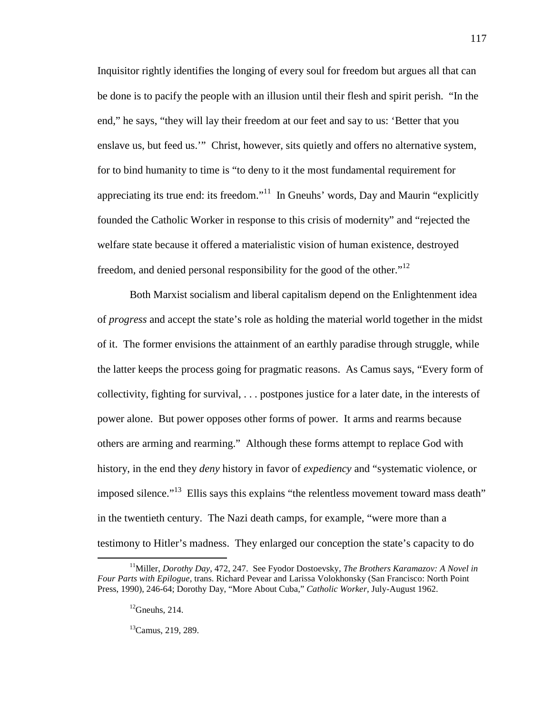Inquisitor rightly identifies the longing of every soul for freedom but argues all that can be done is to pacify the people with an illusion until their flesh and spirit perish. "In the end," he says, "they will lay their freedom at our feet and say to us: 'Better that you enslave us, but feed us.'" Christ, however, sits quietly and offers no alternative system, for to bind humanity to time is "to deny to it the most fundamental requirement for appreciating its true end: its freedom."<sup>11</sup> In Gneuhs' words, Day and Maurin "explicitly" founded the Catholic Worker in response to this crisis of modernity" and "rejected the welfare state because it offered a materialistic vision of human existence, destroyed freedom, and denied personal responsibility for the good of the other."<sup>12</sup>

Both Marxist socialism and liberal capitalism depend on the Enlightenment idea of *progress* and accept the state's role as holding the material world together in the midst of it. The former envisions the attainment of an earthly paradise through struggle, while the latter keeps the process going for pragmatic reasons. As Camus says, "Every form of collectivity, fighting for survival, . . . postpones justice for a later date, in the interests of power alone. But power opposes other forms of power. It arms and rearms because others are arming and rearming." Although these forms attempt to replace God with history, in the end they *deny* history in favor of *expediency* and "systematic violence, or imposed silence."<sup>13</sup> Ellis says this explains "the relentless movement toward mass death" in the twentieth century. The Nazi death camps, for example, "were more than a testimony to Hitler's madness. They enlarged our conception the state's capacity to do

<sup>11</sup>Miller, *Dorothy Day,* 472, 247. See Fyodor Dostoevsky, *The Brothers Karamazov: A Novel in Four Parts with Epilogue,* trans. Richard Pevear and Larissa Volokhonsky (San Francisco: North Point Press, 1990), 246-64; Dorothy Day, "More About Cuba," *Catholic Worker,* July-August 1962.

 $^{12}$ Gneuhs, 214.

 ${}^{13}$ Camus, 219, 289.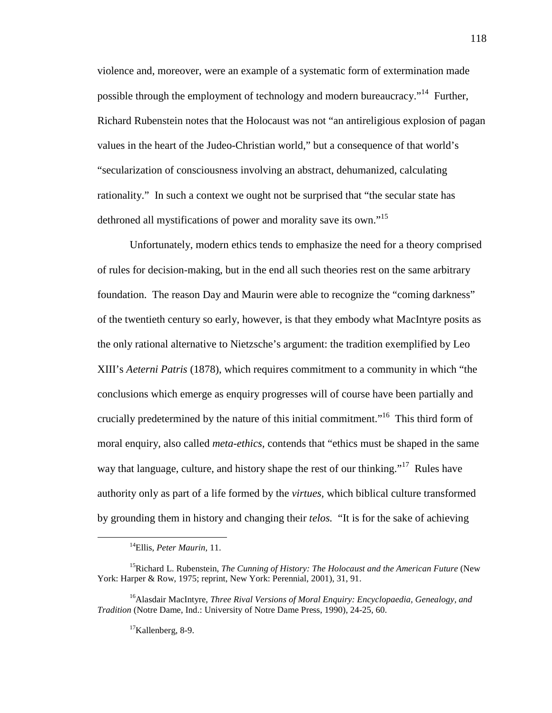violence and, moreover, were an example of a systematic form of extermination made possible through the employment of technology and modern bureaucracy."<sup>14</sup> Further, Richard Rubenstein notes that the Holocaust was not "an antireligious explosion of pagan values in the heart of the Judeo-Christian world," but a consequence of that world's "secularization of consciousness involving an abstract, dehumanized, calculating rationality." In such a context we ought not be surprised that "the secular state has dethroned all mystifications of power and morality save its own."<sup>15</sup>

Unfortunately, modern ethics tends to emphasize the need for a theory comprised of rules for decision-making, but in the end all such theories rest on the same arbitrary foundation. The reason Day and Maurin were able to recognize the "coming darkness" of the twentieth century so early, however, is that they embody what MacIntyre posits as the only rational alternative to Nietzsche's argument: the tradition exemplified by Leo XIII's *Aeterni Patris* (1878), which requires commitment to a community in which "the conclusions which emerge as enquiry progresses will of course have been partially and crucially predetermined by the nature of this initial commitment."<sup>16</sup> This third form of moral enquiry, also called *meta-ethics,* contends that "ethics must be shaped in the same way that language, culture, and history shape the rest of our thinking."<sup>17</sup> Rules have authority only as part of a life formed by the *virtues,* which biblical culture transformed by grounding them in history and changing their *telos.* "It is for the sake of achieving

<sup>14</sup>Ellis, *Peter Maurin,* 11.

<sup>&</sup>lt;sup>15</sup>Richard L. Rubenstein, *The Cunning of History: The Holocaust and the American Future* (New York: Harper & Row, 1975; reprint, New York: Perennial, 2001), 31, 91.

<sup>16</sup>Alasdair MacIntyre, *Three Rival Versions of Moral Enquiry: Encyclopaedia, Genealogy, and Tradition* (Notre Dame, Ind.: University of Notre Dame Press, 1990), 24-25, 60.

 $17$ Kallenberg, 8-9.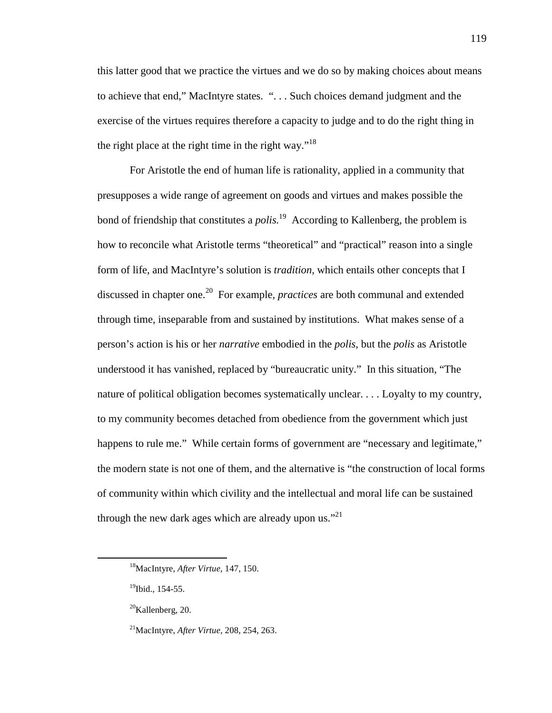this latter good that we practice the virtues and we do so by making choices about means to achieve that end," MacIntyre states. ". . . Such choices demand judgment and the exercise of the virtues requires therefore a capacity to judge and to do the right thing in the right place at the right time in the right way."<sup>18</sup>

For Aristotle the end of human life is rationality, applied in a community that presupposes a wide range of agreement on goods and virtues and makes possible the bond of friendship that constitutes a *polis*.<sup>19</sup> According to Kallenberg, the problem is how to reconcile what Aristotle terms "theoretical" and "practical" reason into a single form of life, and MacIntyre's solution is *tradition,* which entails other concepts that I discussed in chapter one.<sup>20</sup> For example, *practices* are both communal and extended through time, inseparable from and sustained by institutions. What makes sense of a person's action is his or her *narrative* embodied in the *polis,* but the *polis* as Aristotle understood it has vanished, replaced by "bureaucratic unity." In this situation, "The nature of political obligation becomes systematically unclear. . . . Loyalty to my country, to my community becomes detached from obedience from the government which just happens to rule me." While certain forms of government are "necessary and legitimate," the modern state is not one of them, and the alternative is "the construction of local forms of community within which civility and the intellectual and moral life can be sustained through the new dark ages which are already upon us."<sup>21</sup>

<sup>18</sup>MacIntyre, *After Virtue,* 147, 150.

 $19$ Ibid., 154-55.

 $20$ Kallenberg, 20.

<sup>21</sup>MacIntyre, *After Virtue,* 208, 254, 263.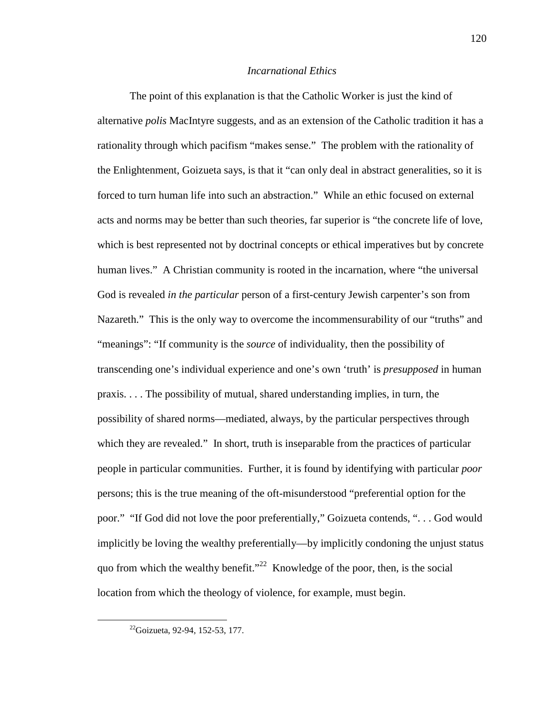#### *Incarnational Ethics*

The point of this explanation is that the Catholic Worker is just the kind of alternative *polis* MacIntyre suggests, and as an extension of the Catholic tradition it has a rationality through which pacifism "makes sense." The problem with the rationality of the Enlightenment, Goizueta says, is that it "can only deal in abstract generalities, so it is forced to turn human life into such an abstraction." While an ethic focused on external acts and norms may be better than such theories, far superior is "the concrete life of love, which is best represented not by doctrinal concepts or ethical imperatives but by concrete human lives." A Christian community is rooted in the incarnation, where "the universal God is revealed *in the particular* person of a first-century Jewish carpenter's son from Nazareth." This is the only way to overcome the incommensurability of our "truths" and "meanings": "If community is the *source* of individuality, then the possibility of transcending one's individual experience and one's own 'truth' is *presupposed* in human praxis. . . . The possibility of mutual, shared understanding implies, in turn, the possibility of shared norms—mediated, always, by the particular perspectives through which they are revealed." In short, truth is inseparable from the practices of particular people in particular communities. Further, it is found by identifying with particular *poor* persons; this is the true meaning of the oft-misunderstood "preferential option for the poor." "If God did not love the poor preferentially," Goizueta contends, ". . . God would implicitly be loving the wealthy preferentially—by implicitly condoning the unjust status quo from which the wealthy benefit."<sup>22</sup> Knowledge of the poor, then, is the social location from which the theology of violence, for example, must begin.

<sup>22</sup>Goizueta, 92-94, 152-53, 177.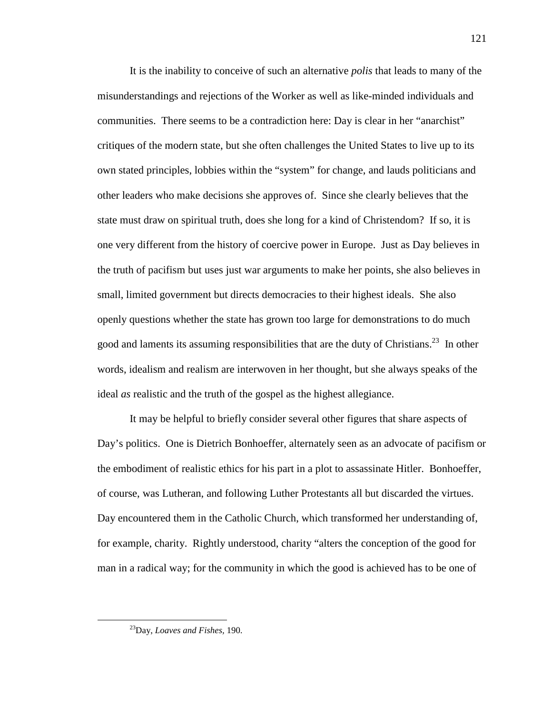It is the inability to conceive of such an alternative *polis* that leads to many of the misunderstandings and rejections of the Worker as well as like-minded individuals and communities. There seems to be a contradiction here: Day is clear in her "anarchist" critiques of the modern state, but she often challenges the United States to live up to its own stated principles, lobbies within the "system" for change, and lauds politicians and other leaders who make decisions she approves of. Since she clearly believes that the state must draw on spiritual truth, does she long for a kind of Christendom? If so, it is one very different from the history of coercive power in Europe. Just as Day believes in the truth of pacifism but uses just war arguments to make her points, she also believes in small, limited government but directs democracies to their highest ideals. She also openly questions whether the state has grown too large for demonstrations to do much good and laments its assuming responsibilities that are the duty of Christians.<sup>23</sup> In other words, idealism and realism are interwoven in her thought, but she always speaks of the ideal *as* realistic and the truth of the gospel as the highest allegiance.

It may be helpful to briefly consider several other figures that share aspects of Day's politics. One is Dietrich Bonhoeffer, alternately seen as an advocate of pacifism or the embodiment of realistic ethics for his part in a plot to assassinate Hitler. Bonhoeffer, of course, was Lutheran, and following Luther Protestants all but discarded the virtues. Day encountered them in the Catholic Church, which transformed her understanding of, for example, charity. Rightly understood, charity "alters the conception of the good for man in a radical way; for the community in which the good is achieved has to be one of

<sup>23</sup>Day, *Loaves and Fishes,* 190.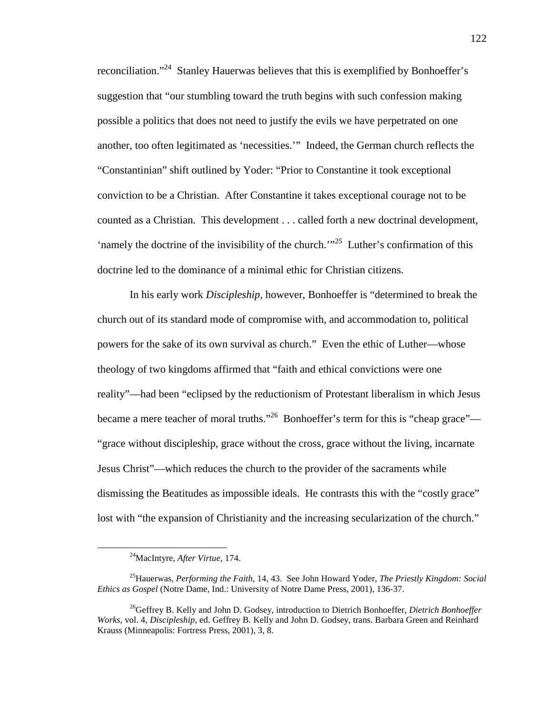reconciliation."<sup>24</sup> Stanley Hauerwas believes that this is exemplified by Bonhoeffer's suggestion that "our stumbling toward the truth begins with such confession making possible a politics that does not need to justify the evils we have perpetrated on one another, too often legitimated as 'necessities.'" Indeed, the German church reflects the "Constantinian" shift outlined by Yoder: "Prior to Constantine it took exceptional conviction to be a Christian. After Constantine it takes exceptional courage not to be counted as a Christian. This development . . . called forth a new doctrinal development, 'namely the doctrine of the invisibility of the church.'"<sup>25</sup> Luther's confirmation of this doctrine led to the dominance of a minimal ethic for Christian citizens.

In his early work *Discipleship,* however, Bonhoeffer is "determined to break the church out of its standard mode of compromise with, and accommodation to, political powers for the sake of its own survival as church." Even the ethic of Luther—whose theology of two kingdoms affirmed that "faith and ethical convictions were one reality"—had been "eclipsed by the reductionism of Protestant liberalism in which Jesus became a mere teacher of moral truths."<sup>26</sup> Bonhoeffer's term for this is "cheap grace"— "grace without discipleship, grace without the cross, grace without the living, incarnate Jesus Christ"—which reduces the church to the provider of the sacraments while dismissing the Beatitudes as impossible ideals. He contrasts this with the "costly grace" lost with "the expansion of Christianity and the increasing secularization of the church."

<sup>24</sup>MacIntyre, *After Virtue,* 174.

<sup>25</sup>Hauerwas, *Performing the Faith,* 14, 43. See John Howard Yoder, *The Priestly Kingdom: Social Ethics as Gospel* (Notre Dame, Ind.: University of Notre Dame Press, 2001), 136-37.

<sup>26</sup>Geffrey B. Kelly and John D. Godsey, introduction to Dietrich Bonhoeffer, *Dietrich Bonhoeffer Works,* vol. 4, *Discipleship,* ed. Geffrey B. Kelly and John D. Godsey, trans. Barbara Green and Reinhard Krauss (Minneapolis: Fortress Press, 2001), 3, 8.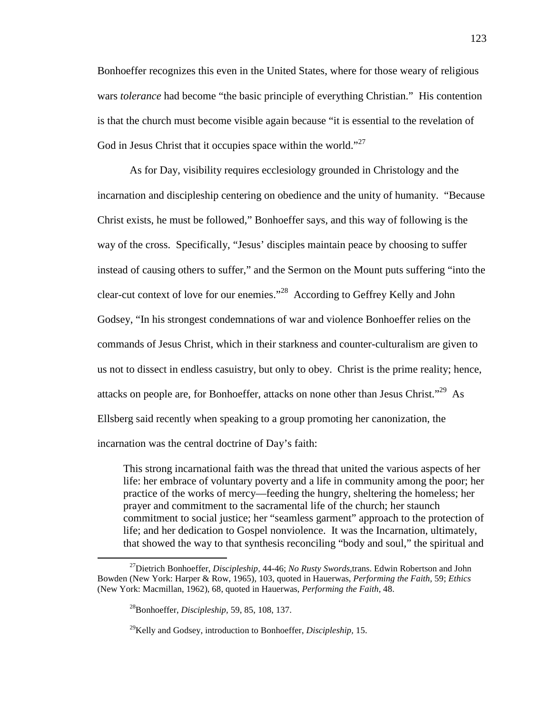Bonhoeffer recognizes this even in the United States, where for those weary of religious wars *tolerance* had become "the basic principle of everything Christian." His contention is that the church must become visible again because "it is essential to the revelation of God in Jesus Christ that it occupies space within the world."<sup>27</sup>

As for Day, visibility requires ecclesiology grounded in Christology and the incarnation and discipleship centering on obedience and the unity of humanity. "Because Christ exists, he must be followed," Bonhoeffer says, and this way of following is the way of the cross. Specifically, "Jesus' disciples maintain peace by choosing to suffer instead of causing others to suffer," and the Sermon on the Mount puts suffering "into the clear-cut context of love for our enemies."<sup>28</sup> According to Geffrey Kelly and John Godsey, "In his strongest condemnations of war and violence Bonhoeffer relies on the commands of Jesus Christ, which in their starkness and counter-culturalism are given to us not to dissect in endless casuistry, but only to obey. Christ is the prime reality; hence, attacks on people are, for Bonhoeffer, attacks on none other than Jesus Christ.<sup> $29$ </sup> As Ellsberg said recently when speaking to a group promoting her canonization, the incarnation was the central doctrine of Day's faith:

This strong incarnational faith was the thread that united the various aspects of her life: her embrace of voluntary poverty and a life in community among the poor; her practice of the works of mercy—feeding the hungry, sheltering the homeless; her prayer and commitment to the sacramental life of the church; her staunch commitment to social justice; her "seamless garment" approach to the protection of life; and her dedication to Gospel nonviolence. It was the Incarnation, ultimately, that showed the way to that synthesis reconciling "body and soul," the spiritual and

<sup>27</sup>Dietrich Bonhoeffer, *Discipleship,* 44-46; *No Rusty Swords,*trans. Edwin Robertson and John Bowden (New York: Harper & Row, 1965), 103, quoted in Hauerwas, *Performing the Faith,* 59; *Ethics* (New York: Macmillan, 1962), 68, quoted in Hauerwas, *Performing the Faith,* 48.

<sup>28</sup>Bonhoeffer, *Discipleship,* 59, 85, 108, 137.

<sup>29</sup>Kelly and Godsey, introduction to Bonhoeffer, *Discipleship,* 15.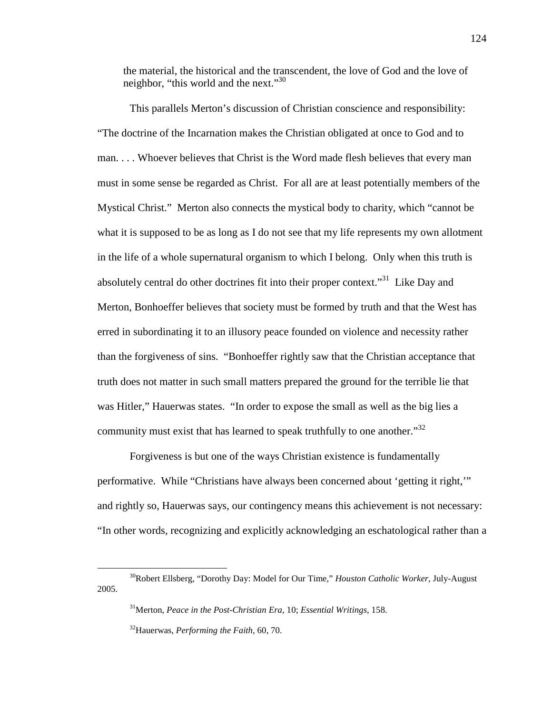the material, the historical and the transcendent, the love of God and the love of neighbor, "this world and the next."<sup>30</sup>

This parallels Merton's discussion of Christian conscience and responsibility: "The doctrine of the Incarnation makes the Christian obligated at once to God and to man. . . . Whoever believes that Christ is the Word made flesh believes that every man must in some sense be regarded as Christ. For all are at least potentially members of the Mystical Christ." Merton also connects the mystical body to charity, which "cannot be what it is supposed to be as long as I do not see that my life represents my own allotment in the life of a whole supernatural organism to which I belong. Only when this truth is absolutely central do other doctrines fit into their proper context.<sup>31</sup> Like Day and Merton, Bonhoeffer believes that society must be formed by truth and that the West has erred in subordinating it to an illusory peace founded on violence and necessity rather than the forgiveness of sins. "Bonhoeffer rightly saw that the Christian acceptance that truth does not matter in such small matters prepared the ground for the terrible lie that was Hitler," Hauerwas states. "In order to expose the small as well as the big lies a community must exist that has learned to speak truthfully to one another. $1^{32}$ 

Forgiveness is but one of the ways Christian existence is fundamentally performative. While "Christians have always been concerned about 'getting it right,'" and rightly so, Hauerwas says, our contingency means this achievement is not necessary: "In other words, recognizing and explicitly acknowledging an eschatological rather than a

<sup>30</sup>Robert Ellsberg, "Dorothy Day: Model for Our Time," *Houston Catholic Worker,* July-August 2005.

<sup>31</sup>Merton, *Peace in the Post-Christian Era,* 10; *Essential Writings,* 158.

<sup>32</sup>Hauerwas, *Performing the Faith,* 60, 70.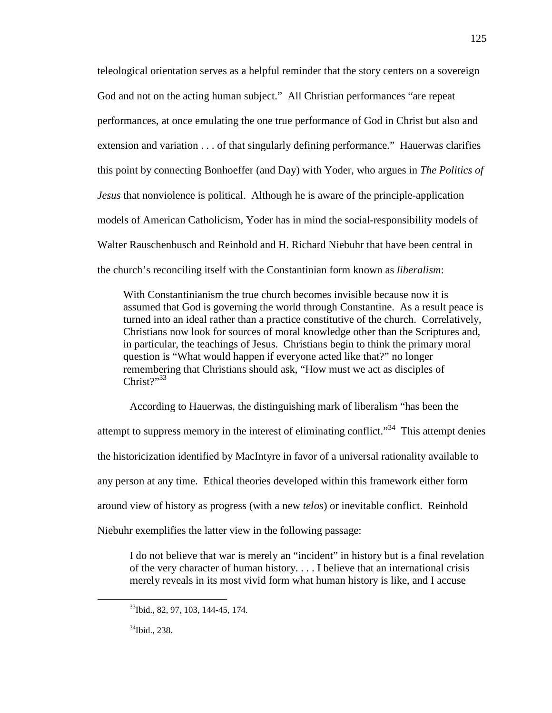teleological orientation serves as a helpful reminder that the story centers on a sovereign God and not on the acting human subject." All Christian performances "are repeat performances, at once emulating the one true performance of God in Christ but also and extension and variation . . . of that singularly defining performance." Hauerwas clarifies this point by connecting Bonhoeffer (and Day) with Yoder, who argues in *The Politics of Jesus* that nonviolence is political. Although he is aware of the principle-application models of American Catholicism, Yoder has in mind the social-responsibility models of Walter Rauschenbusch and Reinhold and H. Richard Niebuhr that have been central in the church's reconciling itself with the Constantinian form known as *liberalism*:

With Constantinianism the true church becomes invisible because now it is assumed that God is governing the world through Constantine. As a result peace is turned into an ideal rather than a practice constitutive of the church. Correlatively, Christians now look for sources of moral knowledge other than the Scriptures and, in particular, the teachings of Jesus. Christians begin to think the primary moral question is "What would happen if everyone acted like that?" no longer remembering that Christians should ask, "How must we act as disciples of  $Christ<sup>2</sup>''<sup>33</sup>$ 

According to Hauerwas, the distinguishing mark of liberalism "has been the attempt to suppress memory in the interest of eliminating conflict."<sup>34</sup> This attempt denies the historicization identified by MacIntyre in favor of a universal rationality available to any person at any time. Ethical theories developed within this framework either form around view of history as progress (with a new *telos*) or inevitable conflict. Reinhold Niebuhr exemplifies the latter view in the following passage:

I do not believe that war is merely an "incident" in history but is a final revelation of the very character of human history. . . . I believe that an international crisis merely reveals in its most vivid form what human history is like, and I accuse

<sup>&</sup>lt;sup>33</sup>Ibid., 82, 97, 103, 144-45, 174.

<sup>&</sup>lt;sup>34</sup>Ibid., 238.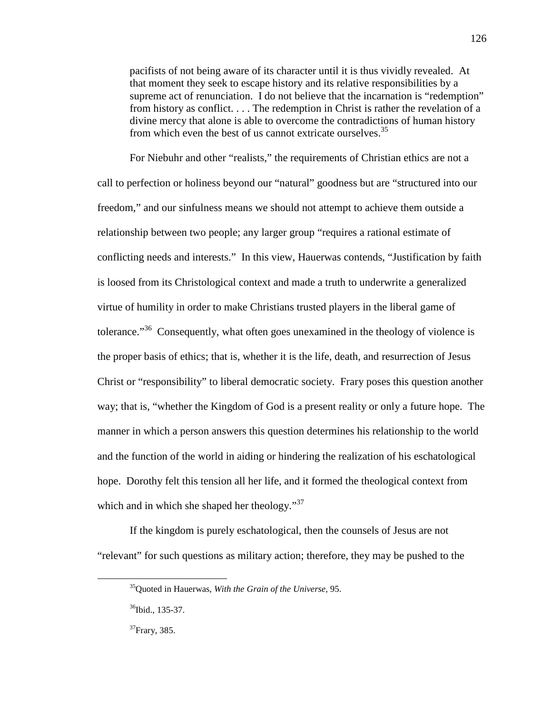pacifists of not being aware of its character until it is thus vividly revealed. At that moment they seek to escape history and its relative responsibilities by a supreme act of renunciation. I do not believe that the incarnation is "redemption" from history as conflict. . . . The redemption in Christ is rather the revelation of a divine mercy that alone is able to overcome the contradictions of human history from which even the best of us cannot extricate ourselves.<sup>35</sup>

For Niebuhr and other "realists," the requirements of Christian ethics are not a call to perfection or holiness beyond our "natural" goodness but are "structured into our freedom," and our sinfulness means we should not attempt to achieve them outside a relationship between two people; any larger group "requires a rational estimate of conflicting needs and interests." In this view, Hauerwas contends, "Justification by faith is loosed from its Christological context and made a truth to underwrite a generalized virtue of humility in order to make Christians trusted players in the liberal game of tolerance."<sup>36</sup> Consequently, what often goes unexamined in the theology of violence is the proper basis of ethics; that is, whether it is the life, death, and resurrection of Jesus Christ or "responsibility" to liberal democratic society. Frary poses this question another way; that is, "whether the Kingdom of God is a present reality or only a future hope. The manner in which a person answers this question determines his relationship to the world and the function of the world in aiding or hindering the realization of his eschatological hope. Dorothy felt this tension all her life, and it formed the theological context from which and in which she shaped her theology."<sup>37</sup>

If the kingdom is purely eschatological, then the counsels of Jesus are not "relevant" for such questions as military action; therefore, they may be pushed to the

l

<sup>35</sup>Quoted in Hauerwas, *With the Grain of the Universe,* 95.

<sup>&</sup>lt;sup>36</sup>Ibid., 135-37.

<sup>&</sup>lt;sup>37</sup>Frary, 385.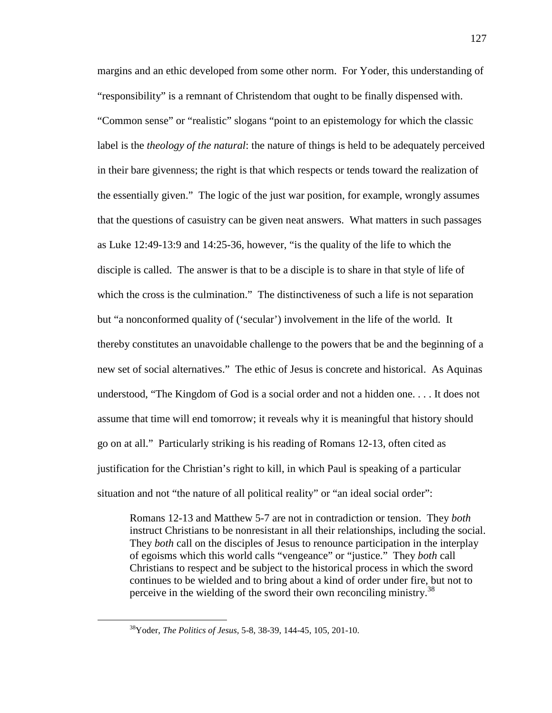margins and an ethic developed from some other norm. For Yoder, this understanding of "responsibility" is a remnant of Christendom that ought to be finally dispensed with. "Common sense" or "realistic" slogans "point to an epistemology for which the classic label is the *theology of the natural*: the nature of things is held to be adequately perceived in their bare givenness; the right is that which respects or tends toward the realization of the essentially given." The logic of the just war position, for example, wrongly assumes that the questions of casuistry can be given neat answers. What matters in such passages as Luke 12:49-13:9 and 14:25-36, however, "is the quality of the life to which the disciple is called. The answer is that to be a disciple is to share in that style of life of which the cross is the culmination." The distinctiveness of such a life is not separation but "a nonconformed quality of ('secular') involvement in the life of the world. It thereby constitutes an unavoidable challenge to the powers that be and the beginning of a new set of social alternatives." The ethic of Jesus is concrete and historical. As Aquinas understood, "The Kingdom of God is a social order and not a hidden one. . . . It does not assume that time will end tomorrow; it reveals why it is meaningful that history should go on at all." Particularly striking is his reading of Romans 12-13, often cited as justification for the Christian's right to kill, in which Paul is speaking of a particular situation and not "the nature of all political reality" or "an ideal social order":

Romans 12-13 and Matthew 5-7 are not in contradiction or tension. They *both* instruct Christians to be nonresistant in all their relationships, including the social. They *both* call on the disciples of Jesus to renounce participation in the interplay of egoisms which this world calls "vengeance" or "justice." They *both* call Christians to respect and be subject to the historical process in which the sword continues to be wielded and to bring about a kind of order under fire, but not to perceive in the wielding of the sword their own reconciling ministry.<sup>38</sup>

<sup>38</sup>Yoder, *The Politics of Jesus,* 5-8, 38-39, 144-45, 105, 201-10.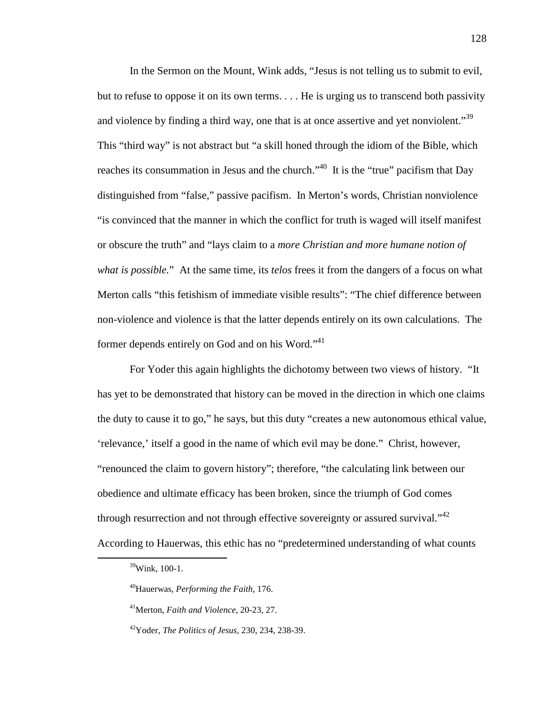In the Sermon on the Mount, Wink adds, "Jesus is not telling us to submit to evil, but to refuse to oppose it on its own terms. . . . He is urging us to transcend both passivity and violence by finding a third way, one that is at once assertive and yet nonviolent."<sup>39</sup> This "third way" is not abstract but "a skill honed through the idiom of the Bible, which reaches its consummation in Jesus and the church."<sup>40</sup> It is the "true" pacifism that Day distinguished from "false," passive pacifism. In Merton's words, Christian nonviolence "is convinced that the manner in which the conflict for truth is waged will itself manifest or obscure the truth" and "lays claim to a *more Christian and more humane notion of what is possible.*" At the same time, its *telos* frees it from the dangers of a focus on what Merton calls "this fetishism of immediate visible results": "The chief difference between non-violence and violence is that the latter depends entirely on its own calculations. The former depends entirely on God and on his Word."<sup>41</sup>

For Yoder this again highlights the dichotomy between two views of history. "It has yet to be demonstrated that history can be moved in the direction in which one claims the duty to cause it to go," he says, but this duty "creates a new autonomous ethical value, 'relevance,' itself a good in the name of which evil may be done." Christ, however, "renounced the claim to govern history"; therefore, "the calculating link between our obedience and ultimate efficacy has been broken, since the triumph of God comes through resurrection and not through effective sovereignty or assured survival." $42$ According to Hauerwas, this ethic has no "predetermined understanding of what counts

<sup>39</sup>Wink, 100-1.

<sup>40</sup>Hauerwas, *Performing the Faith,* 176.

<sup>41</sup>Merton, *Faith and Violence,* 20-23, 27.

<sup>42</sup>Yoder, *The Politics of Jesus,* 230, 234, 238-39.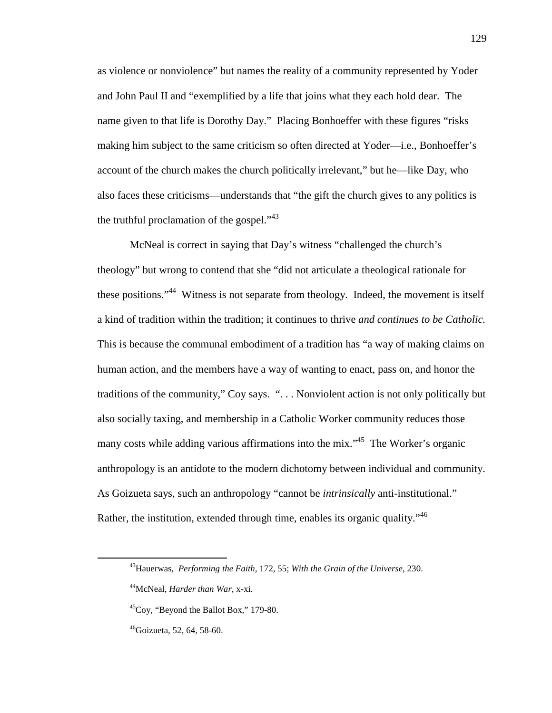as violence or nonviolence" but names the reality of a community represented by Yoder and John Paul II and "exemplified by a life that joins what they each hold dear. The name given to that life is Dorothy Day." Placing Bonhoeffer with these figures "risks making him subject to the same criticism so often directed at Yoder—i.e., Bonhoeffer's account of the church makes the church politically irrelevant," but he—like Day, who also faces these criticisms—understands that "the gift the church gives to any politics is the truthful proclamation of the gospel. $1^{43}$ 

McNeal is correct in saying that Day's witness "challenged the church's theology" but wrong to contend that she "did not articulate a theological rationale for these positions."<sup>44</sup> Witness is not separate from theology. Indeed, the movement is itself a kind of tradition within the tradition; it continues to thrive *and continues to be Catholic.* This is because the communal embodiment of a tradition has "a way of making claims on human action, and the members have a way of wanting to enact, pass on, and honor the traditions of the community," Coy says. ". . . Nonviolent action is not only politically but also socially taxing, and membership in a Catholic Worker community reduces those many costs while adding various affirmations into the mix."<sup>45</sup> The Worker's organic anthropology is an antidote to the modern dichotomy between individual and community. As Goizueta says, such an anthropology "cannot be *intrinsically* anti-institutional." Rather, the institution, extended through time, enables its organic quality."<sup>46</sup>

<sup>43</sup>Hauerwas, *Performing the Faith,* 172, 55; *With the Grain of the Universe,* 230.

<sup>44</sup>McNeal, *Harder than War,* x-xi.

 $^{45}$ Coy, "Beyond the Ballot Box," 179-80.

 $46$ Goizueta, 52, 64, 58-60.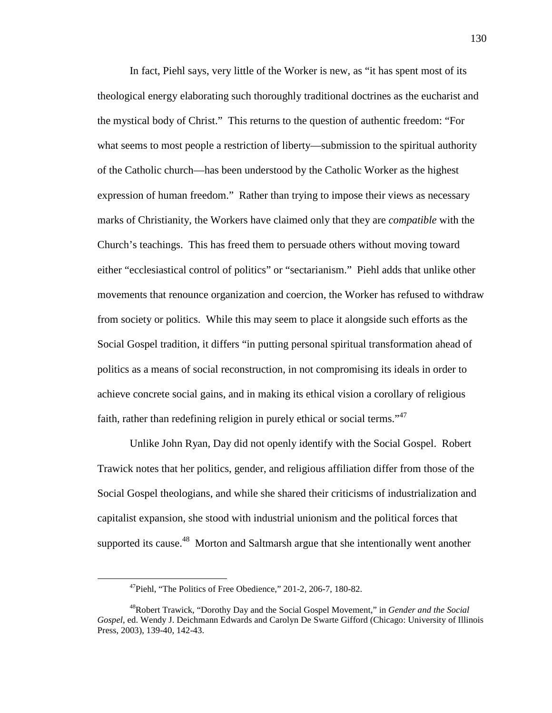In fact, Piehl says, very little of the Worker is new, as "it has spent most of its theological energy elaborating such thoroughly traditional doctrines as the eucharist and the mystical body of Christ." This returns to the question of authentic freedom: "For what seems to most people a restriction of liberty—submission to the spiritual authority of the Catholic church—has been understood by the Catholic Worker as the highest expression of human freedom." Rather than trying to impose their views as necessary marks of Christianity, the Workers have claimed only that they are *compatible* with the Church's teachings. This has freed them to persuade others without moving toward either "ecclesiastical control of politics" or "sectarianism." Piehl adds that unlike other movements that renounce organization and coercion, the Worker has refused to withdraw from society or politics. While this may seem to place it alongside such efforts as the Social Gospel tradition, it differs "in putting personal spiritual transformation ahead of politics as a means of social reconstruction, in not compromising its ideals in order to achieve concrete social gains, and in making its ethical vision a corollary of religious faith, rather than redefining religion in purely ethical or social terms."<sup>47</sup>

Unlike John Ryan, Day did not openly identify with the Social Gospel. Robert Trawick notes that her politics, gender, and religious affiliation differ from those of the Social Gospel theologians, and while she shared their criticisms of industrialization and capitalist expansion, she stood with industrial unionism and the political forces that supported its cause.<sup>48</sup> Morton and Saltmarsh argue that she intentionally went another

l

 $^{47}$ Piehl, "The Politics of Free Obedience," 201-2, 206-7, 180-82.

<sup>48</sup>Robert Trawick, "Dorothy Day and the Social Gospel Movement," in *Gender and the Social Gospel*, ed. Wendy J. Deichmann Edwards and Carolyn De Swarte Gifford (Chicago: University of Illinois Press, 2003), 139-40, 142-43.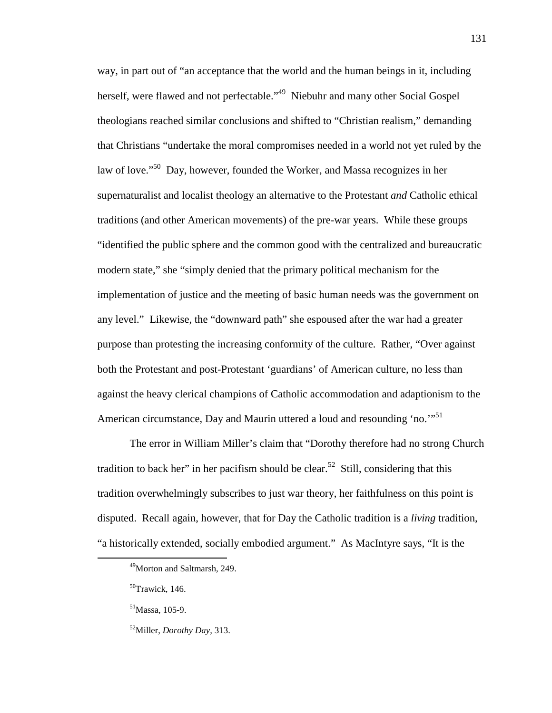way, in part out of "an acceptance that the world and the human beings in it, including herself, were flawed and not perfectable."<sup>49</sup> Niebuhr and many other Social Gospel theologians reached similar conclusions and shifted to "Christian realism," demanding that Christians "undertake the moral compromises needed in a world not yet ruled by the law of love."<sup>50</sup> Day, however, founded the Worker, and Massa recognizes in her supernaturalist and localist theology an alternative to the Protestant *and* Catholic ethical traditions (and other American movements) of the pre-war years. While these groups "identified the public sphere and the common good with the centralized and bureaucratic modern state," she "simply denied that the primary political mechanism for the implementation of justice and the meeting of basic human needs was the government on any level." Likewise, the "downward path" she espoused after the war had a greater purpose than protesting the increasing conformity of the culture. Rather, "Over against both the Protestant and post-Protestant 'guardians' of American culture, no less than against the heavy clerical champions of Catholic accommodation and adaptionism to the American circumstance, Day and Maurin uttered a loud and resounding 'no."<sup>51</sup>

The error in William Miller's claim that "Dorothy therefore had no strong Church tradition to back her" in her pacifism should be clear.<sup>52</sup> Still, considering that this tradition overwhelmingly subscribes to just war theory, her faithfulness on this point is disputed. Recall again, however, that for Day the Catholic tradition is a *living* tradition, "a historically extended, socially embodied argument." As MacIntyre says, "It is the

<sup>49</sup>Morton and Saltmarsh, 249.

<sup>50</sup>Trawick, 146.

<sup>51</sup>Massa, 105-9.

<sup>52</sup>Miller, *Dorothy Day,* 313.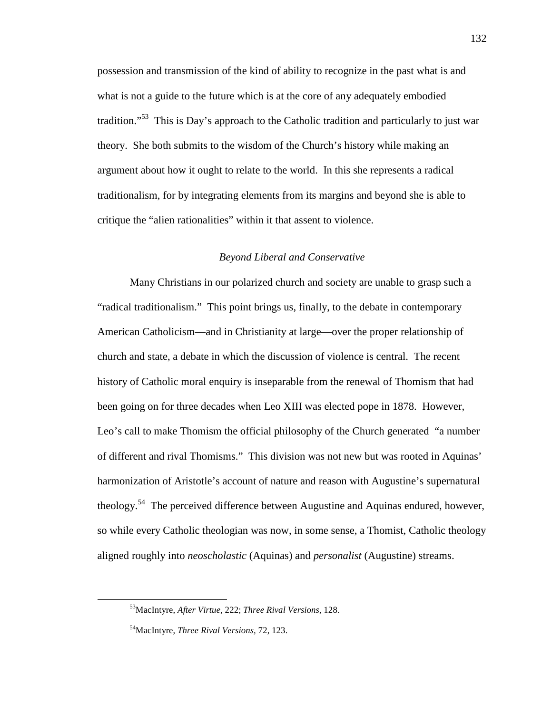possession and transmission of the kind of ability to recognize in the past what is and what is not a guide to the future which is at the core of any adequately embodied tradition.<sup>55</sup> This is Day's approach to the Catholic tradition and particularly to just war theory. She both submits to the wisdom of the Church's history while making an argument about how it ought to relate to the world. In this she represents a radical traditionalism, for by integrating elements from its margins and beyond she is able to critique the "alien rationalities" within it that assent to violence.

# *Beyond Liberal and Conservative*

Many Christians in our polarized church and society are unable to grasp such a "radical traditionalism." This point brings us, finally, to the debate in contemporary American Catholicism—and in Christianity at large—over the proper relationship of church and state, a debate in which the discussion of violence is central. The recent history of Catholic moral enquiry is inseparable from the renewal of Thomism that had been going on for three decades when Leo XIII was elected pope in 1878. However, Leo's call to make Thomism the official philosophy of the Church generated "a number of different and rival Thomisms." This division was not new but was rooted in Aquinas' harmonization of Aristotle's account of nature and reason with Augustine's supernatural theology.<sup>54</sup> The perceived difference between Augustine and Aquinas endured, however, so while every Catholic theologian was now, in some sense, a Thomist, Catholic theology aligned roughly into *neoscholastic* (Aquinas) and *personalist* (Augustine) streams.

<sup>53</sup>MacIntyre, *After Virtue,* 222; *Three Rival Versions,* 128.

<sup>54</sup>MacIntyre, *Three Rival Versions,* 72, 123.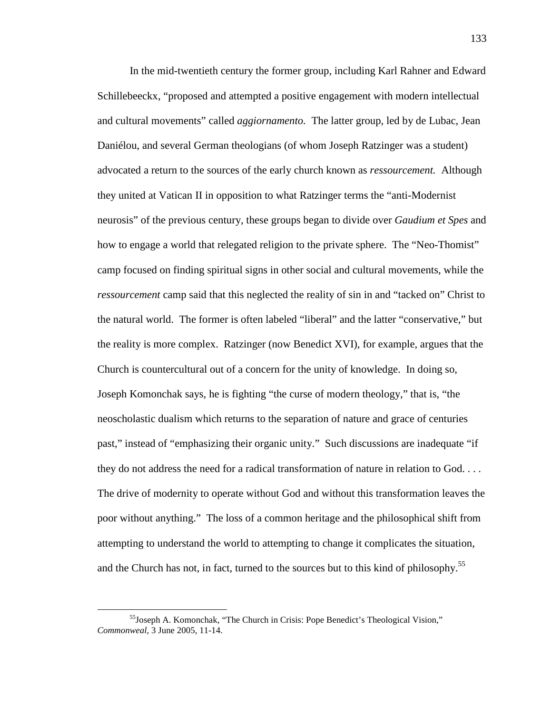In the mid-twentieth century the former group, including Karl Rahner and Edward Schillebeeckx, "proposed and attempted a positive engagement with modern intellectual and cultural movements" called *aggiornamento.* The latter group, led by de Lubac, Jean Daniélou, and several German theologians (of whom Joseph Ratzinger was a student) advocated a return to the sources of the early church known as *ressourcement.* Although they united at Vatican II in opposition to what Ratzinger terms the "anti-Modernist neurosis" of the previous century, these groups began to divide over *Gaudium et Spes* and how to engage a world that relegated religion to the private sphere. The "Neo-Thomist" camp focused on finding spiritual signs in other social and cultural movements, while the *ressourcement* camp said that this neglected the reality of sin in and "tacked on" Christ to the natural world. The former is often labeled "liberal" and the latter "conservative," but the reality is more complex. Ratzinger (now Benedict XVI), for example, argues that the Church is countercultural out of a concern for the unity of knowledge. In doing so, Joseph Komonchak says, he is fighting "the curse of modern theology," that is, "the neoscholastic dualism which returns to the separation of nature and grace of centuries past," instead of "emphasizing their organic unity." Such discussions are inadequate "if they do not address the need for a radical transformation of nature in relation to God. . . . The drive of modernity to operate without God and without this transformation leaves the poor without anything." The loss of a common heritage and the philosophical shift from attempting to understand the world to attempting to change it complicates the situation, and the Church has not, in fact, turned to the sources but to this kind of philosophy.<sup>55</sup>

<sup>55</sup>Joseph A. Komonchak, "The Church in Crisis: Pope Benedict's Theological Vision," *Commonweal,* 3 June 2005, 11-14.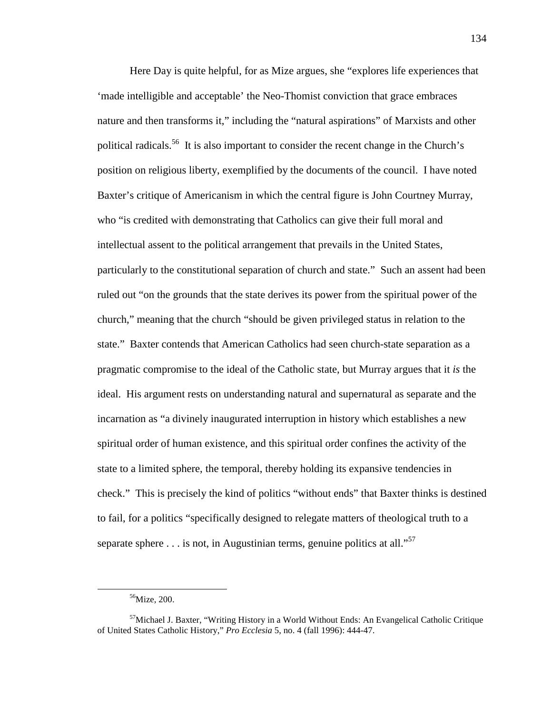Here Day is quite helpful, for as Mize argues, she "explores life experiences that 'made intelligible and acceptable' the Neo-Thomist conviction that grace embraces nature and then transforms it," including the "natural aspirations" of Marxists and other political radicals.<sup>56</sup> It is also important to consider the recent change in the Church's position on religious liberty, exemplified by the documents of the council. I have noted Baxter's critique of Americanism in which the central figure is John Courtney Murray, who "is credited with demonstrating that Catholics can give their full moral and intellectual assent to the political arrangement that prevails in the United States, particularly to the constitutional separation of church and state." Such an assent had been ruled out "on the grounds that the state derives its power from the spiritual power of the church," meaning that the church "should be given privileged status in relation to the state." Baxter contends that American Catholics had seen church-state separation as a pragmatic compromise to the ideal of the Catholic state, but Murray argues that it *is* the ideal. His argument rests on understanding natural and supernatural as separate and the incarnation as "a divinely inaugurated interruption in history which establishes a new spiritual order of human existence, and this spiritual order confines the activity of the state to a limited sphere, the temporal, thereby holding its expansive tendencies in check." This is precisely the kind of politics "without ends" that Baxter thinks is destined to fail, for a politics "specifically designed to relegate matters of theological truth to a separate sphere  $\dots$  is not, in Augustinian terms, genuine politics at all."<sup>57</sup>

<sup>56</sup>Mize, 200.

 $57$ Michael J. Baxter, "Writing History in a World Without Ends: An Evangelical Catholic Critique of United States Catholic History," *Pro Ecclesia* 5, no. 4 (fall 1996): 444-47.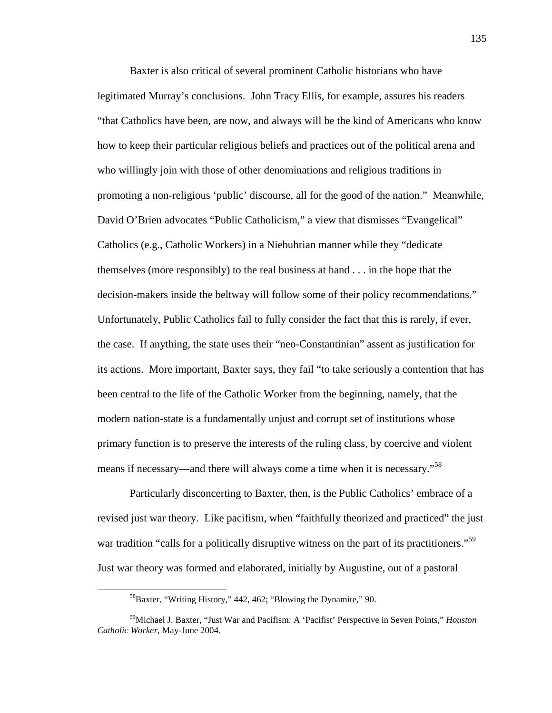Baxter is also critical of several prominent Catholic historians who have legitimated Murray's conclusions. John Tracy Ellis, for example, assures his readers "that Catholics have been, are now, and always will be the kind of Americans who know how to keep their particular religious beliefs and practices out of the political arena and who willingly join with those of other denominations and religious traditions in promoting a non-religious 'public' discourse, all for the good of the nation." Meanwhile, David O'Brien advocates "Public Catholicism," a view that dismisses "Evangelical" Catholics (e.g., Catholic Workers) in a Niebuhrian manner while they "dedicate themselves (more responsibly) to the real business at hand . . . in the hope that the decision-makers inside the beltway will follow some of their policy recommendations." Unfortunately, Public Catholics fail to fully consider the fact that this is rarely, if ever, the case. If anything, the state uses their "neo-Constantinian" assent as justification for its actions. More important, Baxter says, they fail "to take seriously a contention that has been central to the life of the Catholic Worker from the beginning, namely, that the modern nation-state is a fundamentally unjust and corrupt set of institutions whose primary function is to preserve the interests of the ruling class, by coercive and violent means if necessary—and there will always come a time when it is necessary."<sup>58</sup>

Particularly disconcerting to Baxter, then, is the Public Catholics' embrace of a revised just war theory. Like pacifism, when "faithfully theorized and practiced" the just war tradition "calls for a politically disruptive witness on the part of its practitioners."<sup>59</sup> Just war theory was formed and elaborated, initially by Augustine, out of a pastoral

<sup>&</sup>lt;sup>58</sup>Baxter, "Writing History," 442, 462; "Blowing the Dynamite," 90.

<sup>59</sup>Michael J. Baxter, "Just War and Pacifism: A 'Pacifist' Perspective in Seven Points," *Houston Catholic Worker,* May-June 2004.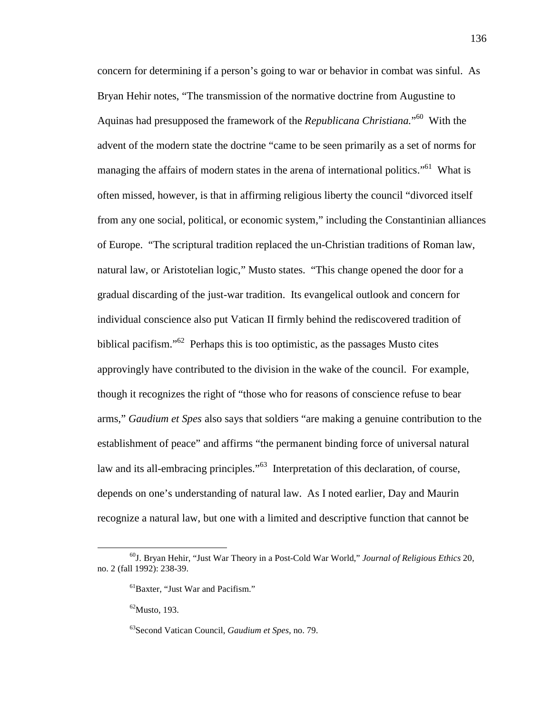concern for determining if a person's going to war or behavior in combat was sinful. As Bryan Hehir notes, "The transmission of the normative doctrine from Augustine to Aquinas had presupposed the framework of the *Republicana Christiana.*" <sup>60</sup> With the advent of the modern state the doctrine "came to be seen primarily as a set of norms for managing the affairs of modern states in the arena of international politics."<sup>61</sup> What is often missed, however, is that in affirming religious liberty the council "divorced itself from any one social, political, or economic system," including the Constantinian alliances of Europe. "The scriptural tradition replaced the un-Christian traditions of Roman law, natural law, or Aristotelian logic," Musto states. "This change opened the door for a gradual discarding of the just-war tradition. Its evangelical outlook and concern for individual conscience also put Vatican II firmly behind the rediscovered tradition of biblical pacifism." $62$  Perhaps this is too optimistic, as the passages Musto cites approvingly have contributed to the division in the wake of the council. For example, though it recognizes the right of "those who for reasons of conscience refuse to bear arms," *Gaudium et Spes* also says that soldiers "are making a genuine contribution to the establishment of peace" and affirms "the permanent binding force of universal natural law and its all-embracing principles."<sup>63</sup> Interpretation of this declaration, of course, depends on one's understanding of natural law. As I noted earlier, Day and Maurin recognize a natural law, but one with a limited and descriptive function that cannot be

<sup>60</sup>J. Bryan Hehir, "Just War Theory in a Post-Cold War World," *Journal of Religious Ethics* 20, no. 2 (fall 1992): 238-39.

<sup>61</sup>Baxter, "Just War and Pacifism."

 $62$ Musto, 193.

<sup>63</sup>Second Vatican Council, *Gaudium et Spes,* no. 79.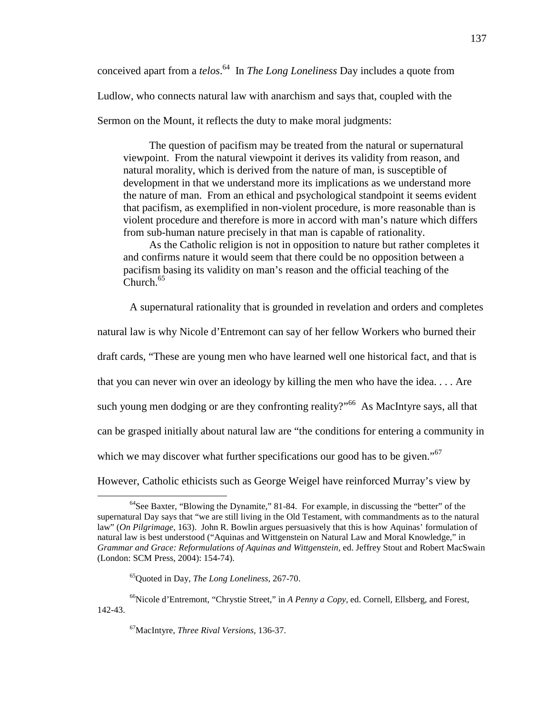conceived apart from a *telos*. <sup>64</sup> In *The Long Loneliness* Day includes a quote from

Ludlow, who connects natural law with anarchism and says that, coupled with the

Sermon on the Mount, it reflects the duty to make moral judgments:

The question of pacifism may be treated from the natural or supernatural viewpoint. From the natural viewpoint it derives its validity from reason, and natural morality, which is derived from the nature of man, is susceptible of development in that we understand more its implications as we understand more the nature of man. From an ethical and psychological standpoint it seems evident that pacifism, as exemplified in non-violent procedure, is more reasonable than is violent procedure and therefore is more in accord with man's nature which differs from sub-human nature precisely in that man is capable of rationality.

As the Catholic religion is not in opposition to nature but rather completes it and confirms nature it would seem that there could be no opposition between a pacifism basing its validity on man's reason and the official teaching of the Church.<sup>65</sup>

A supernatural rationality that is grounded in revelation and orders and completes

natural law is why Nicole d'Entremont can say of her fellow Workers who burned their draft cards, "These are young men who have learned well one historical fact, and that is that you can never win over an ideology by killing the men who have the idea. . . . Are such young men dodging or are they confronting reality?"<sup>66</sup> As MacIntyre says, all that can be grasped initially about natural law are "the conditions for entering a community in which we may discover what further specifications our good has to be given."<sup>67</sup> However, Catholic ethicists such as George Weigel have reinforced Murray's view by

<sup>&</sup>lt;u>.</u>  $64$ See Baxter, "Blowing the Dynamite," 81-84. For example, in discussing the "better" of the supernatural Day says that "we are still living in the Old Testament, with commandments as to the natural

law" (*On Pilgrimage,* 163). John R. Bowlin argues persuasively that this is how Aquinas' formulation of natural law is best understood ("Aquinas and Wittgenstein on Natural Law and Moral Knowledge," in *Grammar and Grace: Reformulations of Aquinas and Wittgenstein,* ed. Jeffrey Stout and Robert MacSwain (London: SCM Press, 2004): 154-74).

<sup>65</sup>Quoted in Day, *The Long Loneliness,* 267-70.

<sup>66</sup>Nicole d'Entremont, "Chrystie Street," in *A Penny a Copy,* ed. Cornell, Ellsberg, and Forest, 142-43.

<sup>67</sup>MacIntyre, *Three Rival Versions,* 136-37.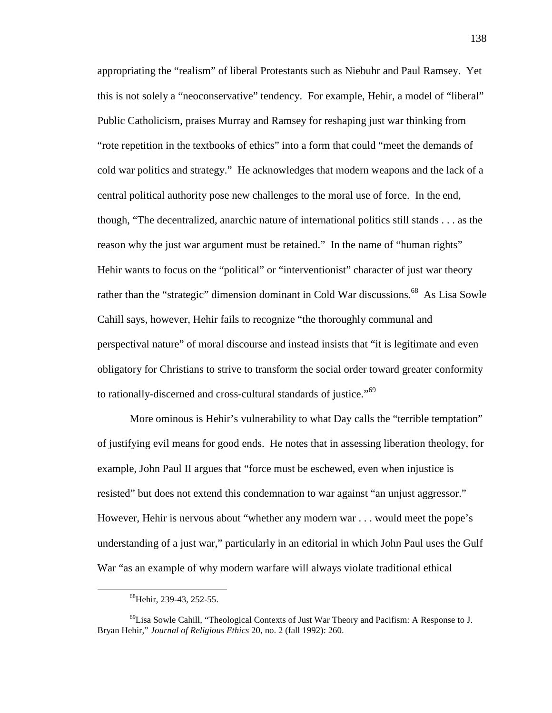appropriating the "realism" of liberal Protestants such as Niebuhr and Paul Ramsey. Yet this is not solely a "neoconservative" tendency. For example, Hehir, a model of "liberal" Public Catholicism, praises Murray and Ramsey for reshaping just war thinking from "rote repetition in the textbooks of ethics" into a form that could "meet the demands of cold war politics and strategy." He acknowledges that modern weapons and the lack of a central political authority pose new challenges to the moral use of force. In the end, though, "The decentralized, anarchic nature of international politics still stands . . . as the reason why the just war argument must be retained." In the name of "human rights" Hehir wants to focus on the "political" or "interventionist" character of just war theory rather than the "strategic" dimension dominant in Cold War discussions.<sup>68</sup> As Lisa Sowle Cahill says, however, Hehir fails to recognize "the thoroughly communal and perspectival nature" of moral discourse and instead insists that "it is legitimate and even obligatory for Christians to strive to transform the social order toward greater conformity to rationally-discerned and cross-cultural standards of justice."<sup>69</sup>

More ominous is Hehir's vulnerability to what Day calls the "terrible temptation" of justifying evil means for good ends. He notes that in assessing liberation theology, for example, John Paul II argues that "force must be eschewed, even when injustice is resisted" but does not extend this condemnation to war against "an unjust aggressor." However, Hehir is nervous about "whether any modern war . . . would meet the pope's understanding of a just war," particularly in an editorial in which John Paul uses the Gulf War "as an example of why modern warfare will always violate traditional ethical

<sup>&</sup>lt;sup>68</sup>Hehir, 239-43, 252-55.

 $^{69}$ Lisa Sowle Cahill, "Theological Contexts of Just War Theory and Pacifism: A Response to J. Bryan Hehir," *Journal of Religious Ethics* 20, no. 2 (fall 1992): 260.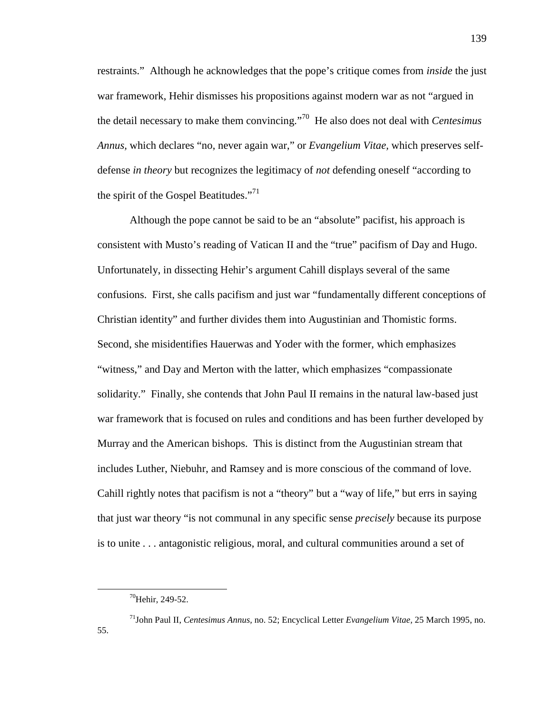restraints." Although he acknowledges that the pope's critique comes from *inside* the just war framework, Hehir dismisses his propositions against modern war as not "argued in the detail necessary to make them convincing."<sup>70</sup> He also does not deal with *Centesimus Annus,* which declares "no, never again war," or *Evangelium Vitae,* which preserves selfdefense *in theory* but recognizes the legitimacy of *not* defending oneself "according to the spirit of the Gospel Beatitudes."<sup>71</sup>

Although the pope cannot be said to be an "absolute" pacifist, his approach is consistent with Musto's reading of Vatican II and the "true" pacifism of Day and Hugo. Unfortunately, in dissecting Hehir's argument Cahill displays several of the same confusions. First, she calls pacifism and just war "fundamentally different conceptions of Christian identity" and further divides them into Augustinian and Thomistic forms. Second, she misidentifies Hauerwas and Yoder with the former, which emphasizes "witness," and Day and Merton with the latter, which emphasizes "compassionate solidarity." Finally, she contends that John Paul II remains in the natural law-based just war framework that is focused on rules and conditions and has been further developed by Murray and the American bishops. This is distinct from the Augustinian stream that includes Luther, Niebuhr, and Ramsey and is more conscious of the command of love. Cahill rightly notes that pacifism is not a "theory" but a "way of life," but errs in saying that just war theory "is not communal in any specific sense *precisely* because its purpose is to unite . . . antagonistic religious, moral, and cultural communities around a set of

 $^{70}$ Hehir, 249-52.

<sup>71</sup>John Paul II, *Centesimus Annus,* no. 52; Encyclical Letter *Evangelium Vitae,* 25 March 1995, no. 55.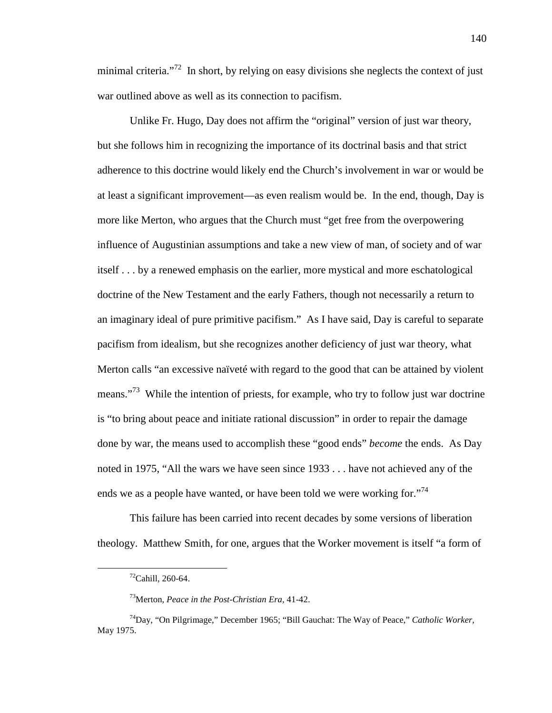minimal criteria. $172$  In short, by relying on easy divisions she neglects the context of just war outlined above as well as its connection to pacifism.

Unlike Fr. Hugo, Day does not affirm the "original" version of just war theory, but she follows him in recognizing the importance of its doctrinal basis and that strict adherence to this doctrine would likely end the Church's involvement in war or would be at least a significant improvement—as even realism would be. In the end, though, Day is more like Merton, who argues that the Church must "get free from the overpowering influence of Augustinian assumptions and take a new view of man, of society and of war itself . . . by a renewed emphasis on the earlier, more mystical and more eschatological doctrine of the New Testament and the early Fathers, though not necessarily a return to an imaginary ideal of pure primitive pacifism." As I have said, Day is careful to separate pacifism from idealism, but she recognizes another deficiency of just war theory, what Merton calls "an excessive naïveté with regard to the good that can be attained by violent means."<sup>73</sup> While the intention of priests, for example, who try to follow just war doctrine is "to bring about peace and initiate rational discussion" in order to repair the damage done by war, the means used to accomplish these "good ends" *become* the ends. As Day noted in 1975, "All the wars we have seen since 1933 . . . have not achieved any of the ends we as a people have wanted, or have been told we were working for.<sup> $74$ </sup>

This failure has been carried into recent decades by some versions of liberation theology. Matthew Smith, for one, argues that the Worker movement is itself "a form of

 $72$ Cahill, 260-64.

<sup>73</sup>Merton, *Peace in the Post-Christian Era,* 41-42.

<sup>74</sup>Day, "On Pilgrimage," December 1965; "Bill Gauchat: The Way of Peace," *Catholic Worker,* May 1975.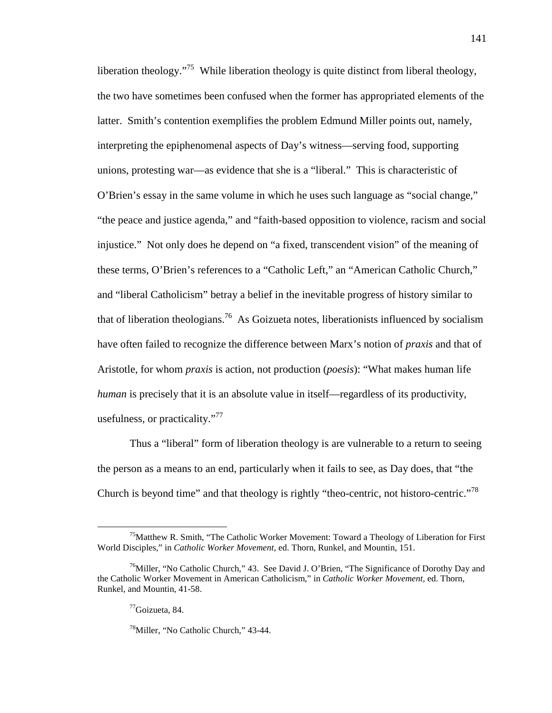liberation theology."<sup>75</sup> While liberation theology is quite distinct from liberal theology. the two have sometimes been confused when the former has appropriated elements of the latter. Smith's contention exemplifies the problem Edmund Miller points out, namely, interpreting the epiphenomenal aspects of Day's witness—serving food, supporting unions, protesting war—as evidence that she is a "liberal." This is characteristic of O'Brien's essay in the same volume in which he uses such language as "social change," "the peace and justice agenda," and "faith-based opposition to violence, racism and social injustice." Not only does he depend on "a fixed, transcendent vision" of the meaning of these terms, O'Brien's references to a "Catholic Left," an "American Catholic Church," and "liberal Catholicism" betray a belief in the inevitable progress of history similar to that of liberation theologians.<sup>76</sup> As Goizueta notes, liberationists influenced by socialism have often failed to recognize the difference between Marx's notion of *praxis* and that of Aristotle, for whom *praxis* is action, not production (*poesis*): "What makes human life *human* is precisely that it is an absolute value in itself—regardless of its productivity, usefulness, or practicality."<sup>77</sup>

Thus a "liberal" form of liberation theology is are vulnerable to a return to seeing the person as a means to an end, particularly when it fails to see, as Day does, that "the Church is beyond time" and that theology is rightly "theo-centric, not historo-centric."<sup>78</sup>

<sup>&</sup>lt;sup>75</sup>Matthew R. Smith, "The Catholic Worker Movement: Toward a Theology of Liberation for First World Disciples," in *Catholic Worker Movement,* ed. Thorn, Runkel, and Mountin, 151.

<sup>&</sup>lt;sup>76</sup>Miller, "No Catholic Church," 43. See David J. O'Brien, "The Significance of Dorothy Day and the Catholic Worker Movement in American Catholicism," in *Catholic Worker Movement,* ed. Thorn, Runkel, and Mountin, 41-58.

 $77\text{Goizueta}, 84.$ 

<sup>78</sup>Miller, "No Catholic Church," 43-44.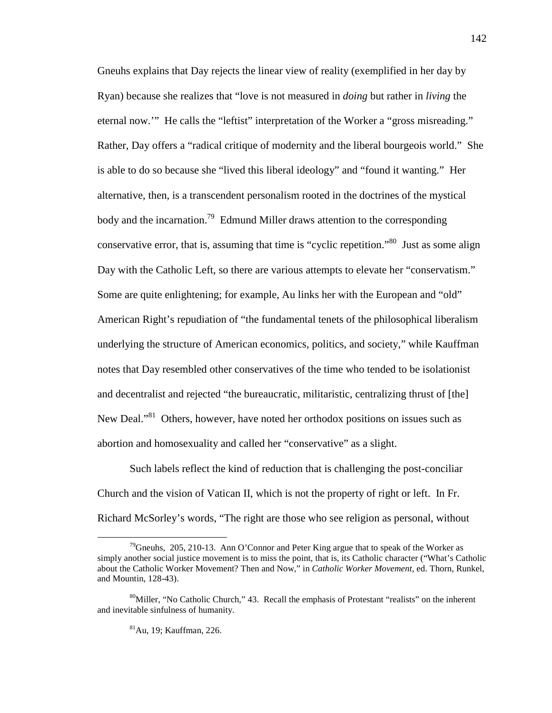Gneuhs explains that Day rejects the linear view of reality (exemplified in her day by Ryan) because she realizes that "love is not measured in *doing* but rather in *living* the eternal now.'" He calls the "leftist" interpretation of the Worker a "gross misreading." Rather, Day offers a "radical critique of modernity and the liberal bourgeois world." She is able to do so because she "lived this liberal ideology" and "found it wanting." Her alternative, then, is a transcendent personalism rooted in the doctrines of the mystical body and the incarnation.<sup>79</sup> Edmund Miller draws attention to the corresponding conservative error, that is, assuming that time is "cyclic repetition."<sup>80</sup> Just as some align Day with the Catholic Left, so there are various attempts to elevate her "conservatism." Some are quite enlightening; for example, Au links her with the European and "old" American Right's repudiation of "the fundamental tenets of the philosophical liberalism underlying the structure of American economics, politics, and society," while Kauffman notes that Day resembled other conservatives of the time who tended to be isolationist and decentralist and rejected "the bureaucratic, militaristic, centralizing thrust of [the] New Deal."<sup>81</sup> Others, however, have noted her orthodox positions on issues such as abortion and homosexuality and called her "conservative" as a slight.

Such labels reflect the kind of reduction that is challenging the post-conciliar Church and the vision of Vatican II, which is not the property of right or left. In Fr. Richard McSorley's words, "The right are those who see religion as personal, without

<sup>&</sup>lt;sup>79</sup>Gneuhs, 205, 210-13. Ann O'Connor and Peter King argue that to speak of the Worker as simply another social justice movement is to miss the point, that is, its Catholic character ("What's Catholic about the Catholic Worker Movement? Then and Now," in *Catholic Worker Movement,* ed. Thorn, Runkel, and Mountin, 128-43).

<sup>&</sup>lt;sup>80</sup>Miller, "No Catholic Church," 43. Recall the emphasis of Protestant "realists" on the inherent and inevitable sinfulness of humanity.

<sup>81</sup>Au, 19; Kauffman, 226.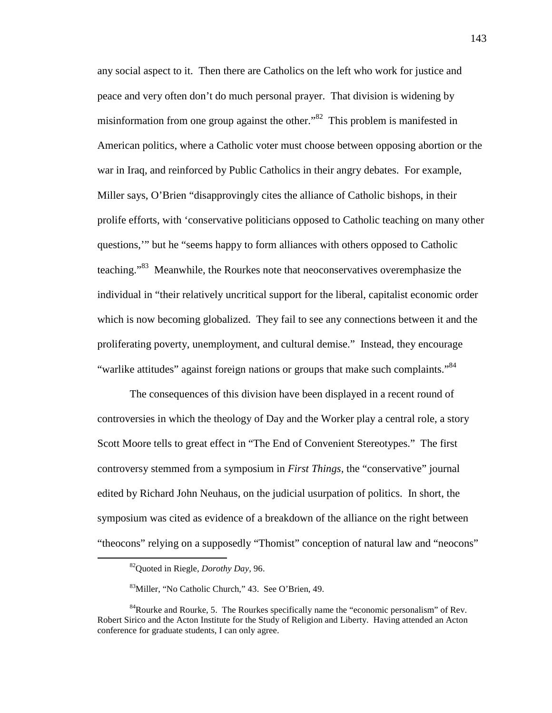any social aspect to it. Then there are Catholics on the left who work for justice and peace and very often don't do much personal prayer. That division is widening by misinformation from one group against the other.<sup>82</sup> This problem is manifested in American politics, where a Catholic voter must choose between opposing abortion or the war in Iraq, and reinforced by Public Catholics in their angry debates. For example, Miller says, O'Brien "disapprovingly cites the alliance of Catholic bishops, in their prolife efforts, with 'conservative politicians opposed to Catholic teaching on many other questions,'" but he "seems happy to form alliances with others opposed to Catholic teaching.<sup>83</sup> Meanwhile, the Rourkes note that neoconservatives overemphasize the individual in "their relatively uncritical support for the liberal, capitalist economic order which is now becoming globalized. They fail to see any connections between it and the proliferating poverty, unemployment, and cultural demise." Instead, they encourage "warlike attitudes" against foreign nations or groups that make such complaints."<sup>84</sup>

The consequences of this division have been displayed in a recent round of controversies in which the theology of Day and the Worker play a central role, a story Scott Moore tells to great effect in "The End of Convenient Stereotypes." The first controversy stemmed from a symposium in *First Things,* the "conservative" journal edited by Richard John Neuhaus, on the judicial usurpation of politics. In short, the symposium was cited as evidence of a breakdown of the alliance on the right between "theocons" relying on a supposedly "Thomist" conception of natural law and "neocons"

<sup>82</sup>Quoted in Riegle, *Dorothy Day,* 96.

<sup>83</sup>Miller, "No Catholic Church," 43. See O'Brien, 49.

 $84$ Rourke and Rourke, 5. The Rourkes specifically name the "economic personalism" of Rev. Robert Sirico and the Acton Institute for the Study of Religion and Liberty. Having attended an Acton conference for graduate students, I can only agree.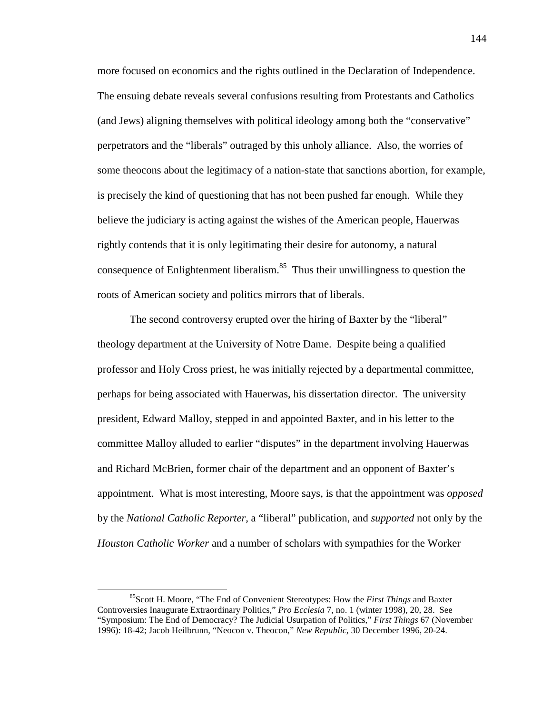more focused on economics and the rights outlined in the Declaration of Independence. The ensuing debate reveals several confusions resulting from Protestants and Catholics (and Jews) aligning themselves with political ideology among both the "conservative" perpetrators and the "liberals" outraged by this unholy alliance. Also, the worries of some theocons about the legitimacy of a nation-state that sanctions abortion, for example, is precisely the kind of questioning that has not been pushed far enough. While they believe the judiciary is acting against the wishes of the American people, Hauerwas rightly contends that it is only legitimating their desire for autonomy, a natural consequence of Enlightenment liberalism. $85$  Thus their unwillingness to question the roots of American society and politics mirrors that of liberals.

The second controversy erupted over the hiring of Baxter by the "liberal" theology department at the University of Notre Dame. Despite being a qualified professor and Holy Cross priest, he was initially rejected by a departmental committee, perhaps for being associated with Hauerwas, his dissertation director. The university president, Edward Malloy, stepped in and appointed Baxter, and in his letter to the committee Malloy alluded to earlier "disputes" in the department involving Hauerwas and Richard McBrien, former chair of the department and an opponent of Baxter's appointment. What is most interesting, Moore says, is that the appointment was *opposed* by the *National Catholic Reporter,* a "liberal" publication, and *supported* not only by the *Houston Catholic Worker* and a number of scholars with sympathies for the Worker

<sup>85</sup>Scott H. Moore, "The End of Convenient Stereotypes: How the *First Things* and Baxter Controversies Inaugurate Extraordinary Politics," *Pro Ecclesia* 7, no. 1 (winter 1998), 20, 28. See "Symposium: The End of Democracy? The Judicial Usurpation of Politics," *First Things* 67 (November 1996): 18-42; Jacob Heilbrunn, "Neocon v. Theocon," *New Republic,* 30 December 1996, 20-24.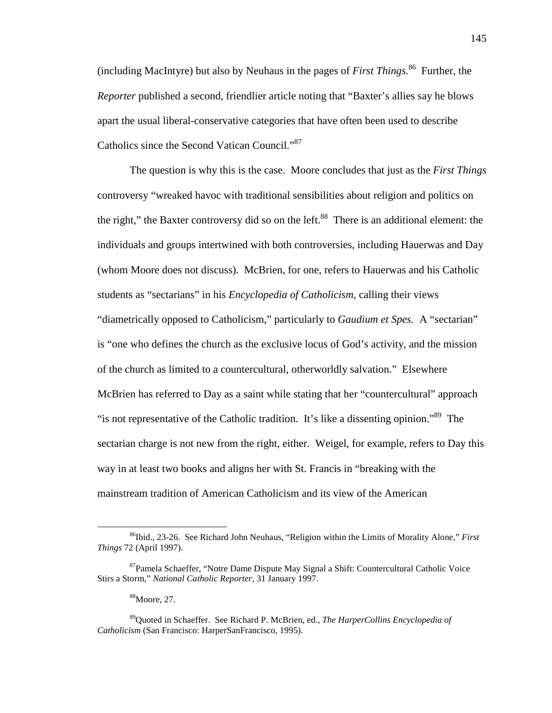(including MacIntyre) but also by Neuhaus in the pages of *First Things.*<sup>86</sup> Further, the *Reporter* published a second, friendlier article noting that "Baxter's allies say he blows apart the usual liberal-conservative categories that have often been used to describe Catholics since the Second Vatican Council."<sup>87</sup>

The question is why this is the case. Moore concludes that just as the *First Things* controversy "wreaked havoc with traditional sensibilities about religion and politics on the right," the Baxter controversy did so on the left.<sup>88</sup> There is an additional element: the individuals and groups intertwined with both controversies, including Hauerwas and Day (whom Moore does not discuss). McBrien, for one, refers to Hauerwas and his Catholic students as "sectarians" in his *Encyclopedia of Catholicism,* calling their views "diametrically opposed to Catholicism," particularly to *Gaudium et Spes.* A "sectarian" is "one who defines the church as the exclusive locus of God's activity, and the mission of the church as limited to a countercultural, otherworldly salvation." Elsewhere McBrien has referred to Day as a saint while stating that her "countercultural" approach "is not representative of the Catholic tradition. It's like a dissenting opinion."<sup>89</sup> The sectarian charge is not new from the right, either. Weigel, for example, refers to Day this way in at least two books and aligns her with St. Francis in "breaking with the mainstream tradition of American Catholicism and its view of the American

<sup>88</sup>Moore, 27.

<sup>86</sup>Ibid., 23-26. See Richard John Neuhaus, "Religion within the Limits of Morality Alone," *First Things* 72 (April 1997).

<sup>87</sup>Pamela Schaeffer, "Notre Dame Dispute May Signal a Shift: Countercultural Catholic Voice Stirs a Storm," *National Catholic Reporter,* 31 January 1997.

<sup>89</sup>Quoted in Schaeffer. See Richard P. McBrien, ed., *The HarperCollins Encyclopedia of Catholicism* (San Francisco: HarperSanFrancisco, 1995).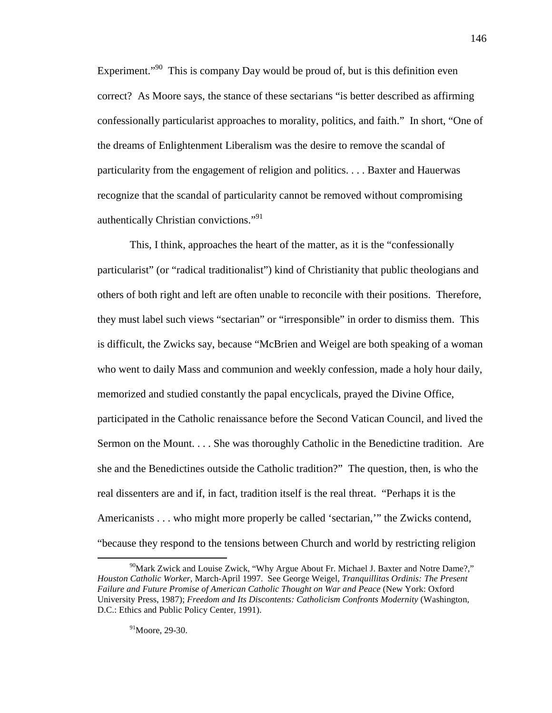Experiment. $\cdot^{90}$  This is company Day would be proud of, but is this definition even correct? As Moore says, the stance of these sectarians "is better described as affirming confessionally particularist approaches to morality, politics, and faith." In short, "One of the dreams of Enlightenment Liberalism was the desire to remove the scandal of particularity from the engagement of religion and politics. . . . Baxter and Hauerwas recognize that the scandal of particularity cannot be removed without compromising authentically Christian convictions."<sup>91</sup>

This, I think, approaches the heart of the matter, as it is the "confessionally particularist" (or "radical traditionalist") kind of Christianity that public theologians and others of both right and left are often unable to reconcile with their positions. Therefore, they must label such views "sectarian" or "irresponsible" in order to dismiss them. This is difficult, the Zwicks say, because "McBrien and Weigel are both speaking of a woman who went to daily Mass and communion and weekly confession, made a holy hour daily, memorized and studied constantly the papal encyclicals, prayed the Divine Office, participated in the Catholic renaissance before the Second Vatican Council, and lived the Sermon on the Mount. . . . She was thoroughly Catholic in the Benedictine tradition. Are she and the Benedictines outside the Catholic tradition?" The question, then, is who the real dissenters are and if, in fact, tradition itself is the real threat. "Perhaps it is the Americanists . . . who might more properly be called 'sectarian,'" the Zwicks contend, "because they respond to the tensions between Church and world by restricting religion

 $90$ Mark Zwick and Louise Zwick, "Why Argue About Fr. Michael J. Baxter and Notre Dame?," *Houston Catholic Worker,* March-April 1997. See George Weigel, *Tranquillitas Ordinis: The Present Failure and Future Promise of American Catholic Thought on War and Peace* (New York: Oxford University Press, 1987); *Freedom and Its Discontents: Catholicism Confronts Modernity* (Washington, D.C.: Ethics and Public Policy Center, 1991).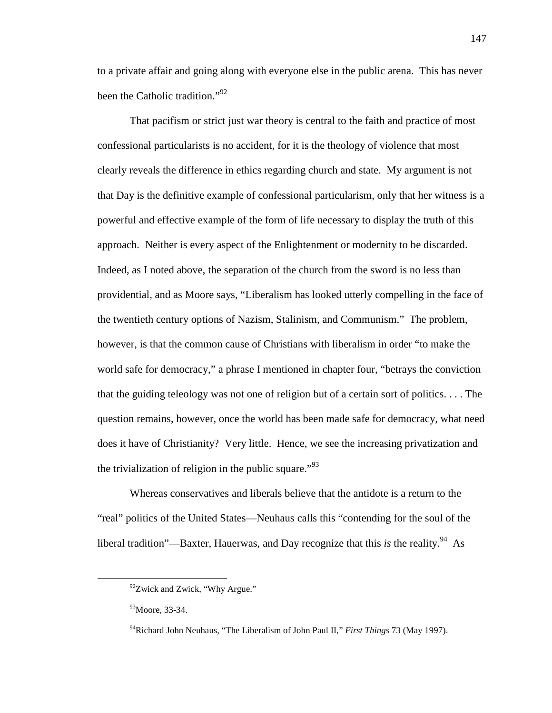to a private affair and going along with everyone else in the public arena. This has never been the Catholic tradition."<sup>92</sup>

That pacifism or strict just war theory is central to the faith and practice of most confessional particularists is no accident, for it is the theology of violence that most clearly reveals the difference in ethics regarding church and state. My argument is not that Day is the definitive example of confessional particularism, only that her witness is a powerful and effective example of the form of life necessary to display the truth of this approach. Neither is every aspect of the Enlightenment or modernity to be discarded. Indeed, as I noted above, the separation of the church from the sword is no less than providential, and as Moore says, "Liberalism has looked utterly compelling in the face of the twentieth century options of Nazism, Stalinism, and Communism." The problem, however, is that the common cause of Christians with liberalism in order "to make the world safe for democracy," a phrase I mentioned in chapter four, "betrays the conviction that the guiding teleology was not one of religion but of a certain sort of politics. . . . The question remains, however, once the world has been made safe for democracy, what need does it have of Christianity? Very little. Hence, we see the increasing privatization and the trivialization of religion in the public square."<sup>93</sup>

Whereas conservatives and liberals believe that the antidote is a return to the "real" politics of the United States—Neuhaus calls this "contending for the soul of the liberal tradition"—Baxter, Hauerwas, and Day recognize that this *is* the reality.<sup>94</sup> As

l

 $92$ Zwick and Zwick, "Why Argue."

<sup>93</sup>Moore, 33-34.

<sup>94</sup>Richard John Neuhaus, "The Liberalism of John Paul II," *First Things* 73 (May 1997).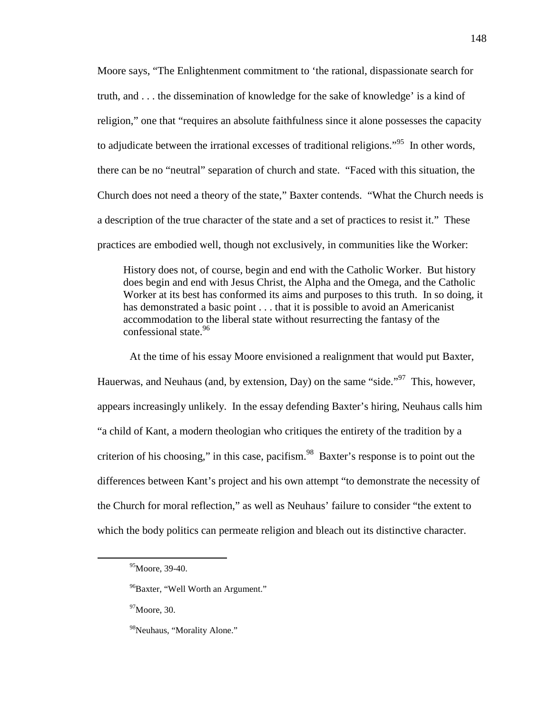Moore says, "The Enlightenment commitment to 'the rational, dispassionate search for truth, and . . . the dissemination of knowledge for the sake of knowledge' is a kind of religion," one that "requires an absolute faithfulness since it alone possesses the capacity to adjudicate between the irrational excesses of traditional religions."<sup>95</sup> In other words, there can be no "neutral" separation of church and state. "Faced with this situation, the Church does not need a theory of the state," Baxter contends. "What the Church needs is a description of the true character of the state and a set of practices to resist it." These practices are embodied well, though not exclusively, in communities like the Worker:

History does not, of course, begin and end with the Catholic Worker. But history does begin and end with Jesus Christ, the Alpha and the Omega, and the Catholic Worker at its best has conformed its aims and purposes to this truth. In so doing, it has demonstrated a basic point . . . that it is possible to avoid an Americanist accommodation to the liberal state without resurrecting the fantasy of the confessional state.<sup>96</sup>

At the time of his essay Moore envisioned a realignment that would put Baxter, Hauerwas, and Neuhaus (and, by extension, Day) on the same "side."<sup>97</sup> This, however, appears increasingly unlikely. In the essay defending Baxter's hiring, Neuhaus calls him "a child of Kant, a modern theologian who critiques the entirety of the tradition by a criterion of his choosing," in this case, pacifism.<sup>98</sup> Baxter's response is to point out the differences between Kant's project and his own attempt "to demonstrate the necessity of the Church for moral reflection," as well as Neuhaus' failure to consider "the extent to which the body politics can permeate religion and bleach out its distinctive character.

<sup>95</sup>Moore, 39-40.

<sup>&</sup>lt;sup>96</sup>Baxter, "Well Worth an Argument."

 $97$ Moore, 30.

<sup>&</sup>lt;sup>98</sup>Neuhaus, "Morality Alone."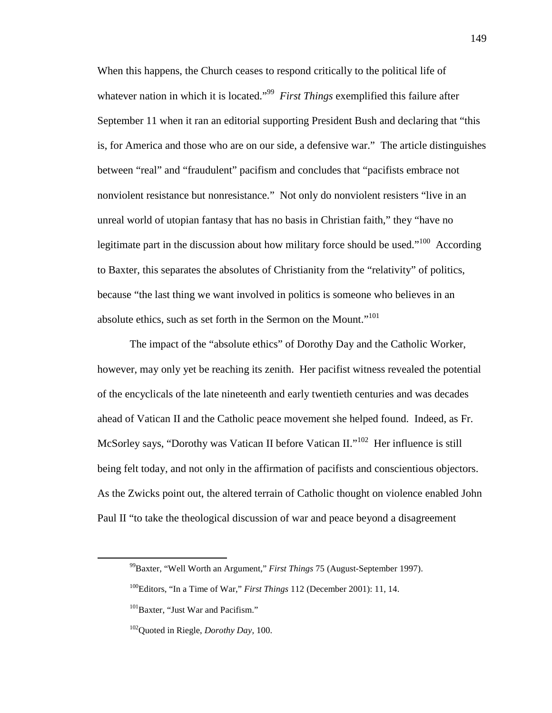When this happens, the Church ceases to respond critically to the political life of whatever nation in which it is located."<sup>99</sup> First Things exemplified this failure after September 11 when it ran an editorial supporting President Bush and declaring that "this is, for America and those who are on our side, a defensive war." The article distinguishes between "real" and "fraudulent" pacifism and concludes that "pacifists embrace not nonviolent resistance but nonresistance." Not only do nonviolent resisters "live in an unreal world of utopian fantasy that has no basis in Christian faith," they "have no legitimate part in the discussion about how military force should be used."<sup>100</sup> According to Baxter, this separates the absolutes of Christianity from the "relativity" of politics, because "the last thing we want involved in politics is someone who believes in an absolute ethics, such as set forth in the Sermon on the Mount."<sup>101</sup>

The impact of the "absolute ethics" of Dorothy Day and the Catholic Worker, however, may only yet be reaching its zenith. Her pacifist witness revealed the potential of the encyclicals of the late nineteenth and early twentieth centuries and was decades ahead of Vatican II and the Catholic peace movement she helped found. Indeed, as Fr. McSorley says, "Dorothy was Vatican II before Vatican II."<sup>102</sup> Her influence is still being felt today, and not only in the affirmation of pacifists and conscientious objectors. As the Zwicks point out, the altered terrain of Catholic thought on violence enabled John Paul II "to take the theological discussion of war and peace beyond a disagreement

<sup>99</sup>Baxter, "Well Worth an Argument," *First Things* 75 (August-September 1997).

<sup>100</sup>Editors, "In a Time of War," *First Things* 112 (December 2001): 11, 14.

<sup>&</sup>lt;sup>101</sup>Baxter, "Just War and Pacifism."

<sup>102</sup>Quoted in Riegle, *Dorothy Day,* 100.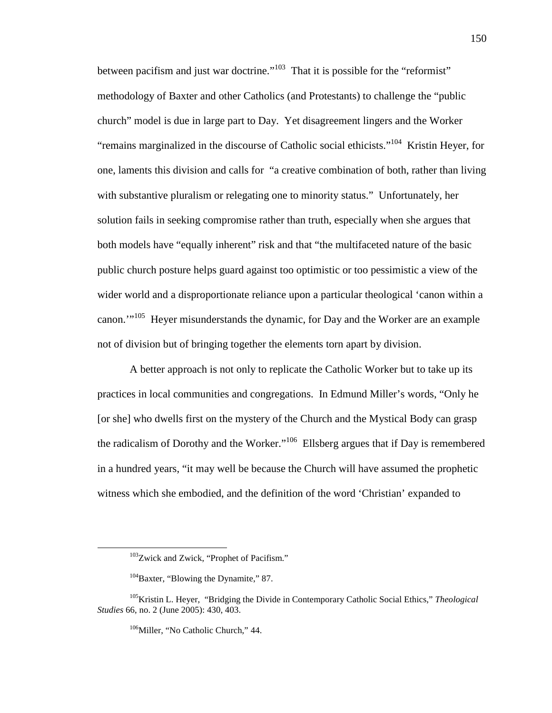between pacifism and just war doctrine."<sup>103</sup> That it is possible for the "reformist" methodology of Baxter and other Catholics (and Protestants) to challenge the "public church" model is due in large part to Day. Yet disagreement lingers and the Worker "remains marginalized in the discourse of Catholic social ethicists."<sup>104</sup> Kristin Heyer, for one, laments this division and calls for "a creative combination of both, rather than living with substantive pluralism or relegating one to minority status." Unfortunately, her solution fails in seeking compromise rather than truth, especially when she argues that both models have "equally inherent" risk and that "the multifaceted nature of the basic public church posture helps guard against too optimistic or too pessimistic a view of the wider world and a disproportionate reliance upon a particular theological 'canon within a canon.'"<sup>105</sup> Heyer misunderstands the dynamic, for Day and the Worker are an example not of division but of bringing together the elements torn apart by division.

A better approach is not only to replicate the Catholic Worker but to take up its practices in local communities and congregations. In Edmund Miller's words, "Only he [or she] who dwells first on the mystery of the Church and the Mystical Body can grasp the radicalism of Dorothy and the Worker."<sup>106</sup> Ellsberg argues that if Day is remembered in a hundred years, "it may well be because the Church will have assumed the prophetic witness which she embodied, and the definition of the word 'Christian' expanded to

 $103$ Zwick and Zwick, "Prophet of Pacifism."

 $104B$ axter, "Blowing the Dynamite," 87.

<sup>105</sup>Kristin L. Heyer, "Bridging the Divide in Contemporary Catholic Social Ethics," *Theological Studies* 66, no. 2 (June 2005): 430, 403.

<sup>&</sup>lt;sup>106</sup>Miller, "No Catholic Church," 44.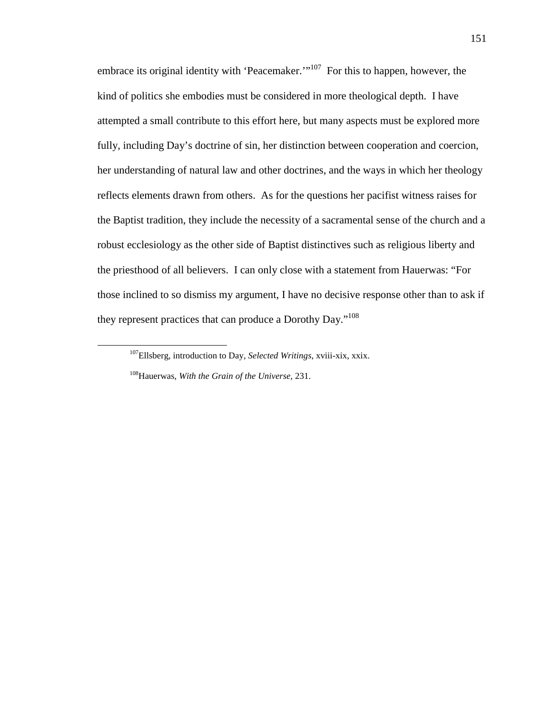embrace its original identity with 'Peacemaker.'<sup>107</sup> For this to happen, however, the kind of politics she embodies must be considered in more theological depth. I have attempted a small contribute to this effort here, but many aspects must be explored more fully, including Day's doctrine of sin, her distinction between cooperation and coercion, her understanding of natural law and other doctrines, and the ways in which her theology reflects elements drawn from others. As for the questions her pacifist witness raises for the Baptist tradition, they include the necessity of a sacramental sense of the church and a robust ecclesiology as the other side of Baptist distinctives such as religious liberty and the priesthood of all believers. I can only close with a statement from Hauerwas: "For those inclined to so dismiss my argument, I have no decisive response other than to ask if they represent practices that can produce a Dorothy Day."<sup>108</sup>

<sup>107</sup>Ellsberg, introduction to Day, *Selected Writings,* xviii-xix, xxix.

<sup>108</sup>Hauerwas, *With the Grain of the Universe,* 231.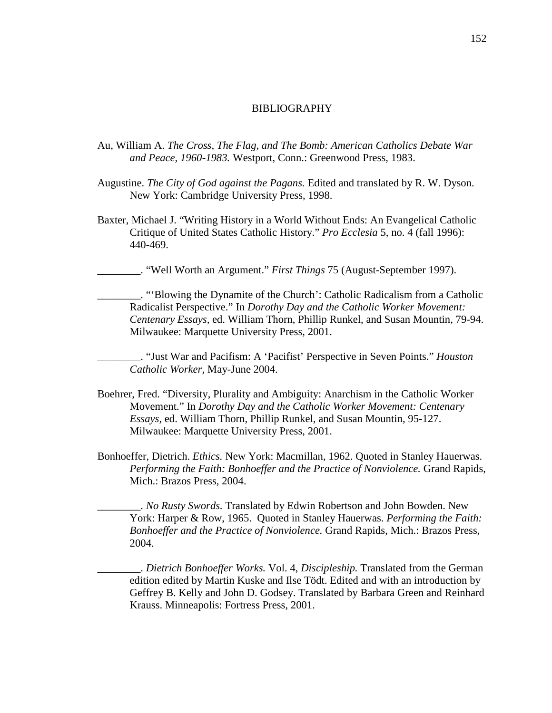## BIBLIOGRAPHY

- Au, William A. *The Cross, The Flag, and The Bomb: American Catholics Debate War and Peace, 1960-1983.* Westport, Conn.: Greenwood Press, 1983.
- Augustine. *The City of God against the Pagans.* Edited and translated by R. W. Dyson. New York: Cambridge University Press, 1998.
- Baxter, Michael J. "Writing History in a World Without Ends: An Evangelical Catholic Critique of United States Catholic History." *Pro Ecclesia* 5, no. 4 (fall 1996): 440-469.

\_\_\_\_\_\_\_\_. "Well Worth an Argument." *First Things* 75 (August-September 1997).

\_\_\_\_\_\_\_\_. "'Blowing the Dynamite of the Church': Catholic Radicalism from a Catholic Radicalist Perspective." In *Dorothy Day and the Catholic Worker Movement: Centenary Essays,* ed. William Thorn, Phillip Runkel, and Susan Mountin, 79-94. Milwaukee: Marquette University Press, 2001.

\_\_\_\_\_\_\_\_. "Just War and Pacifism: A 'Pacifist' Perspective in Seven Points." *Houston Catholic Worker,* May-June 2004.

- Boehrer, Fred. "Diversity, Plurality and Ambiguity: Anarchism in the Catholic Worker Movement." In *Dorothy Day and the Catholic Worker Movement: Centenary Essays,* ed. William Thorn, Phillip Runkel, and Susan Mountin, 95-127. Milwaukee: Marquette University Press, 2001.
- Bonhoeffer, Dietrich. *Ethics.* New York: Macmillan, 1962. Quoted in Stanley Hauerwas. *Performing the Faith: Bonhoeffer and the Practice of Nonviolence.* Grand Rapids, Mich.: Brazos Press, 2004.

\_\_\_\_\_\_\_\_. *No Rusty Swords.* Translated by Edwin Robertson and John Bowden. New York: Harper & Row, 1965. Quoted in Stanley Hauerwas. *Performing the Faith: Bonhoeffer and the Practice of Nonviolence.* Grand Rapids, Mich.: Brazos Press, 2004.

\_\_\_\_\_\_\_\_. *Dietrich Bonhoeffer Works.* Vol. 4, *Discipleship.* Translated from the German edition edited by Martin Kuske and Ilse Tödt. Edited and with an introduction by Geffrey B. Kelly and John D. Godsey. Translated by Barbara Green and Reinhard Krauss. Minneapolis: Fortress Press, 2001.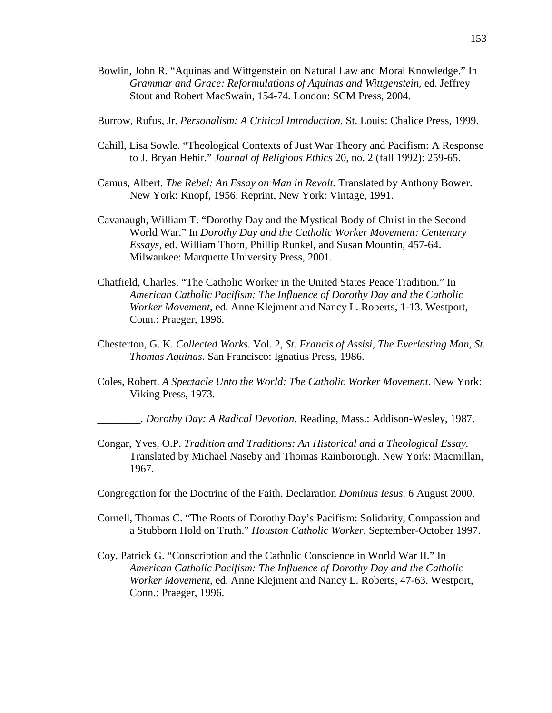Bowlin, John R. "Aquinas and Wittgenstein on Natural Law and Moral Knowledge." In *Grammar and Grace: Reformulations of Aquinas and Wittgenstein,* ed. Jeffrey Stout and Robert MacSwain, 154-74. London: SCM Press, 2004.

Burrow, Rufus, Jr. *Personalism: A Critical Introduction.* St. Louis: Chalice Press, 1999.

- Cahill, Lisa Sowle. "Theological Contexts of Just War Theory and Pacifism: A Response to J. Bryan Hehir." *Journal of Religious Ethics* 20, no. 2 (fall 1992): 259-65.
- Camus, Albert. *The Rebel: An Essay on Man in Revolt.* Translated by Anthony Bower. New York: Knopf, 1956. Reprint, New York: Vintage, 1991.
- Cavanaugh, William T. "Dorothy Day and the Mystical Body of Christ in the Second World War." In *Dorothy Day and the Catholic Worker Movement: Centenary Essays,* ed. William Thorn, Phillip Runkel, and Susan Mountin, 457-64. Milwaukee: Marquette University Press, 2001.
- Chatfield, Charles. "The Catholic Worker in the United States Peace Tradition." In *American Catholic Pacifism: The Influence of Dorothy Day and the Catholic Worker Movement,* ed. Anne Klejment and Nancy L. Roberts, 1-13. Westport, Conn.: Praeger, 1996.
- Chesterton, G. K. *Collected Works.* Vol. 2, *St. Francis of Assisi, The Everlasting Man, St. Thomas Aquinas.* San Francisco: Ignatius Press, 1986.
- Coles, Robert. *A Spectacle Unto the World: The Catholic Worker Movement.* New York: Viking Press, 1973.

\_\_\_\_\_\_\_\_. *Dorothy Day: A Radical Devotion.* Reading, Mass.: Addison-Wesley, 1987.

- Congar, Yves, O.P. *Tradition and Traditions: An Historical and a Theological Essay.* Translated by Michael Naseby and Thomas Rainborough. New York: Macmillan, 1967.
- Congregation for the Doctrine of the Faith. Declaration *Dominus Iesus.* 6 August 2000.
- Cornell, Thomas C. "The Roots of Dorothy Day's Pacifism: Solidarity, Compassion and a Stubborn Hold on Truth." *Houston Catholic Worker,* September-October 1997.
- Coy, Patrick G. "Conscription and the Catholic Conscience in World War II." In *American Catholic Pacifism: The Influence of Dorothy Day and the Catholic Worker Movement,* ed. Anne Klejment and Nancy L. Roberts, 47-63. Westport, Conn.: Praeger, 1996.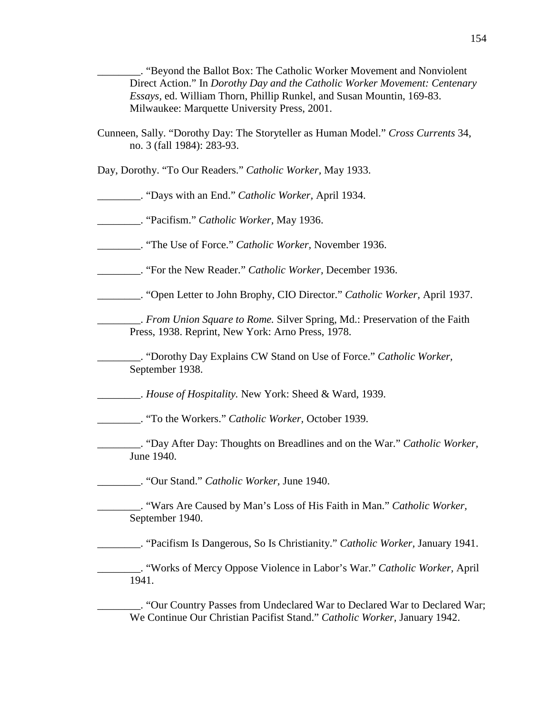\_\_\_\_\_\_\_\_. "Beyond the Ballot Box: The Catholic Worker Movement and Nonviolent Direct Action." In *Dorothy Day and the Catholic Worker Movement: Centenary Essays,* ed. William Thorn, Phillip Runkel, and Susan Mountin, 169-83. Milwaukee: Marquette University Press, 2001.

Cunneen, Sally. "Dorothy Day: The Storyteller as Human Model." *Cross Currents* 34, no. 3 (fall 1984): 283-93.

Day, Dorothy. "To Our Readers." *Catholic Worker,* May 1933.

\_\_\_\_\_\_\_\_. "Days with an End." *Catholic Worker,* April 1934.

\_\_\_\_\_\_\_\_. "Pacifism." *Catholic Worker,* May 1936.

\_\_\_\_\_\_\_\_. "The Use of Force." *Catholic Worker,* November 1936.

\_\_\_\_\_\_\_\_. "For the New Reader." *Catholic Worker,* December 1936.

\_\_\_\_\_\_\_\_. "Open Letter to John Brophy, CIO Director." *Catholic Worker,* April 1937.

\_\_\_\_\_\_\_\_. *From Union Square to Rome.* Silver Spring, Md.: Preservation of the Faith Press, 1938. Reprint, New York: Arno Press, 1978.

\_\_\_\_\_\_\_\_. "Dorothy Day Explains CW Stand on Use of Force." *Catholic Worker,* September 1938.

\_\_\_\_\_\_\_\_. *House of Hospitality.* New York: Sheed & Ward, 1939.

\_\_\_\_\_\_\_\_. "To the Workers." *Catholic Worker,* October 1939.

\_\_\_\_\_\_\_\_. "Day After Day: Thoughts on Breadlines and on the War." *Catholic Worker,* June 1940.

\_\_\_\_\_\_\_\_. "Our Stand." *Catholic Worker,* June 1940.

\_\_\_\_\_\_\_\_. "Wars Are Caused by Man's Loss of His Faith in Man." *Catholic Worker,* September 1940.

\_\_\_\_\_\_\_\_. "Pacifism Is Dangerous, So Is Christianity." *Catholic Worker,* January 1941.

\_\_\_\_\_\_\_\_. "Works of Mercy Oppose Violence in Labor's War." *Catholic Worker,* April 1941.

\_\_\_\_\_\_\_\_. "Our Country Passes from Undeclared War to Declared War to Declared War; We Continue Our Christian Pacifist Stand." *Catholic Worker,* January 1942.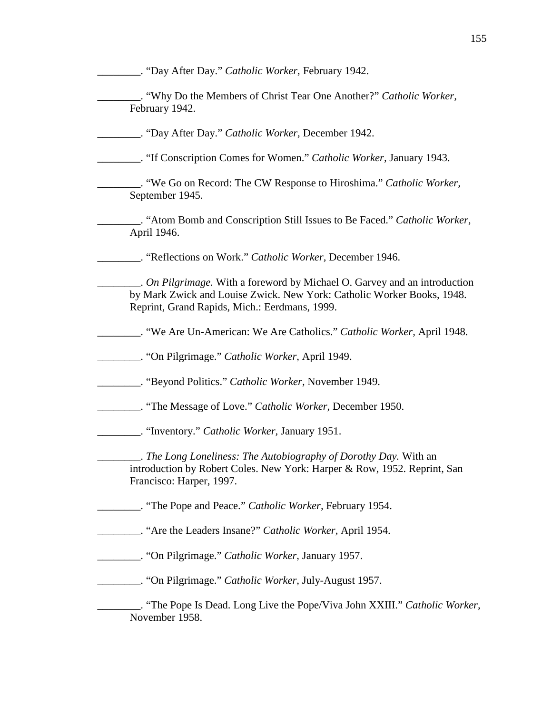\_\_\_\_\_\_\_\_. "Day After Day." *Catholic Worker,* February 1942. \_\_\_\_\_\_\_\_. "Why Do the Members of Christ Tear One Another?" *Catholic Worker,* February 1942. \_\_\_\_\_\_\_\_. "Day After Day." *Catholic Worker,* December 1942. \_\_\_\_\_\_\_\_. "If Conscription Comes for Women." *Catholic Worker,* January 1943. \_\_\_\_\_\_\_\_. "We Go on Record: The CW Response to Hiroshima." *Catholic Worker,* September 1945. \_\_\_\_\_\_\_\_. "Atom Bomb and Conscription Still Issues to Be Faced." *Catholic Worker,* April 1946. \_\_\_\_\_\_\_\_. "Reflections on Work." *Catholic Worker,* December 1946. \_\_\_\_\_\_\_\_. *On Pilgrimage.* With a foreword by Michael O. Garvey and an introduction by Mark Zwick and Louise Zwick. New York: Catholic Worker Books, 1948. Reprint, Grand Rapids, Mich.: Eerdmans, 1999. \_\_\_\_\_\_\_\_. "We Are Un-American: We Are Catholics." *Catholic Worker,* April 1948. \_\_\_\_\_\_\_\_. "On Pilgrimage." *Catholic Worker,* April 1949. \_\_\_\_\_\_\_\_. "Beyond Politics." *Catholic Worker,* November 1949. \_\_\_\_\_\_\_\_. "The Message of Love." *Catholic Worker,* December 1950. \_\_\_\_\_\_\_\_. "Inventory." *Catholic Worker,* January 1951. \_\_\_\_\_\_\_\_. *The Long Loneliness: The Autobiography of Dorothy Day.* With an introduction by Robert Coles. New York: Harper & Row, 1952. Reprint, San Francisco: Harper, 1997. \_\_\_\_\_\_\_\_. "The Pope and Peace." *Catholic Worker,* February 1954. \_\_\_\_\_\_\_\_. "Are the Leaders Insane?" *Catholic Worker,* April 1954. \_\_\_\_\_\_\_\_. "On Pilgrimage." *Catholic Worker,* January 1957. \_\_\_\_\_\_\_\_. "On Pilgrimage." *Catholic Worker,* July-August 1957. \_\_\_\_\_\_\_\_. "The Pope Is Dead. Long Live the Pope/Viva John XXIII." *Catholic Worker,* November 1958.

155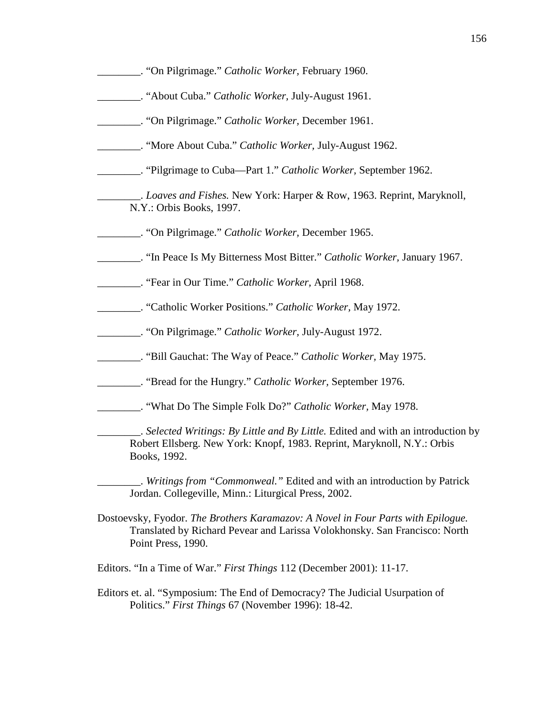| "On Pilgrimage." Catholic Worker, February 1960. |  |
|--------------------------------------------------|--|
|                                                  |  |

- \_\_\_\_\_\_\_\_. "About Cuba." *Catholic Worker,* July-August 1961.
- \_\_\_\_\_\_\_\_. "On Pilgrimage." *Catholic Worker,* December 1961.
- \_\_\_\_\_\_\_\_. "More About Cuba." *Catholic Worker,* July-August 1962.
- \_\_\_\_\_\_\_\_. "Pilgrimage to Cuba—Part 1." *Catholic Worker,* September 1962.

\_\_\_\_\_\_\_\_. *Loaves and Fishes.* New York: Harper & Row, 1963. Reprint, Maryknoll, N.Y.: Orbis Books, 1997.

- \_\_\_\_\_\_\_\_. "On Pilgrimage." *Catholic Worker,* December 1965.
- \_\_\_\_\_\_\_\_. "In Peace Is My Bitterness Most Bitter." *Catholic Worker,* January 1967.
- \_\_\_\_\_\_\_\_. "Fear in Our Time." *Catholic Worker,* April 1968.
- \_\_\_\_\_\_\_\_. "Catholic Worker Positions." *Catholic Worker,* May 1972.
- \_\_\_\_\_\_\_\_. "On Pilgrimage." *Catholic Worker,* July-August 1972.
- \_\_\_\_\_\_\_\_. "Bill Gauchat: The Way of Peace." *Catholic Worker,* May 1975.
- \_\_\_\_\_\_\_\_. "Bread for the Hungry." *Catholic Worker,* September 1976.
- \_\_\_\_\_\_\_\_. "What Do The Simple Folk Do?" *Catholic Worker,* May 1978.

\_\_\_\_\_\_\_\_. *Selected Writings: By Little and By Little.* Edited and with an introduction by Robert Ellsberg. New York: Knopf, 1983. Reprint, Maryknoll, N.Y.: Orbis Books, 1992.

\_\_\_\_\_\_\_\_. *Writings from "Commonweal."* Edited and with an introduction by Patrick Jordan. Collegeville, Minn.: Liturgical Press, 2002.

- Dostoevsky, Fyodor. *The Brothers Karamazov: A Novel in Four Parts with Epilogue.* Translated by Richard Pevear and Larissa Volokhonsky. San Francisco: North Point Press, 1990.
- Editors. "In a Time of War." *First Things* 112 (December 2001): 11-17.
- Editors et. al. "Symposium: The End of Democracy? The Judicial Usurpation of Politics." *First Things* 67 (November 1996): 18-42.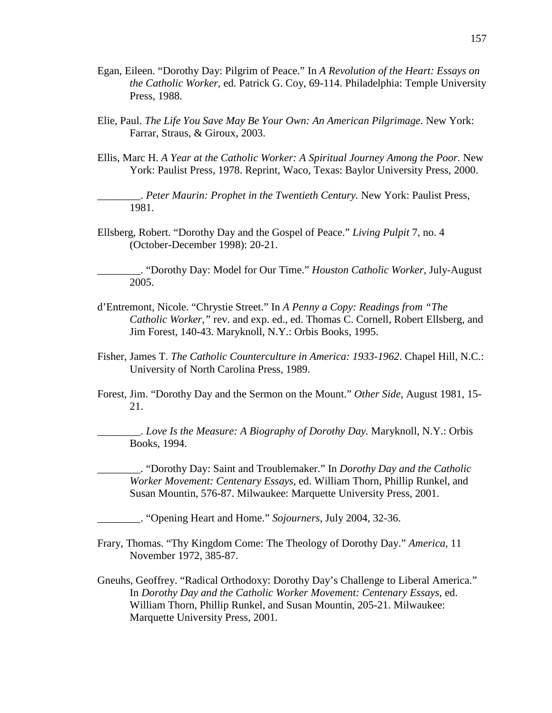- Egan, Eileen. "Dorothy Day: Pilgrim of Peace." In *A Revolution of the Heart: Essays on the Catholic Worker,* ed. Patrick G. Coy, 69-114. Philadelphia: Temple University Press, 1988.
- Elie, Paul. *The Life You Save May Be Your Own: An American Pilgrimage.* New York: Farrar, Straus, & Giroux, 2003.
- Ellis, Marc H. *A Year at the Catholic Worker: A Spiritual Journey Among the Poor.* New York: Paulist Press, 1978. Reprint, Waco, Texas: Baylor University Press, 2000.

\_\_\_\_\_\_\_\_. *Peter Maurin: Prophet in the Twentieth Century.* New York: Paulist Press, 1981.

Ellsberg, Robert. "Dorothy Day and the Gospel of Peace." *Living Pulpit* 7, no. 4 (October-December 1998): 20-21.

\_\_\_\_\_\_\_\_. "Dorothy Day: Model for Our Time." *Houston Catholic Worker,* July-August 2005.

- d'Entremont, Nicole. "Chrystie Street." In *A Penny a Copy: Readings from "The Catholic Worker,"* rev. and exp. ed., ed. Thomas C. Cornell, Robert Ellsberg, and Jim Forest, 140-43. Maryknoll, N.Y.: Orbis Books, 1995.
- Fisher, James T. *The Catholic Counterculture in America: 1933-1962*. Chapel Hill, N.C.: University of North Carolina Press, 1989.
- Forest, Jim. "Dorothy Day and the Sermon on the Mount." *Other Side,* August 1981, 15- 21.

\_\_\_\_\_\_\_\_. *Love Is the Measure: A Biography of Dorothy Day.* Maryknoll, N.Y.: Orbis Books, 1994.

\_\_\_\_\_\_\_\_. "Dorothy Day: Saint and Troublemaker." In *Dorothy Day and the Catholic Worker Movement: Centenary Essays,* ed. William Thorn, Phillip Runkel, and Susan Mountin, 576-87. Milwaukee: Marquette University Press, 2001.

\_\_\_\_\_\_\_\_. "Opening Heart and Home." *Sojourners,* July 2004, 32-36.

- Frary, Thomas. "Thy Kingdom Come: The Theology of Dorothy Day." *America,* 11 November 1972, 385-87.
- Gneuhs, Geoffrey. "Radical Orthodoxy: Dorothy Day's Challenge to Liberal America." In *Dorothy Day and the Catholic Worker Movement: Centenary Essays,* ed. William Thorn, Phillip Runkel, and Susan Mountin, 205-21. Milwaukee: Marquette University Press, 2001.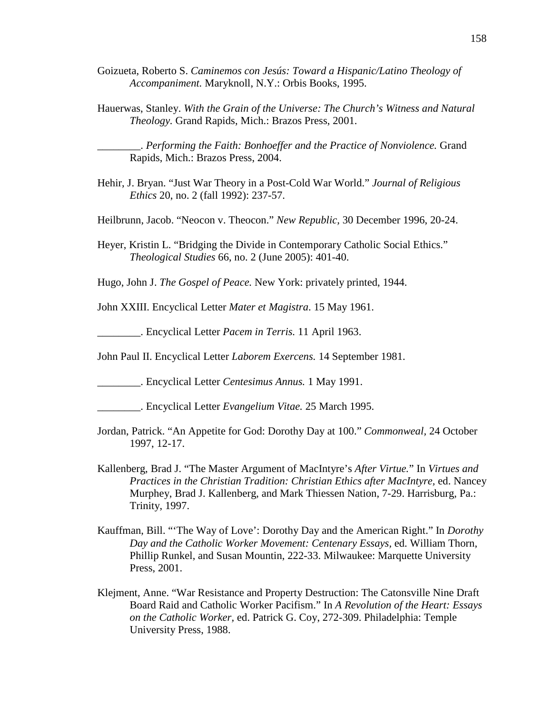- Goizueta, Roberto S. *Caminemos con Jesús: Toward a Hispanic/Latino Theology of Accompaniment.* Maryknoll, N.Y.: Orbis Books, 1995.
- Hauerwas, Stanley. *With the Grain of the Universe: The Church's Witness and Natural Theology.* Grand Rapids, Mich.: Brazos Press, 2001.

\_\_\_\_\_\_\_\_. *Performing the Faith: Bonhoeffer and the Practice of Nonviolence.* Grand Rapids, Mich.: Brazos Press, 2004.

- Hehir, J. Bryan. "Just War Theory in a Post-Cold War World." *Journal of Religious Ethics* 20, no. 2 (fall 1992): 237-57.
- Heilbrunn, Jacob. "Neocon v. Theocon." *New Republic,* 30 December 1996, 20-24.
- Heyer, Kristin L. "Bridging the Divide in Contemporary Catholic Social Ethics." *Theological Studies* 66, no. 2 (June 2005): 401-40.

Hugo, John J. *The Gospel of Peace.* New York: privately printed, 1944.

John XXIII. Encyclical Letter *Mater et Magistra*. 15 May 1961.

\_\_\_\_\_\_\_\_. Encyclical Letter *Pacem in Terris.* 11 April 1963.

John Paul II. Encyclical Letter *Laborem Exercens.* 14 September 1981.

\_\_\_\_\_\_\_\_. Encyclical Letter *Centesimus Annus.* 1 May 1991.

- \_\_\_\_\_\_\_\_. Encyclical Letter *Evangelium Vitae.* 25 March 1995.
- Jordan, Patrick. "An Appetite for God: Dorothy Day at 100." *Commonweal,* 24 October 1997, 12-17.
- Kallenberg, Brad J. "The Master Argument of MacIntyre's *After Virtue.*" In *Virtues and Practices in the Christian Tradition: Christian Ethics after MacIntyre,* ed. Nancey Murphey, Brad J. Kallenberg, and Mark Thiessen Nation, 7-29. Harrisburg, Pa.: Trinity, 1997.
- Kauffman, Bill. "'The Way of Love': Dorothy Day and the American Right." In *Dorothy Day and the Catholic Worker Movement: Centenary Essays,* ed. William Thorn, Phillip Runkel, and Susan Mountin, 222-33. Milwaukee: Marquette University Press, 2001.
- Klejment, Anne. "War Resistance and Property Destruction: The Catonsville Nine Draft Board Raid and Catholic Worker Pacifism." In *A Revolution of the Heart: Essays on the Catholic Worker,* ed. Patrick G. Coy, 272-309. Philadelphia: Temple University Press, 1988.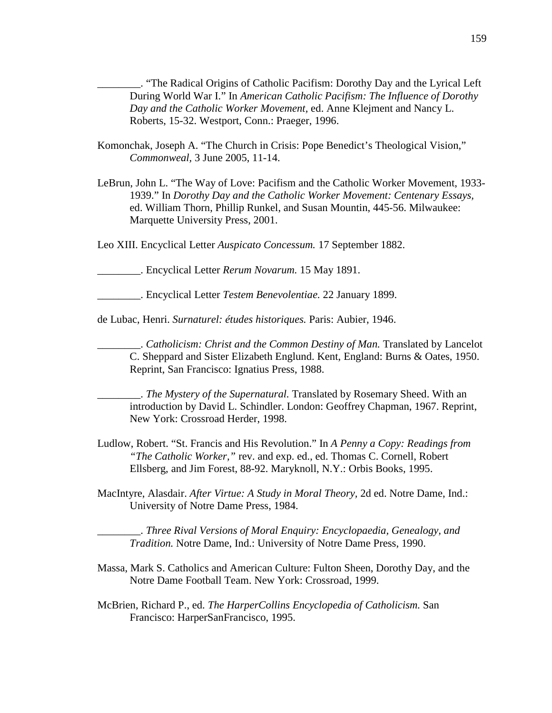\_\_\_\_\_\_\_\_. "The Radical Origins of Catholic Pacifism: Dorothy Day and the Lyrical Left During World War I." In *American Catholic Pacifism: The Influence of Dorothy Day and the Catholic Worker Movement,* ed. Anne Klejment and Nancy L. Roberts, 15-32. Westport, Conn.: Praeger, 1996.

- Komonchak, Joseph A. "The Church in Crisis: Pope Benedict's Theological Vision," *Commonweal,* 3 June 2005, 11-14.
- LeBrun, John L. "The Way of Love: Pacifism and the Catholic Worker Movement, 1933- 1939." In *Dorothy Day and the Catholic Worker Movement: Centenary Essays,* ed. William Thorn, Phillip Runkel, and Susan Mountin, 445-56. Milwaukee: Marquette University Press, 2001.

Leo XIII. Encyclical Letter *Auspicato Concessum.* 17 September 1882.

\_\_\_\_\_\_\_\_. Encyclical Letter *Rerum Novarum.* 15 May 1891.

\_\_\_\_\_\_\_\_. Encyclical Letter *Testem Benevolentiae.* 22 January 1899.

de Lubac, Henri. *Surnaturel: études historiques.* Paris: Aubier, 1946.

\_\_\_\_\_\_\_\_. *Catholicism: Christ and the Common Destiny of Man.* Translated by Lancelot C. Sheppard and Sister Elizabeth Englund. Kent, England: Burns & Oates, 1950. Reprint, San Francisco: Ignatius Press, 1988.

\_\_\_\_\_\_\_\_. *The Mystery of the Supernatural.* Translated by Rosemary Sheed. With an introduction by David L. Schindler. London: Geoffrey Chapman, 1967. Reprint, New York: Crossroad Herder, 1998.

- Ludlow, Robert. "St. Francis and His Revolution." In *A Penny a Copy: Readings from "The Catholic Worker,"* rev. and exp. ed., ed. Thomas C. Cornell, Robert Ellsberg, and Jim Forest, 88-92. Maryknoll, N.Y.: Orbis Books, 1995.
- MacIntyre, Alasdair. *After Virtue: A Study in Moral Theory,* 2d ed. Notre Dame, Ind.: University of Notre Dame Press, 1984.

\_\_\_\_\_\_\_\_. *Three Rival Versions of Moral Enquiry: Encyclopaedia, Genealogy, and Tradition.* Notre Dame, Ind.: University of Notre Dame Press, 1990.

- Massa, Mark S. Catholics and American Culture: Fulton Sheen, Dorothy Day, and the Notre Dame Football Team. New York: Crossroad, 1999.
- McBrien, Richard P., ed. *The HarperCollins Encyclopedia of Catholicism.* San Francisco: HarperSanFrancisco, 1995.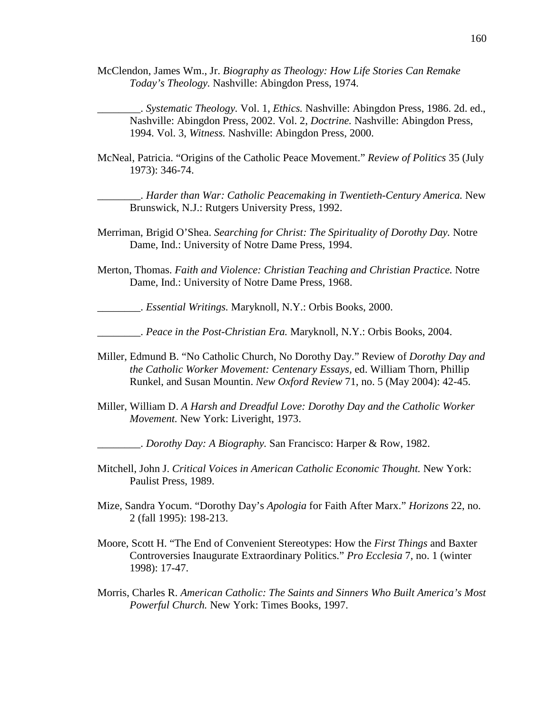McClendon, James Wm., Jr. *Biography as Theology: How Life Stories Can Remake Today's Theology.* Nashville: Abingdon Press, 1974.

\_\_\_\_\_\_\_\_. *Systematic Theology.* Vol. 1, *Ethics.* Nashville: Abingdon Press, 1986. 2d. ed., Nashville: Abingdon Press, 2002. Vol. 2, *Doctrine.* Nashville: Abingdon Press, 1994. Vol. 3, *Witness.* Nashville: Abingdon Press, 2000.

McNeal, Patricia. "Origins of the Catholic Peace Movement." *Review of Politics* 35 (July 1973): 346-74.

\_\_\_\_\_\_\_\_. *Harder than War: Catholic Peacemaking in Twentieth-Century America.* New Brunswick, N.J.: Rutgers University Press, 1992.

- Merriman, Brigid O'Shea. *Searching for Christ: The Spirituality of Dorothy Day.* Notre Dame, Ind.: University of Notre Dame Press, 1994.
- Merton, Thomas. *Faith and Violence: Christian Teaching and Christian Practice.* Notre Dame, Ind.: University of Notre Dame Press, 1968.

\_\_\_\_\_\_\_\_. *Essential Writings.* Maryknoll, N.Y.: Orbis Books, 2000.

\_\_\_\_\_\_\_\_. *Peace in the Post-Christian Era.* Maryknoll, N.Y.: Orbis Books, 2004.

- Miller, Edmund B. "No Catholic Church, No Dorothy Day." Review of *Dorothy Day and the Catholic Worker Movement: Centenary Essays,* ed. William Thorn, Phillip Runkel, and Susan Mountin. *New Oxford Review* 71, no. 5 (May 2004): 42-45.
- Miller, William D. *A Harsh and Dreadful Love: Dorothy Day and the Catholic Worker Movement.* New York: Liveright, 1973.
	- \_\_\_\_\_\_\_\_. *Dorothy Day: A Biography.* San Francisco: Harper & Row, 1982.
- Mitchell, John J. *Critical Voices in American Catholic Economic Thought.* New York: Paulist Press, 1989.
- Mize, Sandra Yocum. "Dorothy Day's *Apologia* for Faith After Marx." *Horizons* 22, no. 2 (fall 1995): 198-213.
- Moore, Scott H. "The End of Convenient Stereotypes: How the *First Things* and Baxter Controversies Inaugurate Extraordinary Politics." *Pro Ecclesia* 7, no. 1 (winter 1998): 17-47.
- Morris, Charles R. *American Catholic: The Saints and Sinners Who Built America's Most Powerful Church.* New York: Times Books, 1997.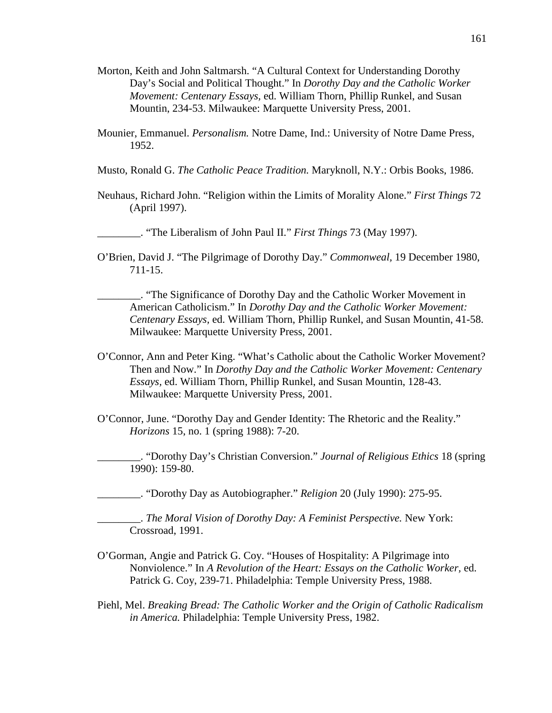- Morton, Keith and John Saltmarsh. "A Cultural Context for Understanding Dorothy Day's Social and Political Thought." In *Dorothy Day and the Catholic Worker Movement: Centenary Essays,* ed. William Thorn, Phillip Runkel, and Susan Mountin, 234-53. Milwaukee: Marquette University Press, 2001.
- Mounier, Emmanuel. *Personalism.* Notre Dame, Ind.: University of Notre Dame Press, 1952.
- Musto, Ronald G. *The Catholic Peace Tradition.* Maryknoll, N.Y.: Orbis Books, 1986.
- Neuhaus, Richard John. "Religion within the Limits of Morality Alone." *First Things* 72 (April 1997).

\_\_\_\_\_\_\_\_. "The Liberalism of John Paul II." *First Things* 73 (May 1997).

- O'Brien, David J. "The Pilgrimage of Dorothy Day." *Commonweal,* 19 December 1980, 711-15.
	- \_\_\_\_\_\_\_\_. "The Significance of Dorothy Day and the Catholic Worker Movement in American Catholicism." In *Dorothy Day and the Catholic Worker Movement: Centenary Essays,* ed. William Thorn, Phillip Runkel, and Susan Mountin, 41-58. Milwaukee: Marquette University Press, 2001.
- O'Connor, Ann and Peter King. "What's Catholic about the Catholic Worker Movement? Then and Now." In *Dorothy Day and the Catholic Worker Movement: Centenary Essays,* ed. William Thorn, Phillip Runkel, and Susan Mountin, 128-43. Milwaukee: Marquette University Press, 2001.
- O'Connor, June. "Dorothy Day and Gender Identity: The Rhetoric and the Reality." *Horizons* 15, no. 1 (spring 1988): 7-20.

\_\_\_\_\_\_\_\_. "Dorothy Day's Christian Conversion." *Journal of Religious Ethics* 18 (spring 1990): 159-80.

\_\_\_\_\_\_\_\_. "Dorothy Day as Autobiographer." *Religion* 20 (July 1990): 275-95.

\_\_\_\_\_\_\_\_. *The Moral Vision of Dorothy Day: A Feminist Perspective.* New York: Crossroad, 1991.

- O'Gorman, Angie and Patrick G. Coy. "Houses of Hospitality: A Pilgrimage into Nonviolence." In *A Revolution of the Heart: Essays on the Catholic Worker,* ed. Patrick G. Coy, 239-71. Philadelphia: Temple University Press, 1988.
- Piehl, Mel. *Breaking Bread: The Catholic Worker and the Origin of Catholic Radicalism in America.* Philadelphia: Temple University Press, 1982.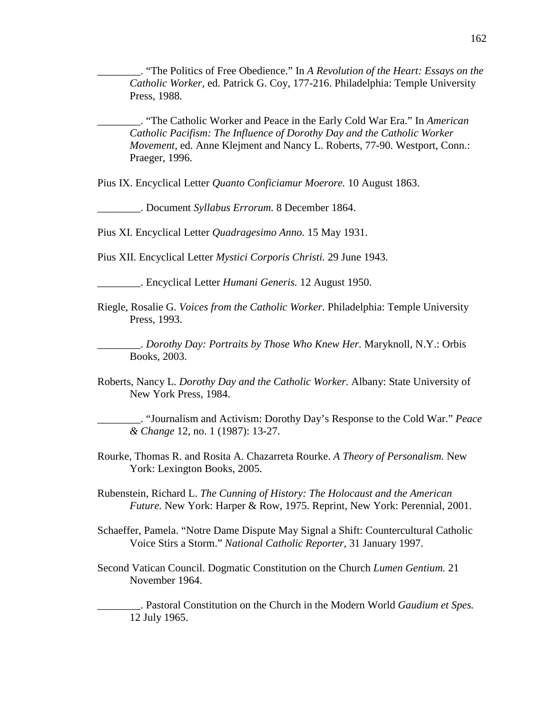\_\_\_\_\_\_\_\_. "The Politics of Free Obedience." In *A Revolution of the Heart: Essays on the Catholic Worker,* ed. Patrick G. Coy, 177-216. Philadelphia: Temple University Press, 1988.

\_\_\_\_\_\_\_\_. "The Catholic Worker and Peace in the Early Cold War Era." In *American Catholic Pacifism: The Influence of Dorothy Day and the Catholic Worker Movement,* ed. Anne Klejment and Nancy L. Roberts, 77-90. Westport, Conn.: Praeger, 1996.

Pius IX. Encyclical Letter *Quanto Conficiamur Moerore.* 10 August 1863.

\_\_\_\_\_\_\_\_. Document *Syllabus Errorum.* 8 December 1864.

Pius XI. Encyclical Letter *Quadragesimo Anno.* 15 May 1931.

Pius XII. Encyclical Letter *Mystici Corporis Christi.* 29 June 1943.

\_\_\_\_\_\_\_\_. Encyclical Letter *Humani Generis.* 12 August 1950.

Riegle, Rosalie G. *Voices from the Catholic Worker.* Philadelphia: Temple University Press, 1993.

\_\_\_\_\_\_\_\_. *Dorothy Day: Portraits by Those Who Knew Her.* Maryknoll, N.Y.: Orbis Books, 2003.

Roberts, Nancy L. *Dorothy Day and the Catholic Worker.* Albany: State University of New York Press, 1984.

\_\_\_\_\_\_\_\_. "Journalism and Activism: Dorothy Day's Response to the Cold War." *Peace & Change* 12, no. 1 (1987): 13-27.

Rourke, Thomas R. and Rosita A. Chazarreta Rourke. *A Theory of Personalism.* New York: Lexington Books, 2005.

Rubenstein, Richard L. *The Cunning of History: The Holocaust and the American Future.* New York: Harper & Row, 1975. Reprint, New York: Perennial, 2001.

- Schaeffer, Pamela. "Notre Dame Dispute May Signal a Shift: Countercultural Catholic Voice Stirs a Storm." *National Catholic Reporter,* 31 January 1997.
- Second Vatican Council. Dogmatic Constitution on the Church *Lumen Gentium.* 21 November 1964.

\_\_\_\_\_\_\_\_. Pastoral Constitution on the Church in the Modern World *Gaudium et Spes.* 12 July 1965.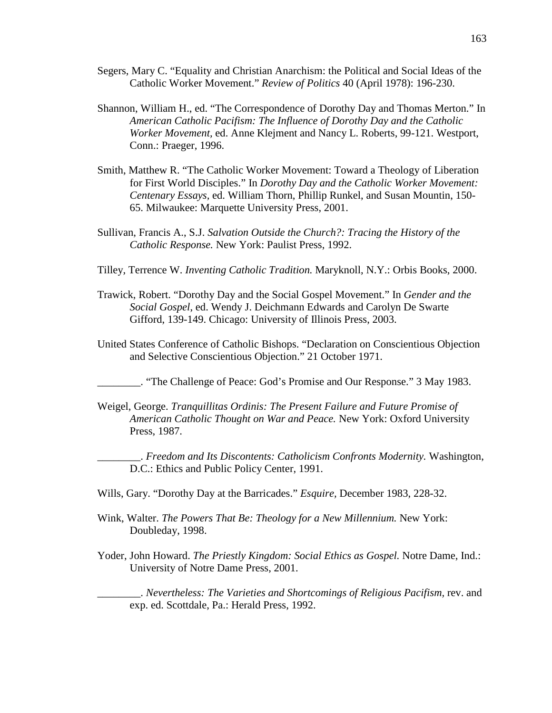- Segers, Mary C. "Equality and Christian Anarchism: the Political and Social Ideas of the Catholic Worker Movement." *Review of Politics* 40 (April 1978): 196-230.
- Shannon, William H., ed. "The Correspondence of Dorothy Day and Thomas Merton." In *American Catholic Pacifism: The Influence of Dorothy Day and the Catholic Worker Movement,* ed. Anne Klejment and Nancy L. Roberts, 99-121. Westport, Conn.: Praeger, 1996.
- Smith, Matthew R. "The Catholic Worker Movement: Toward a Theology of Liberation for First World Disciples." In *Dorothy Day and the Catholic Worker Movement: Centenary Essays,* ed. William Thorn, Phillip Runkel, and Susan Mountin, 150- 65. Milwaukee: Marquette University Press, 2001.
- Sullivan, Francis A., S.J. *Salvation Outside the Church?: Tracing the History of the Catholic Response.* New York: Paulist Press, 1992.
- Tilley, Terrence W. *Inventing Catholic Tradition.* Maryknoll, N.Y.: Orbis Books, 2000.
- Trawick, Robert. "Dorothy Day and the Social Gospel Movement." In *Gender and the Social Gospel*, ed. Wendy J. Deichmann Edwards and Carolyn De Swarte Gifford, 139-149. Chicago: University of Illinois Press, 2003.
- United States Conference of Catholic Bishops. "Declaration on Conscientious Objection and Selective Conscientious Objection." 21 October 1971.

\_\_\_\_\_\_\_\_. "The Challenge of Peace: God's Promise and Our Response." 3 May 1983.

Weigel, George. *Tranquillitas Ordinis: The Present Failure and Future Promise of American Catholic Thought on War and Peace.* New York: Oxford University Press, 1987.

\_\_\_\_\_\_\_\_. *Freedom and Its Discontents: Catholicism Confronts Modernity.* Washington, D.C.: Ethics and Public Policy Center, 1991.

- Wills, Gary. "Dorothy Day at the Barricades." *Esquire,* December 1983, 228-32.
- Wink, Walter. *The Powers That Be: Theology for a New Millennium.* New York: Doubleday, 1998.
- Yoder, John Howard. *The Priestly Kingdom: Social Ethics as Gospel.* Notre Dame, Ind.: University of Notre Dame Press, 2001.

\_\_\_\_\_\_\_\_. *Nevertheless: The Varieties and Shortcomings of Religious Pacifism,* rev. and exp. ed. Scottdale, Pa.: Herald Press, 1992.